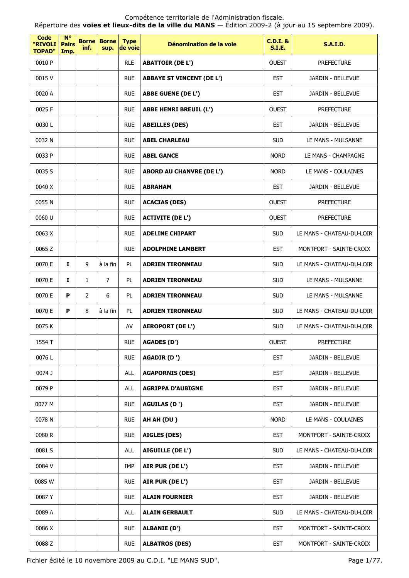| <b>Code</b><br>"RIVOLI<br><b>TOPAD"</b> | $N^{\circ}$<br><b>Pairs</b><br>Imp. | inf.           | <b>Borne Borne</b><br>sup. | <b>Type</b><br>de voie | Dénomination de la voie          | <b>C.D.I. &amp;</b><br><b>S.I.E.</b> | <b>S.A.I.D.</b>           |
|-----------------------------------------|-------------------------------------|----------------|----------------------------|------------------------|----------------------------------|--------------------------------------|---------------------------|
| 0010 P                                  |                                     |                |                            | <b>RLE</b>             | <b>ABATTOIR (DE L')</b>          | <b>OUEST</b>                         | <b>PREFECTURE</b>         |
| 0015V                                   |                                     |                |                            | <b>RUE</b>             | <b>ABBAYE ST VINCENT (DE L')</b> | <b>EST</b>                           | JARDIN - BELLEVUE         |
| 0020 A                                  |                                     |                |                            | <b>RUE</b>             | <b>ABBE GUENE (DE L')</b>        | <b>EST</b>                           | <b>JARDIN - BELLEVUE</b>  |
| 0025 F                                  |                                     |                |                            | <b>RUE</b>             | <b>ABBE HENRI BREUIL (L')</b>    | <b>OUEST</b>                         | <b>PREFECTURE</b>         |
| 0030L                                   |                                     |                |                            | <b>RUE</b>             | <b>ABEILLES (DES)</b>            | <b>EST</b>                           | JARDIN - BELLEVUE         |
| 0032 N                                  |                                     |                |                            | <b>RUE</b>             | <b>ABEL CHARLEAU</b>             | <b>SUD</b>                           | LE MANS - MULSANNE        |
| 0033 P                                  |                                     |                |                            | <b>RUE</b>             | <b>ABEL GANCE</b>                | <b>NORD</b>                          | LE MANS - CHAMPAGNE       |
| 0035 S                                  |                                     |                |                            | <b>RUE</b>             | <b>ABORD AU CHANVRE (DE L')</b>  | <b>NORD</b>                          | LE MANS - COULAINES       |
| 0040 X                                  |                                     |                |                            | <b>RUE</b>             | <b>ABRAHAM</b>                   | <b>EST</b>                           | JARDIN - BELLEVUE         |
| 0055N                                   |                                     |                |                            | <b>RUE</b>             | <b>ACACIAS (DES)</b>             | <b>OUEST</b>                         | <b>PREFECTURE</b>         |
| 0060 U                                  |                                     |                |                            | <b>RUE</b>             | <b>ACTIVITE (DE L')</b>          | <b>OUEST</b>                         | <b>PREFECTURE</b>         |
| 0063 X                                  |                                     |                |                            | <b>RUE</b>             | <b>ADELINE CHIPART</b>           | <b>SUD</b>                           | LE MANS - CHATEAU-DU-LOIR |
| 0065 Z                                  |                                     |                |                            | <b>RUE</b>             | <b>ADOLPHINE LAMBERT</b>         | <b>EST</b>                           | MONTFORT - SAINTE-CROIX   |
| 0070 E                                  | $\mathbf{I}$                        | 9              | à la fin                   | <b>PL</b>              | <b>ADRIEN TIRONNEAU</b>          | <b>SUD</b>                           | LE MANS - CHATEAU-DU-LOIR |
| 0070 E                                  | 1                                   | $\mathbf{1}$   | $\overline{7}$             | <b>PL</b>              | <b>ADRIEN TIRONNEAU</b>          | <b>SUD</b>                           | LE MANS - MULSANNE        |
| 0070 E                                  | P                                   | $\overline{2}$ | 6                          | PL                     | <b>ADRIEN TIRONNEAU</b>          | <b>SUD</b>                           | LE MANS - MULSANNE        |
| 0070 E                                  | P                                   | 8              | à la fin                   | PL                     | <b>ADRIEN TIRONNEAU</b>          | <b>SUD</b>                           | LE MANS - CHATEAU-DU-LOIR |
| 0075K                                   |                                     |                |                            | AV                     | <b>AEROPORT (DE L')</b>          | <b>SUD</b>                           | LE MANS - CHATEAU-DU-LOIR |
| 1554 T                                  |                                     |                |                            | <b>RUE</b>             | <b>AGADES (D')</b>               | OUEST                                | <b>PREFECTURE</b>         |
| 0076L                                   |                                     |                |                            | <b>RUE</b>             | AGADIR (D ')                     | <b>EST</b>                           | JARDIN - BELLEVUE         |
| 0074 J                                  |                                     |                |                            | <b>ALL</b>             | <b>AGAPORNIS (DES)</b>           | <b>EST</b>                           | JARDIN - BELLEVUE         |
| 0079 P                                  |                                     |                |                            | <b>ALL</b>             | <b>AGRIPPA D'AUBIGNE</b>         | <b>EST</b>                           | JARDIN - BELLEVUE         |
| 0077 M                                  |                                     |                |                            | <b>RUE</b>             | AGUILAS (D ')                    | <b>EST</b>                           | JARDIN - BELLEVUE         |
| 0078N                                   |                                     |                |                            | <b>RUE</b>             | AH AH (DU)                       | <b>NORD</b>                          | LE MANS - COULAINES       |
| 0080 R                                  |                                     |                |                            | <b>RUE</b>             | <b>AIGLES (DES)</b>              | <b>EST</b>                           | MONTFORT - SAINTE-CROIX   |
| 0081 S                                  |                                     |                |                            | <b>ALL</b>             | AIGUILLE (DE L')                 | <b>SUD</b>                           | LE MANS - CHATEAU-DU-LOIR |
| 0084 V                                  |                                     |                |                            | <b>IMP</b>             | AIR PUR (DE L')                  | <b>EST</b>                           | JARDIN - BELLEVUE         |
| 0085 W                                  |                                     |                |                            | <b>RUE</b>             | AIR PUR (DE L')                  | <b>EST</b>                           | JARDIN - BELLEVUE         |
| 0087Y                                   |                                     |                |                            | <b>RUE</b>             | <b>ALAIN FOURNIER</b>            | <b>EST</b>                           | JARDIN - BELLEVUE         |
| 0089 A                                  |                                     |                |                            | <b>ALL</b>             | <b>ALAIN GERBAULT</b>            | <b>SUD</b>                           | LE MANS - CHATEAU-DU-LOIR |
| 0086 X                                  |                                     |                |                            | <b>RUE</b>             | <b>ALBANIE (D')</b>              | <b>EST</b>                           | MONTFORT - SAINTE-CROIX   |
| 0088Z                                   |                                     |                |                            | <b>RUE</b>             | <b>ALBATROS (DES)</b>            | <b>EST</b>                           | MONTFORT - SAINTE-CROIX   |

Fichier édité le 10 novembre 2009 au C.D.I. "LE MANS SUD". Page 1/77.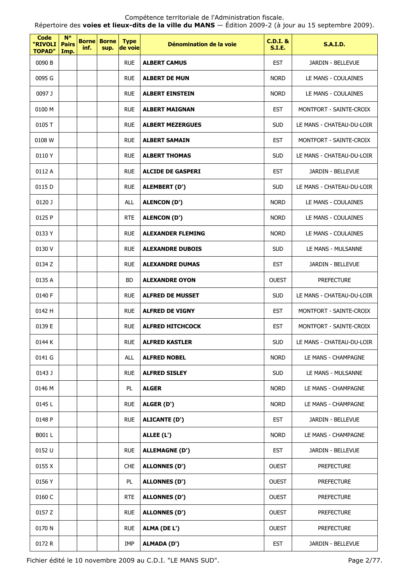Répertoire des **voies et lieux-dits de la ville du MANS** — Édition 2009-2 (à jour au 15 septembre 2009).

| <b>Code</b><br>"RIVOLI<br><b>TOPAD"</b> | <b>N°</b><br><b>Pairs</b><br>Imp. | <b>Borne</b><br>inf. | <b>Borne</b><br>sup. | <b>Type</b><br>de voie | Dénomination de la voie  | <b>C.D.I. &amp;</b><br><b>S.I.E.</b> | <b>S.A.I.D.</b>           |
|-----------------------------------------|-----------------------------------|----------------------|----------------------|------------------------|--------------------------|--------------------------------------|---------------------------|
| 0090 B                                  |                                   |                      |                      | <b>RUE</b>             | <b>ALBERT CAMUS</b>      | <b>EST</b>                           | JARDIN - BELLEVUE         |
| 0095 G                                  |                                   |                      |                      | <b>RUE</b>             | <b>ALBERT DE MUN</b>     | <b>NORD</b>                          | LE MANS - COULAINES       |
| 0097 J                                  |                                   |                      |                      | <b>RUE</b>             | <b>ALBERT EINSTEIN</b>   | <b>NORD</b>                          | LE MANS - COULAINES       |
| 0100 M                                  |                                   |                      |                      | <b>RUE</b>             | <b>ALBERT MAIGNAN</b>    | <b>EST</b>                           | MONTFORT - SAINTE-CROIX   |
| 0105 T                                  |                                   |                      |                      | <b>RUE</b>             | <b>ALBERT MEZERGUES</b>  | <b>SUD</b>                           | LE MANS - CHATEAU-DU-LOIR |
| 0108 W                                  |                                   |                      |                      | <b>RUE</b>             | <b>ALBERT SAMAIN</b>     | <b>EST</b>                           | MONTFORT - SAINTE-CROIX   |
| 0110Y                                   |                                   |                      |                      | <b>RUE</b>             | <b>ALBERT THOMAS</b>     | <b>SUD</b>                           | LE MANS - CHATEAU-DU-LOIR |
| 0112 A                                  |                                   |                      |                      | <b>RUE</b>             | <b>ALCIDE DE GASPERI</b> | <b>EST</b>                           | JARDIN - BELLEVUE         |
| 0115 D                                  |                                   |                      |                      | <b>RUE</b>             | ALEMBERT (D')            | <b>SUD</b>                           | LE MANS - CHATEAU-DU-LOIR |
| 0120 J                                  |                                   |                      |                      | <b>ALL</b>             | <b>ALENCON (D')</b>      | <b>NORD</b>                          | LE MANS - COULAINES       |
| 0125 P                                  |                                   |                      |                      | <b>RTE</b>             | <b>ALENCON (D')</b>      | <b>NORD</b>                          | LE MANS - COULAINES       |
| 0133 Y                                  |                                   |                      |                      | <b>RUE</b>             | <b>ALEXANDER FLEMING</b> | <b>NORD</b>                          | LE MANS - COULAINES       |
| 0130 V                                  |                                   |                      |                      | <b>RUE</b>             | <b>ALEXANDRE DUBOIS</b>  | <b>SUD</b>                           | LE MANS - MULSANNE        |
| 0134 Z                                  |                                   |                      |                      | <b>RUE</b>             | <b>ALEXANDRE DUMAS</b>   | <b>EST</b>                           | JARDIN - BELLEVUE         |
| 0135 A                                  |                                   |                      |                      | <b>BD</b>              | <b>ALEXANDRE OYON</b>    | <b>OUEST</b>                         | <b>PREFECTURE</b>         |
| 0140 F                                  |                                   |                      |                      | <b>RUE</b>             | <b>ALFRED DE MUSSET</b>  | <b>SUD</b>                           | LE MANS - CHATEAU-DU-LOIR |
| 0142 H                                  |                                   |                      |                      | <b>RUE</b>             | <b>ALFRED DE VIGNY</b>   | <b>EST</b>                           | MONTFORT - SAINTE-CROIX   |
| 0139 E                                  |                                   |                      |                      | <b>RUE</b>             | <b>ALFRED HITCHCOCK</b>  | <b>EST</b>                           | MONTFORT - SAINTE-CROIX   |
| 0144 K                                  |                                   |                      |                      | <b>RUE</b>             | <b>ALFRED KASTLER</b>    | <b>SUD</b>                           | LE MANS - CHATEAU-DU-LOIR |
| 0141 G                                  |                                   |                      |                      | ALL                    | <b>ALFRED NOBEL</b>      | <b>NORD</b>                          | LE MANS - CHAMPAGNE       |
| 0143 J                                  |                                   |                      |                      | <b>RUE</b>             | <b>ALFRED SISLEY</b>     | <b>SUD</b>                           | LE MANS - MULSANNE        |
| 0146 M                                  |                                   |                      |                      | PL                     | <b>ALGER</b>             | <b>NORD</b>                          | LE MANS - CHAMPAGNE       |
| 0145L                                   |                                   |                      |                      | <b>RUE</b>             | ALGER (D')               | <b>NORD</b>                          | LE MANS - CHAMPAGNE       |
| 0148 P                                  |                                   |                      |                      | <b>RUE</b>             | <b>ALICANTE (D')</b>     | <b>EST</b>                           | JARDIN - BELLEVUE         |
| B001L                                   |                                   |                      |                      |                        | ALLEE (L')               | <b>NORD</b>                          | LE MANS - CHAMPAGNE       |
| 0152 U                                  |                                   |                      |                      | <b>RUE</b>             | <b>ALLEMAGNE (D')</b>    | <b>EST</b>                           | JARDIN - BELLEVUE         |
| 0155 X                                  |                                   |                      |                      | <b>CHE</b>             | <b>ALLONNES (D')</b>     | <b>OUEST</b>                         | <b>PREFECTURE</b>         |
| 0156 Y                                  |                                   |                      |                      | PL                     | <b>ALLONNES (D')</b>     | <b>OUEST</b>                         | <b>PREFECTURE</b>         |
| 0160 C                                  |                                   |                      |                      | <b>RTE</b>             | <b>ALLONNES (D')</b>     | <b>OUEST</b>                         | <b>PREFECTURE</b>         |
| 0157 Z                                  |                                   |                      |                      | <b>RUE</b>             | <b>ALLONNES (D')</b>     | <b>OUEST</b>                         | <b>PREFECTURE</b>         |
| 0170 N                                  |                                   |                      |                      | <b>RUE</b>             | ALMA (DE L')             | <b>OUEST</b>                         | <b>PREFECTURE</b>         |
| 0172 R                                  |                                   |                      |                      | IMP                    | <b>ALMADA (D')</b>       | <b>EST</b>                           | JARDIN - BELLEVUE         |

Fichier édité le 10 novembre 2009 au C.D.I. "LE MANS SUD". Page 2/77.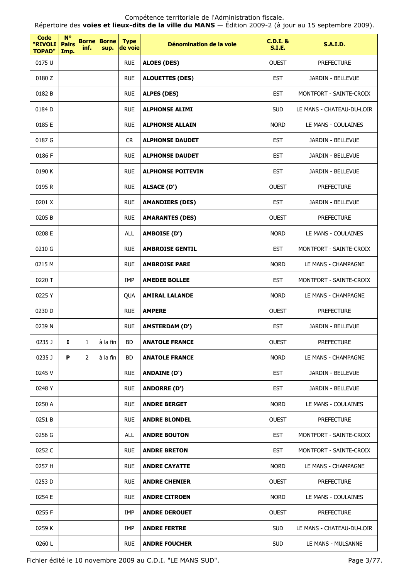Répertoire des **voies et lieux-dits de la ville du MANS** — Édition 2009-2 (à jour au 15 septembre 2009).

| <b>Code</b><br>"RIVOLI<br><b>TOPAD"</b> | $N^{\circ}$<br><b>Pairs</b><br>Imp. | inf.           | <b>Borne Borne</b><br>sup. | <b>Type</b><br>de voie | Dénomination de la voie  | <b>C.D.I. &amp;</b><br><b>S.I.E.</b> | <b>S.A.I.D.</b>           |
|-----------------------------------------|-------------------------------------|----------------|----------------------------|------------------------|--------------------------|--------------------------------------|---------------------------|
| 0175 U                                  |                                     |                |                            | <b>RUE</b>             | <b>ALOES (DES)</b>       | <b>OUEST</b>                         | <b>PREFECTURE</b>         |
| 0180 Z                                  |                                     |                |                            | <b>RUE</b>             | <b>ALOUETTES (DES)</b>   | <b>EST</b>                           | JARDIN - BELLEVUE         |
| 0182 B                                  |                                     |                |                            | <b>RUE</b>             | <b>ALPES (DES)</b>       | <b>EST</b>                           | MONTFORT - SAINTE-CROIX   |
| 0184 D                                  |                                     |                |                            | <b>RUE</b>             | <b>ALPHONSE ALIMI</b>    | <b>SUD</b>                           | LE MANS - CHATEAU-DU-LOIR |
| 0185 E                                  |                                     |                |                            | <b>RUE</b>             | <b>ALPHONSE ALLAIN</b>   | <b>NORD</b>                          | LE MANS - COULAINES       |
| 0187 G                                  |                                     |                |                            | CR.                    | <b>ALPHONSE DAUDET</b>   | <b>EST</b>                           | JARDIN - BELLEVUE         |
| 0186 F                                  |                                     |                |                            | <b>RUE</b>             | <b>ALPHONSE DAUDET</b>   | <b>EST</b>                           | JARDIN - BELLEVUE         |
| 0190 K                                  |                                     |                |                            | <b>RUE</b>             | <b>ALPHONSE POITEVIN</b> | <b>EST</b>                           | JARDIN - BELLEVUE         |
| 0195 R                                  |                                     |                |                            | <b>RUE</b>             | <b>ALSACE (D')</b>       | <b>OUEST</b>                         | <b>PREFECTURE</b>         |
| 0201 X                                  |                                     |                |                            | <b>RUE</b>             | <b>AMANDIERS (DES)</b>   | <b>EST</b>                           | JARDIN - BELLEVUE         |
| 0205B                                   |                                     |                |                            | <b>RUE</b>             | <b>AMARANTES (DES)</b>   | <b>OUEST</b>                         | <b>PREFECTURE</b>         |
| 0208 E                                  |                                     |                |                            | ALL                    | <b>AMBOISE (D')</b>      | <b>NORD</b>                          | LE MANS - COULAINES       |
| 0210 G                                  |                                     |                |                            | <b>RUE</b>             | <b>AMBROISE GENTIL</b>   | <b>EST</b>                           | MONTFORT - SAINTE-CROIX   |
| 0215 M                                  |                                     |                |                            | <b>RUE</b>             | <b>AMBROISE PARE</b>     | <b>NORD</b>                          | LE MANS - CHAMPAGNE       |
| 0220 T                                  |                                     |                |                            | IMP                    | <b>AMEDEE BOLLEE</b>     | <b>EST</b>                           | MONTFORT - SAINTE-CROIX   |
| 0225 Y                                  |                                     |                |                            | QUA                    | <b>AMIRAL LALANDE</b>    | <b>NORD</b>                          | LE MANS - CHAMPAGNE       |
| 0230 D                                  |                                     |                |                            | <b>RUE</b>             | <b>AMPERE</b>            | <b>OUEST</b>                         | <b>PREFECTURE</b>         |
| 0239 N                                  |                                     |                |                            | <b>RUE</b>             | <b>AMSTERDAM (D')</b>    | <b>EST</b>                           | JARDIN - BELLEVUE         |
| 0235 J                                  | $\mathbf{I}$                        | $\mathbf{1}$   | $\lambda$ la fin           | <b>BD</b>              | <b>ANATOLE FRANCE</b>    | <b>OUEST</b>                         | <b>PREFECTURE</b>         |
| 0235 J                                  | P                                   | $\overline{2}$ | à la fin                   | BD.                    | <b>ANATOLE FRANCE</b>    | <b>NORD</b>                          | LE MANS - CHAMPAGNE       |
| 0245 V                                  |                                     |                |                            | <b>RUE</b>             | <b>ANDAINE (D')</b>      | <b>EST</b>                           | JARDIN - BELLEVUE         |
| 0248 Y                                  |                                     |                |                            | <b>RUE</b>             | <b>ANDORRE (D')</b>      | <b>EST</b>                           | JARDIN - BELLEVUE         |
| 0250 A                                  |                                     |                |                            | <b>RUE</b>             | <b>ANDRE BERGET</b>      | <b>NORD</b>                          | LE MANS - COULAINES       |
| 0251 B                                  |                                     |                |                            | <b>RUE</b>             | <b>ANDRE BLONDEL</b>     | <b>OUEST</b>                         | <b>PREFECTURE</b>         |
| 0256 G                                  |                                     |                |                            | <b>ALL</b>             | <b>ANDRE BOUTON</b>      | <b>EST</b>                           | MONTFORT - SAINTE-CROIX   |
| 0252 C                                  |                                     |                |                            | <b>RUE</b>             | <b>ANDRE BRETON</b>      | <b>EST</b>                           | MONTFORT - SAINTE-CROIX   |
| 0257 H                                  |                                     |                |                            | <b>RUE</b>             | <b>ANDRE CAYATTE</b>     | <b>NORD</b>                          | LE MANS - CHAMPAGNE       |
| 0253 D                                  |                                     |                |                            | <b>RUE</b>             | <b>ANDRE CHENIER</b>     | <b>OUEST</b>                         | <b>PREFECTURE</b>         |
| 0254 E                                  |                                     |                |                            | <b>RUE</b>             | <b>ANDRE CITROEN</b>     | <b>NORD</b>                          | LE MANS - COULAINES       |
| 0255 F                                  |                                     |                |                            | IMP                    | <b>ANDRE DEROUET</b>     | <b>OUEST</b>                         | <b>PREFECTURE</b>         |
| 0259 K                                  |                                     |                |                            | IMP                    | <b>ANDRE FERTRE</b>      | <b>SUD</b>                           | LE MANS - CHATEAU-DU-LOIR |
| 0260L                                   |                                     |                |                            | <b>RUE</b>             | <b>ANDRE FOUCHER</b>     | <b>SUD</b>                           | LE MANS - MULSANNE        |

Fichier édité le 10 novembre 2009 au C.D.I. "LE MANS SUD". Page 3/77.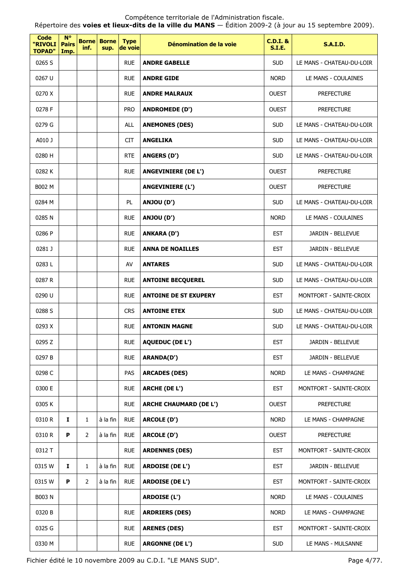Répertoire des **voies et lieux-dits de la ville du MANS** — Édition 2009-2 (à jour au 15 septembre 2009).

| <b>Code</b><br>"RIVOLI<br><b>TOPAD"</b> | $N^{\circ}$<br><b>Pairs</b><br>Imp. | <b>Borne</b><br>inf. | <b>Borne</b><br>sup. | <b>Type</b><br>de voie | Dénomination de la voie       | <b>C.D.I. &amp;</b><br><b>S.I.E.</b> | <b>S.A.I.D.</b>           |
|-----------------------------------------|-------------------------------------|----------------------|----------------------|------------------------|-------------------------------|--------------------------------------|---------------------------|
| 0265 S                                  |                                     |                      |                      | <b>RUE</b>             | <b>ANDRE GABELLE</b>          | <b>SUD</b>                           | LE MANS - CHATEAU-DU-LOIR |
| 0267 U                                  |                                     |                      |                      | <b>RUE</b>             | <b>ANDRE GIDE</b>             | <b>NORD</b>                          | LE MANS - COULAINES       |
| 0270 X                                  |                                     |                      |                      | <b>RUE</b>             | <b>ANDRE MALRAUX</b>          | <b>OUEST</b>                         | <b>PREFECTURE</b>         |
| 0278 F                                  |                                     |                      |                      | <b>PRO</b>             | <b>ANDROMEDE (D')</b>         | <b>OUEST</b>                         | <b>PREFECTURE</b>         |
| 0279 G                                  |                                     |                      |                      | <b>ALL</b>             | <b>ANEMONES (DES)</b>         | <b>SUD</b>                           | LE MANS - CHATEAU-DU-LOIR |
| A010 J                                  |                                     |                      |                      | <b>CIT</b>             | <b>ANGELIKA</b>               | <b>SUD</b>                           | LE MANS - CHATEAU-DU-LOIR |
| 0280 H                                  |                                     |                      |                      | <b>RTE</b>             | <b>ANGERS (D')</b>            | <b>SUD</b>                           | LE MANS - CHATEAU-DU-LOIR |
| 0282K                                   |                                     |                      |                      | <b>RUE</b>             | <b>ANGEVINIERE (DE L')</b>    | <b>OUEST</b>                         | <b>PREFECTURE</b>         |
| B002 M                                  |                                     |                      |                      |                        | ANGEVINIERE (L')              | <b>OUEST</b>                         | <b>PREFECTURE</b>         |
| 0284 M                                  |                                     |                      |                      | PL                     | ANJOU (D')                    | <b>SUD</b>                           | LE MANS - CHATEAU-DU-LOIR |
| 0285N                                   |                                     |                      |                      | <b>RUE</b>             | ANJOU (D')                    | <b>NORD</b>                          | LE MANS - COULAINES       |
| 0286 P                                  |                                     |                      |                      | <b>RUE</b>             | <b>ANKARA (D')</b>            | <b>EST</b>                           | JARDIN - BELLEVUE         |
| 0281 J                                  |                                     |                      |                      | <b>RUE</b>             | <b>ANNA DE NOAILLES</b>       | <b>EST</b>                           | JARDIN - BELLEVUE         |
| 0283L                                   |                                     |                      |                      | AV                     | <b>ANTARES</b>                | <b>SUD</b>                           | LE MANS - CHATEAU-DU-LOIR |
| 0287 R                                  |                                     |                      |                      | <b>RUE</b>             | <b>ANTOINE BECQUEREL</b>      | <b>SUD</b>                           | LE MANS - CHATEAU-DU-LOIR |
| 0290 U                                  |                                     |                      |                      | <b>RUE</b>             | <b>ANTOINE DE ST EXUPERY</b>  | <b>EST</b>                           | MONTFORT - SAINTE-CROIX   |
| 0288 S                                  |                                     |                      |                      | <b>CRS</b>             | <b>ANTOINE ETEX</b>           | <b>SUD</b>                           | LE MANS - CHATEAU-DU-LOIR |
| 0293 X                                  |                                     |                      |                      | <b>RUE</b>             | <b>ANTONIN MAGNE</b>          | <b>SUD</b>                           | LE MANS - CHATEAU-DU-LOIR |
| 0295 Z                                  |                                     |                      |                      | <b>RUE</b>             | <b>AQUEDUC (DE L')</b>        | <b>EST</b>                           | JARDIN - BELLEVUE         |
| 0297 B                                  |                                     |                      |                      | <b>RUE</b>             | <b>ARANDA(D')</b>             | <b>EST</b>                           | JARDIN - BELLEVUE         |
| 0298 C                                  |                                     |                      |                      | PAS                    | <b>ARCADES (DES)</b>          | <b>NORD</b>                          | LE MANS - CHAMPAGNE       |
| 0300 E                                  |                                     |                      |                      | <b>RUE</b>             | <b>ARCHE (DE L')</b>          | <b>EST</b>                           | MONTFORT - SAINTE-CROIX   |
| 0305 K                                  |                                     |                      |                      | <b>RUE</b>             | <b>ARCHE CHAUMARD (DE L')</b> | <b>OUEST</b>                         | <b>PREFECTURE</b>         |
| 0310 R                                  | $\mathbf{I}$                        | $\mathbf{1}$         | à la fin             | <b>RUE</b>             | <b>ARCOLE (D')</b>            | <b>NORD</b>                          | LE MANS - CHAMPAGNE       |
| 0310 R                                  | P                                   | 2                    | à la fin             | <b>RUE</b>             | ARCOLE (D')                   | <b>OUEST</b>                         | <b>PREFECTURE</b>         |
| 0312 T                                  |                                     |                      |                      | <b>RUE</b>             | <b>ARDENNES (DES)</b>         | <b>EST</b>                           | MONTFORT - SAINTE-CROIX   |
| 0315 W                                  | 1                                   | $\mathbf{1}$         | à la fin             | <b>RUE</b>             | <b>ARDOISE (DE L')</b>        | <b>EST</b>                           | JARDIN - BELLEVUE         |
| 0315 W                                  | P                                   | $\overline{2}$       | à la fin             | <b>RUE</b>             | <b>ARDOISE (DE L')</b>        | <b>EST</b>                           | MONTFORT - SAINTE-CROIX   |
| <b>B003 N</b>                           |                                     |                      |                      |                        | ARDOISE (L')                  | <b>NORD</b>                          | LE MANS - COULAINES       |
| 0320 B                                  |                                     |                      |                      | <b>RUE</b>             | <b>ARDRIERS (DES)</b>         | <b>NORD</b>                          | LE MANS - CHAMPAGNE       |
| 0325 G                                  |                                     |                      |                      | <b>RUE</b>             | <b>ARENES (DES)</b>           | <b>EST</b>                           | MONTFORT - SAINTE-CROIX   |
| 0330 M                                  |                                     |                      |                      | <b>RUE</b>             | <b>ARGONNE (DE L')</b>        | <b>SUD</b>                           | LE MANS - MULSANNE        |

Fichier édité le 10 novembre 2009 au C.D.I. "LE MANS SUD". Page 4/77.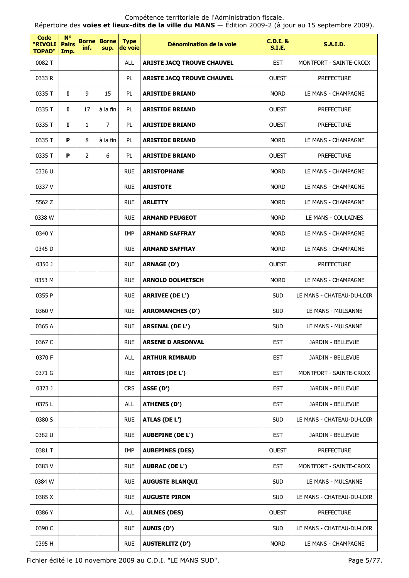Répertoire des **voies et lieux-dits de la ville du MANS** — Édition 2009-2 (à jour au 15 septembre 2009).

| <b>Code</b><br>"RIVOLI<br><b>TOPAD"</b> | <b>N°</b><br><b>Pairs</b><br>Imp. | <b>Borne</b><br>inf. | <b>Borne</b><br>sup. | <b>Type</b><br>de voie | Dénomination de la voie           | <b>C.D.I. &amp;</b><br><b>S.I.E.</b> | <b>S.A.I.D.</b>           |
|-----------------------------------------|-----------------------------------|----------------------|----------------------|------------------------|-----------------------------------|--------------------------------------|---------------------------|
| 0082 T                                  |                                   |                      |                      | <b>ALL</b>             | <b>ARISTE JACQ TROUVE CHAUVEL</b> | <b>EST</b>                           | MONTFORT - SAINTE-CROIX   |
| 0333 R                                  |                                   |                      |                      | PL.                    | <b>ARISTE JACQ TROUVE CHAUVEL</b> | <b>OUEST</b>                         | <b>PREFECTURE</b>         |
| 0335 T                                  | $\mathbf{I}$                      | 9                    | 15                   | <b>PL</b>              | <b>ARISTIDE BRIAND</b>            | <b>NORD</b>                          | LE MANS - CHAMPAGNE       |
| 0335 T                                  | $\mathbf{I}$                      | 17                   | à la fin             | PL.                    | <b>ARISTIDE BRIAND</b>            | <b>OUEST</b>                         | <b>PREFECTURE</b>         |
| 0335 T                                  | I.                                | $\mathbf{1}$         | $\overline{7}$       | PL.                    | <b>ARISTIDE BRIAND</b>            | <b>OUEST</b>                         | <b>PREFECTURE</b>         |
| 0335 T                                  | P                                 | 8                    | à la fin             | PL.                    | <b>ARISTIDE BRIAND</b>            | <b>NORD</b>                          | LE MANS - CHAMPAGNE       |
| 0335 T                                  | P                                 | $\overline{2}$       | 6                    | PL.                    | <b>ARISTIDE BRIAND</b>            | <b>OUEST</b>                         | <b>PREFECTURE</b>         |
| 0336 U                                  |                                   |                      |                      | <b>RUE</b>             | <b>ARISTOPHANE</b>                | <b>NORD</b>                          | LE MANS - CHAMPAGNE       |
| 0337 V                                  |                                   |                      |                      | <b>RUE</b>             | <b>ARISTOTE</b>                   | <b>NORD</b>                          | LE MANS - CHAMPAGNE       |
| 5562 Z                                  |                                   |                      |                      | <b>RUE</b>             | <b>ARLETTY</b>                    | <b>NORD</b>                          | LE MANS - CHAMPAGNE       |
| 0338 W                                  |                                   |                      |                      | <b>RUE</b>             | <b>ARMAND PEUGEOT</b>             | <b>NORD</b>                          | LE MANS - COULAINES       |
| 0340 Y                                  |                                   |                      |                      | IMP                    | <b>ARMAND SAFFRAY</b>             | <b>NORD</b>                          | LE MANS - CHAMPAGNE       |
| 0345 D                                  |                                   |                      |                      | <b>RUE</b>             | <b>ARMAND SAFFRAY</b>             | <b>NORD</b>                          | LE MANS - CHAMPAGNE       |
| 0350 J                                  |                                   |                      |                      | <b>RUE</b>             | <b>ARNAGE (D')</b>                | <b>OUEST</b>                         | <b>PREFECTURE</b>         |
| 0353 M                                  |                                   |                      |                      | <b>RUE</b>             | <b>ARNOLD DOLMETSCH</b>           | <b>NORD</b>                          | LE MANS - CHAMPAGNE       |
| 0355 P                                  |                                   |                      |                      | <b>RUE</b>             | <b>ARRIVEE (DE L')</b>            | <b>SUD</b>                           | LE MANS - CHATEAU-DU-LOIR |
| 0360 V                                  |                                   |                      |                      | <b>RUE</b>             | <b>ARROMANCHES (D')</b>           | <b>SUD</b>                           | LE MANS - MULSANNE        |
| 0365 A                                  |                                   |                      |                      | <b>RUE</b>             | <b>ARSENAL (DE L')</b>            | <b>SUD</b>                           | LE MANS - MULSANNE        |
| 0367 C                                  |                                   |                      |                      | <b>RUE</b>             | ARSENE D ARSONVAL                 | EST                                  | JARDIN - BELLEVUE         |
| 0370 F                                  |                                   |                      |                      | <b>ALL</b>             | <b>ARTHUR RIMBAUD</b>             | <b>EST</b>                           | JARDIN - BELLEVUE         |
| 0371 G                                  |                                   |                      |                      | <b>RUE</b>             | <b>ARTOIS (DE L')</b>             | <b>EST</b>                           | MONTFORT - SAINTE-CROIX   |
| 0373J                                   |                                   |                      |                      | <b>CRS</b>             | ASSE (D')                         | <b>EST</b>                           | JARDIN - BELLEVUE         |
| 0375L                                   |                                   |                      |                      | ALL                    | <b>ATHENES (D')</b>               | <b>EST</b>                           | JARDIN - BELLEVUE         |
| 0380 S                                  |                                   |                      |                      | <b>RUE</b>             | ATLAS (DE L')                     | <b>SUD</b>                           | LE MANS - CHATEAU-DU-LOIR |
| 0382 U                                  |                                   |                      |                      | <b>RUE</b>             | <b>AUBEPINE (DE L')</b>           | <b>EST</b>                           | JARDIN - BELLEVUE         |
| 0381 T                                  |                                   |                      |                      | IMP                    | <b>AUBEPINES (DES)</b>            | <b>OUEST</b>                         | <b>PREFECTURE</b>         |
| 0383V                                   |                                   |                      |                      | <b>RUE</b>             | <b>AUBRAC (DE L')</b>             | <b>EST</b>                           | MONTFORT - SAINTE-CROIX   |
| 0384 W                                  |                                   |                      |                      | <b>RUE</b>             | <b>AUGUSTE BLANQUI</b>            | <b>SUD</b>                           | LE MANS - MULSANNE        |
| 0385 X                                  |                                   |                      |                      | <b>RUE</b>             | <b>AUGUSTE PIRON</b>              | <b>SUD</b>                           | LE MANS - CHATEAU-DU-LOIR |
| 0386 Y                                  |                                   |                      |                      | <b>ALL</b>             | <b>AULNES (DES)</b>               | <b>OUEST</b>                         | <b>PREFECTURE</b>         |
| 0390 C                                  |                                   |                      |                      | <b>RUE</b>             | <b>AUNIS (D')</b>                 | <b>SUD</b>                           | LE MANS - CHATEAU-DU-LOIR |
| 0395 H                                  |                                   |                      |                      | <b>RUE</b>             | <b>AUSTERLITZ (D')</b>            | <b>NORD</b>                          | LE MANS - CHAMPAGNE       |

Fichier édité le 10 novembre 2009 au C.D.I. "LE MANS SUD". Page 5/77.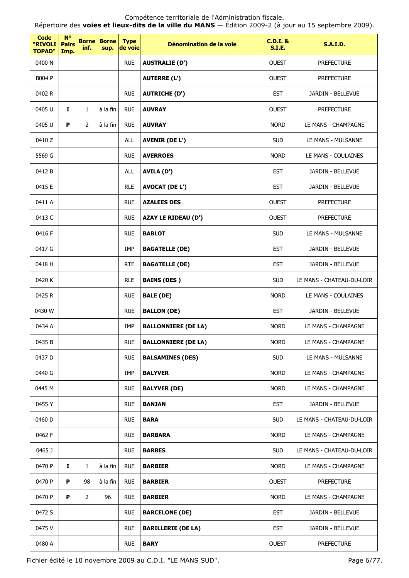| <b>Code</b><br>"RIVOLI<br><b>TOPAD"</b> | $N^{\circ}$<br><b>Pairs</b><br>Imp. | inf.           | <b>Borne Borne</b><br>sup. | <b>Type</b><br>de voie | Dénomination de la voie    | <b>C.D.I. &amp;</b><br><b>S.I.E.</b> | <b>S.A.I.D.</b>           |
|-----------------------------------------|-------------------------------------|----------------|----------------------------|------------------------|----------------------------|--------------------------------------|---------------------------|
| 0400 N                                  |                                     |                |                            | <b>RUE</b>             | <b>AUSTRALIE (D')</b>      | <b>OUEST</b>                         | <b>PREFECTURE</b>         |
| B004 P                                  |                                     |                |                            |                        | <b>AUTERRE (L')</b>        | <b>OUEST</b>                         | <b>PREFECTURE</b>         |
| 0402 R                                  |                                     |                |                            | <b>RUE</b>             | <b>AUTRICHE (D')</b>       | <b>EST</b>                           | JARDIN - BELLEVUE         |
| 0405 U                                  | I                                   | 1              | à la fin                   | <b>RUE</b>             | <b>AUVRAY</b>              | <b>OUEST</b>                         | <b>PREFECTURE</b>         |
| 0405 U                                  | P                                   | 2              | à la fin                   | <b>RUE</b>             | <b>AUVRAY</b>              | <b>NORD</b>                          | LE MANS - CHAMPAGNE       |
| 0410Z                                   |                                     |                |                            | <b>ALL</b>             | <b>AVENIR (DE L')</b>      | <b>SUD</b>                           | LE MANS - MULSANNE        |
| 5569 G                                  |                                     |                |                            | <b>RUE</b>             | <b>AVERROES</b>            | <b>NORD</b>                          | LE MANS - COULAINES       |
| 0412 B                                  |                                     |                |                            | <b>ALL</b>             | AVILA (D')                 | <b>EST</b>                           | JARDIN - BELLEVUE         |
| 0415 E                                  |                                     |                |                            | <b>RLE</b>             | <b>AVOCAT (DE L')</b>      | <b>EST</b>                           | JARDIN - BELLEVUE         |
| 0411 A                                  |                                     |                |                            | <b>RUE</b>             | <b>AZALEES DES</b>         | <b>OUEST</b>                         | <b>PREFECTURE</b>         |
| 0413 C                                  |                                     |                |                            | <b>RUE</b>             | <b>AZAY LE RIDEAU (D')</b> | <b>OUEST</b>                         | <b>PREFECTURE</b>         |
| 0416 F                                  |                                     |                |                            | <b>RUE</b>             | <b>BABLOT</b>              | <b>SUD</b>                           | LE MANS - MULSANNE        |
| 0417 G                                  |                                     |                |                            | IMP                    | <b>BAGATELLE (DE)</b>      | <b>EST</b>                           | JARDIN - BELLEVUE         |
| 0418 H                                  |                                     |                |                            | <b>RTE</b>             | <b>BAGATELLE (DE)</b>      | <b>EST</b>                           | JARDIN - BELLEVUE         |
| 0420 K                                  |                                     |                |                            | <b>RLE</b>             | <b>BAINS (DES)</b>         | <b>SUD</b>                           | LE MANS - CHATEAU-DU-LOIR |
| 0425 R                                  |                                     |                |                            | <b>RUE</b>             | <b>BALE (DE)</b>           | <b>NORD</b>                          | LE MANS - COULAINES       |
| 0430 W                                  |                                     |                |                            | <b>RUE</b>             | <b>BALLON (DE)</b>         | <b>EST</b>                           | JARDIN - BELLEVUE         |
| 0434 A                                  |                                     |                |                            | <b>IMP</b>             | <b>BALLONNIERE (DE LA)</b> | <b>NORD</b>                          | LE MANS - CHAMPAGNE       |
| 0435 B                                  |                                     |                |                            | <b>RUE</b>             | <b>BALLONNIERE (DE LA)</b> | <b>NORD</b>                          | LE MANS - CHAMPAGNE       |
| 0437 D                                  |                                     |                |                            | <b>RUE</b>             | <b>BALSAMINES (DES)</b>    | <b>SUD</b>                           | LE MANS - MULSANNE        |
| 0440 G                                  |                                     |                |                            | IMP                    | <b>BALYVER</b>             | <b>NORD</b>                          | LE MANS - CHAMPAGNE       |
| 0445 M                                  |                                     |                |                            | <b>RUE</b>             | <b>BALYVER (DE)</b>        | <b>NORD</b>                          | LE MANS - CHAMPAGNE       |
| 0455 Y                                  |                                     |                |                            | <b>RUE</b>             | <b>BANJAN</b>              | <b>EST</b>                           | JARDIN - BELLEVUE         |
| 0460 D                                  |                                     |                |                            | <b>RUE</b>             | <b>BARA</b>                | <b>SUD</b>                           | LE MANS - CHATEAU-DU-LOIR |
| 0462 F                                  |                                     |                |                            | <b>RUE</b>             | <b>BARBARA</b>             | <b>NORD</b>                          | LE MANS - CHAMPAGNE       |
| 0465J                                   |                                     |                |                            | <b>RUE</b>             | <b>BARBES</b>              | <b>SUD</b>                           | LE MANS - CHATEAU-DU-LOIR |
| 0470 P                                  | Ι.                                  | $\mathbf{1}$   | à la fin                   | <b>RUE</b>             | <b>BARBIER</b>             | <b>NORD</b>                          | LE MANS - CHAMPAGNE       |
| 0470 P                                  | P                                   | 98             | à la fin                   | <b>RUE</b>             | <b>BARBIER</b>             | <b>OUEST</b>                         | <b>PREFECTURE</b>         |
| 0470 P                                  | P                                   | $\overline{2}$ | 96                         | <b>RUE</b>             | <b>BARBIER</b>             | <b>NORD</b>                          | LE MANS - CHAMPAGNE       |
| 0472 S                                  |                                     |                |                            | <b>RUE</b>             | <b>BARCELONE (DE)</b>      | <b>EST</b>                           | JARDIN - BELLEVUE         |
| 0475V                                   |                                     |                |                            | <b>RUE</b>             | <b>BARILLERIE (DE LA)</b>  | <b>EST</b>                           | JARDIN - BELLEVUE         |
| 0480 A                                  |                                     |                |                            | <b>RUE</b>             | <b>BARY</b>                | <b>OUEST</b>                         | <b>PREFECTURE</b>         |

Fichier édité le 10 novembre 2009 au C.D.I. "LE MANS SUD". Page 6/77.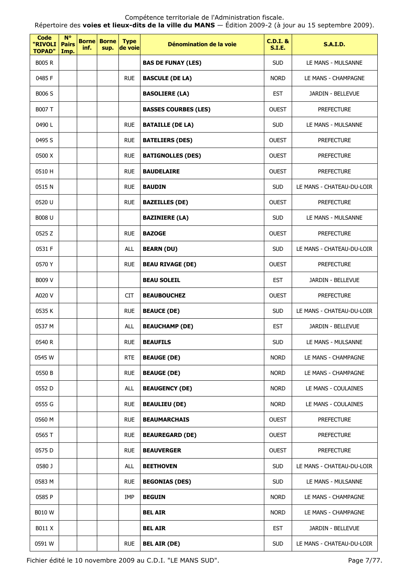Compétence territoriale de l'Administration fiscale. Répertoire des **voies et lieux-dits de la ville du MANS** — Édition 2009-2 (à jour au 15 septembre 2009).

| <b>Code</b><br>"RIVOLI<br><b>TOPAD"</b> | $N^{\circ}$<br><b>Pairs</b><br>Imp. | inf. | <b>Borne</b> Borne<br>sup. | <b>Type</b><br>de voie | Dénomination de la voie     | <b>C.D.I. &amp;</b><br><b>S.I.E.</b> | <b>S.A.I.D.</b>           |
|-----------------------------------------|-------------------------------------|------|----------------------------|------------------------|-----------------------------|--------------------------------------|---------------------------|
| <b>B005 R</b>                           |                                     |      |                            |                        | <b>BAS DE FUNAY (LES)</b>   | <b>SUD</b>                           | LE MANS - MULSANNE        |
| 0485 F                                  |                                     |      |                            | <b>RUE</b>             | <b>BASCULE (DE LA)</b>      | <b>NORD</b>                          | LE MANS - CHAMPAGNE       |
| B006 S                                  |                                     |      |                            |                        | <b>BASOLIERE (LA)</b>       | <b>EST</b>                           | JARDIN - BELLEVUE         |
| <b>B007 T</b>                           |                                     |      |                            |                        | <b>BASSES COURBES (LES)</b> | <b>OUEST</b>                         | <b>PREFECTURE</b>         |
| 0490L                                   |                                     |      |                            | <b>RUE</b>             | <b>BATAILLE (DE LA)</b>     | <b>SUD</b>                           | LE MANS - MULSANNE        |
| 0495 S                                  |                                     |      |                            | <b>RUE</b>             | <b>BATELIERS (DES)</b>      | <b>OUEST</b>                         | <b>PREFECTURE</b>         |
| 0500 X                                  |                                     |      |                            | <b>RUE</b>             | <b>BATIGNOLLES (DES)</b>    | <b>OUEST</b>                         | <b>PREFECTURE</b>         |
| 0510 H                                  |                                     |      |                            | <b>RUE</b>             | <b>BAUDELAIRE</b>           | <b>OUEST</b>                         | <b>PREFECTURE</b>         |
| 0515N                                   |                                     |      |                            | <b>RUE</b>             | <b>BAUDIN</b>               | <b>SUD</b>                           | LE MANS - CHATEAU-DU-LOIR |
| 0520 U                                  |                                     |      |                            | <b>RUE</b>             | <b>BAZEILLES (DE)</b>       | <b>OUEST</b>                         | <b>PREFECTURE</b>         |
| <b>B008 U</b>                           |                                     |      |                            |                        | <b>BAZINIERE (LA)</b>       | <b>SUD</b>                           | LE MANS - MULSANNE        |
| 0525 Z                                  |                                     |      |                            | <b>RUE</b>             | <b>BAZOGE</b>               | <b>OUEST</b>                         | <b>PREFECTURE</b>         |
| 0531 F                                  |                                     |      |                            | <b>ALL</b>             | <b>BEARN (DU)</b>           | <b>SUD</b>                           | LE MANS - CHATEAU-DU-LOIR |
| 0570 Y                                  |                                     |      |                            | <b>RUE</b>             | <b>BEAU RIVAGE (DE)</b>     | <b>OUEST</b>                         | <b>PREFECTURE</b>         |
| <b>B009 V</b>                           |                                     |      |                            |                        | <b>BEAU SOLEIL</b>          | <b>EST</b>                           | JARDIN - BELLEVUE         |
| A020 V                                  |                                     |      |                            | <b>CIT</b>             | <b>BEAUBOUCHEZ</b>          | <b>OUEST</b>                         | <b>PREFECTURE</b>         |
| 0535 K                                  |                                     |      |                            | <b>RUE</b>             | <b>BEAUCE (DE)</b>          | <b>SUD</b>                           | LE MANS - CHATEAU-DU-LOIR |
| 0537 M                                  |                                     |      |                            | <b>ALL</b>             | <b>BEAUCHAMP (DE)</b>       | <b>EST</b>                           | JARDIN - BELLEVUE         |
| 0540 R                                  |                                     |      |                            | <b>RUE</b>             | <b>BEAUFILS</b>             | <b>SUD</b>                           | LE MANS - MULSANNE        |
| 0545 W                                  |                                     |      |                            | <b>RTE</b>             | <b>BEAUGE (DE)</b>          | <b>NORD</b>                          | LE MANS - CHAMPAGNE       |
| 0550 B                                  |                                     |      |                            | <b>RUE</b>             | <b>BEAUGE (DE)</b>          | <b>NORD</b>                          | LE MANS - CHAMPAGNE       |
| 0552D                                   |                                     |      |                            | <b>ALL</b>             | <b>BEAUGENCY (DE)</b>       | <b>NORD</b>                          | LE MANS - COULAINES       |
| 0555 G                                  |                                     |      |                            | <b>RUE</b>             | <b>BEAULIEU (DE)</b>        | <b>NORD</b>                          | LE MANS - COULAINES       |
| 0560 M                                  |                                     |      |                            | <b>RUE</b>             | <b>BEAUMARCHAIS</b>         | <b>OUEST</b>                         | <b>PREFECTURE</b>         |
| 0565 T                                  |                                     |      |                            | <b>RUE</b>             | <b>BEAUREGARD (DE)</b>      | <b>OUEST</b>                         | <b>PREFECTURE</b>         |
| 0575 D                                  |                                     |      |                            | <b>RUE</b>             | <b>BEAUVERGER</b>           | <b>OUEST</b>                         | <b>PREFECTURE</b>         |
| 0580 J                                  |                                     |      |                            | ALL                    | <b>BEETHOVEN</b>            | <b>SUD</b>                           | LE MANS - CHATEAU-DU-LOIR |
| 0583 M                                  |                                     |      |                            | <b>RUE</b>             | <b>BEGONIAS (DES)</b>       | <b>SUD</b>                           | LE MANS - MULSANNE        |
| 0585 P                                  |                                     |      |                            | <b>IMP</b>             | <b>BEGUIN</b>               | <b>NORD</b>                          | LE MANS - CHAMPAGNE       |
| <b>B010W</b>                            |                                     |      |                            |                        | BEL AIR                     | <b>NORD</b>                          | LE MANS - CHAMPAGNE       |
| B011 X                                  |                                     |      |                            |                        | BEL AIR                     | <b>EST</b>                           | JARDIN - BELLEVUE         |
| 0591 W                                  |                                     |      |                            | <b>RUE</b>             | <b>BEL AIR (DE)</b>         | <b>SUD</b>                           | LE MANS - CHATEAU-DU-LOIR |

Fichier édité le 10 novembre 2009 au C.D.I. "LE MANS SUD". Page 7/77.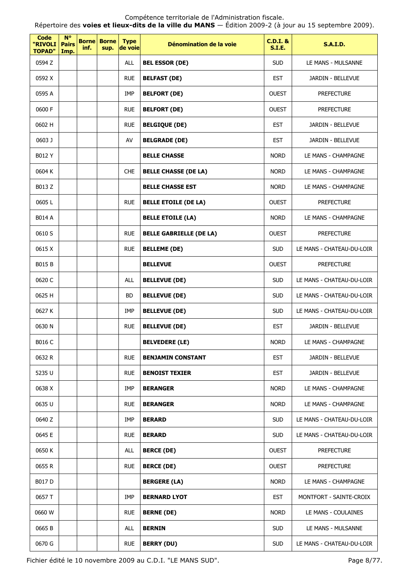Compétence territoriale de l'Administration fiscale. Répertoire des **voies et lieux-dits de la ville du MANS** — Édition 2009-2 (à jour au 15 septembre 2009).

| Code<br>"RIVOLI<br><b>TOPAD"</b> | <b>N°</b><br><b>Pairs</b><br>Imp. | inf. | <b>Borne Borne</b><br>sup. | <b>Type</b><br>de voie | Dénomination de la voie        | <b>C.D.I. &amp;</b><br><b>S.I.E.</b> | <b>S.A.I.D.</b>           |
|----------------------------------|-----------------------------------|------|----------------------------|------------------------|--------------------------------|--------------------------------------|---------------------------|
| 0594 Z                           |                                   |      |                            | <b>ALL</b>             | <b>BEL ESSOR (DE)</b>          | <b>SUD</b>                           | LE MANS - MULSANNE        |
| 0592 X                           |                                   |      |                            | <b>RUE</b>             | <b>BELFAST (DE)</b>            | <b>EST</b>                           | JARDIN - BELLEVUE         |
| 0595 A                           |                                   |      |                            | IMP                    | <b>BELFORT (DE)</b>            | <b>OUEST</b>                         | <b>PREFECTURE</b>         |
| 0600 F                           |                                   |      |                            | <b>RUE</b>             | <b>BELFORT (DE)</b>            | <b>OUEST</b>                         | <b>PREFECTURE</b>         |
| 0602 H                           |                                   |      |                            | <b>RUE</b>             | <b>BELGIQUE (DE)</b>           | <b>EST</b>                           | JARDIN - BELLEVUE         |
| 0603 J                           |                                   |      |                            | AV                     | <b>BELGRADE (DE)</b>           | <b>EST</b>                           | JARDIN - BELLEVUE         |
| B012 Y                           |                                   |      |                            |                        | <b>BELLE CHASSE</b>            | <b>NORD</b>                          | LE MANS - CHAMPAGNE       |
| 0604 K                           |                                   |      |                            | <b>CHE</b>             | <b>BELLE CHASSE (DE LA)</b>    | <b>NORD</b>                          | LE MANS - CHAMPAGNE       |
| B013 Z                           |                                   |      |                            |                        | <b>BELLE CHASSE EST</b>        | <b>NORD</b>                          | LE MANS - CHAMPAGNE       |
| 0605L                            |                                   |      |                            | <b>RUE</b>             | <b>BELLE ETOILE (DE LA)</b>    | <b>OUEST</b>                         | <b>PREFECTURE</b>         |
| <b>B014 A</b>                    |                                   |      |                            |                        | <b>BELLE ETOILE (LA)</b>       | <b>NORD</b>                          | LE MANS - CHAMPAGNE       |
| 0610 S                           |                                   |      |                            | <b>RUE</b>             | <b>BELLE GABRIELLE (DE LA)</b> | <b>OUEST</b>                         | <b>PREFECTURE</b>         |
| 0615 X                           |                                   |      |                            | <b>RUE</b>             | <b>BELLEME (DE)</b>            | <b>SUD</b>                           | LE MANS - CHATEAU-DU-LOIR |
| <b>B015B</b>                     |                                   |      |                            |                        | <b>BELLEVUE</b>                | <b>OUEST</b>                         | <b>PREFECTURE</b>         |
| 0620 C                           |                                   |      |                            | <b>ALL</b>             | <b>BELLEVUE (DE)</b>           | <b>SUD</b>                           | LE MANS - CHATEAU-DU-LOIR |
| 0625 H                           |                                   |      |                            | <b>BD</b>              | <b>BELLEVUE (DE)</b>           | <b>SUD</b>                           | LE MANS - CHATEAU-DU-LOIR |
| 0627K                            |                                   |      |                            | IMP                    | <b>BELLEVUE (DE)</b>           | <b>SUD</b>                           | LE MANS - CHATEAU-DU-LOIR |
| 0630N                            |                                   |      |                            | <b>RUE</b>             | <b>BELLEVUE (DE)</b>           | <b>EST</b>                           | JARDIN - BELLEVUE         |
| B016 C                           |                                   |      |                            |                        | <b>BELVEDERE (LE)</b>          | <b>NORD</b>                          | LE MANS - CHAMPAGNE       |
| 0632 R                           |                                   |      |                            | <b>RUE</b>             | <b>BENJAMIN CONSTANT</b>       | <b>EST</b>                           | JARDIN - BELLEVUE         |
| 5235 U                           |                                   |      |                            | <b>RUE</b>             | <b>BENOIST TEXIER</b>          | <b>EST</b>                           | JARDIN - BELLEVUE         |
| 0638 X                           |                                   |      |                            | IMP                    | <b>BERANGER</b>                | <b>NORD</b>                          | LE MANS - CHAMPAGNE       |
| 0635 U                           |                                   |      |                            | <b>RUE</b>             | <b>BERANGER</b>                | <b>NORD</b>                          | LE MANS - CHAMPAGNE       |
| 0640 Z                           |                                   |      |                            | IMP                    | <b>BERARD</b>                  | <b>SUD</b>                           | LE MANS - CHATEAU-DU-LOIR |
| 0645 E                           |                                   |      |                            | <b>RUE</b>             | <b>BERARD</b>                  | <b>SUD</b>                           | LE MANS - CHATEAU-DU-LOIR |
| 0650 K                           |                                   |      |                            | <b>ALL</b>             | <b>BERCE (DE)</b>              | <b>OUEST</b>                         | <b>PREFECTURE</b>         |
| 0655 R                           |                                   |      |                            | <b>RUE</b>             | <b>BERCE (DE)</b>              | <b>OUEST</b>                         | <b>PREFECTURE</b>         |
| B017 D                           |                                   |      |                            |                        | <b>BERGERE (LA)</b>            | <b>NORD</b>                          | LE MANS - CHAMPAGNE       |
| 0657 T                           |                                   |      |                            | <b>IMP</b>             | <b>BERNARD LYOT</b>            | <b>EST</b>                           | MONTFORT - SAINTE-CROIX   |
| 0660 W                           |                                   |      |                            | <b>RUE</b>             | <b>BERNE (DE)</b>              | <b>NORD</b>                          | LE MANS - COULAINES       |
| 0665B                            |                                   |      |                            | ALL                    | <b>BERNIN</b>                  | <b>SUD</b>                           | LE MANS - MULSANNE        |
| 0670 G                           |                                   |      |                            | <b>RUE</b>             | <b>BERRY (DU)</b>              | <b>SUD</b>                           | LE MANS - CHATEAU-DU-LOIR |

Fichier édité le 10 novembre 2009 au C.D.I. "LE MANS SUD". Page 8/77.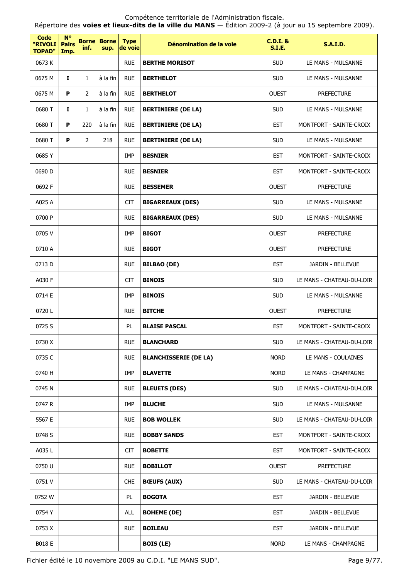Répertoire des **voies et lieux-dits de la ville du MANS** — Édition 2009-2 (à jour au 15 septembre 2009).

| <b>Code</b><br>"RIVOLI<br><b>TOPAD"</b> | $N^{\circ}$<br><b>Pairs</b><br>Imp. | inf.           | <b>Borne Borne</b><br>sup. | <b>Type</b><br>de voie | Dénomination de la voie      | <b>C.D.I. &amp;</b><br>S.I.E. | <b>S.A.I.D.</b>           |
|-----------------------------------------|-------------------------------------|----------------|----------------------------|------------------------|------------------------------|-------------------------------|---------------------------|
| 0673K                                   |                                     |                |                            | <b>RUE</b>             | <b>BERTHE MORISOT</b>        | <b>SUD</b>                    | LE MANS - MULSANNE        |
| 0675 M                                  | $\mathbf{I}$                        | $\mathbf{1}$   | à la fin                   | <b>RUE</b>             | <b>BERTHELOT</b>             | <b>SUD</b>                    | LE MANS - MULSANNE        |
| 0675 M                                  | P                                   | $\overline{2}$ | à la fin                   | <b>RUE</b>             | <b>BERTHELOT</b>             | <b>OUEST</b>                  | <b>PREFECTURE</b>         |
| 0680 T                                  | Ι.                                  | 1              | à la fin                   | <b>RUE</b>             | <b>BERTINIERE (DE LA)</b>    | <b>SUD</b>                    | LE MANS - MULSANNE        |
| 0680 T                                  | P                                   | 220            | à la fin                   | <b>RUE</b>             | <b>BERTINIERE (DE LA)</b>    | <b>EST</b>                    | MONTFORT - SAINTE-CROIX   |
| 0680 T                                  | P                                   | $\overline{2}$ | 218                        | <b>RUE</b>             | <b>BERTINIERE (DE LA)</b>    | <b>SUD</b>                    | LE MANS - MULSANNE        |
| 0685Y                                   |                                     |                |                            | <b>IMP</b>             | <b>BESNIER</b>               | <b>EST</b>                    | MONTFORT - SAINTE-CROIX   |
| 0690 D                                  |                                     |                |                            | <b>RUE</b>             | <b>BESNIER</b>               | <b>EST</b>                    | MONTFORT - SAINTE-CROIX   |
| 0692 F                                  |                                     |                |                            | <b>RUE</b>             | <b>BESSEMER</b>              | <b>OUEST</b>                  | <b>PREFECTURE</b>         |
| A025 A                                  |                                     |                |                            | <b>CIT</b>             | <b>BIGARREAUX (DES)</b>      | <b>SUD</b>                    | LE MANS - MULSANNE        |
| 0700 P                                  |                                     |                |                            | <b>RUE</b>             | <b>BIGARREAUX (DES)</b>      | <b>SUD</b>                    | LE MANS - MULSANNE        |
| 0705V                                   |                                     |                |                            | IMP                    | <b>BIGOT</b>                 | <b>OUEST</b>                  | <b>PREFECTURE</b>         |
| 0710 A                                  |                                     |                |                            | <b>RUE</b>             | <b>BIGOT</b>                 | <b>OUEST</b>                  | <b>PREFECTURE</b>         |
| 0713 D                                  |                                     |                |                            | <b>RUE</b>             | <b>BILBAO (DE)</b>           | <b>EST</b>                    | JARDIN - BELLEVUE         |
| A030 F                                  |                                     |                |                            | <b>CIT</b>             | <b>BINOIS</b>                | <b>SUD</b>                    | LE MANS - CHATEAU-DU-LOIR |
| 0714 E                                  |                                     |                |                            | <b>IMP</b>             | <b>BINOIS</b>                | <b>SUD</b>                    | LE MANS - MULSANNE        |
| 0720L                                   |                                     |                |                            | <b>RUE</b>             | <b>BITCHE</b>                | <b>OUEST</b>                  | PREFECTURE                |
| 0725 S                                  |                                     |                |                            | PL                     | <b>BLAISE PASCAL</b>         | <b>EST</b>                    | MONTFORT - SAINTE-CROIX   |
| 0730 X                                  |                                     |                |                            | <b>RUE</b>             | <b>BLANCHARD</b>             | <b>SUD</b>                    | LE MANS - CHATEAU-DU-LOIR |
| 0735 C                                  |                                     |                |                            | <b>RUE</b>             | <b>BLANCHISSERIE (DE LA)</b> | <b>NORD</b>                   | LE MANS - COULAINES       |
| 0740 H                                  |                                     |                |                            | IMP                    | <b>BLAVETTE</b>              | <b>NORD</b>                   | LE MANS - CHAMPAGNE       |
| 0745 N                                  |                                     |                |                            | <b>RUE</b>             | <b>BLEUETS (DES)</b>         | <b>SUD</b>                    | LE MANS - CHATEAU-DU-LOIR |
| 0747 R                                  |                                     |                |                            | IMP                    | <b>BLUCHE</b>                | <b>SUD</b>                    | LE MANS - MULSANNE        |
| 5567 E                                  |                                     |                |                            | <b>RUE</b>             | <b>BOB WOLLEK</b>            | <b>SUD</b>                    | LE MANS - CHATEAU-DU-LOIR |
| 0748 S                                  |                                     |                |                            | <b>RUE</b>             | <b>BOBBY SANDS</b>           | <b>EST</b>                    | MONTFORT - SAINTE-CROIX   |
| A035 L                                  |                                     |                |                            | <b>CIT</b>             | <b>BOBETTE</b>               | <b>EST</b>                    | MONTFORT - SAINTE-CROIX   |
| 0750 U                                  |                                     |                |                            | <b>RUE</b>             | <b>BOBILLOT</b>              | <b>OUEST</b>                  | <b>PREFECTURE</b>         |
| 0751V                                   |                                     |                |                            | <b>CHE</b>             | <b>BŒUFS (AUX)</b>           | <b>SUD</b>                    | LE MANS - CHATEAU-DU-LOIR |
| 0752 W                                  |                                     |                |                            | PL                     | <b>BOGOTA</b>                | <b>EST</b>                    | JARDIN - BELLEVUE         |
| 0754 Y                                  |                                     |                |                            | ALL                    | <b>BOHEME (DE)</b>           | <b>EST</b>                    | JARDIN - BELLEVUE         |
| 0753 X                                  |                                     |                |                            | <b>RUE</b>             | <b>BOILEAU</b>               | <b>EST</b>                    | JARDIN - BELLEVUE         |
| B018 E                                  |                                     |                |                            |                        | <b>BOIS (LE)</b>             | <b>NORD</b>                   | LE MANS - CHAMPAGNE       |

Fichier édité le 10 novembre 2009 au C.D.I. "LE MANS SUD". Page 9/77.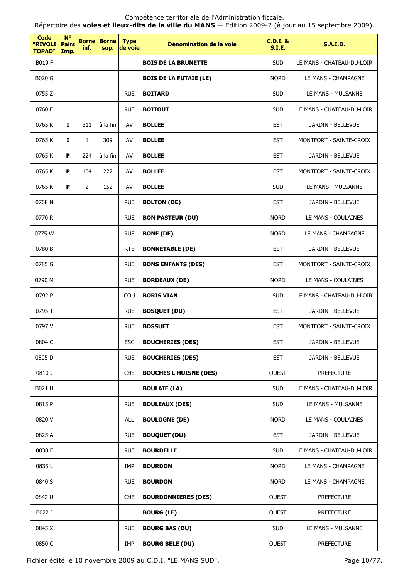Répertoire des **voies et lieux-dits de la ville du MANS** — Édition 2009-2 (à jour au 15 septembre 2009).

| <b>Code</b><br>"RIVOLI<br><b>TOPAD"</b> | $N^{\circ}$<br><b>Pairs</b><br>Imp. | inf.         | <b>Borne Borne</b><br>sup. | <b>Type</b><br>de voie | Dénomination de la voie       | <b>C.D.I. &amp;</b><br><b>S.I.E.</b> | <b>S.A.I.D.</b>           |
|-----------------------------------------|-------------------------------------|--------------|----------------------------|------------------------|-------------------------------|--------------------------------------|---------------------------|
| B019 F                                  |                                     |              |                            |                        | <b>BOIS DE LA BRUNETTE</b>    | <b>SUD</b>                           | LE MANS - CHATEAU-DU-LOIR |
| B020 G                                  |                                     |              |                            |                        | <b>BOIS DE LA FUTAIE (LE)</b> | <b>NORD</b>                          | LE MANS - CHAMPAGNE       |
| 0755 Z                                  |                                     |              |                            | <b>RUE</b>             | <b>BOITARD</b>                | <b>SUD</b>                           | LE MANS - MULSANNE        |
| 0760 E                                  |                                     |              |                            | <b>RUE</b>             | <b>BOITOUT</b>                | <b>SUD</b>                           | LE MANS - CHATEAU-DU-LOIR |
| 0765K                                   | 1                                   | 311          | à la fin                   | AV                     | <b>BOLLEE</b>                 | <b>EST</b>                           | JARDIN - BELLEVUE         |
| 0765K                                   | $\mathbf{I}$                        | $\mathbf{1}$ | 309                        | AV                     | <b>BOLLEE</b>                 | <b>EST</b>                           | MONTFORT - SAINTE-CROIX   |
| 0765K                                   | P                                   | 224          | à la fin                   | AV                     | <b>BOLLEE</b>                 | <b>EST</b>                           | JARDIN - BELLEVUE         |
| 0765 K                                  | P                                   | 154          | 222                        | AV                     | <b>BOLLEE</b>                 | <b>EST</b>                           | MONTFORT - SAINTE-CROIX   |
| 0765 K                                  | P                                   | 2            | 152                        | AV                     | <b>BOLLEE</b>                 | <b>SUD</b>                           | LE MANS - MULSANNE        |
| 0768N                                   |                                     |              |                            | <b>RUE</b>             | <b>BOLTON (DE)</b>            | <b>EST</b>                           | JARDIN - BELLEVUE         |
| 0770 R                                  |                                     |              |                            | <b>RUE</b>             | <b>BON PASTEUR (DU)</b>       | <b>NORD</b>                          | LE MANS - COULAINES       |
| 0775 W                                  |                                     |              |                            | <b>RUE</b>             | <b>BONE (DE)</b>              | <b>NORD</b>                          | LE MANS - CHAMPAGNE       |
| 0780 B                                  |                                     |              |                            | <b>RTE</b>             | <b>BONNETABLE (DE)</b>        | <b>EST</b>                           | JARDIN - BELLEVUE         |
| 0785 G                                  |                                     |              |                            | <b>RUE</b>             | <b>BONS ENFANTS (DES)</b>     | <b>EST</b>                           | MONTFORT - SAINTE-CROIX   |
| 0790 M                                  |                                     |              |                            | <b>RUE</b>             | <b>BORDEAUX (DE)</b>          | <b>NORD</b>                          | LE MANS - COULAINES       |
| 0792 P                                  |                                     |              |                            | COU                    | <b>BORIS VIAN</b>             | <b>SUD</b>                           | LE MANS - CHATEAU-DU-LOIR |
| 0795 T                                  |                                     |              |                            | <b>RUE</b>             | <b>BOSQUET (DU)</b>           | <b>EST</b>                           | JARDIN - BELLEVUE         |
| 0797 V                                  |                                     |              |                            | <b>RUE</b>             | <b>BOSSUET</b>                | <b>EST</b>                           | MONTFORT - SAINTE-CROIX   |
| 0804 C                                  |                                     |              |                            | <b>ESC</b>             | <b>BOUCHERIES (DES)</b>       | <b>EST</b>                           | JARDIN - BELLEVUE         |
| 0805D                                   |                                     |              |                            | <b>RUE</b>             | <b>BOUCHERIES (DES)</b>       | <b>EST</b>                           | JARDIN - BELLEVUE         |
| 0810 J                                  |                                     |              |                            | <b>CHE</b>             | <b>BOUCHES L HUISNE (DES)</b> | <b>OUEST</b>                         | <b>PREFECTURE</b>         |
| B021 H                                  |                                     |              |                            |                        | <b>BOULAIE (LA)</b>           | <b>SUD</b>                           | LE MANS - CHATEAU-DU-LOIR |
| 0815 P                                  |                                     |              |                            | <b>RUE</b>             | <b>BOULEAUX (DES)</b>         | <b>SUD</b>                           | LE MANS - MULSANNE        |
| 0820 V                                  |                                     |              |                            | <b>ALL</b>             | <b>BOULOGNE (DE)</b>          | <b>NORD</b>                          | LE MANS - COULAINES       |
| 0825 A                                  |                                     |              |                            | <b>RUE</b>             | <b>BOUQUET (DU)</b>           | <b>EST</b>                           | JARDIN - BELLEVUE         |
| 0830 F                                  |                                     |              |                            | <b>RUE</b>             | <b>BOURDELLE</b>              | <b>SUD</b>                           | LE MANS - CHATEAU-DU-LOIR |
| 0835L                                   |                                     |              |                            | IMP                    | <b>BOURDON</b>                | <b>NORD</b>                          | LE MANS - CHAMPAGNE       |
| 0840 S                                  |                                     |              |                            | <b>RUE</b>             | <b>BOURDON</b>                | <b>NORD</b>                          | LE MANS - CHAMPAGNE       |
| 0842 U                                  |                                     |              |                            | <b>CHE</b>             | <b>BOURDONNIERES (DES)</b>    | <b>OUEST</b>                         | <b>PREFECTURE</b>         |
| B022 J                                  |                                     |              |                            |                        | <b>BOURG (LE)</b>             | <b>OUEST</b>                         | <b>PREFECTURE</b>         |
| 0845 X                                  |                                     |              |                            | <b>RUE</b>             | <b>BOURG BAS (DU)</b>         | <b>SUD</b>                           | LE MANS - MULSANNE        |
| 0850 C                                  |                                     |              |                            | IMP                    | <b>BOURG BELE (DU)</b>        | <b>OUEST</b>                         | <b>PREFECTURE</b>         |

Fichier édité le 10 novembre 2009 au C.D.I. "LE MANS SUD". Page 10/77.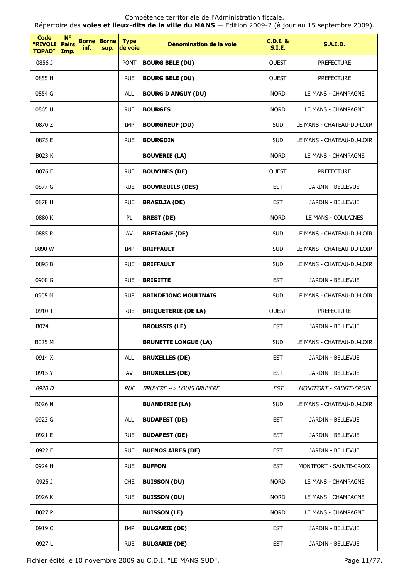Répertoire des **voies et lieux-dits de la ville du MANS** — Édition 2009-2 (à jour au 15 septembre 2009).

| <b>Code</b><br>"RIVOLI<br><b>TOPAD"</b> | $N^{\circ}$<br><b>Pairs</b><br>Imp. | <b>Borne</b><br>inf. | <b>Borne</b><br>sup. | <b>Type</b><br>de voie | Dénomination de la voie     | <b>C.D.I. &amp;</b><br><b>S.I.E.</b> | <b>S.A.I.D.</b>           |
|-----------------------------------------|-------------------------------------|----------------------|----------------------|------------------------|-----------------------------|--------------------------------------|---------------------------|
| 0856 J                                  |                                     |                      |                      | <b>PONT</b>            | <b>BOURG BELE (DU)</b>      | <b>OUEST</b>                         | <b>PREFECTURE</b>         |
| 0855 H                                  |                                     |                      |                      | <b>RUE</b>             | <b>BOURG BELE (DU)</b>      | <b>OUEST</b>                         | <b>PREFECTURE</b>         |
| 0854 G                                  |                                     |                      |                      | <b>ALL</b>             | <b>BOURG D ANGUY (DU)</b>   | <b>NORD</b>                          | LE MANS - CHAMPAGNE       |
| 0865 U                                  |                                     |                      |                      | <b>RUE</b>             | <b>BOURGES</b>              | <b>NORD</b>                          | LE MANS - CHAMPAGNE       |
| 0870 Z                                  |                                     |                      |                      | <b>IMP</b>             | <b>BOURGNEUF (DU)</b>       | <b>SUD</b>                           | LE MANS - CHATEAU-DU-LOIR |
| 0875 E                                  |                                     |                      |                      | <b>RUE</b>             | <b>BOURGOIN</b>             | <b>SUD</b>                           | LE MANS - CHATEAU-DU-LOIR |
| B023 K                                  |                                     |                      |                      |                        | <b>BOUVERIE (LA)</b>        | <b>NORD</b>                          | LE MANS - CHAMPAGNE       |
| 0876 F                                  |                                     |                      |                      | <b>RUE</b>             | <b>BOUVINES (DE)</b>        | <b>OUEST</b>                         | <b>PREFECTURE</b>         |
| 0877 G                                  |                                     |                      |                      | <b>RUE</b>             | <b>BOUVREUILS (DES)</b>     | <b>EST</b>                           | JARDIN - BELLEVUE         |
| 0878 H                                  |                                     |                      |                      | <b>RUE</b>             | <b>BRASILIA (DE)</b>        | <b>EST</b>                           | JARDIN - BELLEVUE         |
| 0880 K                                  |                                     |                      |                      | PL.                    | <b>BREST (DE)</b>           | <b>NORD</b>                          | LE MANS - COULAINES       |
| 0885 R                                  |                                     |                      |                      | AV                     | <b>BRETAGNE (DE)</b>        | <b>SUD</b>                           | LE MANS - CHATEAU-DU-LOIR |
| 0890 W                                  |                                     |                      |                      | IMP                    | <b>BRIFFAULT</b>            | <b>SUD</b>                           | LE MANS - CHATEAU-DU-LOIR |
| 0895 B                                  |                                     |                      |                      | <b>RUE</b>             | <b>BRIFFAULT</b>            | <b>SUD</b>                           | LE MANS - CHATEAU-DU-LOIR |
| 0900 G                                  |                                     |                      |                      | <b>RUE</b>             | <b>BRIGITTE</b>             | <b>EST</b>                           | JARDIN - BELLEVUE         |
| 0905 M                                  |                                     |                      |                      | <b>RUE</b>             | <b>BRINDEJONC MOULINAIS</b> | <b>SUD</b>                           | LE MANS - CHATEAU-DU-LOIR |
| 0910 T                                  |                                     |                      |                      | <b>RUE</b>             | <b>BRIQUETERIE (DE LA)</b>  | <b>OUEST</b>                         | <b>PREFECTURE</b>         |
| B024 L                                  |                                     |                      |                      |                        | <b>BROUSSIS (LE)</b>        | <b>EST</b>                           | JARDIN - BELLEVUE         |
| B025 M                                  |                                     |                      |                      |                        | <b>BRUNETTE LONGUE (LA)</b> | <b>SUD</b>                           | LE MANS - CHATEAU-DU-LOIR |
| 0914 X                                  |                                     |                      |                      | ALL                    | <b>BRUXELLES (DE)</b>       | <b>EST</b>                           | JARDIN - BELLEVUE         |
| 0915Y                                   |                                     |                      |                      | AV                     | <b>BRUXELLES (DE)</b>       | <b>EST</b>                           | JARDIN - BELLEVUE         |
| 0920 D                                  |                                     |                      |                      | <b>RUE</b>             | BRUYERE --> LOUIS BRUYERE   | EST                                  | MONTFORT - SAINTE-CROIX   |
| <b>B026 N</b>                           |                                     |                      |                      |                        | <b>BUANDERIE (LA)</b>       | <b>SUD</b>                           | LE MANS - CHATEAU-DU-LOIR |
| 0923 G                                  |                                     |                      |                      | ALL                    | <b>BUDAPEST (DE)</b>        | <b>EST</b>                           | JARDIN - BELLEVUE         |
| 0921 E                                  |                                     |                      |                      | <b>RUE</b>             | <b>BUDAPEST (DE)</b>        | <b>EST</b>                           | JARDIN - BELLEVUE         |
| 0922 F                                  |                                     |                      |                      | <b>RUE</b>             | <b>BUENOS AIRES (DE)</b>    | <b>EST</b>                           | JARDIN - BELLEVUE         |
| 0924 H                                  |                                     |                      |                      | <b>RUE</b>             | <b>BUFFON</b>               | <b>EST</b>                           | MONTFORT - SAINTE-CROIX   |
| 0925 J                                  |                                     |                      |                      | <b>CHE</b>             | <b>BUISSON (DU)</b>         | <b>NORD</b>                          | LE MANS - CHAMPAGNE       |
| 0926 K                                  |                                     |                      |                      | <b>RUE</b>             | <b>BUISSON (DU)</b>         | <b>NORD</b>                          | LE MANS - CHAMPAGNE       |
| B027 P                                  |                                     |                      |                      |                        | <b>BUISSON (LE)</b>         | <b>NORD</b>                          | LE MANS - CHAMPAGNE       |
| 0919 C                                  |                                     |                      |                      | IMP                    | <b>BULGARIE (DE)</b>        | <b>EST</b>                           | JARDIN - BELLEVUE         |
| 0927L                                   |                                     |                      |                      | <b>RUE</b>             | <b>BULGARIE (DE)</b>        | <b>EST</b>                           | JARDIN - BELLEVUE         |

Fichier édité le 10 novembre 2009 au C.D.I. "LE MANS SUD". Page 11/77.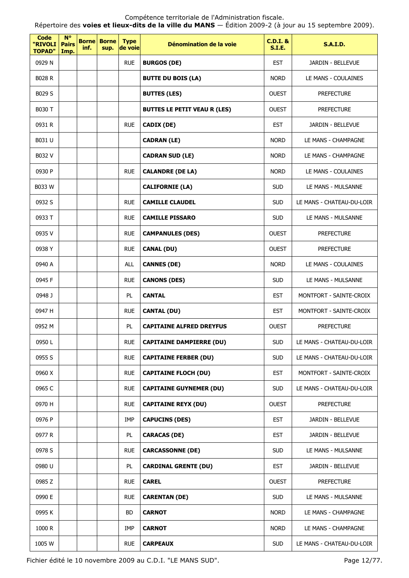Répertoire des **voies et lieux-dits de la ville du MANS** — Édition 2009-2 (à jour au 15 septembre 2009).

| Code<br>"RIVOLI<br><b>TOPAD"</b> | $N^{\circ}$<br><b>Pairs</b><br>Imp. | <b>Borne</b><br>inf. | <b>Borne</b><br>sup. | <b>Type</b><br>de voie | Dénomination de la voie             | $C.D.I.$ &<br><b>S.I.E.</b> | <b>S.A.I.D.</b>           |
|----------------------------------|-------------------------------------|----------------------|----------------------|------------------------|-------------------------------------|-----------------------------|---------------------------|
| 0929 N                           |                                     |                      |                      | <b>RUE</b>             | <b>BURGOS (DE)</b>                  | <b>EST</b>                  | JARDIN - BELLEVUE         |
| <b>B028 R</b>                    |                                     |                      |                      |                        | <b>BUTTE DU BOIS (LA)</b>           | <b>NORD</b>                 | LE MANS - COULAINES       |
| B029 S                           |                                     |                      |                      |                        | <b>BUTTES (LES)</b>                 | <b>OUEST</b>                | <b>PREFECTURE</b>         |
| B030 T                           |                                     |                      |                      |                        | <b>BUTTES LE PETIT VEAU R (LES)</b> | <b>OUEST</b>                | <b>PREFECTURE</b>         |
| 0931 R                           |                                     |                      |                      | <b>RUE</b>             | CADIX (DE)                          | <b>EST</b>                  | JARDIN - BELLEVUE         |
| B031 U                           |                                     |                      |                      |                        | <b>CADRAN (LE)</b>                  | <b>NORD</b>                 | LE MANS - CHAMPAGNE       |
| B032 V                           |                                     |                      |                      |                        | <b>CADRAN SUD (LE)</b>              | <b>NORD</b>                 | LE MANS - CHAMPAGNE       |
| 0930 P                           |                                     |                      |                      | <b>RUE</b>             | <b>CALANDRE (DE LA)</b>             | <b>NORD</b>                 | LE MANS - COULAINES       |
| B033 W                           |                                     |                      |                      |                        | <b>CALIFORNIE (LA)</b>              | <b>SUD</b>                  | LE MANS - MULSANNE        |
| 0932 S                           |                                     |                      |                      | <b>RUE</b>             | <b>CAMILLE CLAUDEL</b>              | <b>SUD</b>                  | LE MANS - CHATEAU-DU-LOIR |
| 0933 T                           |                                     |                      |                      | <b>RUE</b>             | <b>CAMILLE PISSARO</b>              | <b>SUD</b>                  | LE MANS - MULSANNE        |
| 0935V                            |                                     |                      |                      | <b>RUE</b>             | <b>CAMPANULES (DES)</b>             | <b>OUEST</b>                | <b>PREFECTURE</b>         |
| 0938 Y                           |                                     |                      |                      | <b>RUE</b>             | <b>CANAL (DU)</b>                   | <b>OUEST</b>                | <b>PREFECTURE</b>         |
| 0940 A                           |                                     |                      |                      | <b>ALL</b>             | <b>CANNES (DE)</b>                  | <b>NORD</b>                 | LE MANS - COULAINES       |
| 0945 F                           |                                     |                      |                      | <b>RUE</b>             | <b>CANONS (DES)</b>                 | <b>SUD</b>                  | LE MANS - MULSANNE        |
| 0948 J                           |                                     |                      |                      | PL                     | <b>CANTAL</b>                       | <b>EST</b>                  | MONTFORT - SAINTE-CROIX   |
| 0947 H                           |                                     |                      |                      | <b>RUE</b>             | <b>CANTAL (DU)</b>                  | <b>EST</b>                  | MONTFORT - SAINTE-CROIX   |
| 0952 M                           |                                     |                      |                      | PL                     | <b>CAPITAINE ALFRED DREYFUS</b>     | <b>OUEST</b>                | <b>PREFECTURE</b>         |
| 0950L                            |                                     |                      |                      | <b>RUE</b>             | <b>CAPITAINE DAMPIERRE (DU)</b>     | <b>SUD</b>                  | LE MANS - CHATEAU-DU-LOIR |
| 0955 S                           |                                     |                      |                      | <b>RUE</b>             | <b>CAPITAINE FERBER (DU)</b>        | <b>SUD</b>                  | LE MANS - CHATEAU-DU-LOIR |
| 0960 X                           |                                     |                      |                      | <b>RUE</b>             | <b>CAPITAINE FLOCH (DU)</b>         | <b>EST</b>                  | MONTFORT - SAINTE-CROIX   |
| 0965 C                           |                                     |                      |                      | <b>RUE</b>             | <b>CAPITAINE GUYNEMER (DU)</b>      | <b>SUD</b>                  | LE MANS - CHATEAU-DU-LOIR |
| 0970 H                           |                                     |                      |                      | <b>RUE</b>             | <b>CAPITAINE REYX (DU)</b>          | <b>OUEST</b>                | <b>PREFECTURE</b>         |
| 0976 P                           |                                     |                      |                      | <b>IMP</b>             | <b>CAPUCINS (DES)</b>               | <b>EST</b>                  | JARDIN - BELLEVUE         |
| 0977 R                           |                                     |                      |                      | PL                     | <b>CARACAS (DE)</b>                 | <b>EST</b>                  | JARDIN - BELLEVUE         |
| 0978 S                           |                                     |                      |                      | <b>RUE</b>             | <b>CARCASSONNE (DE)</b>             | <b>SUD</b>                  | LE MANS - MULSANNE        |
| 0980 U                           |                                     |                      |                      | PL                     | <b>CARDINAL GRENTE (DU)</b>         | <b>EST</b>                  | JARDIN - BELLEVUE         |
| 0985 Z                           |                                     |                      |                      | <b>RUE</b>             | <b>CAREL</b>                        | <b>OUEST</b>                | <b>PREFECTURE</b>         |
| 0990 E                           |                                     |                      |                      | <b>RUE</b>             | <b>CARENTAN (DE)</b>                | <b>SUD</b>                  | LE MANS - MULSANNE        |
| 0995K                            |                                     |                      |                      | <b>BD</b>              | <b>CARNOT</b>                       | <b>NORD</b>                 | LE MANS - CHAMPAGNE       |
| 1000 R                           |                                     |                      |                      | <b>IMP</b>             | <b>CARNOT</b>                       | <b>NORD</b>                 | LE MANS - CHAMPAGNE       |
| 1005 W                           |                                     |                      |                      | <b>RUE</b>             | <b>CARPEAUX</b>                     | <b>SUD</b>                  | LE MANS - CHATEAU-DU-LOIR |

Fichier édité le 10 novembre 2009 au C.D.I. "LE MANS SUD". Page 12/77.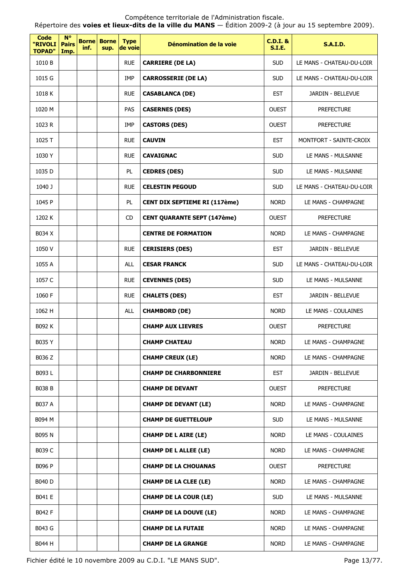Répertoire des **voies et lieux-dits de la ville du MANS** — Édition 2009-2 (à jour au 15 septembre 2009).

| <b>Code</b><br>"RIVOLI<br><b>TOPAD"</b> | $N^{\circ}$<br><b>Pairs</b><br>Imp. | inf. | <b>Borne Borne</b><br>sup. | <b>Type</b><br>de voie | Dénomination de la voie            | <b>C.D.I. &amp;</b><br><b>S.I.E.</b> | <b>S.A.I.D.</b>           |
|-----------------------------------------|-------------------------------------|------|----------------------------|------------------------|------------------------------------|--------------------------------------|---------------------------|
| 1010 B                                  |                                     |      |                            | <b>RUE</b>             | <b>CARRIERE (DE LA)</b>            | <b>SUD</b>                           | LE MANS - CHATEAU-DU-LOIR |
| 1015 G                                  |                                     |      |                            | IMP                    | <b>CARROSSERIE (DE LA)</b>         | <b>SUD</b>                           | LE MANS - CHATEAU-DU-LOIR |
| 1018K                                   |                                     |      |                            | <b>RUE</b>             | <b>CASABLANCA (DE)</b>             | <b>EST</b>                           | JARDIN - BELLEVUE         |
| 1020 M                                  |                                     |      |                            | PAS                    | <b>CASERNES (DES)</b>              | <b>OUEST</b>                         | <b>PREFECTURE</b>         |
| 1023 R                                  |                                     |      |                            | IMP                    | <b>CASTORS (DES)</b>               | <b>OUEST</b>                         | <b>PREFECTURE</b>         |
| 1025 T                                  |                                     |      |                            | <b>RUE</b>             | <b>CAUVIN</b>                      | <b>EST</b>                           | MONTFORT - SAINTE-CROIX   |
| 1030 Y                                  |                                     |      |                            | <b>RUE</b>             | <b>CAVAIGNAC</b>                   | <b>SUD</b>                           | LE MANS - MULSANNE        |
| 1035 D                                  |                                     |      |                            | PL                     | <b>CEDRES (DES)</b>                | <b>SUD</b>                           | LE MANS - MULSANNE        |
| 1040 J                                  |                                     |      |                            | <b>RUE</b>             | <b>CELESTIN PEGOUD</b>             | <b>SUD</b>                           | LE MANS - CHATEAU-DU-LOIR |
| 1045 P                                  |                                     |      |                            | PL                     | CENT DIX SEPTIEME RI (117ème)      | <b>NORD</b>                          | LE MANS - CHAMPAGNE       |
| 1202 K                                  |                                     |      |                            | CD                     | <b>CENT QUARANTE SEPT (147ème)</b> | <b>OUEST</b>                         | <b>PREFECTURE</b>         |
| B034 X                                  |                                     |      |                            |                        | <b>CENTRE DE FORMATION</b>         | <b>NORD</b>                          | LE MANS - CHAMPAGNE       |
| 1050 V                                  |                                     |      |                            | <b>RUE</b>             | <b>CERISIERS (DES)</b>             | <b>EST</b>                           | JARDIN - BELLEVUE         |
| 1055 A                                  |                                     |      |                            | <b>ALL</b>             | <b>CESAR FRANCK</b>                | <b>SUD</b>                           | LE MANS - CHATEAU-DU-LOIR |
| 1057 C                                  |                                     |      |                            | <b>RUE</b>             | <b>CEVENNES (DES)</b>              | <b>SUD</b>                           | LE MANS - MULSANNE        |
| 1060 F                                  |                                     |      |                            | <b>RUE</b>             | <b>CHALETS (DES)</b>               | <b>EST</b>                           | JARDIN - BELLEVUE         |
| 1062 H                                  |                                     |      |                            | <b>ALL</b>             | <b>CHAMBORD (DE)</b>               | <b>NORD</b>                          | LE MANS - COULAINES       |
| B092 K                                  |                                     |      |                            |                        | <b>CHAMP AUX LIEVRES</b>           | <b>OUEST</b>                         | <b>PREFECTURE</b>         |
| B035 Y                                  |                                     |      |                            |                        | <b>CHAMP CHATEAU</b>               | <b>NORD</b>                          | LE MANS - CHAMPAGNE       |
| B036 Z                                  |                                     |      |                            |                        | <b>CHAMP CREUX (LE)</b>            | <b>NORD</b>                          | LE MANS - CHAMPAGNE       |
| B093L                                   |                                     |      |                            |                        | <b>CHAMP DE CHARBONNIERE</b>       | <b>EST</b>                           | JARDIN - BELLEVUE         |
| B038 B                                  |                                     |      |                            |                        | <b>CHAMP DE DEVANT</b>             | <b>OUEST</b>                         | <b>PREFECTURE</b>         |
| B037 A                                  |                                     |      |                            |                        | <b>CHAMP DE DEVANT (LE)</b>        | <b>NORD</b>                          | LE MANS - CHAMPAGNE       |
| B094 M                                  |                                     |      |                            |                        | <b>CHAMP DE GUETTELOUP</b>         | <b>SUD</b>                           | LE MANS - MULSANNE        |
| B095 N                                  |                                     |      |                            |                        | <b>CHAMP DE L AIRE (LE)</b>        | <b>NORD</b>                          | LE MANS - COULAINES       |
| B039 C                                  |                                     |      |                            |                        | <b>CHAMP DE L ALLEE (LE)</b>       | <b>NORD</b>                          | LE MANS - CHAMPAGNE       |
| B096 P                                  |                                     |      |                            |                        | <b>CHAMP DE LA CHOUANAS</b>        | <b>OUEST</b>                         | <b>PREFECTURE</b>         |
| B040 D                                  |                                     |      |                            |                        | <b>CHAMP DE LA CLEE (LE)</b>       | <b>NORD</b>                          | LE MANS - CHAMPAGNE       |
| B041 E                                  |                                     |      |                            |                        | <b>CHAMP DE LA COUR (LE)</b>       | <b>SUD</b>                           | LE MANS - MULSANNE        |
| B042 F                                  |                                     |      |                            |                        | <b>CHAMP DE LA DOUVE (LE)</b>      | <b>NORD</b>                          | LE MANS - CHAMPAGNE       |
| B043 G                                  |                                     |      |                            |                        | <b>CHAMP DE LA FUTAIE</b>          | <b>NORD</b>                          | LE MANS - CHAMPAGNE       |
| B044 H                                  |                                     |      |                            |                        | <b>CHAMP DE LA GRANGE</b>          | <b>NORD</b>                          | LE MANS - CHAMPAGNE       |

Fichier édité le 10 novembre 2009 au C.D.I. "LE MANS SUD". Page 13/77.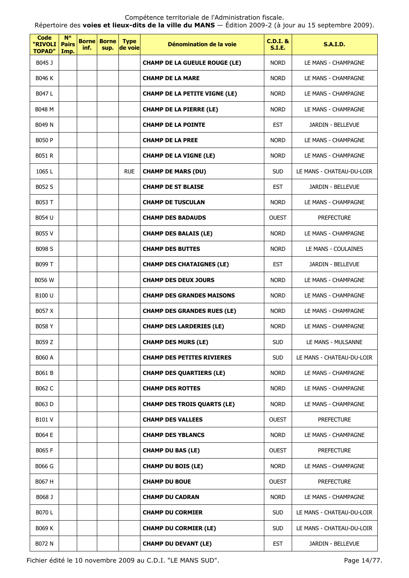Répertoire des **voies et lieux-dits de la ville du MANS** — Édition 2009-2 (à jour au 15 septembre 2009).

| Code<br>"RIVOLI<br><b>TOPAD"</b> | <b>N°</b><br><b>Pairs</b><br>Imp. | <b>Borne</b><br>inf. | <b>Borne</b><br>sup. | <b>Type</b><br>de voie | Dénomination de la voie              | $C.D.I.$ &<br>S.I.E. | <b>S.A.I.D.</b>           |
|----------------------------------|-----------------------------------|----------------------|----------------------|------------------------|--------------------------------------|----------------------|---------------------------|
| B045 J                           |                                   |                      |                      |                        | <b>CHAMP DE LA GUEULE ROUGE (LE)</b> | <b>NORD</b>          | LE MANS - CHAMPAGNE       |
| <b>B046 K</b>                    |                                   |                      |                      |                        | <b>CHAMP DE LA MARE</b>              | <b>NORD</b>          | LE MANS - CHAMPAGNE       |
| B047 L                           |                                   |                      |                      |                        | <b>CHAMP DE LA PETITE VIGNE (LE)</b> | <b>NORD</b>          | LE MANS - CHAMPAGNE       |
| B048 M                           |                                   |                      |                      |                        | <b>CHAMP DE LA PIERRE (LE)</b>       | <b>NORD</b>          | LE MANS - CHAMPAGNE       |
| B049 N                           |                                   |                      |                      |                        | <b>CHAMP DE LA POINTE</b>            | <b>EST</b>           | JARDIN - BELLEVUE         |
| <b>B050 P</b>                    |                                   |                      |                      |                        | <b>CHAMP DE LA PREE</b>              | <b>NORD</b>          | LE MANS - CHAMPAGNE       |
| <b>B051 R</b>                    |                                   |                      |                      |                        | <b>CHAMP DE LA VIGNE (LE)</b>        | <b>NORD</b>          | LE MANS - CHAMPAGNE       |
| 1065 L                           |                                   |                      |                      | <b>RUE</b>             | <b>CHAMP DE MARS (DU)</b>            | <b>SUD</b>           | LE MANS - CHATEAU-DU-LOIR |
| B052 S                           |                                   |                      |                      |                        | <b>CHAMP DE ST BLAISE</b>            | <b>EST</b>           | JARDIN - BELLEVUE         |
| <b>B053 T</b>                    |                                   |                      |                      |                        | <b>CHAMP DE TUSCULAN</b>             | <b>NORD</b>          | LE MANS - CHAMPAGNE       |
| B054 U                           |                                   |                      |                      |                        | <b>CHAMP DES BADAUDS</b>             | <b>OUEST</b>         | <b>PREFECTURE</b>         |
| B055 V                           |                                   |                      |                      |                        | <b>CHAMP DES BALAIS (LE)</b>         | <b>NORD</b>          | LE MANS - CHAMPAGNE       |
| <b>B098 S</b>                    |                                   |                      |                      |                        | <b>CHAMP DES BUTTES</b>              | <b>NORD</b>          | LE MANS - COULAINES       |
| B099 T                           |                                   |                      |                      |                        | <b>CHAMP DES CHATAIGNES (LE)</b>     | <b>EST</b>           | JARDIN - BELLEVUE         |
| <b>B056 W</b>                    |                                   |                      |                      |                        | <b>CHAMP DES DEUX JOURS</b>          | <b>NORD</b>          | LE MANS - CHAMPAGNE       |
| B100 U                           |                                   |                      |                      |                        | <b>CHAMP DES GRANDES MAISONS</b>     | <b>NORD</b>          | LE MANS - CHAMPAGNE       |
| B057 X                           |                                   |                      |                      |                        | <b>CHAMP DES GRANDES RUES (LE)</b>   | <b>NORD</b>          | LE MANS - CHAMPAGNE       |
| B058 Y                           |                                   |                      |                      |                        | <b>CHAMP DES LARDERIES (LE)</b>      | <b>NORD</b>          | LE MANS - CHAMPAGNE       |
| B059 Z                           |                                   |                      |                      |                        | <b>CHAMP DES MURS (LE)</b>           | <b>SUD</b>           | LE MANS - MULSANNE        |
| <b>B060 A</b>                    |                                   |                      |                      |                        | <b>CHAMP DES PETITES RIVIERES</b>    | <b>SUD</b>           | LE MANS - CHATEAU-DU-LOIR |
| B061 B                           |                                   |                      |                      |                        | <b>CHAMP DES QUARTIERS (LE)</b>      | <b>NORD</b>          | LE MANS - CHAMPAGNE       |
| B062 C                           |                                   |                      |                      |                        | <b>CHAMP DES ROTTES</b>              | <b>NORD</b>          | LE MANS - CHAMPAGNE       |
| B063 D                           |                                   |                      |                      |                        | <b>CHAMP DES TROIS QUARTS (LE)</b>   | <b>NORD</b>          | LE MANS - CHAMPAGNE       |
| B101 V                           |                                   |                      |                      |                        | <b>CHAMP DES VALLEES</b>             | <b>OUEST</b>         | <b>PREFECTURE</b>         |
| B064 E                           |                                   |                      |                      |                        | <b>CHAMP DES YBLANCS</b>             | <b>NORD</b>          | LE MANS - CHAMPAGNE       |
| <b>B065 F</b>                    |                                   |                      |                      |                        | <b>CHAMP DU BAS (LE)</b>             | <b>OUEST</b>         | <b>PREFECTURE</b>         |
| B066 G                           |                                   |                      |                      |                        | <b>CHAMP DU BOIS (LE)</b>            | <b>NORD</b>          | LE MANS - CHAMPAGNE       |
| B067 H                           |                                   |                      |                      |                        | <b>CHAMP DU BOUE</b>                 | <b>OUEST</b>         | <b>PREFECTURE</b>         |
| B068 J                           |                                   |                      |                      |                        | <b>CHAMP DU CADRAN</b>               | <b>NORD</b>          | LE MANS - CHAMPAGNE       |
| <b>B070 L</b>                    |                                   |                      |                      |                        | <b>CHAMP DU CORMIER</b>              | <b>SUD</b>           | LE MANS - CHATEAU-DU-LOIR |
| B069 K                           |                                   |                      |                      |                        | <b>CHAMP DU CORMIER (LE)</b>         | <b>SUD</b>           | LE MANS - CHATEAU-DU-LOIR |
| B072 N                           |                                   |                      |                      |                        | <b>CHAMP DU DEVANT (LE)</b>          | <b>EST</b>           | JARDIN - BELLEVUE         |

Fichier édité le 10 novembre 2009 au C.D.I. "LE MANS SUD". Page 14/77.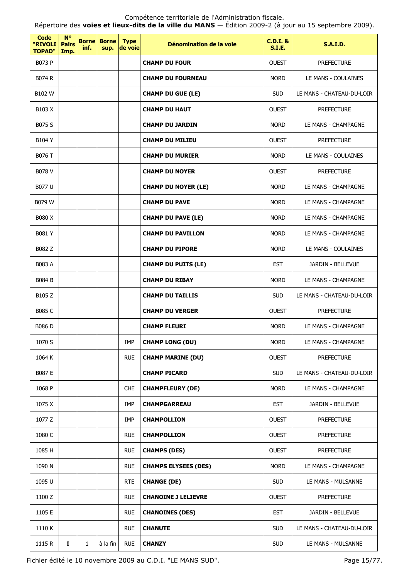| <b>Code</b><br>"RIVOLI<br><b>TOPAD"</b> | $N^{\circ}$<br><b>Pairs</b><br>Imp. | inf.         | <b>Borne Borne</b><br>sup. | <b>Type</b><br>de voie | Dénomination de la voie     | <b>C.D.I. &amp;</b><br><b>S.I.E.</b> | <b>S.A.I.D.</b>           |
|-----------------------------------------|-------------------------------------|--------------|----------------------------|------------------------|-----------------------------|--------------------------------------|---------------------------|
| <b>B073 P</b>                           |                                     |              |                            |                        | <b>CHAMP DU FOUR</b>        | <b>OUEST</b>                         | <b>PREFECTURE</b>         |
| <b>B074 R</b>                           |                                     |              |                            |                        | <b>CHAMP DU FOURNEAU</b>    | <b>NORD</b>                          | LE MANS - COULAINES       |
| <b>B102W</b>                            |                                     |              |                            |                        | <b>CHAMP DU GUE (LE)</b>    | <b>SUD</b>                           | LE MANS - CHATEAU-DU-LOIR |
| B <sub>103</sub> X                      |                                     |              |                            |                        | <b>CHAMP DU HAUT</b>        | <b>OUEST</b>                         | <b>PREFECTURE</b>         |
| B075 S                                  |                                     |              |                            |                        | <b>CHAMP DU JARDIN</b>      | <b>NORD</b>                          | LE MANS - CHAMPAGNE       |
| <b>B104 Y</b>                           |                                     |              |                            |                        | <b>CHAMP DU MILIEU</b>      | <b>OUEST</b>                         | <b>PREFECTURE</b>         |
| <b>B076 T</b>                           |                                     |              |                            |                        | <b>CHAMP DU MURIER</b>      | <b>NORD</b>                          | LE MANS - COULAINES       |
| B078 V                                  |                                     |              |                            |                        | <b>CHAMP DU NOYER</b>       | <b>OUEST</b>                         | <b>PREFECTURE</b>         |
| B077 U                                  |                                     |              |                            |                        | <b>CHAMP DU NOYER (LE)</b>  | <b>NORD</b>                          | LE MANS - CHAMPAGNE       |
| B079 W                                  |                                     |              |                            |                        | <b>CHAMP DU PAVE</b>        | <b>NORD</b>                          | LE MANS - CHAMPAGNE       |
| B080 X                                  |                                     |              |                            |                        | <b>CHAMP DU PAVE (LE)</b>   | <b>NORD</b>                          | LE MANS - CHAMPAGNE       |
| <b>B081 Y</b>                           |                                     |              |                            |                        | <b>CHAMP DU PAVILLON</b>    | <b>NORD</b>                          | LE MANS - CHAMPAGNE       |
| B082 Z                                  |                                     |              |                            |                        | <b>CHAMP DU PIPORE</b>      | <b>NORD</b>                          | LE MANS - COULAINES       |
| <b>B083 A</b>                           |                                     |              |                            |                        | <b>CHAMP DU PUITS (LE)</b>  | <b>EST</b>                           | JARDIN - BELLEVUE         |
| <b>B084 B</b>                           |                                     |              |                            |                        | <b>CHAMP DU RIBAY</b>       | <b>NORD</b>                          | LE MANS - CHAMPAGNE       |
| B <sub>105</sub> Z                      |                                     |              |                            |                        | <b>CHAMP DU TAILLIS</b>     | <b>SUD</b>                           | LE MANS - CHATEAU-DU-LOIR |
| <b>B085 C</b>                           |                                     |              |                            |                        | <b>CHAMP DU VERGER</b>      | <b>OUEST</b>                         | <b>PREFECTURE</b>         |
| <b>B086 D</b>                           |                                     |              |                            |                        | <b>CHAMP FLEURI</b>         | <b>NORD</b>                          | LE MANS - CHAMPAGNE       |
| 1070 S                                  |                                     |              |                            | IMP                    | <b>CHAMP LONG (DU)</b>      | <b>NORD</b>                          | LE MANS - CHAMPAGNE       |
| 1064 K                                  |                                     |              |                            | <b>RUE</b>             | <b>CHAMP MARINE (DU)</b>    | <b>OUEST</b>                         | <b>PREFECTURE</b>         |
| B087 E                                  |                                     |              |                            |                        | <b>CHAMP PICARD</b>         | <b>SUD</b>                           | LE MANS - CHATEAU-DU-LOIR |
| 1068 P                                  |                                     |              |                            | <b>CHE</b>             | <b>CHAMPFLEURY (DE)</b>     | <b>NORD</b>                          | LE MANS - CHAMPAGNE       |
| 1075 X                                  |                                     |              |                            | IMP                    | <b>CHAMPGARREAU</b>         | <b>EST</b>                           | JARDIN - BELLEVUE         |
| 1077 Z                                  |                                     |              |                            | IMP                    | <b>CHAMPOLLION</b>          | <b>OUEST</b>                         | <b>PREFECTURE</b>         |
| 1080 C                                  |                                     |              |                            | <b>RUE</b>             | <b>CHAMPOLLION</b>          | <b>OUEST</b>                         | <b>PREFECTURE</b>         |
| 1085 H                                  |                                     |              |                            | <b>RUE</b>             | <b>CHAMPS (DES)</b>         | <b>OUEST</b>                         | <b>PREFECTURE</b>         |
| 1090 N                                  |                                     |              |                            | <b>RUE</b>             | <b>CHAMPS ELYSEES (DES)</b> | <b>NORD</b>                          | LE MANS - CHAMPAGNE       |
| 1095 U                                  |                                     |              |                            | <b>RTE</b>             | <b>CHANGE (DE)</b>          | <b>SUD</b>                           | LE MANS - MULSANNE        |
| 1100 Z                                  |                                     |              |                            | <b>RUE</b>             | <b>CHANOINE J LELIEVRE</b>  | <b>OUEST</b>                         | <b>PREFECTURE</b>         |
| 1105 E                                  |                                     |              |                            | <b>RUE</b>             | <b>CHANOINES (DES)</b>      | <b>EST</b>                           | JARDIN - BELLEVUE         |
| 1110 K                                  |                                     |              |                            | <b>RUE</b>             | <b>CHANUTE</b>              | <b>SUD</b>                           | LE MANS - CHATEAU-DU-LOIR |
| 1115 R                                  | I                                   | $\mathbf{1}$ | à la fin                   | <b>RUE</b>             | <b>CHANZY</b>               | <b>SUD</b>                           | LE MANS - MULSANNE        |

Fichier édité le 10 novembre 2009 au C.D.I. "LE MANS SUD". Page 15/77.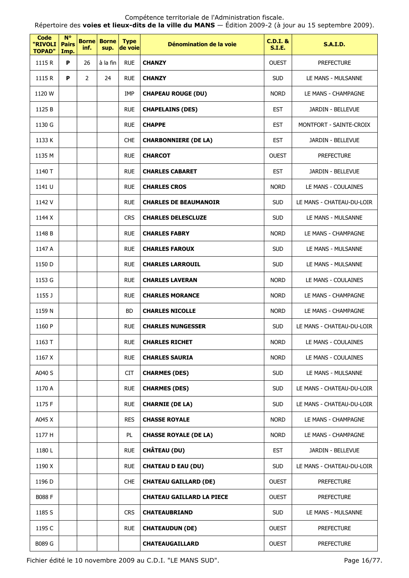Répertoire des **voies et lieux-dits de la ville du MANS** — Édition 2009-2 (à jour au 15 septembre 2009).

| <b>Code</b><br>"RIVOLI<br><b>TOPAD"</b> | <b>N°</b><br><b>Pairs</b><br>Imp. | <b>Borne</b><br>inf. | <b>Borne</b><br>sup. | <b>Type</b><br>de voie | Dénomination de la voie          | $C.D.I.$ &<br><b>S.I.E.</b> | <b>S.A.I.D.</b>           |
|-----------------------------------------|-----------------------------------|----------------------|----------------------|------------------------|----------------------------------|-----------------------------|---------------------------|
| 1115 R                                  | P                                 | 26                   | à la fin             | <b>RUE</b>             | <b>CHANZY</b>                    | <b>OUEST</b>                | <b>PREFECTURE</b>         |
| 1115 R                                  | P                                 | $\overline{2}$       | 24                   | <b>RUE</b>             | <b>CHANZY</b>                    | <b>SUD</b>                  | LE MANS - MULSANNE        |
| 1120 W                                  |                                   |                      |                      | <b>IMP</b>             | <b>CHAPEAU ROUGE (DU)</b>        | <b>NORD</b>                 | LE MANS - CHAMPAGNE       |
| 1125 B                                  |                                   |                      |                      | <b>RUE</b>             | <b>CHAPELAINS (DES)</b>          | <b>EST</b>                  | JARDIN - BELLEVUE         |
| 1130 G                                  |                                   |                      |                      | <b>RUE</b>             | <b>CHAPPE</b>                    | <b>EST</b>                  | MONTFORT - SAINTE-CROIX   |
| 1133 K                                  |                                   |                      |                      | <b>CHE</b>             | <b>CHARBONNIERE (DE LA)</b>      | <b>EST</b>                  | JARDIN - BELLEVUE         |
| 1135 M                                  |                                   |                      |                      | <b>RUE</b>             | <b>CHARCOT</b>                   | <b>OUEST</b>                | <b>PREFECTURE</b>         |
| 1140 T                                  |                                   |                      |                      | <b>RUE</b>             | <b>CHARLES CABARET</b>           | <b>EST</b>                  | JARDIN - BELLEVUE         |
| 1141 U                                  |                                   |                      |                      | <b>RUE</b>             | <b>CHARLES CROS</b>              | <b>NORD</b>                 | LE MANS - COULAINES       |
| 1142 V                                  |                                   |                      |                      | <b>RUE</b>             | <b>CHARLES DE BEAUMANOIR</b>     | <b>SUD</b>                  | LE MANS - CHATEAU-DU-LOIR |
| 1144 X                                  |                                   |                      |                      | <b>CRS</b>             | <b>CHARLES DELESCLUZE</b>        | <b>SUD</b>                  | LE MANS - MULSANNE        |
| 1148 B                                  |                                   |                      |                      | <b>RUE</b>             | <b>CHARLES FABRY</b>             | <b>NORD</b>                 | LE MANS - CHAMPAGNE       |
| 1147 A                                  |                                   |                      |                      | <b>RUE</b>             | <b>CHARLES FAROUX</b>            | <b>SUD</b>                  | LE MANS - MULSANNE        |
| 1150 D                                  |                                   |                      |                      | <b>RUE</b>             | <b>CHARLES LARROUIL</b>          | <b>SUD</b>                  | LE MANS - MULSANNE        |
| 1153 G                                  |                                   |                      |                      | <b>RUE</b>             | <b>CHARLES LAVERAN</b>           | <b>NORD</b>                 | LE MANS - COULAINES       |
| 1155 J                                  |                                   |                      |                      | <b>RUE</b>             | <b>CHARLES MORANCE</b>           | <b>NORD</b>                 | LE MANS - CHAMPAGNE       |
| 1159 N                                  |                                   |                      |                      | BD                     | <b>CHARLES NICOLLE</b>           | <b>NORD</b>                 | LE MANS - CHAMPAGNE       |
| 1160 P                                  |                                   |                      |                      | <b>RUE</b>             | <b>CHARLES NUNGESSER</b>         | <b>SUD</b>                  | LE MANS - CHATEAU-DU-LOIR |
| 1163 T                                  |                                   |                      |                      | <b>RUE</b>             | <b>CHARLES RICHET</b>            | <b>NORD</b>                 | LE MANS - COULAINES       |
| 1167 X                                  |                                   |                      |                      | <b>RUE</b>             | <b>CHARLES SAURIA</b>            | <b>NORD</b>                 | LE MANS - COULAINES       |
| A040 S                                  |                                   |                      |                      | <b>CIT</b>             | <b>CHARMES (DES)</b>             | <b>SUD</b>                  | LE MANS - MULSANNE        |
| 1170 A                                  |                                   |                      |                      | <b>RUE</b>             | <b>CHARMES (DES)</b>             | <b>SUD</b>                  | LE MANS - CHATEAU-DU-LOIR |
| 1175 F                                  |                                   |                      |                      | <b>RUE</b>             | <b>CHARNIE (DE LA)</b>           | <b>SUD</b>                  | LE MANS - CHATEAU-DU-LOIR |
| A045 X                                  |                                   |                      |                      | <b>RES</b>             | <b>CHASSE ROYALE</b>             | <b>NORD</b>                 | LE MANS - CHAMPAGNE       |
| 1177 H                                  |                                   |                      |                      | PL                     | <b>CHASSE ROYALE (DE LA)</b>     | <b>NORD</b>                 | LE MANS - CHAMPAGNE       |
| 1180L                                   |                                   |                      |                      | <b>RUE</b>             | <b>CHÂTEAU (DU)</b>              | <b>EST</b>                  | JARDIN - BELLEVUE         |
| 1190 X                                  |                                   |                      |                      | <b>RUE</b>             | <b>CHATEAU D EAU (DU)</b>        | <b>SUD</b>                  | LE MANS - CHATEAU-DU-LOIR |
| 1196 D                                  |                                   |                      |                      | <b>CHE</b>             | <b>CHATEAU GAILLARD (DE)</b>     | <b>OUEST</b>                | <b>PREFECTURE</b>         |
| <b>B088 F</b>                           |                                   |                      |                      |                        | <b>CHATEAU GAILLARD LA PIECE</b> | <b>OUEST</b>                | <b>PREFECTURE</b>         |
| 1185 S                                  |                                   |                      |                      | <b>CRS</b>             | <b>CHATEAUBRIAND</b>             | <b>SUD</b>                  | LE MANS - MULSANNE        |
| 1195 C                                  |                                   |                      |                      | <b>RUE</b>             | <b>CHATEAUDUN (DE)</b>           | <b>OUEST</b>                | <b>PREFECTURE</b>         |
| B089 G                                  |                                   |                      |                      |                        | <b>CHATEAUGAILLARD</b>           | <b>OUEST</b>                | <b>PREFECTURE</b>         |

Fichier édité le 10 novembre 2009 au C.D.I. "LE MANS SUD". Page 16/77.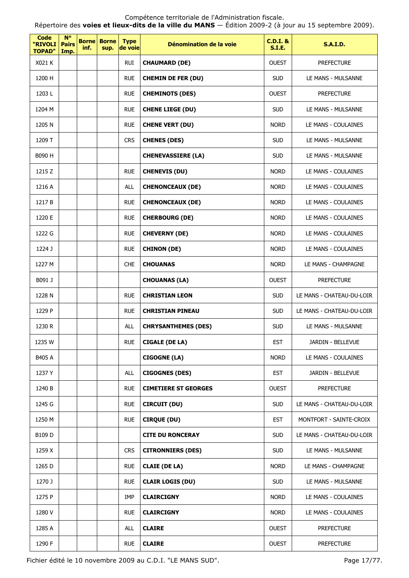Répertoire des **voies et lieux-dits de la ville du MANS** — Édition 2009-2 (à jour au 15 septembre 2009).

| <b>Code</b><br>"RIVOLI<br><b>TOPAD"</b> | $N^{\circ}$<br><b>Pairs</b><br>Imp. | <b>Borne</b><br>inf. | <b>Borne</b><br>sup. | <b>Type</b><br>de voie | Dénomination de la voie     | $C.D.I.$ &<br><b>S.I.E.</b> | <b>S.A.I.D.</b>           |
|-----------------------------------------|-------------------------------------|----------------------|----------------------|------------------------|-----------------------------|-----------------------------|---------------------------|
| X021 K                                  |                                     |                      |                      | <b>RUI</b>             | <b>CHAUMARD (DE)</b>        | <b>OUEST</b>                | <b>PREFECTURE</b>         |
| 1200 H                                  |                                     |                      |                      | <b>RUE</b>             | <b>CHEMIN DE FER (DU)</b>   | <b>SUD</b>                  | LE MANS - MULSANNE        |
| 1203L                                   |                                     |                      |                      | <b>RUE</b>             | <b>CHEMINOTS (DES)</b>      | <b>OUEST</b>                | <b>PREFECTURE</b>         |
| 1204 M                                  |                                     |                      |                      | <b>RUE</b>             | <b>CHENE LIEGE (DU)</b>     | <b>SUD</b>                  | LE MANS - MULSANNE        |
| 1205 N                                  |                                     |                      |                      | <b>RUE</b>             | <b>CHENE VERT (DU)</b>      | <b>NORD</b>                 | LE MANS - COULAINES       |
| 1209 T                                  |                                     |                      |                      | <b>CRS</b>             | <b>CHENES (DES)</b>         | <b>SUD</b>                  | LE MANS - MULSANNE        |
| B090 H                                  |                                     |                      |                      |                        | <b>CHENEVASSIERE (LA)</b>   | <b>SUD</b>                  | LE MANS - MULSANNE        |
| 1215 Z                                  |                                     |                      |                      | <b>RUE</b>             | <b>CHENEVIS (DU)</b>        | <b>NORD</b>                 | LE MANS - COULAINES       |
| 1216 A                                  |                                     |                      |                      | ALL                    | <b>CHENONCEAUX (DE)</b>     | <b>NORD</b>                 | LE MANS - COULAINES       |
| 1217 B                                  |                                     |                      |                      | <b>RUE</b>             | <b>CHENONCEAUX (DE)</b>     | <b>NORD</b>                 | LE MANS - COULAINES       |
| 1220 E                                  |                                     |                      |                      | <b>RUE</b>             | <b>CHERBOURG (DE)</b>       | <b>NORD</b>                 | LE MANS - COULAINES       |
| 1222 G                                  |                                     |                      |                      | <b>RUE</b>             | <b>CHEVERNY (DE)</b>        | <b>NORD</b>                 | LE MANS - COULAINES       |
| 1224 J                                  |                                     |                      |                      | <b>RUE</b>             | <b>CHINON (DE)</b>          | <b>NORD</b>                 | LE MANS - COULAINES       |
| 1227 M                                  |                                     |                      |                      | <b>CHE</b>             | <b>CHOUANAS</b>             | <b>NORD</b>                 | LE MANS - CHAMPAGNE       |
| B091 J                                  |                                     |                      |                      |                        | <b>CHOUANAS (LA)</b>        | <b>OUEST</b>                | <b>PREFECTURE</b>         |
| 1228 N                                  |                                     |                      |                      | <b>RUE</b>             | <b>CHRISTIAN LEON</b>       | <b>SUD</b>                  | LE MANS - CHATEAU-DU-LOIR |
| 1229 P                                  |                                     |                      |                      | <b>RUE</b>             | <b>CHRISTIAN PINEAU</b>     | <b>SUD</b>                  | LE MANS - CHATEAU-DU-LOIR |
| 1230 R                                  |                                     |                      |                      | ALL                    | <b>CHRYSANTHEMES (DES)</b>  | <b>SUD</b>                  | LE MANS - MULSANNE        |
| 1235 W                                  |                                     |                      |                      | <b>RUE</b>             | CIGALE (DE LA)              | EST                         | JARDIN - BELLEVUE         |
| B405 A                                  |                                     |                      |                      |                        | <b>CIGOGNE (LA)</b>         | <b>NORD</b>                 | LE MANS - COULAINES       |
| 1237 Y                                  |                                     |                      |                      | <b>ALL</b>             | <b>CIGOGNES (DES)</b>       | <b>EST</b>                  | JARDIN - BELLEVUE         |
| 1240 B                                  |                                     |                      |                      | <b>RUE</b>             | <b>CIMETIERE ST GEORGES</b> | <b>OUEST</b>                | <b>PREFECTURE</b>         |
| 1245 G                                  |                                     |                      |                      | <b>RUE</b>             | <b>CIRCUIT (DU)</b>         | <b>SUD</b>                  | LE MANS - CHATEAU-DU-LOIR |
| 1250 M                                  |                                     |                      |                      | <b>RUE</b>             | <b>CIRQUE (DU)</b>          | <b>EST</b>                  | MONTFORT - SAINTE-CROIX   |
| B109 D                                  |                                     |                      |                      |                        | <b>CITE DU RONCERAY</b>     | <b>SUD</b>                  | LE MANS - CHATEAU-DU-LOIR |
| 1259 X                                  |                                     |                      |                      | <b>CRS</b>             | <b>CITRONNIERS (DES)</b>    | <b>SUD</b>                  | LE MANS - MULSANNE        |
| 1265 D                                  |                                     |                      |                      | <b>RUE</b>             | <b>CLAIE (DE LA)</b>        | <b>NORD</b>                 | LE MANS - CHAMPAGNE       |
| 1270 J                                  |                                     |                      |                      | <b>RUE</b>             | <b>CLAIR LOGIS (DU)</b>     | <b>SUD</b>                  | LE MANS - MULSANNE        |
| 1275 P                                  |                                     |                      |                      | IMP                    | <b>CLAIRCIGNY</b>           | <b>NORD</b>                 | LE MANS - COULAINES       |
| 1280 V                                  |                                     |                      |                      | <b>RUE</b>             | <b>CLAIRCIGNY</b>           | <b>NORD</b>                 | LE MANS - COULAINES       |
| 1285 A                                  |                                     |                      |                      | ALL                    | <b>CLAIRE</b>               | <b>OUEST</b>                | <b>PREFECTURE</b>         |
| 1290 F                                  |                                     |                      |                      | <b>RUE</b>             | <b>CLAIRE</b>               | <b>OUEST</b>                | <b>PREFECTURE</b>         |

Fichier édité le 10 novembre 2009 au C.D.I. "LE MANS SUD". Page 17/77.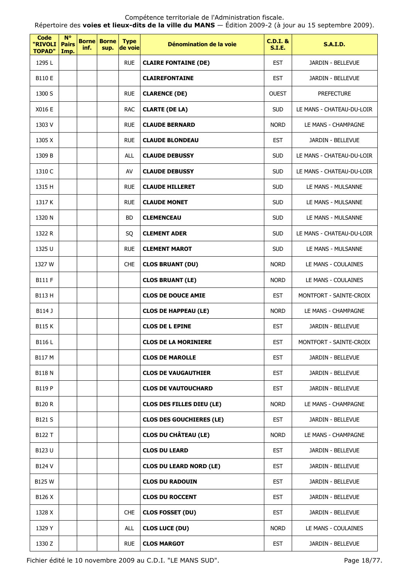Répertoire des **voies et lieux-dits de la ville du MANS** — Édition 2009-2 (à jour au 15 septembre 2009).

| Code<br>"RIVOLI<br><b>TOPAD"</b> | $N^{\circ}$<br><b>Pairs</b><br>Imp. | <b>Borne</b><br>inf. | <b>Borne</b><br>sup. | <b>Type</b><br>de voie | Dénomination de la voie          | <b>C.D.I. &amp;</b><br><b>S.I.E.</b> | <b>S.A.I.D.</b>           |
|----------------------------------|-------------------------------------|----------------------|----------------------|------------------------|----------------------------------|--------------------------------------|---------------------------|
| 1295L                            |                                     |                      |                      | <b>RUE</b>             | <b>CLAIRE FONTAINE (DE)</b>      | <b>EST</b>                           | JARDIN - BELLEVUE         |
| B110 E                           |                                     |                      |                      |                        | <b>CLAIREFONTAINE</b>            | <b>EST</b>                           | <b>JARDIN - BELLEVUE</b>  |
| 1300 S                           |                                     |                      |                      | <b>RUE</b>             | <b>CLARENCE (DE)</b>             | <b>OUEST</b>                         | <b>PREFECTURE</b>         |
| X016 E                           |                                     |                      |                      | <b>RAC</b>             | <b>CLARTE (DE LA)</b>            | <b>SUD</b>                           | LE MANS - CHATEAU-DU-LOIR |
| 1303 V                           |                                     |                      |                      | <b>RUE</b>             | <b>CLAUDE BERNARD</b>            | <b>NORD</b>                          | LE MANS - CHAMPAGNE       |
| 1305 X                           |                                     |                      |                      | <b>RUE</b>             | <b>CLAUDE BLONDEAU</b>           | <b>EST</b>                           | JARDIN - BELLEVUE         |
| 1309 B                           |                                     |                      |                      | <b>ALL</b>             | <b>CLAUDE DEBUSSY</b>            | <b>SUD</b>                           | LE MANS - CHATEAU-DU-LOIR |
| 1310 C                           |                                     |                      |                      | AV                     | <b>CLAUDE DEBUSSY</b>            | <b>SUD</b>                           | LE MANS - CHATEAU-DU-LOIR |
| 1315 H                           |                                     |                      |                      | <b>RUE</b>             | <b>CLAUDE HILLERET</b>           | <b>SUD</b>                           | LE MANS - MULSANNE        |
| 1317 K                           |                                     |                      |                      | <b>RUE</b>             | <b>CLAUDE MONET</b>              | <b>SUD</b>                           | LE MANS - MULSANNE        |
| 1320 N                           |                                     |                      |                      | BD.                    | <b>CLEMENCEAU</b>                | <b>SUD</b>                           | LE MANS - MULSANNE        |
| 1322 R                           |                                     |                      |                      | SQ                     | <b>CLEMENT ADER</b>              | <b>SUD</b>                           | LE MANS - CHATEAU-DU-LOIR |
| 1325 U                           |                                     |                      |                      | <b>RUE</b>             | <b>CLEMENT MAROT</b>             | <b>SUD</b>                           | LE MANS - MULSANNE        |
| 1327 W                           |                                     |                      |                      | <b>CHE</b>             | <b>CLOS BRUANT (DU)</b>          | <b>NORD</b>                          | LE MANS - COULAINES       |
| <b>B111 F</b>                    |                                     |                      |                      |                        | <b>CLOS BRUANT (LE)</b>          | <b>NORD</b>                          | LE MANS - COULAINES       |
| B113 H                           |                                     |                      |                      |                        | <b>CLOS DE DOUCE AMIE</b>        | <b>EST</b>                           | MONTFORT - SAINTE-CROIX   |
| B114 J                           |                                     |                      |                      |                        | <b>CLOS DE HAPPEAU (LE)</b>      | <b>NORD</b>                          | LE MANS - CHAMPAGNE       |
| <b>B115K</b>                     |                                     |                      |                      |                        | <b>CLOS DE L EPINE</b>           | <b>EST</b>                           | <b>JARDIN - BELLEVUE</b>  |
| B116L                            |                                     |                      |                      |                        | <b>CLOS DE LA MORINIERE</b>      | <b>EST</b>                           | MONTFORT - SAINTE-CROIX   |
| B117 M                           |                                     |                      |                      |                        | <b>CLOS DE MAROLLE</b>           | <b>EST</b>                           | JARDIN - BELLEVUE         |
| <b>B118N</b>                     |                                     |                      |                      |                        | <b>CLOS DE VAUGAUTHIER</b>       | <b>EST</b>                           | JARDIN - BELLEVUE         |
| B119 P                           |                                     |                      |                      |                        | <b>CLOS DE VAUTOUCHARD</b>       | <b>EST</b>                           | JARDIN - BELLEVUE         |
| <b>B120 R</b>                    |                                     |                      |                      |                        | <b>CLOS DES FILLES DIEU (LE)</b> | <b>NORD</b>                          | LE MANS - CHAMPAGNE       |
| B121 S                           |                                     |                      |                      |                        | <b>CLOS DES GOUCHIERES (LE)</b>  | <b>EST</b>                           | JARDIN - BELLEVUE         |
| B122 T                           |                                     |                      |                      |                        | <b>CLOS DU CHÂTEAU (LE)</b>      | <b>NORD</b>                          | LE MANS - CHAMPAGNE       |
| B123 U                           |                                     |                      |                      |                        | <b>CLOS DU LEARD</b>             | <b>EST</b>                           | JARDIN - BELLEVUE         |
| B124 V                           |                                     |                      |                      |                        | <b>CLOS DU LEARD NORD (LE)</b>   | <b>EST</b>                           | JARDIN - BELLEVUE         |
| B125 W                           |                                     |                      |                      |                        | <b>CLOS DU RADOUIN</b>           | <b>EST</b>                           | JARDIN - BELLEVUE         |
| B126 X                           |                                     |                      |                      |                        | <b>CLOS DU ROCCENT</b>           | <b>EST</b>                           | JARDIN - BELLEVUE         |
| 1328 X                           |                                     |                      |                      | <b>CHE</b>             | <b>CLOS FOSSET (DU)</b>          | <b>EST</b>                           | JARDIN - BELLEVUE         |
| 1329 Y                           |                                     |                      |                      | ALL                    | <b>CLOS LUCE (DU)</b>            | <b>NORD</b>                          | LE MANS - COULAINES       |
| 1330 Z                           |                                     |                      |                      | <b>RUE</b>             | <b>CLOS MARGOT</b>               | <b>EST</b>                           | JARDIN - BELLEVUE         |

Fichier édité le 10 novembre 2009 au C.D.I. "LE MANS SUD". Page 18/77.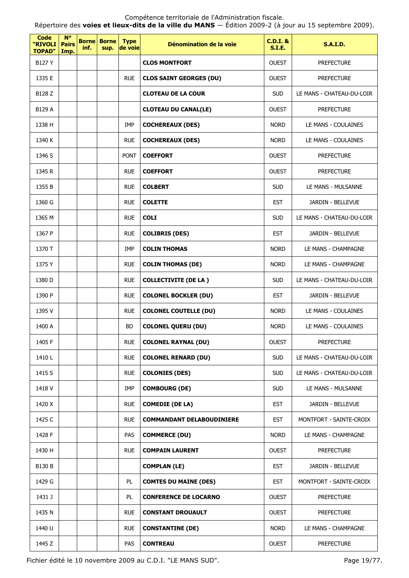Répertoire des **voies et lieux-dits de la ville du MANS** — Édition 2009-2 (à jour au 15 septembre 2009).

| Code<br>"RIVOLI<br><b>TOPAD"</b> | <b>N°</b><br><b>Pairs</b><br>Imp. | <b>Borne</b><br>inf. | <b>Borne</b><br>sup. | <b>Type</b><br>de voie | Dénomination de la voie          | $C.D.I.$ &<br><b>S.I.E.</b> | <b>S.A.I.D.</b>           |
|----------------------------------|-----------------------------------|----------------------|----------------------|------------------------|----------------------------------|-----------------------------|---------------------------|
| B127 Y                           |                                   |                      |                      |                        | <b>CLOS MONTFORT</b>             | <b>OUEST</b>                | <b>PREFECTURE</b>         |
| 1335 E                           |                                   |                      |                      | <b>RUE</b>             | <b>CLOS SAINT GEORGES (DU)</b>   | <b>OUEST</b>                | <b>PREFECTURE</b>         |
| B128 Z                           |                                   |                      |                      |                        | <b>CLOTEAU DE LA COUR</b>        | <b>SUD</b>                  | LE MANS - CHATEAU-DU-LOIR |
| B129 A                           |                                   |                      |                      |                        | <b>CLOTEAU DU CANAL(LE)</b>      | <b>OUEST</b>                | <b>PREFECTURE</b>         |
| 1338 H                           |                                   |                      |                      | IMP                    | <b>COCHEREAUX (DES)</b>          | <b>NORD</b>                 | LE MANS - COULAINES       |
| 1340 K                           |                                   |                      |                      | <b>RUE</b>             | <b>COCHEREAUX (DES)</b>          | <b>NORD</b>                 | LE MANS - COULAINES       |
| 1346 S                           |                                   |                      |                      | <b>PONT</b>            | <b>COEFFORT</b>                  | <b>OUEST</b>                | <b>PREFECTURE</b>         |
| 1345 R                           |                                   |                      |                      | <b>RUE</b>             | <b>COEFFORT</b>                  | <b>OUEST</b>                | <b>PREFECTURE</b>         |
| 1355 B                           |                                   |                      |                      | <b>RUE</b>             | <b>COLBERT</b>                   | <b>SUD</b>                  | LE MANS - MULSANNE        |
| 1360 G                           |                                   |                      |                      | <b>RUE</b>             | <b>COLETTE</b>                   | <b>EST</b>                  | JARDIN - BELLEVUE         |
| 1365 M                           |                                   |                      |                      | <b>RUE</b>             | <b>COLI</b>                      | <b>SUD</b>                  | LE MANS - CHATEAU-DU-LOIR |
| 1367 P                           |                                   |                      |                      | <b>RUE</b>             | <b>COLIBRIS (DES)</b>            | <b>EST</b>                  | JARDIN - BELLEVUE         |
| 1370 T                           |                                   |                      |                      | IMP                    | <b>COLIN THOMAS</b>              | <b>NORD</b>                 | LE MANS - CHAMPAGNE       |
| 1375 Y                           |                                   |                      |                      | <b>RUE</b>             | <b>COLIN THOMAS (DE)</b>         | <b>NORD</b>                 | LE MANS - CHAMPAGNE       |
| 1380 D                           |                                   |                      |                      | <b>RUE</b>             | <b>COLLECTIVITE (DE LA)</b>      | <b>SUD</b>                  | LE MANS - CHATEAU-DU-LOIR |
| 1390 P                           |                                   |                      |                      | <b>RUE</b>             | <b>COLONEL BOCKLER (DU)</b>      | <b>EST</b>                  | JARDIN - BELLEVUE         |
| 1395 V                           |                                   |                      |                      | <b>RUE</b>             | <b>COLONEL COUTELLE (DU)</b>     | <b>NORD</b>                 | LE MANS - COULAINES       |
| 1400 A                           |                                   |                      |                      | <b>BD</b>              | <b>COLONEL QUERU (DU)</b>        | <b>NORD</b>                 | LE MANS - COULAINES       |
| 1405 F                           |                                   |                      |                      | <b>RUE</b>             | <b>COLONEL RAYNAL (DU)</b>       | OUEST                       | <b>PREFECTURE</b>         |
| 1410L                            |                                   |                      |                      | <b>RUE</b>             | <b>COLONEL RENARD (DU)</b>       | <b>SUD</b>                  | LE MANS - CHATEAU-DU-LOIR |
| 1415 S                           |                                   |                      |                      | <b>RUE</b>             | <b>COLONIES (DES)</b>            | <b>SUD</b>                  | LE MANS - CHATEAU-DU-LOIR |
| 1418 V                           |                                   |                      |                      | IMP                    | <b>COMBOURG (DE)</b>             | <b>SUD</b>                  | LE MANS - MULSANNE        |
| 1420 X                           |                                   |                      |                      | <b>RUE</b>             | <b>COMEDIE (DE LA)</b>           | <b>EST</b>                  | JARDIN - BELLEVUE         |
| 1425 C                           |                                   |                      |                      | <b>RUE</b>             | <b>COMMANDANT DELABOUDINIERE</b> | <b>EST</b>                  | MONTFORT - SAINTE-CROIX   |
| 1428 F                           |                                   |                      |                      | PAS                    | <b>COMMERCE (DU)</b>             | <b>NORD</b>                 | LE MANS - CHAMPAGNE       |
| 1430 H                           |                                   |                      |                      | <b>RUE</b>             | <b>COMPAIN LAURENT</b>           | <b>OUEST</b>                | <b>PREFECTURE</b>         |
| B130 B                           |                                   |                      |                      |                        | <b>COMPLAN (LE)</b>              | <b>EST</b>                  | JARDIN - BELLEVUE         |
| 1429 G                           |                                   |                      |                      | PL.                    | <b>COMTES DU MAINE (DES)</b>     | <b>EST</b>                  | MONTFORT - SAINTE-CROIX   |
| 1431 J                           |                                   |                      |                      | PL.                    | <b>CONFERENCE DE LOCARNO</b>     | <b>OUEST</b>                | <b>PREFECTURE</b>         |
| 1435 N                           |                                   |                      |                      | <b>RUE</b>             | <b>CONSTANT DROUAULT</b>         | <b>OUEST</b>                | <b>PREFECTURE</b>         |
| 1440 U                           |                                   |                      |                      | <b>RUE</b>             | <b>CONSTANTINE (DE)</b>          | <b>NORD</b>                 | LE MANS - CHAMPAGNE       |
| 1445 Z                           |                                   |                      |                      | PAS                    | <b>CONTREAU</b>                  | <b>OUEST</b>                | <b>PREFECTURE</b>         |

Fichier édité le 10 novembre 2009 au C.D.I. "LE MANS SUD". Page 19/77.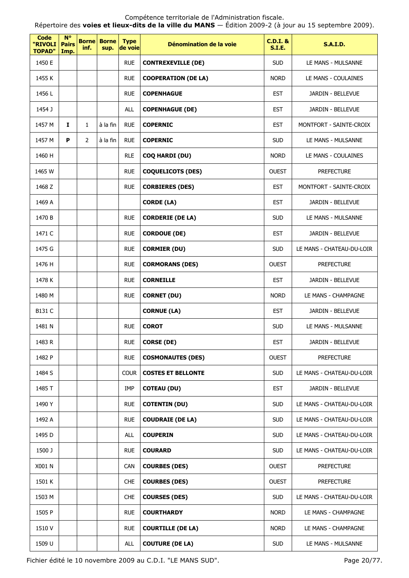$\overline{\phantom{0}}$ 

| Code<br>"RIVOLI<br><b>TOPAD"</b> | $N^{\circ}$<br><b>Pairs</b><br>Imp. | <b>Borne</b><br>inf. | <b>Borne</b><br>sup. | <b>Type</b><br>de voie | Dénomination de la voie    | <b>C.D.I. &amp;</b><br>S.I.E. | <b>S.A.I.D.</b>           |
|----------------------------------|-------------------------------------|----------------------|----------------------|------------------------|----------------------------|-------------------------------|---------------------------|
| 1450 E                           |                                     |                      |                      | <b>RUE</b>             | <b>CONTREXEVILLE (DE)</b>  | <b>SUD</b>                    | LE MANS - MULSANNE        |
| 1455 K                           |                                     |                      |                      | <b>RUE</b>             | <b>COOPERATION (DE LA)</b> | <b>NORD</b>                   | LE MANS - COULAINES       |
| 1456 L                           |                                     |                      |                      | <b>RUE</b>             | <b>COPENHAGUE</b>          | <b>EST</b>                    | JARDIN - BELLEVUE         |
| 1454 J                           |                                     |                      |                      | <b>ALL</b>             | <b>COPENHAGUE (DE)</b>     | <b>EST</b>                    | JARDIN - BELLEVUE         |
| 1457 M                           | 1                                   | $\mathbf{1}$         | à la fin             | <b>RUE</b>             | <b>COPERNIC</b>            | <b>EST</b>                    | MONTFORT - SAINTE-CROIX   |
| 1457 M                           | P                                   | $\overline{2}$       | à la fin             | <b>RUE</b>             | <b>COPERNIC</b>            | <b>SUD</b>                    | LE MANS - MULSANNE        |
| 1460 H                           |                                     |                      |                      | <b>RLE</b>             | <b>COQ HARDI (DU)</b>      | <b>NORD</b>                   | LE MANS - COULAINES       |
| 1465 W                           |                                     |                      |                      | <b>RUE</b>             | <b>COQUELICOTS (DES)</b>   | <b>OUEST</b>                  | <b>PREFECTURE</b>         |
| 1468 Z                           |                                     |                      |                      | <b>RUE</b>             | <b>CORBIERES (DES)</b>     | <b>EST</b>                    | MONTFORT - SAINTE-CROIX   |
| 1469 A                           |                                     |                      |                      |                        | <b>CORDE (LA)</b>          | <b>EST</b>                    | JARDIN - BELLEVUE         |
| 1470 B                           |                                     |                      |                      | <b>RUE</b>             | <b>CORDERIE (DE LA)</b>    | <b>SUD</b>                    | LE MANS - MULSANNE        |
| 1471 C                           |                                     |                      |                      | <b>RUE</b>             | <b>CORDOUE (DE)</b>        | <b>EST</b>                    | JARDIN - BELLEVUE         |
| 1475 G                           |                                     |                      |                      | <b>RUE</b>             | <b>CORMIER (DU)</b>        | <b>SUD</b>                    | LE MANS - CHATEAU-DU-LOIR |
| 1476 H                           |                                     |                      |                      | <b>RUE</b>             | <b>CORMORANS (DES)</b>     | <b>OUEST</b>                  | <b>PREFECTURE</b>         |
| 1478 K                           |                                     |                      |                      | <b>RUE</b>             | <b>CORNEILLE</b>           | <b>EST</b>                    | JARDIN - BELLEVUE         |
| 1480 M                           |                                     |                      |                      | <b>RUE</b>             | <b>CORNET (DU)</b>         | <b>NORD</b>                   | LE MANS - CHAMPAGNE       |
| B131 C                           |                                     |                      |                      |                        | <b>CORNUE (LA)</b>         | <b>EST</b>                    | JARDIN - BELLEVUE         |
| 1481 N                           |                                     |                      |                      | <b>RUE</b>             | <b>COROT</b>               | <b>SUD</b>                    | LE MANS - MULSANNE        |
| 1483 R                           |                                     |                      |                      | <b>RUE</b>             | <b>CORSE (DE)</b>          | <b>EST</b>                    | JARDIN - BELLEVUE         |
| 1482 P                           |                                     |                      |                      | <b>RUE</b>             | <b>COSMONAUTES (DES)</b>   | <b>OUEST</b>                  | <b>PREFECTURE</b>         |
| 1484 S                           |                                     |                      |                      | <b>COUR</b>            | <b>COSTES ET BELLONTE</b>  | <b>SUD</b>                    | LE MANS - CHATEAU-DU-LOIR |
| 1485 T                           |                                     |                      |                      | IMP                    | <b>COTEAU (DU)</b>         | <b>EST</b>                    | JARDIN - BELLEVUE         |
| 1490 Y                           |                                     |                      |                      | <b>RUE</b>             | <b>COTENTIN (DU)</b>       | <b>SUD</b>                    | LE MANS - CHATEAU-DU-LOIR |
| 1492 A                           |                                     |                      |                      | <b>RUE</b>             | <b>COUDRAIE (DE LA)</b>    | <b>SUD</b>                    | LE MANS - CHATEAU-DU-LOIR |
| 1495 D                           |                                     |                      |                      | <b>ALL</b>             | <b>COUPERIN</b>            | <b>SUD</b>                    | LE MANS - CHATEAU-DU-LOIR |
| 1500 J                           |                                     |                      |                      | <b>RUE</b>             | <b>COURARD</b>             | <b>SUD</b>                    | LE MANS - CHATEAU-DU-LOIR |
| X001 N                           |                                     |                      |                      | <b>CAN</b>             | <b>COURBES (DES)</b>       | <b>OUEST</b>                  | <b>PREFECTURE</b>         |
| 1501 K                           |                                     |                      |                      | <b>CHE</b>             | <b>COURBES (DES)</b>       | <b>OUEST</b>                  | <b>PREFECTURE</b>         |
| 1503 M                           |                                     |                      |                      | <b>CHE</b>             | <b>COURSES (DES)</b>       | <b>SUD</b>                    | LE MANS - CHATEAU-DU-LOIR |
| 1505 P                           |                                     |                      |                      | <b>RUE</b>             | <b>COURTHARDY</b>          | <b>NORD</b>                   | LE MANS - CHAMPAGNE       |
| 1510 V                           |                                     |                      |                      | <b>RUE</b>             | <b>COURTILLE (DE LA)</b>   | <b>NORD</b>                   | LE MANS - CHAMPAGNE       |
| 1509 U                           |                                     |                      |                      | <b>ALL</b>             | <b>COUTURE (DE LA)</b>     | <b>SUD</b>                    | LE MANS - MULSANNE        |

Répertoire des **voies et lieux-dits de la ville du MANS** — Édition 2009-2 (à jour au 15 septembre 2009).

Fichier édité le 10 novembre 2009 au C.D.I. "LE MANS SUD". Page 20/77.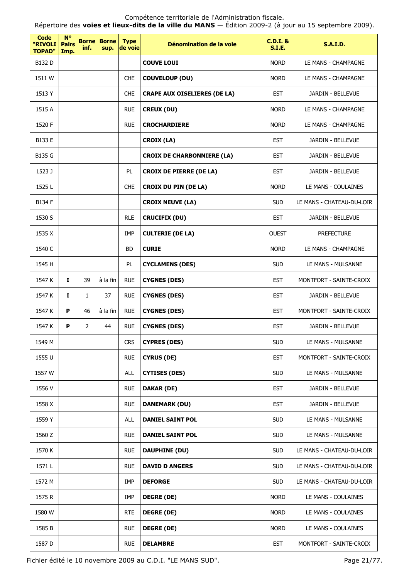Compétence territoriale de l'Administration fiscale. Répertoire des **voies et lieux-dits de la ville du MANS** — Édition 2009-2 (à jour au 15 septembre 2009).

| Code<br>"RIVOLI<br><b>TOPAD"</b> | $N^{\circ}$<br><b>Pairs</b><br>Imp. | <b>Borne</b><br>inf. | <b>Borne</b><br>sup. | <b>Type</b><br>de voie | Dénomination de la voie             | $C.D.I.$ &<br><b>S.I.E.</b> | <b>S.A.I.D.</b>           |
|----------------------------------|-------------------------------------|----------------------|----------------------|------------------------|-------------------------------------|-----------------------------|---------------------------|
| B132 D                           |                                     |                      |                      |                        | <b>COUVE LOUI</b>                   | <b>NORD</b>                 | LE MANS - CHAMPAGNE       |
| 1511 W                           |                                     |                      |                      | <b>CHE</b>             | <b>COUVELOUP (DU)</b>               | <b>NORD</b>                 | LE MANS - CHAMPAGNE       |
| 1513 Y                           |                                     |                      |                      | <b>CHE</b>             | <b>CRAPE AUX OISELIERES (DE LA)</b> | <b>EST</b>                  | JARDIN - BELLEVUE         |
| 1515 A                           |                                     |                      |                      | <b>RUE</b>             | <b>CREUX (DU)</b>                   | <b>NORD</b>                 | LE MANS - CHAMPAGNE       |
| 1520 F                           |                                     |                      |                      | <b>RUE</b>             | <b>CROCHARDIERE</b>                 | <b>NORD</b>                 | LE MANS - CHAMPAGNE       |
| B133 E                           |                                     |                      |                      |                        | <b>CROIX (LA)</b>                   | <b>EST</b>                  | JARDIN - BELLEVUE         |
| B135 G                           |                                     |                      |                      |                        | <b>CROIX DE CHARBONNIERE (LA)</b>   | <b>EST</b>                  | JARDIN - BELLEVUE         |
| 1523 J                           |                                     |                      |                      | <b>PL</b>              | <b>CROIX DE PIERRE (DE LA)</b>      | <b>EST</b>                  | JARDIN - BELLEVUE         |
| 1525L                            |                                     |                      |                      | <b>CHE</b>             | <b>CROIX DU PIN (DE LA)</b>         | <b>NORD</b>                 | LE MANS - COULAINES       |
| <b>B134 F</b>                    |                                     |                      |                      |                        | <b>CROIX NEUVE (LA)</b>             | <b>SUD</b>                  | LE MANS - CHATEAU-DU-LOIR |
| 1530 S                           |                                     |                      |                      | <b>RLE</b>             | <b>CRUCIFIX (DU)</b>                | <b>EST</b>                  | JARDIN - BELLEVUE         |
| 1535 X                           |                                     |                      |                      | IMP                    | <b>CULTERIE (DE LA)</b>             | <b>OUEST</b>                | <b>PREFECTURE</b>         |
| 1540 C                           |                                     |                      |                      | <b>BD</b>              | <b>CURIE</b>                        | <b>NORD</b>                 | LE MANS - CHAMPAGNE       |
| 1545 H                           |                                     |                      |                      | PL.                    | <b>CYCLAMENS (DES)</b>              | <b>SUD</b>                  | LE MANS - MULSANNE        |
| 1547 K                           | $\mathbf{I}$                        | 39                   | à la fin             | <b>RUE</b>             | <b>CYGNES (DES)</b>                 | <b>EST</b>                  | MONTFORT - SAINTE-CROIX   |
| 1547 K                           | I                                   | $\mathbf{1}$         | 37                   | <b>RUE</b>             | <b>CYGNES (DES)</b>                 | <b>EST</b>                  | JARDIN - BELLEVUE         |
| 1547 K                           | P                                   | 46                   | à la fin             | <b>RUE</b>             | <b>CYGNES (DES)</b>                 | <b>EST</b>                  | MONTFORT - SAINTE-CROIX   |
| 1547 K                           | P                                   | $\overline{2}$       | 44                   | <b>RUE</b>             | <b>CYGNES (DES)</b>                 | <b>EST</b>                  | <b>JARDIN - BELLEVUE</b>  |
| 1549 M                           |                                     |                      |                      | <b>CRS</b>             | <b>CYPRES (DES)</b>                 | <b>SUD</b>                  | LE MANS - MULSANNE        |
| 1555 U                           |                                     |                      |                      | <b>RUE</b>             | <b>CYRUS (DE)</b>                   | <b>EST</b>                  | MONTFORT - SAINTE-CROIX   |
| 1557 W                           |                                     |                      |                      | ALL                    | <b>CYTISES (DES)</b>                | <b>SUD</b>                  | LE MANS - MULSANNE        |
| 1556 V                           |                                     |                      |                      | <b>RUE</b>             | <b>DAKAR (DE)</b>                   | <b>EST</b>                  | JARDIN - BELLEVUE         |
| 1558 X                           |                                     |                      |                      | <b>RUE</b>             | <b>DANEMARK (DU)</b>                | <b>EST</b>                  | JARDIN - BELLEVUE         |
| 1559 Y                           |                                     |                      |                      | <b>ALL</b>             | <b>DANIEL SAINT POL</b>             | <b>SUD</b>                  | LE MANS - MULSANNE        |
| 1560 Z                           |                                     |                      |                      | <b>RUE</b>             | <b>DANIEL SAINT POL</b>             | <b>SUD</b>                  | LE MANS - MULSANNE        |
| 1570 K                           |                                     |                      |                      | <b>RUE</b>             | <b>DAUPHINE (DU)</b>                | <b>SUD</b>                  | LE MANS - CHATEAU-DU-LOIR |
| 1571L                            |                                     |                      |                      | <b>RUE</b>             | <b>DAVID D ANGERS</b>               | <b>SUD</b>                  | LE MANS - CHATEAU-DU-LOIR |
| 1572 M                           |                                     |                      |                      | IMP                    | <b>DEFORGE</b>                      | <b>SUD</b>                  | LE MANS - CHATEAU-DU-LOIR |
| 1575 R                           |                                     |                      |                      | IMP                    | <b>DEGRE (DE)</b>                   | <b>NORD</b>                 | LE MANS - COULAINES       |
| 1580 W                           |                                     |                      |                      | <b>RTE</b>             | <b>DEGRE (DE)</b>                   | <b>NORD</b>                 | LE MANS - COULAINES       |
| 1585 B                           |                                     |                      |                      | <b>RUE</b>             | <b>DEGRE (DE)</b>                   | <b>NORD</b>                 | LE MANS - COULAINES       |
| 1587 D                           |                                     |                      |                      | <b>RUE</b>             | <b>DELAMBRE</b>                     | <b>EST</b>                  | MONTFORT - SAINTE-CROIX   |

Fichier édité le 10 novembre 2009 au C.D.I. "LE MANS SUD". Page 21/77.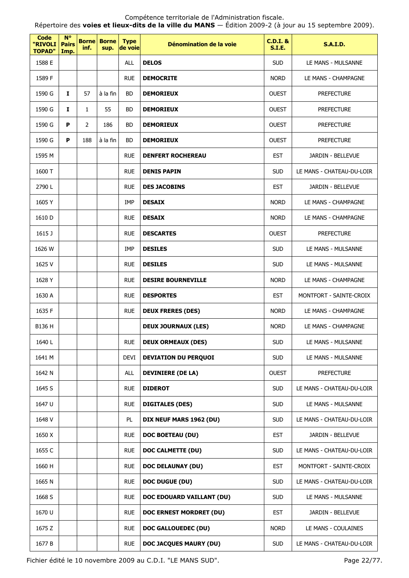Répertoire des **voies et lieux-dits de la ville du MANS** — Édition 2009-2 (à jour au 15 septembre 2009).

| <b>Code</b><br>"RIVOLI<br><b>TOPAD"</b> | $N^{\circ}$<br><b>Pairs</b><br>Imp. | inf.           | <b>Borne</b> Borne<br>sup. | <b>Type</b><br>de voie | Dénomination de la voie       | <b>C.D.I. &amp;</b><br>S.I.E. | <b>S.A.I.D.</b>           |
|-----------------------------------------|-------------------------------------|----------------|----------------------------|------------------------|-------------------------------|-------------------------------|---------------------------|
| 1588 E                                  |                                     |                |                            | <b>ALL</b>             | <b>DELOS</b>                  | <b>SUD</b>                    | LE MANS - MULSANNE        |
| 1589 F                                  |                                     |                |                            | <b>RUE</b>             | <b>DEMOCRITE</b>              | <b>NORD</b>                   | LE MANS - CHAMPAGNE       |
| 1590 G                                  | $\mathbf{I}$                        | 57             | à la fin                   | <b>BD</b>              | <b>DEMORIEUX</b>              | <b>OUEST</b>                  | <b>PREFECTURE</b>         |
| 1590 G                                  | 1                                   | 1              | 55                         | <b>BD</b>              | <b>DEMORIEUX</b>              | <b>OUEST</b>                  | <b>PREFECTURE</b>         |
| 1590 G                                  | P                                   | $\overline{2}$ | 186                        | <b>BD</b>              | <b>DEMORIEUX</b>              | <b>OUEST</b>                  | <b>PREFECTURE</b>         |
| 1590 G                                  | P                                   | 188            | à la fin                   | <b>BD</b>              | <b>DEMORIEUX</b>              | <b>OUEST</b>                  | <b>PREFECTURE</b>         |
| 1595 M                                  |                                     |                |                            | <b>RUE</b>             | <b>DENFERT ROCHEREAU</b>      | <b>EST</b>                    | JARDIN - BELLEVUE         |
| 1600 T                                  |                                     |                |                            | <b>RUE</b>             | <b>DENIS PAPIN</b>            | <b>SUD</b>                    | LE MANS - CHATEAU-DU-LOIR |
| 2790L                                   |                                     |                |                            | <b>RUE</b>             | <b>DES JACOBINS</b>           | <b>EST</b>                    | JARDIN - BELLEVUE         |
| 1605Y                                   |                                     |                |                            | IMP                    | <b>DESAIX</b>                 | <b>NORD</b>                   | LE MANS - CHAMPAGNE       |
| 1610 D                                  |                                     |                |                            | <b>RUE</b>             | <b>DESAIX</b>                 | <b>NORD</b>                   | LE MANS - CHAMPAGNE       |
| 1615 J                                  |                                     |                |                            | <b>RUE</b>             | <b>DESCARTES</b>              | <b>OUEST</b>                  | <b>PREFECTURE</b>         |
| 1626 W                                  |                                     |                |                            | <b>IMP</b>             | <b>DESILES</b>                | <b>SUD</b>                    | LE MANS - MULSANNE        |
| 1625 V                                  |                                     |                |                            | <b>RUE</b>             | <b>DESILES</b>                | <b>SUD</b>                    | LE MANS - MULSANNE        |
| 1628 Y                                  |                                     |                |                            | <b>RUE</b>             | <b>DESIRE BOURNEVILLE</b>     | <b>NORD</b>                   | LE MANS - CHAMPAGNE       |
| 1630 A                                  |                                     |                |                            | <b>RUE</b>             | <b>DESPORTES</b>              | <b>EST</b>                    | MONTFORT - SAINTE-CROIX   |
| 1635 F                                  |                                     |                |                            | <b>RUE</b>             | <b>DEUX FRERES (DES)</b>      | <b>NORD</b>                   | LE MANS - CHAMPAGNE       |
| B136 H                                  |                                     |                |                            |                        | <b>DEUX JOURNAUX (LES)</b>    | <b>NORD</b>                   | LE MANS - CHAMPAGNE       |
| 1640L                                   |                                     |                |                            | <b>RUE</b>             | <b>DEUX ORMEAUX (DES)</b>     | <b>SUD</b>                    | LE MANS - MULSANNE        |
| 1641 M                                  |                                     |                |                            | <b>DEVI</b>            | <b>DEVIATION DU PERQUOI</b>   | <b>SUD</b>                    | LE MANS - MULSANNE        |
| 1642 N                                  |                                     |                |                            | ALL                    | <b>DEVINIERE (DE LA)</b>      | <b>OUEST</b>                  | <b>PREFECTURE</b>         |
| 1645 S                                  |                                     |                |                            | <b>RUE</b>             | <b>DIDEROT</b>                | <b>SUD</b>                    | LE MANS - CHATEAU-DU-LOIR |
| 1647 U                                  |                                     |                |                            | <b>RUE</b>             | <b>DIGITALES (DES)</b>        | <b>SUD</b>                    | LE MANS - MULSANNE        |
| 1648 V                                  |                                     |                |                            | PL                     | DIX NEUF MARS 1962 (DU)       | <b>SUD</b>                    | LE MANS - CHATEAU-DU-LOIR |
| 1650 X                                  |                                     |                |                            | <b>RUE</b>             | <b>DOC BOETEAU (DU)</b>       | <b>EST</b>                    | JARDIN - BELLEVUE         |
| 1655 C                                  |                                     |                |                            | <b>RUE</b>             | <b>DOC CALMETTE (DU)</b>      | <b>SUD</b>                    | LE MANS - CHATEAU-DU-LOIR |
| 1660 H                                  |                                     |                |                            | <b>RUE</b>             | <b>DOC DELAUNAY (DU)</b>      | <b>EST</b>                    | MONTFORT - SAINTE-CROIX   |
| 1665 N                                  |                                     |                |                            | <b>RUE</b>             | <b>DOC DUGUE (DU)</b>         | <b>SUD</b>                    | LE MANS - CHATEAU-DU-LOIR |
| 1668 S                                  |                                     |                |                            | <b>RUE</b>             | DOC EDOUARD VAILLANT (DU)     | <b>SUD</b>                    | LE MANS - MULSANNE        |
| 1670 U                                  |                                     |                |                            | <b>RUE</b>             | DOC ERNEST MORDRET (DU)       | <b>EST</b>                    | JARDIN - BELLEVUE         |
| 1675 Z                                  |                                     |                |                            | <b>RUE</b>             | DOC GALLOUEDEC (DU)           | <b>NORD</b>                   | LE MANS - COULAINES       |
| 1677 B                                  |                                     |                |                            | <b>RUE</b>             | <b>DOC JACQUES MAURY (DU)</b> | <b>SUD</b>                    | LE MANS - CHATEAU-DU-LOIR |

Fichier édité le 10 novembre 2009 au C.D.I. "LE MANS SUD". Page 22/77.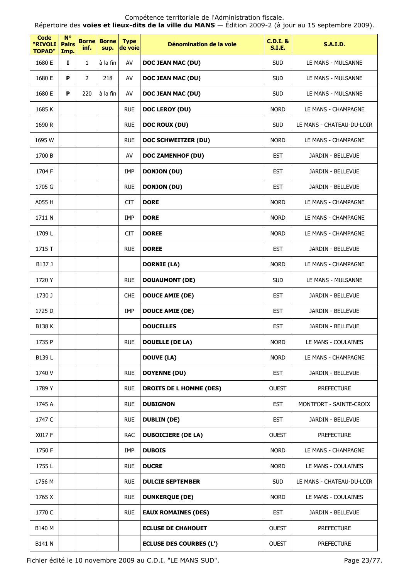Répertoire des **voies et lieux-dits de la ville du MANS** — Édition 2009-2 (à jour au 15 septembre 2009).

| <b>Code</b><br>"RIVOLI<br><b>TOPAD"</b> | $N^{\circ}$<br><b>Pairs</b><br>Imp. | <b>Borne</b><br>inf. | <b>Borne</b><br>sup. | <b>Type</b><br>de voie | Dénomination de la voie        | $C.D.I.$ &<br><b>S.I.E.</b> | <b>S.A.I.D.</b>           |
|-----------------------------------------|-------------------------------------|----------------------|----------------------|------------------------|--------------------------------|-----------------------------|---------------------------|
| 1680 E                                  | Ι.                                  | $\mathbf{1}$         | à la fin             | AV                     | DOC JEAN MAC (DU)              | <b>SUD</b>                  | LE MANS - MULSANNE        |
| 1680 E                                  | P                                   | $\overline{2}$       | 218                  | AV                     | DOC JEAN MAC (DU)              | <b>SUD</b>                  | LE MANS - MULSANNE        |
| 1680 E                                  | P                                   | 220                  | à la fin             | AV                     | DOC JEAN MAC (DU)              | <b>SUD</b>                  | LE MANS - MULSANNE        |
| 1685 K                                  |                                     |                      |                      | <b>RUE</b>             | DOC LEROY (DU)                 | <b>NORD</b>                 | LE MANS - CHAMPAGNE       |
| 1690 R                                  |                                     |                      |                      | <b>RUE</b>             | <b>DOC ROUX (DU)</b>           | <b>SUD</b>                  | LE MANS - CHATEAU-DU-LOIR |
| 1695 W                                  |                                     |                      |                      | <b>RUE</b>             | DOC SCHWEITZER (DU)            | <b>NORD</b>                 | LE MANS - CHAMPAGNE       |
| 1700 B                                  |                                     |                      |                      | AV                     | <b>DOC ZAMENHOF (DU)</b>       | <b>EST</b>                  | JARDIN - BELLEVUE         |
| 1704 F                                  |                                     |                      |                      | IMP                    | <b>DONJON (DU)</b>             | <b>EST</b>                  | JARDIN - BELLEVUE         |
| 1705 G                                  |                                     |                      |                      | <b>RUE</b>             | <b>DONJON (DU)</b>             | <b>EST</b>                  | JARDIN - BELLEVUE         |
| A055 H                                  |                                     |                      |                      | <b>CIT</b>             | <b>DORE</b>                    | <b>NORD</b>                 | LE MANS - CHAMPAGNE       |
| 1711 N                                  |                                     |                      |                      | <b>IMP</b>             | <b>DORE</b>                    | <b>NORD</b>                 | LE MANS - CHAMPAGNE       |
| 1709L                                   |                                     |                      |                      | <b>CIT</b>             | <b>DOREE</b>                   | <b>NORD</b>                 | LE MANS - CHAMPAGNE       |
| 1715 T                                  |                                     |                      |                      | <b>RUE</b>             | <b>DOREE</b>                   | <b>EST</b>                  | JARDIN - BELLEVUE         |
| B137 J                                  |                                     |                      |                      |                        | <b>DORNIE (LA)</b>             | <b>NORD</b>                 | LE MANS - CHAMPAGNE       |
| 1720 Y                                  |                                     |                      |                      | <b>RUE</b>             | <b>DOUAUMONT (DE)</b>          | <b>SUD</b>                  | LE MANS - MULSANNE        |
| 1730 J                                  |                                     |                      |                      | <b>CHE</b>             | <b>DOUCE AMIE (DE)</b>         | <b>EST</b>                  | JARDIN - BELLEVUE         |
| 1725 D                                  |                                     |                      |                      | IMP                    | <b>DOUCE AMIE (DE)</b>         | <b>EST</b>                  | JARDIN - BELLEVUE         |
| <b>B138 K</b>                           |                                     |                      |                      |                        | <b>DOUCELLES</b>               | <b>EST</b>                  | JARDIN - BELLEVUE         |
| 1735 P                                  |                                     |                      |                      | <b>RUE</b>             | <b>DOUELLE (DE LA)</b>         | <b>NORD</b>                 | LE MANS - COULAINES       |
| B139L                                   |                                     |                      |                      |                        | <b>DOUVE (LA)</b>              | <b>NORD</b>                 | LE MANS - CHAMPAGNE       |
| 1740 V                                  |                                     |                      |                      | <b>RUE</b>             | <b>DOYENNE (DU)</b>            | <b>EST</b>                  | JARDIN - BELLEVUE         |
| 1789 Y                                  |                                     |                      |                      | <b>RUE</b>             | <b>DROITS DE L HOMME (DES)</b> | <b>OUEST</b>                | <b>PREFECTURE</b>         |
| 1745 A                                  |                                     |                      |                      | <b>RUE</b>             | <b>DUBIGNON</b>                | <b>EST</b>                  | MONTFORT - SAINTE-CROIX   |
| 1747 C                                  |                                     |                      |                      | <b>RUE</b>             | <b>DUBLIN (DE)</b>             | <b>EST</b>                  | JARDIN - BELLEVUE         |
| X017 F                                  |                                     |                      |                      | <b>RAC</b>             | <b>DUBOICIERE (DE LA)</b>      | <b>OUEST</b>                | <b>PREFECTURE</b>         |
| 1750 F                                  |                                     |                      |                      | IMP                    | <b>DUBOIS</b>                  | <b>NORD</b>                 | LE MANS - CHAMPAGNE       |
| 1755L                                   |                                     |                      |                      | <b>RUE</b>             | <b>DUCRE</b>                   | <b>NORD</b>                 | LE MANS - COULAINES       |
| 1756 M                                  |                                     |                      |                      | <b>RUE</b>             | <b>DULCIE SEPTEMBER</b>        | <b>SUD</b>                  | LE MANS - CHATEAU-DU-LOIR |
| 1765 X                                  |                                     |                      |                      | <b>RUE</b>             | <b>DUNKERQUE (DE)</b>          | <b>NORD</b>                 | LE MANS - COULAINES       |
| 1770 C                                  |                                     |                      |                      | <b>RUE</b>             | <b>EAUX ROMAINES (DES)</b>     | <b>EST</b>                  | JARDIN - BELLEVUE         |
| B140 M                                  |                                     |                      |                      |                        | <b>ECLUSE DE CHAHOUET</b>      | <b>OUEST</b>                | <b>PREFECTURE</b>         |
| B141 N                                  |                                     |                      |                      |                        | <b>ECLUSE DES COURBES (L')</b> | <b>OUEST</b>                | <b>PREFECTURE</b>         |

Fichier édité le 10 novembre 2009 au C.D.I. "LE MANS SUD". Page 23/77.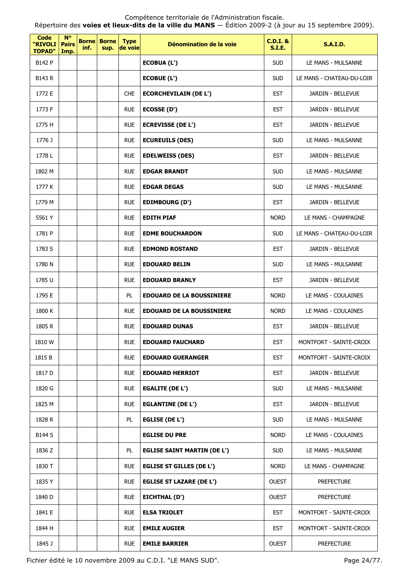Compétence territoriale de l'Administration fiscale. Répertoire des **voies et lieux-dits de la ville du MANS** — Édition 2009-2 (à jour au 15 septembre 2009).

| Code<br>"RIVOLI<br><b>TOPAD"</b> | <b>N°</b><br><b>Pairs</b><br>Imp. | inf. | <b>Borne Borne</b><br>sup. | <b>Type</b><br>de voie | Dénomination de la voie            | <b>C.D.I. &amp;</b><br><b>S.I.E.</b> | <b>S.A.I.D.</b>           |
|----------------------------------|-----------------------------------|------|----------------------------|------------------------|------------------------------------|--------------------------------------|---------------------------|
| B142 P                           |                                   |      |                            |                        | <b>ECOBUA (L')</b>                 | <b>SUD</b>                           | LE MANS - MULSANNE        |
| B143 R                           |                                   |      |                            |                        | ECOBUE (L')                        | <b>SUD</b>                           | LE MANS - CHATEAU-DU-LOIR |
| 1772 E                           |                                   |      |                            | <b>CHE</b>             | <b>ECORCHEVILAIN (DE L')</b>       | <b>EST</b>                           | <b>JARDIN - BELLEVUE</b>  |
| 1773 F                           |                                   |      |                            | <b>RUE</b>             | ECOSSE (D')                        | <b>EST</b>                           | JARDIN - BELLEVUE         |
| 1775 H                           |                                   |      |                            | <b>RUE</b>             | <b>ECREVISSE (DE L')</b>           | <b>EST</b>                           | JARDIN - BELLEVUE         |
| 1776 J                           |                                   |      |                            | <b>RUE</b>             | <b>ECUREUILS (DES)</b>             | <b>SUD</b>                           | LE MANS - MULSANNE        |
| 1778 L                           |                                   |      |                            | <b>RUE</b>             | <b>EDELWEISS (DES)</b>             | <b>EST</b>                           | JARDIN - BELLEVUE         |
| 1802 M                           |                                   |      |                            | <b>RUE</b>             | <b>EDGAR BRANDT</b>                | <b>SUD</b>                           | LE MANS - MULSANNE        |
| 1777 K                           |                                   |      |                            | <b>RUE</b>             | <b>EDGAR DEGAS</b>                 | <b>SUD</b>                           | LE MANS - MULSANNE        |
| 1779 M                           |                                   |      |                            | <b>RUE</b>             | <b>EDIMBOURG (D')</b>              | <b>EST</b>                           | JARDIN - BELLEVUE         |
| 5561 Y                           |                                   |      |                            | <b>RUE</b>             | <b>EDITH PIAF</b>                  | <b>NORD</b>                          | LE MANS - CHAMPAGNE       |
| 1781 P                           |                                   |      |                            | <b>RUE</b>             | <b>EDME BOUCHARDON</b>             | <b>SUD</b>                           | LE MANS - CHATEAU-DU-LOIR |
| 1783 S                           |                                   |      |                            | <b>RUE</b>             | <b>EDMOND ROSTAND</b>              | <b>EST</b>                           | JARDIN - BELLEVUE         |
| 1780 N                           |                                   |      |                            | <b>RUE</b>             | <b>EDOUARD BELIN</b>               | <b>SUD</b>                           | LE MANS - MULSANNE        |
| 1785 U                           |                                   |      |                            | <b>RUE</b>             | <b>EDOUARD BRANLY</b>              | <b>EST</b>                           | JARDIN - BELLEVUE         |
| 1795 E                           |                                   |      |                            | PL                     | <b>EDOUARD DE LA BOUSSINIERE</b>   | <b>NORD</b>                          | LE MANS - COULAINES       |
| 1800 K                           |                                   |      |                            | <b>RUE</b>             | <b>EDOUARD DE LA BOUSSINIERE</b>   | <b>NORD</b>                          | LE MANS - COULAINES       |
| 1805 R                           |                                   |      |                            | <b>RUE</b>             | <b>EDOUARD DUNAS</b>               | <b>EST</b>                           | JARDIN - BELLEVUE         |
| 1810 W                           |                                   |      |                            | <b>RUE</b>             | <b>EDOUARD FAUCHARD</b>            | <b>EST</b>                           | MONTFORT - SAINTE-CROIX   |
| 1815 B                           |                                   |      |                            | <b>RUE</b>             | <b>EDOUARD GUERANGER</b>           | <b>EST</b>                           | MONTFORT - SAINTE-CROIX   |
| 1817 D                           |                                   |      |                            | <b>RUE</b>             | <b>EDOUARD HERRIOT</b>             | <b>EST</b>                           | JARDIN - BELLEVUE         |
| 1820 G                           |                                   |      |                            | <b>RUE</b>             | <b>EGALITE (DE L')</b>             | <b>SUD</b>                           | LE MANS - MULSANNE        |
| 1825 M                           |                                   |      |                            | <b>RUE</b>             | <b>EGLANTINE (DE L')</b>           | <b>EST</b>                           | JARDIN - BELLEVUE         |
| 1828 R                           |                                   |      |                            | PL                     | <b>EGLISE (DE L')</b>              | <b>SUD</b>                           | LE MANS - MULSANNE        |
| <b>B144 S</b>                    |                                   |      |                            |                        | <b>EGLISE DU PRE</b>               | <b>NORD</b>                          | LE MANS - COULAINES       |
| 1836 Z                           |                                   |      |                            | PL                     | <b>EGLISE SAINT MARTIN (DE L')</b> | <b>SUD</b>                           | LE MANS - MULSANNE        |
| 1830 T                           |                                   |      |                            | <b>RUE</b>             | <b>EGLISE ST GILLES (DE L')</b>    | <b>NORD</b>                          | LE MANS - CHAMPAGNE       |
| 1835 Y                           |                                   |      |                            | <b>RUE</b>             | <b>EGLISE ST LAZARE (DE L')</b>    | <b>OUEST</b>                         | <b>PREFECTURE</b>         |
| 1840 D                           |                                   |      |                            | <b>RUE</b>             | EICHTHAL (D')                      | <b>OUEST</b>                         | <b>PREFECTURE</b>         |
| 1841 E                           |                                   |      |                            | <b>RUE</b>             | <b>ELSA TRIOLET</b>                | <b>EST</b>                           | MONTFORT - SAINTE-CROIX   |
| 1844 H                           |                                   |      |                            | <b>RUE</b>             | <b>EMILE AUGIER</b>                | <b>EST</b>                           | MONTFORT - SAINTE-CROIX   |
| 1845 J                           |                                   |      |                            | <b>RUE</b>             | <b>EMILE BARRIER</b>               | <b>OUEST</b>                         | <b>PREFECTURE</b>         |

Fichier édité le 10 novembre 2009 au C.D.I. "LE MANS SUD". Page 24/77.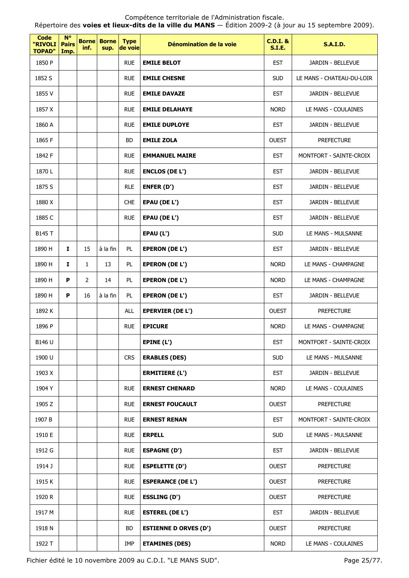Fichier édité le 10 novembre 2009 au C.D.I. "LE MANS SUD". Page 25/77.

| <b>Code</b><br>"RIVOLI<br><b>TOPAD"</b> | $N^{\circ}$<br><b>Pairs</b><br>Imp. | inf.           | <b>Borne Borne</b><br>sup. | <b>Type</b><br>de voie | Dénomination de la voie      | <b>C.D.I. &amp;</b><br><b>S.I.E.</b> | <b>S.A.I.D.</b>           |
|-----------------------------------------|-------------------------------------|----------------|----------------------------|------------------------|------------------------------|--------------------------------------|---------------------------|
| 1850 P                                  |                                     |                |                            | <b>RUE</b>             | <b>EMILE BELOT</b>           | <b>EST</b>                           | JARDIN - BELLEVUE         |
| 1852 S                                  |                                     |                |                            | <b>RUE</b>             | <b>EMILE CHESNE</b>          | <b>SUD</b>                           | LE MANS - CHATEAU-DU-LOIR |
| 1855 V                                  |                                     |                |                            | <b>RUE</b>             | <b>EMILE DAVAZE</b>          | <b>EST</b>                           | JARDIN - BELLEVUE         |
| 1857 X                                  |                                     |                |                            | <b>RUE</b>             | <b>EMILE DELAHAYE</b>        | <b>NORD</b>                          | LE MANS - COULAINES       |
| 1860 A                                  |                                     |                |                            | <b>RUE</b>             | <b>EMILE DUPLOYE</b>         | <b>EST</b>                           | JARDIN - BELLEVUE         |
| 1865 F                                  |                                     |                |                            | BD                     | <b>EMILE ZOLA</b>            | <b>OUEST</b>                         | <b>PREFECTURE</b>         |
| 1842 F                                  |                                     |                |                            | <b>RUE</b>             | <b>EMMANUEL MAIRE</b>        | <b>EST</b>                           | MONTFORT - SAINTE-CROIX   |
| 1870L                                   |                                     |                |                            | <b>RUE</b>             | <b>ENCLOS (DE L')</b>        | <b>EST</b>                           | JARDIN - BELLEVUE         |
| 1875 S                                  |                                     |                |                            | <b>RLE</b>             | ENFER (D')                   | <b>EST</b>                           | JARDIN - BELLEVUE         |
| 1880 X                                  |                                     |                |                            | <b>CHE</b>             | EPAU (DE L')                 | <b>EST</b>                           | JARDIN - BELLEVUE         |
| 1885 C                                  |                                     |                |                            | <b>RUE</b>             | EPAU (DE L')                 | <b>EST</b>                           | JARDIN - BELLEVUE         |
| <b>B145 T</b>                           |                                     |                |                            |                        | EPAU (L')                    | <b>SUD</b>                           | LE MANS - MULSANNE        |
| 1890 H                                  | $\mathbf{I}$                        | 15             | à la fin                   | PL                     | <b>EPERON (DE L')</b>        | <b>EST</b>                           | JARDIN - BELLEVUE         |
| 1890 H                                  | I                                   | $\mathbf{1}$   | 13                         | PL                     | <b>EPERON (DE L')</b>        | <b>NORD</b>                          | LE MANS - CHAMPAGNE       |
| 1890 H                                  | P                                   | $\overline{2}$ | 14                         | PL                     | <b>EPERON (DE L')</b>        | <b>NORD</b>                          | LE MANS - CHAMPAGNE       |
| 1890 H                                  | P                                   | 16             | à la fin                   | <b>PL</b>              | <b>EPERON (DE L')</b>        | <b>EST</b>                           | JARDIN - BELLEVUE         |
| 1892 K                                  |                                     |                |                            | <b>ALL</b>             | <b>EPERVIER (DE L')</b>      | <b>OUEST</b>                         | <b>PREFECTURE</b>         |
| 1896 P                                  |                                     |                |                            | <b>RUE</b>             | <b>EPICURE</b>               | <b>NORD</b>                          | LE MANS - CHAMPAGNE       |
| B146 U                                  |                                     |                |                            |                        | EPINE (L')                   | <b>EST</b>                           | MONTFORT - SAINTE-CROIX   |
| 1900 U                                  |                                     |                |                            | <b>CRS</b>             | <b>ERABLES (DES)</b>         | <b>SUD</b>                           | LE MANS - MULSANNE        |
| 1903 X                                  |                                     |                |                            |                        | <b>ERMITIERE (L')</b>        | <b>EST</b>                           | JARDIN - BELLEVUE         |
| 1904 Y                                  |                                     |                |                            | <b>RUE</b>             | <b>ERNEST CHENARD</b>        | <b>NORD</b>                          | LE MANS - COULAINES       |
| 1905 Z                                  |                                     |                |                            | <b>RUE</b>             | <b>ERNEST FOUCAULT</b>       | <b>OUEST</b>                         | <b>PREFECTURE</b>         |
| 1907 B                                  |                                     |                |                            | <b>RUE</b>             | <b>ERNEST RENAN</b>          | <b>EST</b>                           | MONTFORT - SAINTE-CROIX   |
| 1910 E                                  |                                     |                |                            | <b>RUE</b>             | <b>ERPELL</b>                | <b>SUD</b>                           | LE MANS - MULSANNE        |
| 1912 G                                  |                                     |                |                            | <b>RUE</b>             | <b>ESPAGNE (D')</b>          | <b>EST</b>                           | JARDIN - BELLEVUE         |
| 1914 J                                  |                                     |                |                            | <b>RUE</b>             | ESPELETTE (D')               | <b>OUEST</b>                         | <b>PREFECTURE</b>         |
| 1915 K                                  |                                     |                |                            | <b>RUE</b>             | <b>ESPERANCE (DE L')</b>     | <b>OUEST</b>                         | <b>PREFECTURE</b>         |
| 1920 R                                  |                                     |                |                            | <b>RUE</b>             | <b>ESSLING (D')</b>          | <b>OUEST</b>                         | <b>PREFECTURE</b>         |
| 1917 M                                  |                                     |                |                            | <b>RUE</b>             | <b>ESTEREL (DE L')</b>       | EST                                  | JARDIN - BELLEVUE         |
| 1918 N                                  |                                     |                |                            | BD                     | <b>ESTIENNE D ORVES (D')</b> | <b>OUEST</b>                         | <b>PREFECTURE</b>         |
| 1922 T                                  |                                     |                |                            | IMP                    | <b>ETAMINES (DES)</b>        | <b>NORD</b>                          | LE MANS - COULAINES       |

Compétence territoriale de l'Administration fiscale. Répertoire des **voies et lieux-dits de la ville du MANS** — Édition 2009-2 (à jour au 15 septembre 2009).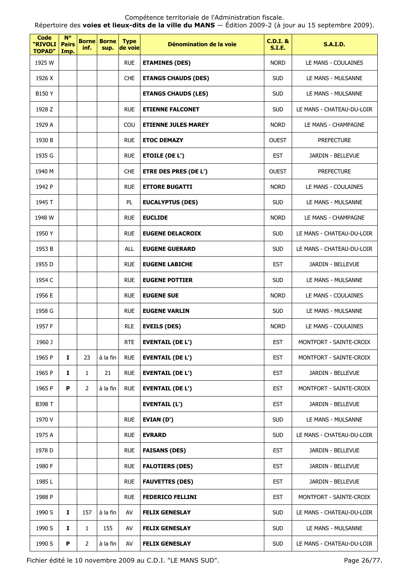Répertoire des **voies et lieux-dits de la ville du MANS** — Édition 2009-2 (à jour au 15 septembre 2009).

| <b>Code</b><br>"RIVOLI<br><b>TOPAD"</b> | $N^{\circ}$<br><b>Pairs</b><br>Imp. | <b>Borne</b><br>inf. | <b>Borne</b><br>sup. | <b>Type</b><br>de voie | Dénomination de la voie      | <b>C.D.I. &amp;</b><br><b>S.I.E.</b> | <b>S.A.I.D.</b>           |
|-----------------------------------------|-------------------------------------|----------------------|----------------------|------------------------|------------------------------|--------------------------------------|---------------------------|
| 1925 W                                  |                                     |                      |                      | <b>RUE</b>             | <b>ETAMINES (DES)</b>        | <b>NORD</b>                          | LE MANS - COULAINES       |
| 1926 X                                  |                                     |                      |                      | <b>CHE</b>             | <b>ETANGS CHAUDS (DES)</b>   | <b>SUD</b>                           | LE MANS - MULSANNE        |
| B150 Y                                  |                                     |                      |                      |                        | <b>ETANGS CHAUDS (LES)</b>   | <b>SUD</b>                           | LE MANS - MULSANNE        |
| 1928 Z                                  |                                     |                      |                      | <b>RUE</b>             | <b>ETIENNE FALCONET</b>      | <b>SUD</b>                           | LE MANS - CHATEAU-DU-LOIR |
| 1929 A                                  |                                     |                      |                      | COU                    | <b>ETIENNE JULES MAREY</b>   | <b>NORD</b>                          | LE MANS - CHAMPAGNE       |
| 1930 B                                  |                                     |                      |                      | <b>RUE</b>             | <b>ETOC DEMAZY</b>           | <b>OUEST</b>                         | <b>PREFECTURE</b>         |
| 1935 G                                  |                                     |                      |                      | <b>RUE</b>             | <b>ETOILE (DE L')</b>        | <b>EST</b>                           | JARDIN - BELLEVUE         |
| 1940 M                                  |                                     |                      |                      | <b>CHE</b>             | <b>ETRE DES PRES (DE L')</b> | <b>OUEST</b>                         | <b>PREFECTURE</b>         |
| 1942 P                                  |                                     |                      |                      | <b>RUE</b>             | <b>ETTORE BUGATTI</b>        | <b>NORD</b>                          | LE MANS - COULAINES       |
| 1945 T                                  |                                     |                      |                      | PL                     | <b>EUCALYPTUS (DES)</b>      | <b>SUD</b>                           | LE MANS - MULSANNE        |
| 1948 W                                  |                                     |                      |                      | <b>RUE</b>             | <b>EUCLIDE</b>               | <b>NORD</b>                          | LE MANS - CHAMPAGNE       |
| 1950 Y                                  |                                     |                      |                      | <b>RUE</b>             | <b>EUGENE DELACROIX</b>      | <b>SUD</b>                           | LE MANS - CHATEAU-DU-LOIR |
| 1953 B                                  |                                     |                      |                      | <b>ALL</b>             | <b>EUGENE GUERARD</b>        | <b>SUD</b>                           | LE MANS - CHATEAU-DU-LOIR |
| 1955 D                                  |                                     |                      |                      | <b>RUE</b>             | <b>EUGENE LABICHE</b>        | <b>EST</b>                           | JARDIN - BELLEVUE         |
| 1954 C                                  |                                     |                      |                      | <b>RUE</b>             | <b>EUGENE POTTIER</b>        | <b>SUD</b>                           | LE MANS - MULSANNE        |
| 1956 E                                  |                                     |                      |                      | <b>RUE</b>             | <b>EUGENE SUE</b>            | <b>NORD</b>                          | LE MANS - COULAINES       |
| 1958 G                                  |                                     |                      |                      | <b>RUE</b>             | <b>EUGENE VARLIN</b>         | <b>SUD</b>                           | LE MANS - MULSANNE        |
| 1957 F                                  |                                     |                      |                      | <b>RLE</b>             | <b>EVEILS (DES)</b>          | <b>NORD</b>                          | LE MANS - COULAINES       |
| 1960 J                                  |                                     |                      |                      | <b>RTE</b>             | <b>EVENTAIL (DE L')</b>      | <b>EST</b>                           | MONTFORT - SAINTE-CROIX   |
| 1965 P                                  | 1                                   | 23                   | à la fin             | <b>RUE</b>             | <b>EVENTAIL (DE L')</b>      | <b>EST</b>                           | MONTFORT - SAINTE-CROIX   |
| 1965 P                                  | Ι.                                  | $\mathbf{1}$         | 21                   | <b>RUE</b>             | <b>EVENTAIL (DE L')</b>      | <b>EST</b>                           | JARDIN - BELLEVUE         |
| 1965 P                                  | P                                   | $\overline{2}$       | à la fin             | <b>RUE</b>             | <b>EVENTAIL (DE L')</b>      | <b>EST</b>                           | MONTFORT - SAINTE-CROIX   |
| B398 T                                  |                                     |                      |                      |                        | <b>EVENTAIL (L')</b>         | <b>EST</b>                           | JARDIN - BELLEVUE         |
| 1970 V                                  |                                     |                      |                      | <b>RUE</b>             | EVIAN (D')                   | <b>SUD</b>                           | LE MANS - MULSANNE        |
| 1975 A                                  |                                     |                      |                      | <b>RUE</b>             | <b>EVRARD</b>                | <b>SUD</b>                           | LE MANS - CHATEAU-DU-LOIR |
| 1978 D                                  |                                     |                      |                      | <b>RUE</b>             | <b>FAISANS (DES)</b>         | <b>EST</b>                           | JARDIN - BELLEVUE         |
| 1980 F                                  |                                     |                      |                      | <b>RUE</b>             | <b>FALOTIERS (DES)</b>       | <b>EST</b>                           | JARDIN - BELLEVUE         |
| 1985L                                   |                                     |                      |                      | <b>RUE</b>             | <b>FAUVETTES (DES)</b>       | <b>EST</b>                           | JARDIN - BELLEVUE         |
| 1988 P                                  |                                     |                      |                      | <b>RUE</b>             | <b>FEDERICO FELLINI</b>      | <b>EST</b>                           | MONTFORT - SAINTE-CROIX   |
| 1990 S                                  | Ι.                                  | 157                  | à la fin             | AV                     | <b>FELIX GENESLAY</b>        | <b>SUD</b>                           | LE MANS - CHATEAU-DU-LOIR |
| 1990 S                                  | 1                                   | 1                    | 155                  | AV                     | <b>FELIX GENESLAY</b>        | <b>SUD</b>                           | LE MANS - MULSANNE        |
| 1990 S                                  | P                                   | $\overline{2}$       | à la fin             | AV                     | <b>FELIX GENESLAY</b>        | <b>SUD</b>                           | LE MANS - CHATEAU-DU-LOIR |

Fichier édité le 10 novembre 2009 au C.D.I. "LE MANS SUD". Page 26/77.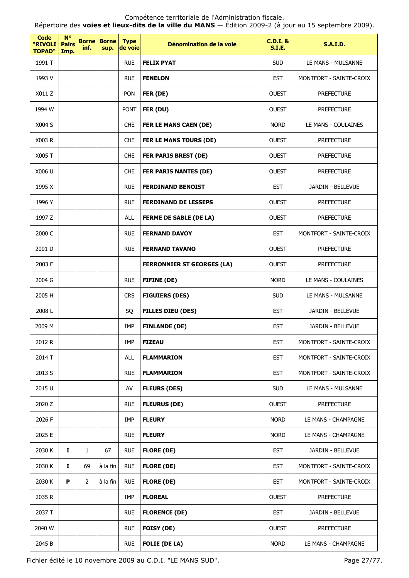Compétence territoriale de l'Administration fiscale. Répertoire des **voies et lieux-dits de la ville du MANS** — Édition 2009-2 (à jour au 15 septembre 2009).

| <b>Code</b><br>"RIVOLI<br><b>TOPAD"</b> | $N^{\circ}$<br><b>Pairs</b><br>Imp. | inf.           | <b>Borne Borne</b><br>sup. | <b>Type</b><br>de voie | Dénomination de la voie           | <b>C.D.I. &amp;</b><br><b>S.I.E.</b> | <b>S.A.I.D.</b>         |
|-----------------------------------------|-------------------------------------|----------------|----------------------------|------------------------|-----------------------------------|--------------------------------------|-------------------------|
| 1991 T                                  |                                     |                |                            | <b>RUE</b>             | <b>FELIX PYAT</b>                 | <b>SUD</b>                           | LE MANS - MULSANNE      |
| 1993 V                                  |                                     |                |                            | <b>RUE</b>             | <b>FENELON</b>                    | <b>EST</b>                           | MONTFORT - SAINTE-CROIX |
| X011 Z                                  |                                     |                |                            | PON                    | FER (DE)                          | <b>OUEST</b>                         | <b>PREFECTURE</b>       |
| 1994 W                                  |                                     |                |                            | <b>PONT</b>            | FER (DU)                          | <b>OUEST</b>                         | <b>PREFECTURE</b>       |
| X004 S                                  |                                     |                |                            | <b>CHE</b>             | FER LE MANS CAEN (DE)             | <b>NORD</b>                          | LE MANS - COULAINES     |
| X003 R                                  |                                     |                |                            | <b>CHE</b>             | FER LE MANS TOURS (DE)            | <b>OUEST</b>                         | <b>PREFECTURE</b>       |
| X005 T                                  |                                     |                |                            | <b>CHE</b>             | <b>FER PARIS BREST (DE)</b>       | <b>OUEST</b>                         | <b>PREFECTURE</b>       |
| X006 U                                  |                                     |                |                            | <b>CHE</b>             | <b>FER PARIS NANTES (DE)</b>      | <b>OUEST</b>                         | <b>PREFECTURE</b>       |
| 1995 X                                  |                                     |                |                            | <b>RUE</b>             | <b>FERDINAND BENOIST</b>          | <b>EST</b>                           | JARDIN - BELLEVUE       |
| 1996 Y                                  |                                     |                |                            | <b>RUE</b>             | <b>FERDINAND DE LESSEPS</b>       | <b>OUEST</b>                         | <b>PREFECTURE</b>       |
| 1997 Z                                  |                                     |                |                            | <b>ALL</b>             | <b>FERME DE SABLE (DE LA)</b>     | <b>OUEST</b>                         | <b>PREFECTURE</b>       |
| 2000 C                                  |                                     |                |                            | <b>RUE</b>             | <b>FERNAND DAVOY</b>              | <b>EST</b>                           | MONTFORT - SAINTE-CROIX |
| 2001 D                                  |                                     |                |                            | <b>RUE</b>             | <b>FERNAND TAVANO</b>             | <b>OUEST</b>                         | <b>PREFECTURE</b>       |
| 2003 F                                  |                                     |                |                            |                        | <b>FERRONNIER ST GEORGES (LA)</b> | <b>OUEST</b>                         | <b>PREFECTURE</b>       |
| 2004 G                                  |                                     |                |                            | <b>RUE</b>             | <b>FIFINE (DE)</b>                | <b>NORD</b>                          | LE MANS - COULAINES     |
| 2005 H                                  |                                     |                |                            | <b>CRS</b>             | <b>FIGUIERS (DES)</b>             | <b>SUD</b>                           | LE MANS - MULSANNE      |
| 2008L                                   |                                     |                |                            | SQ                     | <b>FILLES DIEU (DES)</b>          | <b>EST</b>                           | JARDIN - BELLEVUE       |
| 2009 M                                  |                                     |                |                            | <b>IMP</b>             | <b>FINLANDE (DE)</b>              | <b>EST</b>                           | JARDIN - BELLEVUE       |
| 2012 R                                  |                                     |                |                            | IMP                    | <b>FIZEAU</b>                     | <b>EST</b>                           | MONTFORT - SAINTE-CROIX |
| 2014 T                                  |                                     |                |                            | <b>ALL</b>             | <b>FLAMMARION</b>                 | <b>EST</b>                           | MONTFORT - SAINTE-CROIX |
| 2013 S                                  |                                     |                |                            | <b>RUE</b>             | <b>FLAMMARION</b>                 | <b>EST</b>                           | MONTFORT - SAINTE-CROIX |
| 2015 U                                  |                                     |                |                            | AV                     | <b>FLEURS (DES)</b>               | <b>SUD</b>                           | LE MANS - MULSANNE      |
| 2020 Z                                  |                                     |                |                            | <b>RUE</b>             | <b>FLEURUS (DE)</b>               | <b>OUEST</b>                         | <b>PREFECTURE</b>       |
| 2026 F                                  |                                     |                |                            | IMP                    | <b>FLEURY</b>                     | <b>NORD</b>                          | LE MANS - CHAMPAGNE     |
| 2025 E                                  |                                     |                |                            | <b>RUE</b>             | <b>FLEURY</b>                     | <b>NORD</b>                          | LE MANS - CHAMPAGNE     |
| 2030 K                                  | 1                                   | $\mathbf{1}$   | 67                         | <b>RUE</b>             | <b>FLORE (DE)</b>                 | <b>EST</b>                           | JARDIN - BELLEVUE       |
| 2030 K                                  | Ι.                                  | 69             | à la fin                   | <b>RUE</b>             | <b>FLORE (DE)</b>                 | <b>EST</b>                           | MONTFORT - SAINTE-CROIX |
| 2030 K                                  | P                                   | $\overline{2}$ | à la fin                   | <b>RUE</b>             | <b>FLORE (DE)</b>                 | <b>EST</b>                           | MONTFORT - SAINTE-CROIX |
| 2035 R                                  |                                     |                |                            | IMP                    | <b>FLOREAL</b>                    | <b>OUEST</b>                         | <b>PREFECTURE</b>       |
| 2037 T                                  |                                     |                |                            | <b>RUE</b>             | <b>FLORENCE (DE)</b>              | <b>EST</b>                           | JARDIN - BELLEVUE       |
| 2040 W                                  |                                     |                |                            | <b>RUE</b>             | <b>FOISY (DE)</b>                 | <b>OUEST</b>                         | <b>PREFECTURE</b>       |
| 2045 B                                  |                                     |                |                            | <b>RUE</b>             | <b>FOLIE (DE LA)</b>              | <b>NORD</b>                          | LE MANS - CHAMPAGNE     |

Fichier édité le 10 novembre 2009 au C.D.I. "LE MANS SUD". Page 27/77.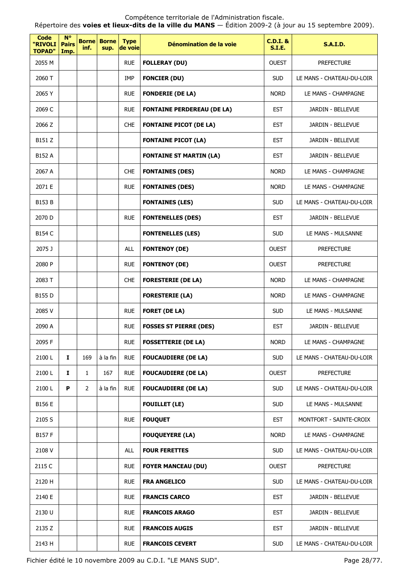Répertoire des **voies et lieux-dits de la ville du MANS** — Édition 2009-2 (à jour au 15 septembre 2009).

| Code<br>"RIVOLI<br><b>TOPAD"</b> | $N^{\circ}$<br><b>Pairs</b><br>Imp. | <b>Borne</b><br>inf. | <b>Borne</b><br>sup. | <b>Type</b><br>de voie | Dénomination de la voie           | $C.D.I.$ &<br><b>S.I.E.</b> | <b>S.A.I.D.</b>           |
|----------------------------------|-------------------------------------|----------------------|----------------------|------------------------|-----------------------------------|-----------------------------|---------------------------|
| 2055 M                           |                                     |                      |                      | <b>RUE</b>             | <b>FOLLERAY (DU)</b>              | <b>OUEST</b>                | <b>PREFECTURE</b>         |
| 2060 T                           |                                     |                      |                      | IMP                    | <b>FONCIER (DU)</b>               | <b>SUD</b>                  | LE MANS - CHATEAU-DU-LOIR |
| 2065 Y                           |                                     |                      |                      | <b>RUE</b>             | <b>FONDERIE (DE LA)</b>           | <b>NORD</b>                 | LE MANS - CHAMPAGNE       |
| 2069 C                           |                                     |                      |                      | <b>RUE</b>             | <b>FONTAINE PERDEREAU (DE LA)</b> | <b>EST</b>                  | JARDIN - BELLEVUE         |
| 2066 Z                           |                                     |                      |                      | <b>CHE</b>             | <b>FONTAINE PICOT (DE LA)</b>     | <b>EST</b>                  | JARDIN - BELLEVUE         |
| B151 Z                           |                                     |                      |                      |                        | <b>FONTAINE PICOT (LA)</b>        | <b>EST</b>                  | JARDIN - BELLEVUE         |
| B152 A                           |                                     |                      |                      |                        | <b>FONTAINE ST MARTIN (LA)</b>    | <b>EST</b>                  | JARDIN - BELLEVUE         |
| 2067 A                           |                                     |                      |                      | <b>CHE</b>             | <b>FONTAINES (DES)</b>            | <b>NORD</b>                 | LE MANS - CHAMPAGNE       |
| 2071 E                           |                                     |                      |                      | <b>RUE</b>             | <b>FONTAINES (DES)</b>            | <b>NORD</b>                 | LE MANS - CHAMPAGNE       |
| B153 B                           |                                     |                      |                      |                        | <b>FONTAINES (LES)</b>            | <b>SUD</b>                  | LE MANS - CHATEAU-DU-LOIR |
| 2070 D                           |                                     |                      |                      | <b>RUE</b>             | <b>FONTENELLES (DES)</b>          | <b>EST</b>                  | JARDIN - BELLEVUE         |
| <b>B154 C</b>                    |                                     |                      |                      |                        | <b>FONTENELLES (LES)</b>          | <b>SUD</b>                  | LE MANS - MULSANNE        |
| 2075 J                           |                                     |                      |                      | <b>ALL</b>             | <b>FONTENOY (DE)</b>              | <b>OUEST</b>                | <b>PREFECTURE</b>         |
| 2080 P                           |                                     |                      |                      | <b>RUE</b>             | <b>FONTENOY (DE)</b>              | <b>OUEST</b>                | <b>PREFECTURE</b>         |
| 2083 T                           |                                     |                      |                      | <b>CHE</b>             | <b>FORESTERIE (DE LA)</b>         | <b>NORD</b>                 | LE MANS - CHAMPAGNE       |
| B155 D                           |                                     |                      |                      |                        | <b>FORESTERIE (LA)</b>            | <b>NORD</b>                 | LE MANS - CHAMPAGNE       |
| 2085 V                           |                                     |                      |                      | <b>RUE</b>             | <b>FORET (DE LA)</b>              | <b>SUD</b>                  | LE MANS - MULSANNE        |
| 2090 A                           |                                     |                      |                      | <b>RUE</b>             | <b>FOSSES ST PIERRE (DES)</b>     | <b>EST</b>                  | JARDIN - BELLEVUE         |
| 2095 F                           |                                     |                      |                      | <b>RUE</b>             | <b>FOSSETTERIE (DE LA)</b>        | <b>NORD</b>                 | LE MANS - CHAMPAGNE       |
| 2100L                            | $\mathbf{I}$                        | 169                  | à la fin             | <b>RUE</b>             | <b>FOUCAUDIERE (DE LA)</b>        | <b>SUD</b>                  | LE MANS - CHATEAU-DU-LOIR |
| 2100L                            | 1                                   | 1                    | 167                  | <b>RUE</b>             | <b>FOUCAUDIERE (DE LA)</b>        | <b>OUEST</b>                | <b>PREFECTURE</b>         |
| 2100L                            | P                                   | $\overline{2}$       | à la fin             | <b>RUE</b>             | <b>FOUCAUDIERE (DE LA)</b>        | <b>SUD</b>                  | LE MANS - CHATEAU-DU-LOIR |
| B156 E                           |                                     |                      |                      |                        | <b>FOUILLET (LE)</b>              | <b>SUD</b>                  | LE MANS - MULSANNE        |
| 2105 S                           |                                     |                      |                      | <b>RUE</b>             | <b>FOUQUET</b>                    | <b>EST</b>                  | MONTFORT - SAINTE-CROIX   |
| B157 F                           |                                     |                      |                      |                        | <b>FOUQUEYERE (LA)</b>            | <b>NORD</b>                 | LE MANS - CHAMPAGNE       |
| 2108 V                           |                                     |                      |                      | <b>ALL</b>             | <b>FOUR FERETTES</b>              | <b>SUD</b>                  | LE MANS - CHATEAU-DU-LOIR |
| 2115 C                           |                                     |                      |                      | <b>RUE</b>             | <b>FOYER MANCEAU (DU)</b>         | <b>OUEST</b>                | <b>PREFECTURE</b>         |
| 2120 H                           |                                     |                      |                      | <b>RUE</b>             | <b>FRA ANGELICO</b>               | <b>SUD</b>                  | LE MANS - CHATEAU-DU-LOIR |
| 2140 E                           |                                     |                      |                      | <b>RUE</b>             | <b>FRANCIS CARCO</b>              | <b>EST</b>                  | JARDIN - BELLEVUE         |
| 2130 U                           |                                     |                      |                      | <b>RUE</b>             | <b>FRANCOIS ARAGO</b>             | <b>EST</b>                  | JARDIN - BELLEVUE         |
| 2135 Z                           |                                     |                      |                      | <b>RUE</b>             | <b>FRANCOIS AUGIS</b>             | <b>EST</b>                  | JARDIN - BELLEVUE         |
| 2143 H                           |                                     |                      |                      | <b>RUE</b>             | <b>FRANCOIS CEVERT</b>            | <b>SUD</b>                  | LE MANS - CHATEAU-DU-LOIR |

Fichier édité le 10 novembre 2009 au C.D.I. "LE MANS SUD". Page 28/77.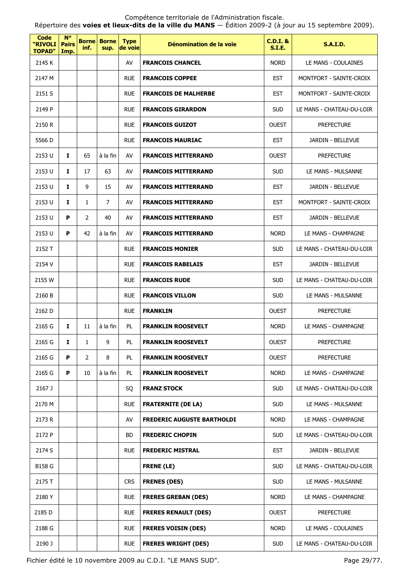Répertoire des **voies et lieux-dits de la ville du MANS** — Édition 2009-2 (à jour au 15 septembre 2009).

| Code<br>"RIVOLI<br><b>TOPAD"</b> | <b>N°</b><br><b>Pairs</b><br>Imp. | <b>Borne</b><br>inf. | <b>Borne</b><br>sup. | <b>Type</b><br>de voie | Dénomination de la voie           | $C.D.I.$ &<br>S.I.E. | <b>S.A.I.D.</b>           |
|----------------------------------|-----------------------------------|----------------------|----------------------|------------------------|-----------------------------------|----------------------|---------------------------|
| 2145 K                           |                                   |                      |                      | AV                     | <b>FRANCOIS CHANCEL</b>           | <b>NORD</b>          | LE MANS - COULAINES       |
| 2147 M                           |                                   |                      |                      | <b>RUE</b>             | <b>FRANCOIS COPPEE</b>            | <b>EST</b>           | MONTFORT - SAINTE-CROIX   |
| 2151 S                           |                                   |                      |                      | <b>RUE</b>             | <b>FRANCOIS DE MALHERBE</b>       | <b>EST</b>           | MONTFORT - SAINTE-CROIX   |
| 2149 P                           |                                   |                      |                      | <b>RUE</b>             | <b>FRANCOIS GIRARDON</b>          | <b>SUD</b>           | LE MANS - CHATEAU-DU-LOIR |
| 2150 R                           |                                   |                      |                      | <b>RUE</b>             | <b>FRANCOIS GUIZOT</b>            | <b>OUEST</b>         | <b>PREFECTURE</b>         |
| 5566 D                           |                                   |                      |                      | <b>RUE</b>             | <b>FRANCOIS MAURIAC</b>           | <b>EST</b>           | JARDIN - BELLEVUE         |
| 2153 U                           | 1                                 | 65                   | à la fin             | AV                     | <b>FRANCOIS MITTERRAND</b>        | <b>OUEST</b>         | <b>PREFECTURE</b>         |
| 2153 U                           | $\mathbf{I}$                      | 17                   | 63                   | AV                     | <b>FRANCOIS MITTERRAND</b>        | <b>SUD</b>           | LE MANS - MULSANNE        |
| 2153 U                           | I                                 | 9                    | 15                   | AV                     | <b>FRANCOIS MITTERRAND</b>        | <b>EST</b>           | <b>JARDIN - BELLEVUE</b>  |
| 2153 U                           | 1                                 | $\mathbf{1}$         | 7                    | AV                     | <b>FRANCOIS MITTERRAND</b>        | <b>EST</b>           | MONTFORT - SAINTE-CROIX   |
| 2153 U                           | P                                 | $\overline{2}$       | 40                   | AV                     | <b>FRANCOIS MITTERRAND</b>        | <b>EST</b>           | JARDIN - BELLEVUE         |
| 2153 U                           | P                                 | 42                   | à la fin             | AV                     | <b>FRANCOIS MITTERRAND</b>        | <b>NORD</b>          | LE MANS - CHAMPAGNE       |
| 2152 T                           |                                   |                      |                      | <b>RUE</b>             | <b>FRANCOIS MONIER</b>            | <b>SUD</b>           | LE MANS - CHATEAU-DU-LOIR |
| 2154 V                           |                                   |                      |                      | <b>RUE</b>             | <b>FRANCOIS RABELAIS</b>          | <b>EST</b>           | JARDIN - BELLEVUE         |
| 2155 W                           |                                   |                      |                      | <b>RUE</b>             | <b>FRANCOIS RUDE</b>              | <b>SUD</b>           | LE MANS - CHATEAU-DU-LOIR |
| 2160 B                           |                                   |                      |                      | <b>RUE</b>             | <b>FRANCOIS VILLON</b>            | <b>SUD</b>           | LE MANS - MULSANNE        |
| 2162 D                           |                                   |                      |                      | <b>RUE</b>             | <b>FRANKLIN</b>                   | <b>OUEST</b>         | <b>PREFECTURE</b>         |
| 2165 G                           | 1                                 | 11                   | à la fin             | PL                     | <b>FRANKLIN ROOSEVELT</b>         | <b>NORD</b>          | LE MANS - CHAMPAGNE       |
| 2165 G                           | Ι.                                | 1                    | 9                    | PL                     | <b>FRANKLIN ROOSEVELT</b>         | <b>OUEST</b>         | <b>PREFECTURE</b>         |
| 2165 G                           | P                                 | $\overline{2}$       | 8                    | PL                     | <b>FRANKLIN ROOSEVELT</b>         | <b>OUEST</b>         | <b>PREFECTURE</b>         |
| 2165 G                           | P                                 | 10                   | à la fin             | PL                     | <b>FRANKLIN ROOSEVELT</b>         | <b>NORD</b>          | LE MANS - CHAMPAGNE       |
| 2167 J                           |                                   |                      |                      | SQ                     | <b>FRANZ STOCK</b>                | <b>SUD</b>           | LE MANS - CHATEAU-DU-LOIR |
| 2170 M                           |                                   |                      |                      | <b>RUE</b>             | <b>FRATERNITE (DE LA)</b>         | <b>SUD</b>           | LE MANS - MULSANNE        |
| 2173 R                           |                                   |                      |                      | AV                     | <b>FREDERIC AUGUSTE BARTHOLDI</b> | <b>NORD</b>          | LE MANS - CHAMPAGNE       |
| 2172 P                           |                                   |                      |                      | BD                     | <b>FREDERIC CHOPIN</b>            | <b>SUD</b>           | LE MANS - CHATEAU-DU-LOIR |
| 2174 S                           |                                   |                      |                      | <b>RUE</b>             | <b>FREDERIC MISTRAL</b>           | <b>EST</b>           | JARDIN - BELLEVUE         |
| <b>B158 G</b>                    |                                   |                      |                      |                        | <b>FRENE (LE)</b>                 | <b>SUD</b>           | LE MANS - CHATEAU-DU-LOIR |
| 2175 T                           |                                   |                      |                      | <b>CRS</b>             | <b>FRENES (DES)</b>               | <b>SUD</b>           | LE MANS - MULSANNE        |
| 2180 Y                           |                                   |                      |                      | <b>RUE</b>             | <b>FRERES GREBAN (DES)</b>        | <b>NORD</b>          | LE MANS - CHAMPAGNE       |
| 2185 D                           |                                   |                      |                      | <b>RUE</b>             | <b>FRERES RENAULT (DES)</b>       | <b>OUEST</b>         | <b>PREFECTURE</b>         |
| 2188 G                           |                                   |                      |                      | <b>RUE</b>             | <b>FRERES VOISIN (DES)</b>        | <b>NORD</b>          | LE MANS - COULAINES       |
| 2190 J                           |                                   |                      |                      | <b>RUE</b>             | <b>FRERES WRIGHT (DES)</b>        | <b>SUD</b>           | LE MANS - CHATEAU-DU-LOIR |

Fichier édité le 10 novembre 2009 au C.D.I. "LE MANS SUD". Page 29/77.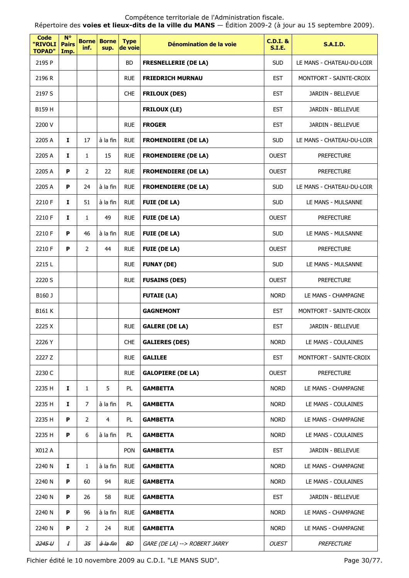Répertoire des **voies et lieux-dits de la ville du MANS** — Édition 2009-2 (à jour au 15 septembre 2009).

| Code<br>"RIVOLI<br><b>TOPAD"</b> | <b>N°</b><br><b>Pairs</b><br>Imp. | <b>Borne</b><br>inf. | <b>Borne</b><br>sup. | <b>Type</b><br>de voie | Dénomination de la voie       | $C.D.I.$ &<br><b>S.I.E.</b> | <b>S.A.I.D.</b>           |
|----------------------------------|-----------------------------------|----------------------|----------------------|------------------------|-------------------------------|-----------------------------|---------------------------|
| 2195 P                           |                                   |                      |                      | <b>BD</b>              | <b>FRESNELLERIE (DE LA)</b>   | <b>SUD</b>                  | LE MANS - CHATEAU-DU-LOIR |
| 2196 R                           |                                   |                      |                      | <b>RUE</b>             | <b>FRIEDRICH MURNAU</b>       | <b>EST</b>                  | MONTFORT - SAINTE-CROIX   |
| 2197 S                           |                                   |                      |                      | <b>CHE</b>             | <b>FRILOUX (DES)</b>          | <b>EST</b>                  | JARDIN - BELLEVUE         |
| B159 H                           |                                   |                      |                      |                        | <b>FRILOUX (LE)</b>           | <b>EST</b>                  | JARDIN - BELLEVUE         |
| 2200 V                           |                                   |                      |                      | <b>RUE</b>             | <b>FROGER</b>                 | <b>EST</b>                  | JARDIN - BELLEVUE         |
| 2205 A                           | Ι.                                | 17                   | à la fin             | <b>RUE</b>             | <b>FROMENDIERE (DE LA)</b>    | <b>SUD</b>                  | LE MANS - CHATEAU-DU-LOIR |
| 2205 A                           | $\mathbf{I}$                      | $\mathbf{1}$         | 15                   | <b>RUE</b>             | <b>FROMENDIERE (DE LA)</b>    | <b>OUEST</b>                | <b>PREFECTURE</b>         |
| 2205 A                           | P                                 | $\overline{2}$       | 22                   | <b>RUE</b>             | <b>FROMENDIERE (DE LA)</b>    | <b>OUEST</b>                | PREFECTURE                |
| 2205 A                           | P                                 | 24                   | à la fin             | <b>RUE</b>             | <b>FROMENDIERE (DE LA)</b>    | <b>SUD</b>                  | LE MANS - CHATEAU-DU-LOIR |
| 2210 F                           | 1                                 | 51                   | à la fin             | <b>RUE</b>             | <b>FUIE (DE LA)</b>           | <b>SUD</b>                  | LE MANS - MULSANNE        |
| 2210 F                           | $\mathbf{I}$                      | $\mathbf{1}$         | 49                   | <b>RUE</b>             | <b>FUIE (DE LA)</b>           | <b>OUEST</b>                | <b>PREFECTURE</b>         |
| 2210 F                           | P                                 | 46                   | à la fin             | <b>RUE</b>             | <b>FUIE (DE LA)</b>           | <b>SUD</b>                  | LE MANS - MULSANNE        |
| 2210 F                           | P                                 | $\overline{2}$       | 44                   | <b>RUE</b>             | <b>FUIE (DE LA)</b>           | <b>OUEST</b>                | <b>PREFECTURE</b>         |
| 2215L                            |                                   |                      |                      | <b>RUE</b>             | <b>FUNAY (DE)</b>             | <b>SUD</b>                  | LE MANS - MULSANNE        |
| 2220 S                           |                                   |                      |                      | <b>RUE</b>             | <b>FUSAINS (DES)</b>          | <b>OUEST</b>                | <b>PREFECTURE</b>         |
| B160 J                           |                                   |                      |                      |                        | <b>FUTAIE (LA)</b>            | <b>NORD</b>                 | LE MANS - CHAMPAGNE       |
| <b>B161 K</b>                    |                                   |                      |                      |                        | <b>GAGNEMONT</b>              | <b>EST</b>                  | MONTFORT - SAINTE-CROIX   |
| 2225 X                           |                                   |                      |                      | <b>RUE</b>             | <b>GALERE (DE LA)</b>         | <b>EST</b>                  | JARDIN - BELLEVUE         |
| 2226 Y                           |                                   |                      |                      | <b>CHE</b>             | <b>GALIERES (DES)</b>         | <b>NORD</b>                 | LE MANS - COULAINES       |
| 2227 Z                           |                                   |                      |                      | <b>RUE</b>             | <b>GALILEE</b>                | <b>EST</b>                  | MONTFORT - SAINTE-CROIX   |
| 2230 C                           |                                   |                      |                      | <b>RUE</b>             | <b>GALOPIERE (DE LA)</b>      | <b>OUEST</b>                | PREFECTURE                |
| 2235 H                           | $\mathbf I$                       | $\mathbf{1}$         | 5                    | PL                     | <b>GAMBETTA</b>               | <b>NORD</b>                 | LE MANS - CHAMPAGNE       |
| 2235 H                           | $\mathbf I$                       | $\overline{7}$       | à la fin             | PL                     | <b>GAMBETTA</b>               | <b>NORD</b>                 | LE MANS - COULAINES       |
| 2235 H                           | P                                 | $\overline{2}$       | 4                    | PL                     | <b>GAMBETTA</b>               | <b>NORD</b>                 | LE MANS - CHAMPAGNE       |
| 2235 H                           | P                                 | 6                    | à la fin             | PL                     | <b>GAMBETTA</b>               | <b>NORD</b>                 | LE MANS - COULAINES       |
| X012 A                           |                                   |                      |                      | <b>PON</b>             | <b>GAMBETTA</b>               | <b>EST</b>                  | JARDIN - BELLEVUE         |
| 2240 N                           | Ι.                                | 1                    | à la fin             | <b>RUE</b>             | <b>GAMBETTA</b>               | <b>NORD</b>                 | LE MANS - CHAMPAGNE       |
| 2240 N                           | P                                 | 60                   | 94                   | <b>RUE</b>             | <b>GAMBETTA</b>               | <b>NORD</b>                 | LE MANS - COULAINES       |
| 2240 N                           | P                                 | 26                   | 58                   | <b>RUE</b>             | <b>GAMBETTA</b>               | <b>EST</b>                  | JARDIN - BELLEVUE         |
| 2240 N                           | P                                 | 96                   | à la fin             | <b>RUE</b>             | <b>GAMBETTA</b>               | <b>NORD</b>                 | LE MANS - CHAMPAGNE       |
| 2240 N                           | P                                 | $\overline{2}$       | 24                   | <b>RUE</b>             | <b>GAMBETTA</b>               | <b>NORD</b>                 | LE MANS - CHAMPAGNE       |
| 2245U                            | $\boldsymbol{I}$                  | 35                   | <del>à la fin</del>  | ₩                      | GARE (DE LA) --> ROBERT JARRY | <b>OUEST</b>                | <b>PREFECTURE</b>         |

Fichier édité le 10 novembre 2009 au C.D.I. "LE MANS SUD". Page 30/77.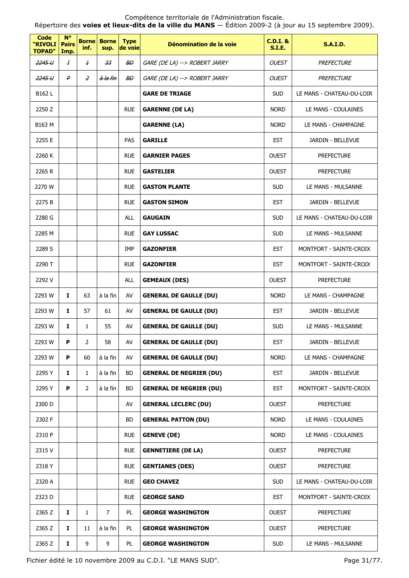Répertoire des **voies et lieux-dits de la ville du MANS** — Édition 2009-2 (à jour au 15 septembre 2009).

| <b>Code</b><br>"RIVOLI<br><b>TOPAD"</b> | <b>N°</b><br><b>Pairs</b><br>Imp. | <b>Borne</b><br>inf. | <b>Borne</b><br>sup. | <b>Type</b><br>de voie | Dénomination de la voie        | <b>C.D.I. &amp;</b><br><b>S.I.E.</b> | <b>S.A.I.D.</b>           |
|-----------------------------------------|-----------------------------------|----------------------|----------------------|------------------------|--------------------------------|--------------------------------------|---------------------------|
| 2245U                                   | Ŧ                                 | $\pm$                | 33                   | $B\!D$                 | GARE (DE LA) --> ROBERT JARRY  | <b>OUEST</b>                         | PREFECTURE                |
| 2245 U                                  | ₽                                 | $\overline{z}$       | <del>à la fin</del>  | $B\!D$                 | GARE (DE LA) --> ROBERT JARRY  | <b>OUEST</b>                         | PREFECTURE                |
| B162 L                                  |                                   |                      |                      |                        | <b>GARE DE TRIAGE</b>          | <b>SUD</b>                           | LE MANS - CHATEAU-DU-LOIR |
| 2250 Z                                  |                                   |                      |                      | <b>RUE</b>             | <b>GARENNE (DE LA)</b>         | <b>NORD</b>                          | LE MANS - COULAINES       |
| B163 M                                  |                                   |                      |                      |                        | <b>GARENNE (LA)</b>            | <b>NORD</b>                          | LE MANS - CHAMPAGNE       |
| 2255 E                                  |                                   |                      |                      | PAS                    | <b>GARILLE</b>                 | <b>EST</b>                           | JARDIN - BELLEVUE         |
| 2260 K                                  |                                   |                      |                      | <b>RUE</b>             | <b>GARNIER PAGES</b>           | <b>OUEST</b>                         | <b>PREFECTURE</b>         |
| 2265 R                                  |                                   |                      |                      | <b>RUE</b>             | <b>GASTELIER</b>               | <b>OUEST</b>                         | <b>PREFECTURE</b>         |
| 2270 W                                  |                                   |                      |                      | <b>RUE</b>             | <b>GASTON PLANTE</b>           | <b>SUD</b>                           | LE MANS - MULSANNE        |
| 2275 B                                  |                                   |                      |                      | <b>RUE</b>             | <b>GASTON SIMON</b>            | <b>EST</b>                           | JARDIN - BELLEVUE         |
| 2280 G                                  |                                   |                      |                      | <b>ALL</b>             | <b>GAUGAIN</b>                 | <b>SUD</b>                           | LE MANS - CHATEAU-DU-LOIR |
| 2285 M                                  |                                   |                      |                      | <b>RUE</b>             | <b>GAY LUSSAC</b>              | <b>SUD</b>                           | LE MANS - MULSANNE        |
| 2289 S                                  |                                   |                      |                      | IMP                    | <b>GAZONFIER</b>               | <b>EST</b>                           | MONTFORT - SAINTE-CROIX   |
| 2290 T                                  |                                   |                      |                      | <b>RUE</b>             | <b>GAZONFIER</b>               | <b>EST</b>                           | MONTFORT - SAINTE-CROIX   |
| 2292 V                                  |                                   |                      |                      | <b>ALL</b>             | <b>GEMEAUX (DES)</b>           | <b>OUEST</b>                         | <b>PREFECTURE</b>         |
| 2293 W                                  | $\mathbf{I}$                      | 63                   | à la fin             | AV                     | <b>GENERAL DE GAULLE (DU)</b>  | <b>NORD</b>                          | LE MANS - CHAMPAGNE       |
| 2293 W                                  | 1                                 | 57                   | 61                   | AV                     | <b>GENERAL DE GAULLE (DU)</b>  | <b>EST</b>                           | JARDIN - BELLEVUE         |
| 2293 W                                  | 1                                 | $\mathbf{1}$         | 55                   | AV                     | <b>GENERAL DE GAULLE (DU)</b>  | <b>SUD</b>                           | LE MANS - MULSANNE        |
| 2293 W                                  | P.                                | 2                    | 58                   | AV                     | <b>GENERAL DE GAULLE (DU)</b>  | EST                                  | JARDIN - BELLEVUE         |
| 2293 W                                  | P                                 | 60                   | à la fin             | AV                     | <b>GENERAL DE GAULLE (DU)</b>  | <b>NORD</b>                          | LE MANS - CHAMPAGNE       |
| 2295 Y                                  | Ι.                                | $\mathbf{1}$         | à la fin             | BD                     | <b>GENERAL DE NEGRIER (DU)</b> | <b>EST</b>                           | JARDIN - BELLEVUE         |
| 2295 Y                                  | P                                 | $\overline{2}$       | à la fin             | BD                     | <b>GENERAL DE NEGRIER (DU)</b> | <b>EST</b>                           | MONTFORT - SAINTE-CROIX   |
| 2300 D                                  |                                   |                      |                      | AV                     | <b>GENERAL LECLERC (DU)</b>    | <b>OUEST</b>                         | <b>PREFECTURE</b>         |
| 2302 F                                  |                                   |                      |                      | BD                     | <b>GENERAL PATTON (DU)</b>     | <b>NORD</b>                          | LE MANS - COULAINES       |
| 2310 P                                  |                                   |                      |                      | <b>RUE</b>             | <b>GENEVE (DE)</b>             | <b>NORD</b>                          | LE MANS - COULAINES       |
| 2315 V                                  |                                   |                      |                      | <b>RUE</b>             | <b>GENNETIERE (DE LA)</b>      | <b>OUEST</b>                         | <b>PREFECTURE</b>         |
| 2318 Y                                  |                                   |                      |                      | <b>RUE</b>             | <b>GENTIANES (DES)</b>         | <b>OUEST</b>                         | <b>PREFECTURE</b>         |
| 2320 A                                  |                                   |                      |                      | <b>RUE</b>             | <b>GEO CHAVEZ</b>              | <b>SUD</b>                           | LE MANS - CHATEAU-DU-LOIR |
| 2323 D                                  |                                   |                      |                      | <b>RUE</b>             | <b>GEORGE SAND</b>             | <b>EST</b>                           | MONTFORT - SAINTE-CROIX   |
| 2365 Z                                  | Ι.                                | $\mathbf{1}$         | $\overline{7}$       | PL                     | <b>GEORGE WASHINGTON</b>       | <b>OUEST</b>                         | <b>PREFECTURE</b>         |
| 2365 Z                                  | I.                                | 11                   | à la fin             | PL                     | <b>GEORGE WASHINGTON</b>       | <b>OUEST</b>                         | <b>PREFECTURE</b>         |
| 2365 Z                                  | I                                 | 9                    | 9                    | PL                     | <b>GEORGE WASHINGTON</b>       | <b>SUD</b>                           | LE MANS - MULSANNE        |

Fichier édité le 10 novembre 2009 au C.D.I. "LE MANS SUD". Page 31/77.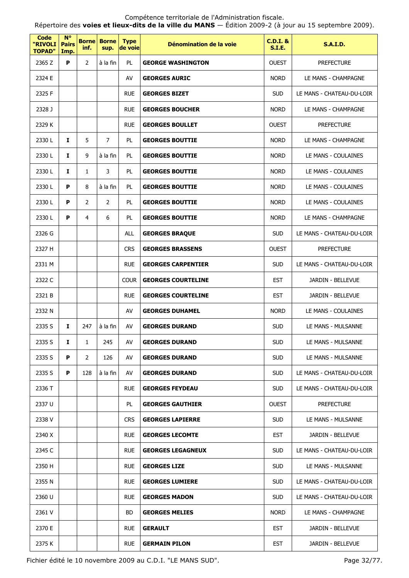Répertoire des **voies et lieux-dits de la ville du MANS** — Édition 2009-2 (à jour au 15 septembre 2009).

| <b>Code</b><br>"RIVOLI<br><b>TOPAD"</b> | $N^{\circ}$<br><b>Pairs</b><br>Imp. | <b>Borne</b><br>inf. | <b>Borne</b><br>sup. | <b>Type</b><br>de voie | Dénomination de la voie   | <b>C.D.I. &amp;</b><br><b>S.I.E.</b> | <b>S.A.I.D.</b>           |
|-----------------------------------------|-------------------------------------|----------------------|----------------------|------------------------|---------------------------|--------------------------------------|---------------------------|
| 2365 Z                                  | P                                   | 2                    | à la fin             | PL                     | <b>GEORGE WASHINGTON</b>  | <b>OUEST</b>                         | <b>PREFECTURE</b>         |
| 2324 E                                  |                                     |                      |                      | AV                     | <b>GEORGES AURIC</b>      | <b>NORD</b>                          | LE MANS - CHAMPAGNE       |
| 2325 F                                  |                                     |                      |                      | <b>RUE</b>             | <b>GEORGES BIZET</b>      | <b>SUD</b>                           | LE MANS - CHATEAU-DU-LOIR |
| 2328 J                                  |                                     |                      |                      | <b>RUE</b>             | <b>GEORGES BOUCHER</b>    | <b>NORD</b>                          | LE MANS - CHAMPAGNE       |
| 2329 K                                  |                                     |                      |                      | <b>RUE</b>             | <b>GEORGES BOULLET</b>    | <b>OUEST</b>                         | <b>PREFECTURE</b>         |
| 2330 L                                  | I                                   | 5                    | $\overline{7}$       | PL                     | <b>GEORGES BOUTTIE</b>    | <b>NORD</b>                          | LE MANS - CHAMPAGNE       |
| 2330L                                   | $\mathbf{I}$                        | 9                    | à la fin             | PL                     | <b>GEORGES BOUTTIE</b>    | <b>NORD</b>                          | LE MANS - COULAINES       |
| 2330L                                   | 1                                   | $\mathbf{1}$         | 3                    | PL                     | <b>GEORGES BOUTTIE</b>    | <b>NORD</b>                          | LE MANS - COULAINES       |
| 2330L                                   | P                                   | 8                    | à la fin             | PL                     | <b>GEORGES BOUTTIE</b>    | <b>NORD</b>                          | LE MANS - COULAINES       |
| 2330L                                   | P                                   | 2                    | 2                    | PL                     | <b>GEORGES BOUTTIE</b>    | <b>NORD</b>                          | LE MANS - COULAINES       |
| 2330L                                   | P                                   | 4                    | 6                    | PL                     | <b>GEORGES BOUTTIE</b>    | <b>NORD</b>                          | LE MANS - CHAMPAGNE       |
| 2326 G                                  |                                     |                      |                      | <b>ALL</b>             | <b>GEORGES BRAQUE</b>     | <b>SUD</b>                           | LE MANS - CHATEAU-DU-LOIR |
| 2327 H                                  |                                     |                      |                      | <b>CRS</b>             | <b>GEORGES BRASSENS</b>   | <b>OUEST</b>                         | <b>PREFECTURE</b>         |
| 2331 M                                  |                                     |                      |                      | <b>RUE</b>             | <b>GEORGES CARPENTIER</b> | <b>SUD</b>                           | LE MANS - CHATEAU-DU-LOIR |
| 2322 C                                  |                                     |                      |                      | <b>COUR</b>            | <b>GEORGES COURTELINE</b> | <b>EST</b>                           | JARDIN - BELLEVUE         |
| 2321 B                                  |                                     |                      |                      | <b>RUE</b>             | <b>GEORGES COURTELINE</b> | <b>EST</b>                           | JARDIN - BELLEVUE         |
| 2332 N                                  |                                     |                      |                      | AV                     | <b>GEORGES DUHAMEL</b>    | <b>NORD</b>                          | LE MANS - COULAINES       |
| 2335 S                                  | Ι.                                  | 247                  | à la fin             | AV                     | <b>GEORGES DURAND</b>     | <b>SUD</b>                           | LE MANS - MULSANNE        |
| 2335 S                                  | Ι.                                  | 1                    | 245                  | AV                     | <b>GEORGES DURAND</b>     | SUD                                  | LE MANS - MULSANNE        |
| 2335 S                                  | P                                   | $\mathbf{2}$         | 126                  | AV                     | <b>GEORGES DURAND</b>     | <b>SUD</b>                           | LE MANS - MULSANNE        |
| 2335 S                                  | P                                   | 128                  | à la fin             | AV                     | <b>GEORGES DURAND</b>     | <b>SUD</b>                           | LE MANS - CHATEAU-DU-LOIR |
| 2336 T                                  |                                     |                      |                      | <b>RUE</b>             | <b>GEORGES FEYDEAU</b>    | <b>SUD</b>                           | LE MANS - CHATEAU-DU-LOIR |
| 2337 U                                  |                                     |                      |                      | PL                     | <b>GEORGES GAUTHIER</b>   | <b>OUEST</b>                         | <b>PREFECTURE</b>         |
| 2338 V                                  |                                     |                      |                      | <b>CRS</b>             | <b>GEORGES LAPIERRE</b>   | <b>SUD</b>                           | LE MANS - MULSANNE        |
| 2340 X                                  |                                     |                      |                      | <b>RUE</b>             | <b>GEORGES LECOMTE</b>    | <b>EST</b>                           | JARDIN - BELLEVUE         |
| 2345 C                                  |                                     |                      |                      | <b>RUE</b>             | <b>GEORGES LEGAGNEUX</b>  | <b>SUD</b>                           | LE MANS - CHATEAU-DU-LOIR |
| 2350 H                                  |                                     |                      |                      | <b>RUE</b>             | <b>GEORGES LIZE</b>       | <b>SUD</b>                           | LE MANS - MULSANNE        |
| 2355 N                                  |                                     |                      |                      | <b>RUE</b>             | <b>GEORGES LUMIERE</b>    | <b>SUD</b>                           | LE MANS - CHATEAU-DU-LOIR |
| 2360 U                                  |                                     |                      |                      | <b>RUE</b>             | <b>GEORGES MADON</b>      | <b>SUD</b>                           | LE MANS - CHATEAU-DU-LOIR |
| 2361 V                                  |                                     |                      |                      | BD                     | <b>GEORGES MELIES</b>     | <b>NORD</b>                          | LE MANS - CHAMPAGNE       |
| 2370 E                                  |                                     |                      |                      | <b>RUE</b>             | <b>GERAULT</b>            | <b>EST</b>                           | JARDIN - BELLEVUE         |
| 2375 K                                  |                                     |                      |                      | <b>RUE</b>             | <b>GERMAIN PILON</b>      | <b>EST</b>                           | JARDIN - BELLEVUE         |

Fichier édité le 10 novembre 2009 au C.D.I. "LE MANS SUD". Page 32/77.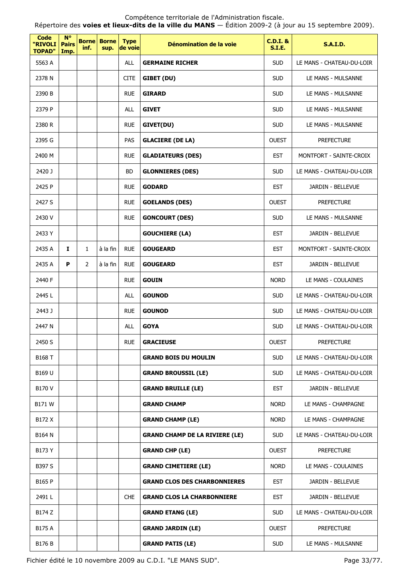Répertoire des **voies et lieux-dits de la ville du MANS** — Édition 2009-2 (à jour au 15 septembre 2009).

| <b>Code</b><br>"RIVOLI<br><b>TOPAD"</b> | $N^{\circ}$<br><b>Pairs</b><br>Imp. | inf.           | <b>Borne</b> Borne<br>sup. | <b>Type</b><br>de voie | Dénomination de la voie               | <b>C.D.I. &amp;</b><br><b>S.I.E.</b> | <b>S.A.I.D.</b>           |
|-----------------------------------------|-------------------------------------|----------------|----------------------------|------------------------|---------------------------------------|--------------------------------------|---------------------------|
| 5563 A                                  |                                     |                |                            | ALL                    | <b>GERMAINE RICHER</b>                | <b>SUD</b>                           | LE MANS - CHATEAU-DU-LOIR |
| 2378 N                                  |                                     |                |                            | <b>CITE</b>            | GIBET (DU)                            | <b>SUD</b>                           | LE MANS - MULSANNE        |
| 2390 B                                  |                                     |                |                            | <b>RUE</b>             | <b>GIRARD</b>                         | <b>SUD</b>                           | LE MANS - MULSANNE        |
| 2379 P                                  |                                     |                |                            | <b>ALL</b>             | <b>GIVET</b>                          | <b>SUD</b>                           | LE MANS - MULSANNE        |
| 2380 R                                  |                                     |                |                            | <b>RUE</b>             | GIVET(DU)                             | <b>SUD</b>                           | LE MANS - MULSANNE        |
| 2395 G                                  |                                     |                |                            | PAS                    | <b>GLACIERE (DE LA)</b>               | <b>OUEST</b>                         | <b>PREFECTURE</b>         |
| 2400 M                                  |                                     |                |                            | <b>RUE</b>             | <b>GLADIATEURS (DES)</b>              | <b>EST</b>                           | MONTFORT - SAINTE-CROIX   |
| 2420 J                                  |                                     |                |                            | <b>BD</b>              | <b>GLONNIERES (DES)</b>               | <b>SUD</b>                           | LE MANS - CHATEAU-DU-LOIR |
| 2425 P                                  |                                     |                |                            | <b>RUE</b>             | <b>GODARD</b>                         | <b>EST</b>                           | JARDIN - BELLEVUE         |
| 2427 S                                  |                                     |                |                            | <b>RUE</b>             | <b>GOELANDS (DES)</b>                 | <b>OUEST</b>                         | <b>PREFECTURE</b>         |
| 2430 V                                  |                                     |                |                            | <b>RUE</b>             | <b>GONCOURT (DES)</b>                 | <b>SUD</b>                           | LE MANS - MULSANNE        |
| 2433 Y                                  |                                     |                |                            |                        | <b>GOUCHIERE (LA)</b>                 | <b>EST</b>                           | JARDIN - BELLEVUE         |
| 2435 A                                  | 1                                   | 1              | à la fin                   | <b>RUE</b>             | <b>GOUGEARD</b>                       | <b>EST</b>                           | MONTFORT - SAINTE-CROIX   |
| 2435 A                                  | P                                   | $\overline{2}$ | à la fin                   | <b>RUE</b>             | <b>GOUGEARD</b>                       | <b>EST</b>                           | JARDIN - BELLEVUE         |
| 2440 F                                  |                                     |                |                            | <b>RUE</b>             | <b>GOUIN</b>                          | <b>NORD</b>                          | LE MANS - COULAINES       |
| 2445L                                   |                                     |                |                            | ALL                    | <b>GOUNOD</b>                         | <b>SUD</b>                           | LE MANS - CHATEAU-DU-LOIR |
| 2443 J                                  |                                     |                |                            | <b>RUE</b>             | <b>GOUNOD</b>                         | <b>SUD</b>                           | LE MANS - CHATEAU-DU-LOIR |
| 2447 N                                  |                                     |                |                            | <b>ALL</b>             | <b>GOYA</b>                           | <b>SUD</b>                           | LE MANS - CHATEAU-DU-LOIR |
| 2450 S                                  |                                     |                |                            | <b>RUE</b>             | <b>GRACIEUSE</b>                      | <b>OUEST</b>                         | <b>PREFECTURE</b>         |
| B168 T                                  |                                     |                |                            |                        | <b>GRAND BOIS DU MOULIN</b>           | <b>SUD</b>                           | LE MANS - CHATEAU-DU-LOIR |
| B169 U                                  |                                     |                |                            |                        | <b>GRAND BROUSSIL (LE)</b>            | <b>SUD</b>                           | LE MANS - CHATEAU-DU-LOIR |
| B170 V                                  |                                     |                |                            |                        | <b>GRAND BRUILLE (LE)</b>             | <b>EST</b>                           | JARDIN - BELLEVUE         |
| B171 W                                  |                                     |                |                            |                        | <b>GRAND CHAMP</b>                    | <b>NORD</b>                          | LE MANS - CHAMPAGNE       |
| B172 X                                  |                                     |                |                            |                        | <b>GRAND CHAMP (LE)</b>               | <b>NORD</b>                          | LE MANS - CHAMPAGNE       |
| B164 N                                  |                                     |                |                            |                        | <b>GRAND CHAMP DE LA RIVIERE (LE)</b> | <b>SUD</b>                           | LE MANS - CHATEAU-DU-LOIR |
| B173 Y                                  |                                     |                |                            |                        | <b>GRAND CHP (LE)</b>                 | <b>OUEST</b>                         | <b>PREFECTURE</b>         |
| B397 S                                  |                                     |                |                            |                        | <b>GRAND CIMETIERE (LE)</b>           | <b>NORD</b>                          | LE MANS - COULAINES       |
| B165 P                                  |                                     |                |                            |                        | <b>GRAND CLOS DES CHARBONNIERES</b>   | <b>EST</b>                           | JARDIN - BELLEVUE         |
| 2491L                                   |                                     |                |                            | <b>CHE</b>             | <b>GRAND CLOS LA CHARBONNIERE</b>     | <b>EST</b>                           | JARDIN - BELLEVUE         |
| B174 Z                                  |                                     |                |                            |                        | <b>GRAND ETANG (LE)</b>               | <b>SUD</b>                           | LE MANS - CHATEAU-DU-LOIR |
| B175 A                                  |                                     |                |                            |                        | <b>GRAND JARDIN (LE)</b>              | <b>OUEST</b>                         | <b>PREFECTURE</b>         |
| B176 B                                  |                                     |                |                            |                        | <b>GRAND PATIS (LE)</b>               | <b>SUD</b>                           | LE MANS - MULSANNE        |

Fichier édité le 10 novembre 2009 au C.D.I. "LE MANS SUD". Page 33/77.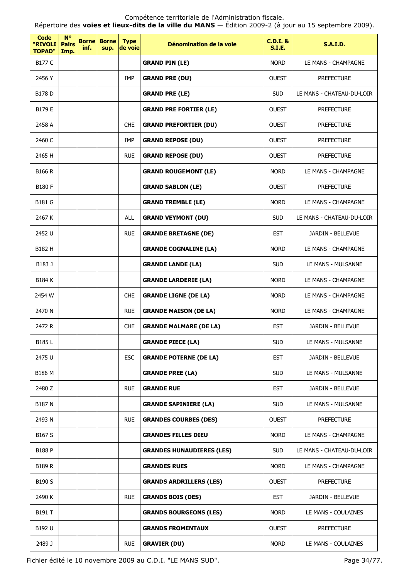Compétence territoriale de l'Administration fiscale. Répertoire des **voies et lieux-dits de la ville du MANS** — Édition 2009-2 (à jour au 15 septembre 2009).

| <b>Code</b><br>"RIVOLI<br><b>TOPAD"</b> | $N^{\circ}$<br><b>Pairs</b><br>Imp. | <b>Borne</b><br>inf. | <b>Borne</b><br>sup. | <b>Type</b><br>de voie | Dénomination de la voie          | $C.D.I.$ &<br><b>S.I.E.</b> | <b>S.A.I.D.</b>           |
|-----------------------------------------|-------------------------------------|----------------------|----------------------|------------------------|----------------------------------|-----------------------------|---------------------------|
| B177 C                                  |                                     |                      |                      |                        | <b>GRAND PIN (LE)</b>            | <b>NORD</b>                 | LE MANS - CHAMPAGNE       |
| 2456 Y                                  |                                     |                      |                      | IMP                    | <b>GRAND PRE (DU)</b>            | <b>OUEST</b>                | <b>PREFECTURE</b>         |
| <b>B178 D</b>                           |                                     |                      |                      |                        | <b>GRAND PRE (LE)</b>            | <b>SUD</b>                  | LE MANS - CHATEAU-DU-LOIR |
| B179 E                                  |                                     |                      |                      |                        | <b>GRAND PRE FORTIER (LE)</b>    | <b>OUEST</b>                | <b>PREFECTURE</b>         |
| 2458 A                                  |                                     |                      |                      | <b>CHE</b>             | <b>GRAND PREFORTIER (DU)</b>     | <b>OUEST</b>                | <b>PREFECTURE</b>         |
| 2460 C                                  |                                     |                      |                      | <b>IMP</b>             | <b>GRAND REPOSE (DU)</b>         | <b>OUEST</b>                | <b>PREFECTURE</b>         |
| 2465 H                                  |                                     |                      |                      | <b>RUE</b>             | <b>GRAND REPOSE (DU)</b>         | <b>OUEST</b>                | <b>PREFECTURE</b>         |
| <b>B166 R</b>                           |                                     |                      |                      |                        | <b>GRAND ROUGEMONT (LE)</b>      | <b>NORD</b>                 | LE MANS - CHAMPAGNE       |
| <b>B180 F</b>                           |                                     |                      |                      |                        | <b>GRAND SABLON (LE)</b>         | <b>OUEST</b>                | <b>PREFECTURE</b>         |
| <b>B181 G</b>                           |                                     |                      |                      |                        | <b>GRAND TREMBLE (LE)</b>        | <b>NORD</b>                 | LE MANS - CHAMPAGNE       |
| 2467 K                                  |                                     |                      |                      | <b>ALL</b>             | <b>GRAND VEYMONT (DU)</b>        | <b>SUD</b>                  | LE MANS - CHATEAU-DU-LOIR |
| 2452 U                                  |                                     |                      |                      | <b>RUE</b>             | <b>GRANDE BRETAGNE (DE)</b>      | <b>EST</b>                  | JARDIN - BELLEVUE         |
| B182 H                                  |                                     |                      |                      |                        | <b>GRANDE COGNALINE (LA)</b>     | <b>NORD</b>                 | LE MANS - CHAMPAGNE       |
| B183 J                                  |                                     |                      |                      |                        | <b>GRANDE LANDE (LA)</b>         | <b>SUD</b>                  | LE MANS - MULSANNE        |
| <b>B184 K</b>                           |                                     |                      |                      |                        | <b>GRANDE LARDERIE (LA)</b>      | <b>NORD</b>                 | LE MANS - CHAMPAGNE       |
| 2454 W                                  |                                     |                      |                      | <b>CHE</b>             | <b>GRANDE LIGNE (DE LA)</b>      | <b>NORD</b>                 | LE MANS - CHAMPAGNE       |
| 2470 N                                  |                                     |                      |                      | <b>RUE</b>             | <b>GRANDE MAISON (DE LA)</b>     | <b>NORD</b>                 | LE MANS - CHAMPAGNE       |
| 2472 R                                  |                                     |                      |                      | <b>CHE</b>             | <b>GRANDE MALMARE (DE LA)</b>    | <b>EST</b>                  | JARDIN - BELLEVUE         |
| <b>B185L</b>                            |                                     |                      |                      |                        | <b>GRANDE PIECE (LA)</b>         | <b>SUD</b>                  | LE MANS - MULSANNE        |
| 2475 U                                  |                                     |                      |                      | <b>ESC</b>             | <b>GRANDE POTERNE (DE LA)</b>    | <b>EST</b>                  | JARDIN - BELLEVUE         |
| B186 M                                  |                                     |                      |                      |                        | <b>GRANDE PREE (LA)</b>          | <b>SUD</b>                  | LE MANS - MULSANNE        |
| 2480 Z                                  |                                     |                      |                      | <b>RUE</b>             | <b>GRANDE RUE</b>                | <b>EST</b>                  | JARDIN - BELLEVUE         |
| <b>B187 N</b>                           |                                     |                      |                      |                        | <b>GRANDE SAPINIERE (LA)</b>     | <b>SUD</b>                  | LE MANS - MULSANNE        |
| 2493 N                                  |                                     |                      |                      | <b>RUE</b>             | <b>GRANDES COURBES (DES)</b>     | <b>OUEST</b>                | <b>PREFECTURE</b>         |
| B167 S                                  |                                     |                      |                      |                        | <b>GRANDES FILLES DIEU</b>       | <b>NORD</b>                 | LE MANS - CHAMPAGNE       |
| <b>B188 P</b>                           |                                     |                      |                      |                        | <b>GRANDES HUNAUDIERES (LES)</b> | <b>SUD</b>                  | LE MANS - CHATEAU-DU-LOIR |
| <b>B189 R</b>                           |                                     |                      |                      |                        | <b>GRANDES RUES</b>              | <b>NORD</b>                 | LE MANS - CHAMPAGNE       |
| B190 S                                  |                                     |                      |                      |                        | <b>GRANDS ARDRILLERS (LES)</b>   | <b>OUEST</b>                | <b>PREFECTURE</b>         |
| 2490 K                                  |                                     |                      |                      | <b>RUE</b>             | <b>GRANDS BOIS (DES)</b>         | <b>EST</b>                  | JARDIN - BELLEVUE         |
| B191 T                                  |                                     |                      |                      |                        | <b>GRANDS BOURGEONS (LES)</b>    | <b>NORD</b>                 | LE MANS - COULAINES       |
| B192 U                                  |                                     |                      |                      |                        | <b>GRANDS FROMENTAUX</b>         | <b>OUEST</b>                | <b>PREFECTURE</b>         |
| 2489 J                                  |                                     |                      |                      | <b>RUE</b>             | <b>GRAVIER (DU)</b>              | <b>NORD</b>                 | LE MANS - COULAINES       |

Fichier édité le 10 novembre 2009 au C.D.I. "LE MANS SUD". Page 34/77.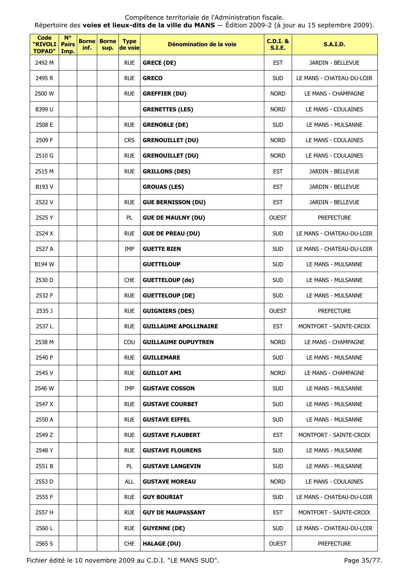Répertoire des **voies et lieux-dits de la ville du MANS** — Édition 2009-2 (à jour au 15 septembre 2009).

| <b>Code</b><br>"RIVOLI<br><b>TOPAD"</b> | $N^{\circ}$<br><b>Pairs</b><br>Imp. | <b>Borne</b><br>inf. | <b>Borne</b><br>sup. | <b>Type</b><br>de voie | Dénomination de la voie      | <b>C.D.I. &amp;</b><br><b>S.I.E.</b> | <b>S.A.I.D.</b>           |
|-----------------------------------------|-------------------------------------|----------------------|----------------------|------------------------|------------------------------|--------------------------------------|---------------------------|
| 2492 M                                  |                                     |                      |                      | <b>RUE</b>             | <b>GRECE (DE)</b>            | <b>EST</b>                           | JARDIN - BELLEVUE         |
| 2495 R                                  |                                     |                      |                      | <b>RUE</b>             | <b>GRECO</b>                 | <b>SUD</b>                           | LE MANS - CHATEAU-DU-LOIR |
| 2500 W                                  |                                     |                      |                      | <b>RUE</b>             | <b>GREFFIER (DU)</b>         | <b>NORD</b>                          | LE MANS - CHAMPAGNE       |
| B399 U                                  |                                     |                      |                      |                        | <b>GRENETTES (LES)</b>       | <b>NORD</b>                          | LE MANS - COULAINES       |
| 2508 E                                  |                                     |                      |                      | <b>RUE</b>             | <b>GRENOBLE (DE)</b>         | <b>SUD</b>                           | LE MANS - MULSANNE        |
| 2509 F                                  |                                     |                      |                      | <b>CRS</b>             | <b>GRENOUILLET (DU)</b>      | <b>NORD</b>                          | LE MANS - COULAINES       |
| 2510 G                                  |                                     |                      |                      | <b>RUE</b>             | <b>GRENOUILLET (DU)</b>      | <b>NORD</b>                          | LE MANS - COULAINES       |
| 2515 M                                  |                                     |                      |                      | <b>RUE</b>             | <b>GRILLONS (DES)</b>        | <b>EST</b>                           | <b>JARDIN - BELLEVUE</b>  |
| B193 V                                  |                                     |                      |                      |                        | <b>GROUAS (LES)</b>          | <b>EST</b>                           | JARDIN - BELLEVUE         |
| 2522 V                                  |                                     |                      |                      | <b>RUE</b>             | <b>GUE BERNISSON (DU)</b>    | <b>EST</b>                           | JARDIN - BELLEVUE         |
| 2525 Y                                  |                                     |                      |                      | PL.                    | <b>GUE DE MAULNY (DU)</b>    | <b>OUEST</b>                         | <b>PREFECTURE</b>         |
| 2524 X                                  |                                     |                      |                      | <b>RUE</b>             | <b>GUE DE PREAU (DU)</b>     | <b>SUD</b>                           | LE MANS - CHATEAU-DU-LOIR |
| 2527 A                                  |                                     |                      |                      | <b>IMP</b>             | <b>GUETTE BIEN</b>           | <b>SUD</b>                           | LE MANS - CHATEAU-DU-LOIR |
| B194 W                                  |                                     |                      |                      |                        | <b>GUETTELOUP</b>            | <b>SUD</b>                           | LE MANS - MULSANNE        |
| 2530 D                                  |                                     |                      |                      | <b>CHE</b>             | <b>GUETTELOUP (de)</b>       | <b>SUD</b>                           | LE MANS - MULSANNE        |
| 2532 F                                  |                                     |                      |                      | <b>RUE</b>             | <b>GUETTELOUP (DE)</b>       | <b>SUD</b>                           | LE MANS - MULSANNE        |
| 2535 J                                  |                                     |                      |                      | <b>RUE</b>             | <b>GUIGNIERS (DES)</b>       | <b>OUEST</b>                         | <b>PREFECTURE</b>         |
| 2537L                                   |                                     |                      |                      | <b>RUE</b>             | <b>GUILLAUME APOLLINAIRE</b> | <b>EST</b>                           | MONTFORT - SAINTE-CROIX   |
| 2538 M                                  |                                     |                      |                      | COU                    | <b>GUILLAUME DUPUYTREN</b>   | <b>NORD</b>                          | LE MANS - CHAMPAGNE       |
| 2540 P                                  |                                     |                      |                      | <b>RUE</b>             | <b>GUILLEMARE</b>            | <b>SUD</b>                           | LE MANS - MULSANNE        |
| 2545 V                                  |                                     |                      |                      | <b>RUE</b>             | <b>GUILLOT AMI</b>           | <b>NORD</b>                          | LE MANS - CHAMPAGNE       |
| 2546 W                                  |                                     |                      |                      | IMP                    | <b>GUSTAVE COSSON</b>        | <b>SUD</b>                           | LE MANS - MULSANNE        |
| 2547 X                                  |                                     |                      |                      | <b>RUE</b>             | <b>GUSTAVE COURBET</b>       | <b>SUD</b>                           | LE MANS - MULSANNE        |
| 2550 A                                  |                                     |                      |                      | <b>RUE</b>             | <b>GUSTAVE EIFFEL</b>        | <b>SUD</b>                           | LE MANS - MULSANNE        |
| 2549 Z                                  |                                     |                      |                      | <b>RUE</b>             | <b>GUSTAVE FLAUBERT</b>      | <b>EST</b>                           | MONTFORT - SAINTE-CROIX   |
| 2548 Y                                  |                                     |                      |                      | <b>RUE</b>             | <b>GUSTAVE FLOURENS</b>      | <b>SUD</b>                           | LE MANS - MULSANNE        |
| 2551 B                                  |                                     |                      |                      | PL                     | <b>GUSTAVE LANGEVIN</b>      | <b>SUD</b>                           | LE MANS - MULSANNE        |
| 2553 D                                  |                                     |                      |                      | ALL                    | <b>GUSTAVE MOREAU</b>        | <b>NORD</b>                          | LE MANS - COULAINES       |
| 2555 F                                  |                                     |                      |                      | <b>RUE</b>             | <b>GUY BOURIAT</b>           | <b>SUD</b>                           | LE MANS - CHATEAU-DU-LOIR |
| 2557 H                                  |                                     |                      |                      | <b>RUE</b>             | <b>GUY DE MAUPASSANT</b>     | <b>EST</b>                           | MONTFORT - SAINTE-CROIX   |
| 2560 L                                  |                                     |                      |                      | <b>RUE</b>             | <b>GUYENNE (DE)</b>          | <b>SUD</b>                           | LE MANS - CHATEAU-DU-LOIR |
| 2565 S                                  |                                     |                      |                      | <b>CHE</b>             | <b>HALAGE (DU)</b>           | <b>OUEST</b>                         | <b>PREFECTURE</b>         |

Fichier édité le 10 novembre 2009 au C.D.I. "LE MANS SUD". Page 35/77.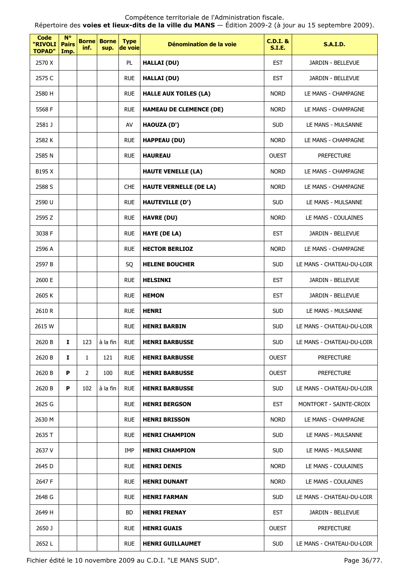#### Compétence territoriale de l'Administration fiscale. Répertoire des **voies et lieux-dits de la ville du MANS** — Édition 2009-2 (à jour au 15 septembre 2009).

| Code<br>"RIVOLI<br><b>TOPAD"</b> | $N^{\circ}$<br><b>Pairs</b><br>Imp. | <b>Borne</b><br>inf. | <b>Borne</b><br>sup. | <b>Type</b><br>de voie | Dénomination de la voie        | <b>C.D.I. &amp;</b><br><b>S.I.E.</b> | <b>S.A.I.D.</b>           |
|----------------------------------|-------------------------------------|----------------------|----------------------|------------------------|--------------------------------|--------------------------------------|---------------------------|
| 2570 X                           |                                     |                      |                      | PL                     | <b>HALLAI (DU)</b>             | <b>EST</b>                           | JARDIN - BELLEVUE         |
| 2575 C                           |                                     |                      |                      | <b>RUE</b>             | <b>HALLAI (DU)</b>             | <b>EST</b>                           | JARDIN - BELLEVUE         |
| 2580 H                           |                                     |                      |                      | <b>RUE</b>             | <b>HALLE AUX TOILES (LA)</b>   | <b>NORD</b>                          | LE MANS - CHAMPAGNE       |
| 5568 F                           |                                     |                      |                      | <b>RUE</b>             | <b>HAMEAU DE CLEMENCE (DE)</b> | <b>NORD</b>                          | LE MANS - CHAMPAGNE       |
| 2581 J                           |                                     |                      |                      | AV                     | HAOUZA (D')                    | <b>SUD</b>                           | LE MANS - MULSANNE        |
| 2582K                            |                                     |                      |                      | <b>RUE</b>             | <b>HAPPEAU (DU)</b>            | <b>NORD</b>                          | LE MANS - CHAMPAGNE       |
| 2585 N                           |                                     |                      |                      | <b>RUE</b>             | <b>HAUREAU</b>                 | <b>OUEST</b>                         | <b>PREFECTURE</b>         |
| B195 X                           |                                     |                      |                      |                        | <b>HAUTE VENELLE (LA)</b>      | <b>NORD</b>                          | LE MANS - CHAMPAGNE       |
| 2588 S                           |                                     |                      |                      | <b>CHE</b>             | <b>HAUTE VERNELLE (DE LA)</b>  | <b>NORD</b>                          | LE MANS - CHAMPAGNE       |
| 2590 U                           |                                     |                      |                      | <b>RUE</b>             | <b>HAUTEVILLE (D')</b>         | <b>SUD</b>                           | LE MANS - MULSANNE        |
| 2595 Z                           |                                     |                      |                      | <b>RUE</b>             | <b>HAVRE (DU)</b>              | <b>NORD</b>                          | LE MANS - COULAINES       |
| 3038 F                           |                                     |                      |                      | <b>RUE</b>             | HAYE (DE LA)                   | <b>EST</b>                           | JARDIN - BELLEVUE         |
| 2596 A                           |                                     |                      |                      | <b>RUE</b>             | <b>HECTOR BERLIOZ</b>          | <b>NORD</b>                          | LE MANS - CHAMPAGNE       |
| 2597 B                           |                                     |                      |                      | SQ                     | <b>HELENE BOUCHER</b>          | <b>SUD</b>                           | LE MANS - CHATEAU-DU-LOIR |
| 2600 E                           |                                     |                      |                      | <b>RUE</b>             | <b>HELSINKI</b>                | <b>EST</b>                           | JARDIN - BELLEVUE         |
| 2605K                            |                                     |                      |                      | <b>RUE</b>             | <b>HEMON</b>                   | <b>EST</b>                           | JARDIN - BELLEVUE         |
| 2610R                            |                                     |                      |                      | <b>RUE</b>             | <b>HENRI</b>                   | <b>SUD</b>                           | LE MANS - MULSANNE        |
| 2615 W                           |                                     |                      |                      | <b>RUE</b>             | <b>HENRI BARBIN</b>            | <b>SUD</b>                           | LE MANS - CHATEAU-DU-LOIR |
| 2620 B                           | Ι.                                  | 123                  | à la fin             | <b>RUE</b>             | <b>HENRI BARBUSSE</b>          | <b>SUD</b>                           | LE MANS - CHATEAU-DU-LOIR |
| 2620 B                           | Ι.                                  | $\mathbf{1}$         | 121                  | <b>RUE</b>             | <b>HENRI BARBUSSE</b>          | <b>OUEST</b>                         | <b>PREFECTURE</b>         |
| 2620 B                           | P                                   | $\overline{2}$       | 100                  | <b>RUE</b>             | <b>HENRI BARBUSSE</b>          | <b>OUEST</b>                         | <b>PREFECTURE</b>         |
| 2620 B                           | P                                   | 102                  | à la fin             | <b>RUE</b>             | <b>HENRI BARBUSSE</b>          | <b>SUD</b>                           | LE MANS - CHATEAU-DU-LOIR |
| 2625 G                           |                                     |                      |                      | <b>RUE</b>             | <b>HENRI BERGSON</b>           | <b>EST</b>                           | MONTFORT - SAINTE-CROIX   |
| 2630 M                           |                                     |                      |                      | <b>RUE</b>             | <b>HENRI BRISSON</b>           | <b>NORD</b>                          | LE MANS - CHAMPAGNE       |
| 2635 T                           |                                     |                      |                      | <b>RUE</b>             | <b>HENRI CHAMPION</b>          | <b>SUD</b>                           | LE MANS - MULSANNE        |
| 2637 V                           |                                     |                      |                      | IMP                    | <b>HENRI CHAMPION</b>          | <b>SUD</b>                           | LE MANS - MULSANNE        |
| 2645 D                           |                                     |                      |                      | <b>RUE</b>             | <b>HENRI DENIS</b>             | <b>NORD</b>                          | LE MANS - COULAINES       |
| 2647 F                           |                                     |                      |                      | <b>RUE</b>             | <b>HENRI DUNANT</b>            | <b>NORD</b>                          | LE MANS - COULAINES       |
| 2648 G                           |                                     |                      |                      | <b>RUE</b>             | <b>HENRI FARMAN</b>            | <b>SUD</b>                           | LE MANS - CHATEAU-DU-LOIR |
| 2649 H                           |                                     |                      |                      | <b>BD</b>              | <b>HENRI FRENAY</b>            | <b>EST</b>                           | JARDIN - BELLEVUE         |
| 2650 J                           |                                     |                      |                      | <b>RUE</b>             | <b>HENRI GUAIS</b>             | <b>OUEST</b>                         | <b>PREFECTURE</b>         |
| 2652L                            |                                     |                      |                      | <b>RUE</b>             | <b>HENRI GUILLAUMET</b>        | <b>SUD</b>                           | LE MANS - CHATEAU-DU-LOIR |

Fichier édité le 10 novembre 2009 au C.D.I. "LE MANS SUD". Page 36/77.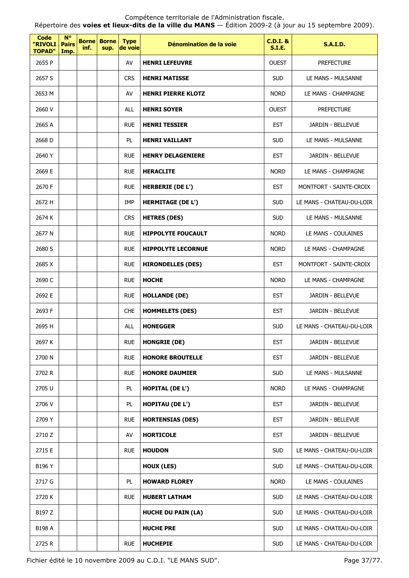Répertoire des **voies et lieux-dits de la ville du MANS** — Édition 2009-2 (à jour au 15 septembre 2009).

| <b>Code</b><br>"RIVOLI<br><b>TOPAD"</b> | $N^{\circ}$<br><b>Pairs</b><br>Imp. | <b>Borne</b><br>inf. | <b>Borne</b><br>sup. | <b>Type</b><br>de voie | Dénomination de la voie   | <b>C.D.I. &amp;</b><br><b>S.I.E.</b> | <b>S.A.I.D.</b>           |
|-----------------------------------------|-------------------------------------|----------------------|----------------------|------------------------|---------------------------|--------------------------------------|---------------------------|
| 2655 P                                  |                                     |                      |                      | AV                     | <b>HENRI LEFEUVRE</b>     | <b>OUEST</b>                         | <b>PREFECTURE</b>         |
| 2657 S                                  |                                     |                      |                      | <b>CRS</b>             | <b>HENRI MATISSE</b>      | <b>SUD</b>                           | LE MANS - MULSANNE        |
| 2653 M                                  |                                     |                      |                      | AV                     | <b>HENRI PIERRE KLOTZ</b> | <b>NORD</b>                          | LE MANS - CHAMPAGNE       |
| 2660 V                                  |                                     |                      |                      | <b>ALL</b>             | <b>HENRI SOYER</b>        | <b>OUEST</b>                         | <b>PREFECTURE</b>         |
| 2665 A                                  |                                     |                      |                      | <b>RUE</b>             | <b>HENRI TESSIER</b>      | <b>EST</b>                           | JARDIN - BELLEVUE         |
| 2668 D                                  |                                     |                      |                      | PL                     | <b>HENRI VAILLANT</b>     | <b>SUD</b>                           | LE MANS - MULSANNE        |
| 2640 Y                                  |                                     |                      |                      | <b>RUE</b>             | <b>HENRY DELAGENIERE</b>  | <b>EST</b>                           | JARDIN - BELLEVUE         |
| 2669 E                                  |                                     |                      |                      | <b>RUE</b>             | <b>HERACLITE</b>          | <b>NORD</b>                          | LE MANS - CHAMPAGNE       |
| 2670 F                                  |                                     |                      |                      | <b>RUE</b>             | <b>HERBERIE (DE L')</b>   | <b>EST</b>                           | MONTFORT - SAINTE-CROIX   |
| 2672 H                                  |                                     |                      |                      | IMP                    | <b>HERMITAGE (DE L')</b>  | <b>SUD</b>                           | LE MANS - CHATEAU-DU-LOIR |
| 2674 K                                  |                                     |                      |                      | <b>CRS</b>             | <b>HETRES (DES)</b>       | <b>SUD</b>                           | LE MANS - MULSANNE        |
| 2677 N                                  |                                     |                      |                      | <b>RUE</b>             | <b>HIPPOLYTE FOUCAULT</b> | <b>NORD</b>                          | LE MANS - COULAINES       |
| 2680 S                                  |                                     |                      |                      | <b>RUE</b>             | <b>HIPPOLYTE LECORNUE</b> | <b>NORD</b>                          | LE MANS - CHAMPAGNE       |
| 2685 X                                  |                                     |                      |                      | <b>RUE</b>             | <b>HIRONDELLES (DES)</b>  | <b>EST</b>                           | MONTFORT - SAINTE-CROIX   |
| 2690 C                                  |                                     |                      |                      | <b>RUE</b>             | <b>HOCHE</b>              | <b>NORD</b>                          | LE MANS - CHAMPAGNE       |
| 2692 E                                  |                                     |                      |                      | <b>RUE</b>             | <b>HOLLANDE (DE)</b>      | <b>EST</b>                           | JARDIN - BELLEVUE         |
| 2693 F                                  |                                     |                      |                      | <b>CHE</b>             | <b>HOMMELETS (DES)</b>    | <b>EST</b>                           | JARDIN - BELLEVUE         |
| 2695 H                                  |                                     |                      |                      | <b>ALL</b>             | <b>HONEGGER</b>           | <b>SUD</b>                           | LE MANS - CHATEAU-DU-LOIR |
| 2697 K                                  |                                     |                      |                      | <b>RUE</b>             | <b>HONGRIE (DE)</b>       | EST                                  | JARDIN - BELLEVUE         |
| 2700 N                                  |                                     |                      |                      | <b>RUE</b>             | <b>HONORE BROUTELLE</b>   | <b>EST</b>                           | JARDIN - BELLEVUE         |
| 2702 R                                  |                                     |                      |                      | <b>RUE</b>             | <b>HONORE DAUMIER</b>     | <b>SUD</b>                           | LE MANS - MULSANNE        |
| 2705 U                                  |                                     |                      |                      | PL                     | <b>HOPITAL (DE L')</b>    | <b>NORD</b>                          | LE MANS - CHAMPAGNE       |
| 2706 V                                  |                                     |                      |                      | PL                     | <b>HOPITAU (DE L')</b>    | <b>EST</b>                           | JARDIN - BELLEVUE         |
| 2709 Y                                  |                                     |                      |                      | <b>RUE</b>             | <b>HORTENSIAS (DES)</b>   | <b>EST</b>                           | JARDIN - BELLEVUE         |
| 2710 Z                                  |                                     |                      |                      | AV                     | <b>HORTICOLE</b>          | <b>EST</b>                           | JARDIN - BELLEVUE         |
| 2715 E                                  |                                     |                      |                      | <b>RUE</b>             | <b>HOUDON</b>             | <b>SUD</b>                           | LE MANS - CHATEAU-DU-LOIR |
| B196 Y                                  |                                     |                      |                      |                        | <b>HOUX (LES)</b>         | <b>SUD</b>                           | LE MANS - CHATEAU-DU-LOIR |
| 2717 G                                  |                                     |                      |                      | PL                     | <b>HOWARD FLOREY</b>      | <b>NORD</b>                          | LE MANS - COULAINES       |
| 2720 K                                  |                                     |                      |                      | <b>RUE</b>             | <b>HUBERT LATHAM</b>      | <b>SUD</b>                           | LE MANS - CHATEAU-DU-LOIR |
| B197 Z                                  |                                     |                      |                      |                        | <b>HUCHE DU PAIN (LA)</b> | <b>SUD</b>                           | LE MANS - CHATEAU-DU-LOIR |
| B198 A                                  |                                     |                      |                      |                        | <b>HUCHE PRE</b>          | <b>SUD</b>                           | LE MANS - CHATEAU-DU-LOIR |
| 2725 R                                  |                                     |                      |                      | <b>RUE</b>             | <b>HUCHEPIE</b>           | <b>SUD</b>                           | LE MANS - CHATEAU-DU-LOIR |

Fichier édité le 10 novembre 2009 au C.D.I. "LE MANS SUD". Page 37/77.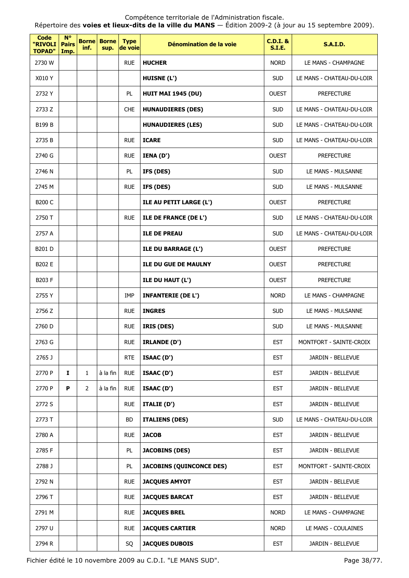Répertoire des **voies et lieux-dits de la ville du MANS** — Édition 2009-2 (à jour au 15 septembre 2009).

| <b>Code</b><br>"RIVOLI<br><b>TOPAD"</b> | <b>N°</b><br><b>Pairs</b><br>Imp. | inf.           | <b>Borne</b> Borne<br>sup. | <b>Type</b><br>de voie | Dénomination de la voie         | <b>C.D.I. &amp;</b><br><b>S.I.E.</b> | <b>S.A.I.D.</b>           |
|-----------------------------------------|-----------------------------------|----------------|----------------------------|------------------------|---------------------------------|--------------------------------------|---------------------------|
| 2730 W                                  |                                   |                |                            | <b>RUE</b>             | <b>HUCHER</b>                   | <b>NORD</b>                          | LE MANS - CHAMPAGNE       |
| X010 Y                                  |                                   |                |                            |                        | <b>HUISNE (L')</b>              | <b>SUD</b>                           | LE MANS - CHATEAU-DU-LOIR |
| 2732 Y                                  |                                   |                |                            | PL.                    | <b>HUIT MAI 1945 (DU)</b>       | <b>OUEST</b>                         | <b>PREFECTURE</b>         |
| 2733 Z                                  |                                   |                |                            | <b>CHE</b>             | <b>HUNAUDIERES (DES)</b>        | <b>SUD</b>                           | LE MANS - CHATEAU-DU-LOIR |
| B199 B                                  |                                   |                |                            |                        | <b>HUNAUDIERES (LES)</b>        | <b>SUD</b>                           | LE MANS - CHATEAU-DU-LOIR |
| 2735 B                                  |                                   |                |                            | <b>RUE</b>             | <b>ICARE</b>                    | <b>SUD</b>                           | LE MANS - CHATEAU-DU-LOIR |
| 2740 G                                  |                                   |                |                            | <b>RUE</b>             | IENA (D')                       | <b>OUEST</b>                         | <b>PREFECTURE</b>         |
| 2746 N                                  |                                   |                |                            | PL                     | IFS (DES)                       | <b>SUD</b>                           | LE MANS - MULSANNE        |
| 2745 M                                  |                                   |                |                            | <b>RUE</b>             | IFS (DES)                       | <b>SUD</b>                           | LE MANS - MULSANNE        |
| <b>B200 C</b>                           |                                   |                |                            |                        | ILE AU PETIT LARGE (L')         | <b>OUEST</b>                         | <b>PREFECTURE</b>         |
| 2750 T                                  |                                   |                |                            | <b>RUE</b>             | ILE DE FRANCE (DE L')           | <b>SUD</b>                           | LE MANS - CHATEAU-DU-LOIR |
| 2757 A                                  |                                   |                |                            |                        | <b>ILE DE PREAU</b>             | <b>SUD</b>                           | LE MANS - CHATEAU-DU-LOIR |
| B201 D                                  |                                   |                |                            |                        | <b>ILE DU BARRAGE (L')</b>      | <b>OUEST</b>                         | <b>PREFECTURE</b>         |
| B202 E                                  |                                   |                |                            |                        | <b>ILE DU GUE DE MAULNY</b>     | <b>OUEST</b>                         | <b>PREFECTURE</b>         |
| <b>B203 F</b>                           |                                   |                |                            |                        | ILE DU HAUT (L')                | <b>OUEST</b>                         | <b>PREFECTURE</b>         |
| 2755 Y                                  |                                   |                |                            | IMP                    | <b>INFANTERIE (DE L')</b>       | <b>NORD</b>                          | LE MANS - CHAMPAGNE       |
| 2756 Z                                  |                                   |                |                            | <b>RUE</b>             | <b>INGRES</b>                   | <b>SUD</b>                           | LE MANS - MULSANNE        |
| 2760 D                                  |                                   |                |                            | <b>RUE</b>             | IRIS (DES)                      | <b>SUD</b>                           | LE MANS - MULSANNE        |
| 2763 G                                  |                                   |                |                            | <b>RUE</b>             | <b>IRLANDE (D')</b>             | <b>EST</b>                           | MONTFORT - SAINTE-CROIX   |
| 2765 J                                  |                                   |                |                            | <b>RTE</b>             | ISAAC (D')                      | <b>EST</b>                           | JARDIN - BELLEVUE         |
| 2770 P                                  | $\mathbf{I}$                      | 1              | à la fin                   | <b>RUE</b>             | ISAAC (D')                      | <b>EST</b>                           | JARDIN - BELLEVUE         |
| 2770 P                                  | P                                 | $\overline{2}$ | à la fin                   | <b>RUE</b>             | ISAAC (D')                      | <b>EST</b>                           | JARDIN - BELLEVUE         |
| 2772 S                                  |                                   |                |                            | <b>RUE</b>             | ITALIE (D')                     | <b>EST</b>                           | JARDIN - BELLEVUE         |
| 2773 T                                  |                                   |                |                            | BD                     | <b>ITALIENS (DES)</b>           | <b>SUD</b>                           | LE MANS - CHATEAU-DU-LOIR |
| 2780 A                                  |                                   |                |                            | <b>RUE</b>             | <b>JACOB</b>                    | <b>EST</b>                           | JARDIN - BELLEVUE         |
| 2785 F                                  |                                   |                |                            | PL                     | <b>JACOBINS (DES)</b>           | <b>EST</b>                           | JARDIN - BELLEVUE         |
| 2788 J                                  |                                   |                |                            | PL                     | <b>JACOBINS (QUINCONCE DES)</b> | <b>EST</b>                           | MONTFORT - SAINTE-CROIX   |
| 2792 N                                  |                                   |                |                            | <b>RUE</b>             | <b>JACQUES AMYOT</b>            | <b>EST</b>                           | JARDIN - BELLEVUE         |
| 2796 T                                  |                                   |                |                            | <b>RUE</b>             | <b>JACQUES BARCAT</b>           | <b>EST</b>                           | JARDIN - BELLEVUE         |
| 2791 M                                  |                                   |                |                            | <b>RUE</b>             | <b>JACQUES BREL</b>             | <b>NORD</b>                          | LE MANS - CHAMPAGNE       |
| 2797 U                                  |                                   |                |                            | <b>RUE</b>             | <b>JACQUES CARTIER</b>          | <b>NORD</b>                          | LE MANS - COULAINES       |
| 2794 R                                  |                                   |                |                            | SQ                     | <b>JACQUES DUBOIS</b>           | <b>EST</b>                           | JARDIN - BELLEVUE         |

Fichier édité le 10 novembre 2009 au C.D.I. "LE MANS SUD". Page 38/77.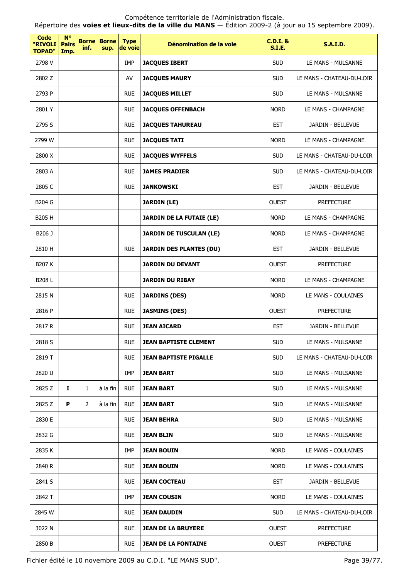Répertoire des **voies et lieux-dits de la ville du MANS** — Édition 2009-2 (à jour au 15 septembre 2009).

| <b>Code</b><br>"RIVOLI<br><b>TOPAD"</b> | $N^{\circ}$<br><b>Pairs</b><br>Imp. | <b>Borne</b><br>inf. | <b>Borne</b><br>sup. | <b>Type</b><br>de voie | Dénomination de la voie         | $C.D.I.$ &<br><b>S.I.E.</b> | <b>S.A.I.D.</b>           |
|-----------------------------------------|-------------------------------------|----------------------|----------------------|------------------------|---------------------------------|-----------------------------|---------------------------|
| 2798 V                                  |                                     |                      |                      | IMP                    | <b>JACQUES IBERT</b>            | <b>SUD</b>                  | LE MANS - MULSANNE        |
| 2802 Z                                  |                                     |                      |                      | AV                     | <b>JACQUES MAURY</b>            | <b>SUD</b>                  | LE MANS - CHATEAU-DU-LOIR |
| 2793 P                                  |                                     |                      |                      | <b>RUE</b>             | <b>JACQUES MILLET</b>           | <b>SUD</b>                  | LE MANS - MULSANNE        |
| 2801 Y                                  |                                     |                      |                      | <b>RUE</b>             | <b>JACQUES OFFENBACH</b>        | <b>NORD</b>                 | LE MANS - CHAMPAGNE       |
| 2795 S                                  |                                     |                      |                      | <b>RUE</b>             | <b>JACQUES TAHUREAU</b>         | <b>EST</b>                  | JARDIN - BELLEVUE         |
| 2799 W                                  |                                     |                      |                      | <b>RUE</b>             | <b>JACQUES TATI</b>             | <b>NORD</b>                 | LE MANS - CHAMPAGNE       |
| 2800 X                                  |                                     |                      |                      | <b>RUE</b>             | <b>JACQUES WYFFELS</b>          | <b>SUD</b>                  | LE MANS - CHATEAU-DU-LOIR |
| 2803 A                                  |                                     |                      |                      | <b>RUE</b>             | <b>JAMES PRADIER</b>            | <b>SUD</b>                  | LE MANS - CHATEAU-DU-LOIR |
| 2805 C                                  |                                     |                      |                      | <b>RUE</b>             | <b>JANKOWSKI</b>                | <b>EST</b>                  | JARDIN - BELLEVUE         |
| B204 G                                  |                                     |                      |                      |                        | <b>JARDIN (LE)</b>              | <b>OUEST</b>                | <b>PREFECTURE</b>         |
| B205 H                                  |                                     |                      |                      |                        | <b>JARDIN DE LA FUTAIE (LE)</b> | <b>NORD</b>                 | LE MANS - CHAMPAGNE       |
| B206 J                                  |                                     |                      |                      |                        | <b>JARDIN DE TUSCULAN (LE)</b>  | <b>NORD</b>                 | LE MANS - CHAMPAGNE       |
| 2810 H                                  |                                     |                      |                      | <b>RUE</b>             | <b>JARDIN DES PLANTES (DU)</b>  | <b>EST</b>                  | JARDIN - BELLEVUE         |
| <b>B207 K</b>                           |                                     |                      |                      |                        | <b>JARDIN DU DEVANT</b>         | <b>OUEST</b>                | <b>PREFECTURE</b>         |
| B208L                                   |                                     |                      |                      |                        | <b>JARDIN DU RIBAY</b>          | <b>NORD</b>                 | LE MANS - CHAMPAGNE       |
| 2815N                                   |                                     |                      |                      | <b>RUE</b>             | <b>JARDINS (DES)</b>            | <b>NORD</b>                 | LE MANS - COULAINES       |
| 2816 P                                  |                                     |                      |                      | <b>RUE</b>             | <b>JASMINS (DES)</b>            | <b>OUEST</b>                | <b>PREFECTURE</b>         |
| 2817 R                                  |                                     |                      |                      | <b>RUE</b>             | <b>JEAN AICARD</b>              | <b>EST</b>                  | JARDIN - BELLEVUE         |
| 2818 S                                  |                                     |                      |                      | <b>RUE</b>             | <b>JEAN BAPTISTE CLEMENT</b>    | <b>SUD</b>                  | LE MANS - MULSANNE        |
| 2819 T                                  |                                     |                      |                      | <b>RUE</b>             | <b>JEAN BAPTISTE PIGALLE</b>    | <b>SUD</b>                  | LE MANS - CHATEAU-DU-LOIR |
| 2820 U                                  |                                     |                      |                      | <b>IMP</b>             | JEAN BART                       | <b>SUD</b>                  | LE MANS - MULSANNE        |
| 2825 Z                                  | 1                                   | 1                    | à la fin             | <b>RUE</b>             | <b>JEAN BART</b>                | <b>SUD</b>                  | LE MANS - MULSANNE        |
| 2825 Z                                  | P                                   | 2                    | à la fin             | <b>RUE</b>             | JEAN BART                       | <b>SUD</b>                  | LE MANS - MULSANNE        |
| 2830 E                                  |                                     |                      |                      | <b>RUE</b>             | <b>JEAN BEHRA</b>               | <b>SUD</b>                  | LE MANS - MULSANNE        |
| 2832 G                                  |                                     |                      |                      | <b>RUE</b>             | JEAN BLIN                       | <b>SUD</b>                  | LE MANS - MULSANNE        |
| 2835 K                                  |                                     |                      |                      | IMP                    | JEAN BOUIN                      | <b>NORD</b>                 | LE MANS - COULAINES       |
| 2840 R                                  |                                     |                      |                      | <b>RUE</b>             | JEAN BOUIN                      | <b>NORD</b>                 | LE MANS - COULAINES       |
| 2841 S                                  |                                     |                      |                      | <b>RUE</b>             | <b>JEAN COCTEAU</b>             | <b>EST</b>                  | JARDIN - BELLEVUE         |
| 2842 T                                  |                                     |                      |                      | IMP                    | JEAN COUSIN                     | <b>NORD</b>                 | LE MANS - COULAINES       |
| 2845 W                                  |                                     |                      |                      | <b>RUE</b>             | JEAN DAUDIN                     | <b>SUD</b>                  | LE MANS - CHATEAU-DU-LOIR |
| 3022 N                                  |                                     |                      |                      | <b>RUE</b>             | JEAN DE LA BRUYERE              | <b>OUEST</b>                | <b>PREFECTURE</b>         |
| 2850 B                                  |                                     |                      |                      | <b>RUE</b>             | <b>JEAN DE LA FONTAINE</b>      | <b>OUEST</b>                | <b>PREFECTURE</b>         |

Fichier édité le 10 novembre 2009 au C.D.I. "LE MANS SUD". Page 39/77.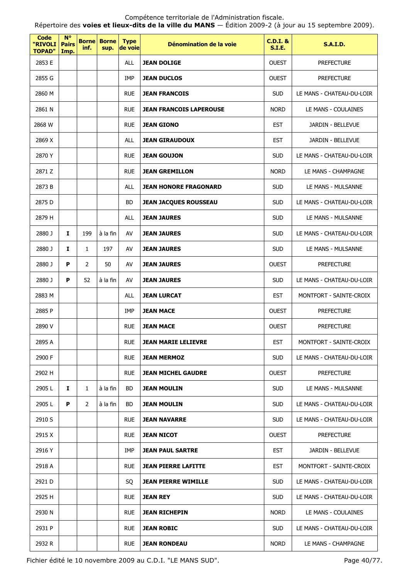Répertoire des **voies et lieux-dits de la ville du MANS** — Édition 2009-2 (à jour au 15 septembre 2009).

| Code<br>"RIVOLI<br><b>TOPAD"</b> | $N^{\circ}$<br><b>Pairs</b><br>Imp. | <b>Borne</b><br>inf. | <b>Borne</b><br>sup. | <b>Type</b><br>de voie | Dénomination de la voie        | <b>C.D.I. &amp;</b><br><b>S.I.E.</b> | <b>S.A.I.D.</b>           |
|----------------------------------|-------------------------------------|----------------------|----------------------|------------------------|--------------------------------|--------------------------------------|---------------------------|
| 2853 E                           |                                     |                      |                      | ALL                    | <b>JEAN DOLIGE</b>             | <b>OUEST</b>                         | <b>PREFECTURE</b>         |
| 2855 G                           |                                     |                      |                      | IMP                    | <b>JEAN DUCLOS</b>             | <b>OUEST</b>                         | <b>PREFECTURE</b>         |
| 2860 M                           |                                     |                      |                      | <b>RUE</b>             | <b>JEAN FRANCOIS</b>           | <b>SUD</b>                           | LE MANS - CHATEAU-DU-LOIR |
| 2861 N                           |                                     |                      |                      | <b>RUE</b>             | <b>JEAN FRANCOIS LAPEROUSE</b> | <b>NORD</b>                          | LE MANS - COULAINES       |
| 2868 W                           |                                     |                      |                      | <b>RUE</b>             | <b>JEAN GIONO</b>              | <b>EST</b>                           | JARDIN - BELLEVUE         |
| 2869 X                           |                                     |                      |                      | <b>ALL</b>             | <b>JEAN GIRAUDOUX</b>          | <b>EST</b>                           | JARDIN - BELLEVUE         |
| 2870 Y                           |                                     |                      |                      | <b>RUE</b>             | <b>JEAN GOUJON</b>             | <b>SUD</b>                           | LE MANS - CHATEAU-DU-LOIR |
| 2871 Z                           |                                     |                      |                      | <b>RUE</b>             | <b>JEAN GREMILLON</b>          | <b>NORD</b>                          | LE MANS - CHAMPAGNE       |
| 2873 B                           |                                     |                      |                      | <b>ALL</b>             | <b>JEAN HONORE FRAGONARD</b>   | <b>SUD</b>                           | LE MANS - MULSANNE        |
| 2875 D                           |                                     |                      |                      | BD                     | <b>JEAN JACQUES ROUSSEAU</b>   | <b>SUD</b>                           | LE MANS - CHATEAU-DU-LOIR |
| 2879 H                           |                                     |                      |                      | <b>ALL</b>             | <b>JEAN JAURES</b>             | <b>SUD</b>                           | LE MANS - MULSANNE        |
| 2880 J                           | 1                                   | 199                  | à la fin             | AV                     | <b>JEAN JAURES</b>             | <b>SUD</b>                           | LE MANS - CHATEAU-DU-LOIR |
| 2880 J                           | I                                   | 1                    | 197                  | AV                     | <b>JEAN JAURES</b>             | <b>SUD</b>                           | LE MANS - MULSANNE        |
| 2880 J                           | P                                   | 2                    | 50                   | AV                     | <b>JEAN JAURES</b>             | <b>OUEST</b>                         | <b>PREFECTURE</b>         |
| 2880 J                           | P                                   | 52                   | à la fin             | AV                     | <b>JEAN JAURES</b>             | <b>SUD</b>                           | LE MANS - CHATEAU-DU-LOIR |
| 2883 M                           |                                     |                      |                      | <b>ALL</b>             | <b>JEAN LURCAT</b>             | <b>EST</b>                           | MONTFORT - SAINTE-CROIX   |
| 2885 P                           |                                     |                      |                      | IMP                    | <b>JEAN MACE</b>               | <b>OUEST</b>                         | <b>PREFECTURE</b>         |
| 2890 V                           |                                     |                      |                      | <b>RUE</b>             | <b>JEAN MACE</b>               | <b>OUEST</b>                         | <b>PREFECTURE</b>         |
| 2895 A                           |                                     |                      |                      | <b>RUE</b>             | JEAN MARIE LELIEVRE            | <b>EST</b>                           | MONTFORT - SAINTE-CROIX   |
| 2900 F                           |                                     |                      |                      | <b>RUE</b>             | <b>JEAN MERMOZ</b>             | <b>SUD</b>                           | LE MANS - CHATEAU-DU-LOIR |
| 2902 H                           |                                     |                      |                      | <b>RUE</b>             | <b>JEAN MICHEL GAUDRE</b>      | <b>OUEST</b>                         | <b>PREFECTURE</b>         |
| 2905 L                           | Ι.                                  | $\mathbf{1}$         | à la fin             | BD.                    | <b>JEAN MOULIN</b>             | <b>SUD</b>                           | LE MANS - MULSANNE        |
| 2905 L                           | P                                   | 2                    | à la fin             | BD                     | <b>JEAN MOULIN</b>             | <b>SUD</b>                           | LE MANS - CHATEAU-DU-LOIR |
| 2910 S                           |                                     |                      |                      | <b>RUE</b>             | <b>JEAN NAVARRE</b>            | <b>SUD</b>                           | LE MANS - CHATEAU-DU-LOIR |
| 2915 X                           |                                     |                      |                      | <b>RUE</b>             | <b>JEAN NICOT</b>              | <b>OUEST</b>                         | <b>PREFECTURE</b>         |
| 2916 Y                           |                                     |                      |                      | IMP                    | <b>JEAN PAUL SARTRE</b>        | <b>EST</b>                           | JARDIN - BELLEVUE         |
| 2918 A                           |                                     |                      |                      | <b>RUE</b>             | <b>JEAN PIERRE LAFITTE</b>     | <b>EST</b>                           | MONTFORT - SAINTE-CROIX   |
| 2921 D                           |                                     |                      |                      | SQ                     | <b>JEAN PIERRE WIMILLE</b>     | <b>SUD</b>                           | LE MANS - CHATEAU-DU-LOIR |
| 2925 H                           |                                     |                      |                      | <b>RUE</b>             | <b>JEAN REY</b>                | <b>SUD</b>                           | LE MANS - CHATEAU-DU-LOIR |
| 2930 N                           |                                     |                      |                      | <b>RUE</b>             | <b>JEAN RICHEPIN</b>           | <b>NORD</b>                          | LE MANS - COULAINES       |
| 2931 P                           |                                     |                      |                      | <b>RUE</b>             | <b>JEAN ROBIC</b>              | <b>SUD</b>                           | LE MANS - CHATEAU-DU-LOIR |
| 2932 R                           |                                     |                      |                      | <b>RUE</b>             | <b>JEAN RONDEAU</b>            | <b>NORD</b>                          | LE MANS - CHAMPAGNE       |

Fichier édité le 10 novembre 2009 au C.D.I. "LE MANS SUD". Page 40/77.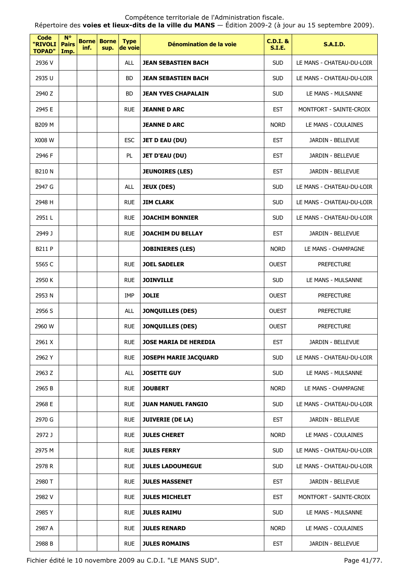Répertoire des **voies et lieux-dits de la ville du MANS** — Édition 2009-2 (à jour au 15 septembre 2009).

| Code<br>"RIVOLI<br><b>TOPAD"</b> | <b>N°</b><br><b>Pairs</b><br>Imp. | <b>Borne</b><br>inf. | <b>Borne</b><br>sup. | <b>Type</b><br>de voie | Dénomination de la voie    | <b>C.D.I. &amp;</b><br><b>S.I.E.</b> | <b>S.A.I.D.</b>           |
|----------------------------------|-----------------------------------|----------------------|----------------------|------------------------|----------------------------|--------------------------------------|---------------------------|
| 2936 V                           |                                   |                      |                      | <b>ALL</b>             | <b>JEAN SEBASTIEN BACH</b> | <b>SUD</b>                           | LE MANS - CHATEAU-DU-LOIR |
| 2935 U                           |                                   |                      |                      | BD                     | JEAN SEBASTIEN BACH        | <b>SUD</b>                           | LE MANS - CHATEAU-DU-LOIR |
| 2940 Z                           |                                   |                      |                      | BD.                    | JEAN YVES CHAPALAIN        | <b>SUD</b>                           | LE MANS - MULSANNE        |
| 2945 E                           |                                   |                      |                      | <b>RUE</b>             | <b>JEANNE D ARC</b>        | <b>EST</b>                           | MONTFORT - SAINTE-CROIX   |
| B209 M                           |                                   |                      |                      |                        | <b>JEANNE D ARC</b>        | <b>NORD</b>                          | LE MANS - COULAINES       |
| X008 W                           |                                   |                      |                      | <b>ESC</b>             | <b>JET D EAU (DU)</b>      | <b>EST</b>                           | JARDIN - BELLEVUE         |
| 2946 F                           |                                   |                      |                      | PL                     | <b>JET D'EAU (DU)</b>      | <b>EST</b>                           | JARDIN - BELLEVUE         |
| <b>B210 N</b>                    |                                   |                      |                      |                        | <b>JEUNOIRES (LES)</b>     | <b>EST</b>                           | JARDIN - BELLEVUE         |
| 2947 G                           |                                   |                      |                      | <b>ALL</b>             | <b>JEUX (DES)</b>          | <b>SUD</b>                           | LE MANS - CHATEAU-DU-LOIR |
| 2948 H                           |                                   |                      |                      | <b>RUE</b>             | <b>JIM CLARK</b>           | <b>SUD</b>                           | LE MANS - CHATEAU-DU-LOIR |
| 2951L                            |                                   |                      |                      | <b>RUE</b>             | <b>JOACHIM BONNIER</b>     | <b>SUD</b>                           | LE MANS - CHATEAU-DU-LOIR |
| 2949 J                           |                                   |                      |                      | <b>RUE</b>             | <b>JOACHIM DU BELLAY</b>   | <b>EST</b>                           | JARDIN - BELLEVUE         |
| B211 P                           |                                   |                      |                      |                        | <b>JOBINIERES (LES)</b>    | <b>NORD</b>                          | LE MANS - CHAMPAGNE       |
| 5565 C                           |                                   |                      |                      | <b>RUE</b>             | <b>JOEL SADELER</b>        | <b>OUEST</b>                         | <b>PREFECTURE</b>         |
| 2950 K                           |                                   |                      |                      | <b>RUE</b>             | <b>JOINVILLE</b>           | <b>SUD</b>                           | LE MANS - MULSANNE        |
| 2953 N                           |                                   |                      |                      | <b>IMP</b>             | <b>JOLIE</b>               | <b>OUEST</b>                         | <b>PREFECTURE</b>         |
| 2956 S                           |                                   |                      |                      | <b>ALL</b>             | <b>JONQUILLES (DES)</b>    | <b>OUEST</b>                         | <b>PREFECTURE</b>         |
| 2960 W                           |                                   |                      |                      | <b>RUE</b>             | <b>JONQUILLES (DES)</b>    | <b>OUEST</b>                         | <b>PREFECTURE</b>         |
| 2961 X                           |                                   |                      |                      | <b>RUE</b>             | JOSE MARIA DE HEREDIA      | EST                                  | JARDIN - BELLEVUE         |
| 2962 Y                           |                                   |                      |                      | <b>RUE</b>             | JOSEPH MARIE JACQUARD      | <b>SUD</b>                           | LE MANS - CHATEAU-DU-LOIR |
| 2963 Z                           |                                   |                      |                      | <b>ALL</b>             | <b>JOSETTE GUY</b>         | <b>SUD</b>                           | LE MANS - MULSANNE        |
| 2965 B                           |                                   |                      |                      | <b>RUE</b>             | <b>JOUBERT</b>             | <b>NORD</b>                          | LE MANS - CHAMPAGNE       |
| 2968 E                           |                                   |                      |                      | <b>RUE</b>             | <b>JUAN MANUEL FANGIO</b>  | <b>SUD</b>                           | LE MANS - CHATEAU-DU-LOIR |
| 2970 G                           |                                   |                      |                      | <b>RUE</b>             | <b>JUIVERIE (DE LA)</b>    | <b>EST</b>                           | JARDIN - BELLEVUE         |
| 2972 J                           |                                   |                      |                      | <b>RUE</b>             | <b>JULES CHERET</b>        | <b>NORD</b>                          | LE MANS - COULAINES       |
| 2975 M                           |                                   |                      |                      | <b>RUE</b>             | <b>JULES FERRY</b>         | <b>SUD</b>                           | LE MANS - CHATEAU-DU-LOIR |
| 2978 R                           |                                   |                      |                      | <b>RUE</b>             | <b>JULES LADOUMEGUE</b>    | <b>SUD</b>                           | LE MANS - CHATEAU-DU-LOIR |
| 2980 T                           |                                   |                      |                      | <b>RUE</b>             | <b>JULES MASSENET</b>      | <b>EST</b>                           | JARDIN - BELLEVUE         |
| 2982 V                           |                                   |                      |                      | <b>RUE</b>             | <b>JULES MICHELET</b>      | <b>EST</b>                           | MONTFORT - SAINTE-CROIX   |
| 2985Y                            |                                   |                      |                      | <b>RUE</b>             | <b>JULES RAIMU</b>         | <b>SUD</b>                           | LE MANS - MULSANNE        |
| 2987 A                           |                                   |                      |                      | <b>RUE</b>             | <b>JULES RENARD</b>        | <b>NORD</b>                          | LE MANS - COULAINES       |
| 2988 B                           |                                   |                      |                      | <b>RUE</b>             | <b>JULES ROMAINS</b>       | <b>EST</b>                           | JARDIN - BELLEVUE         |

Fichier édité le 10 novembre 2009 au C.D.I. "LE MANS SUD". Page 41/77.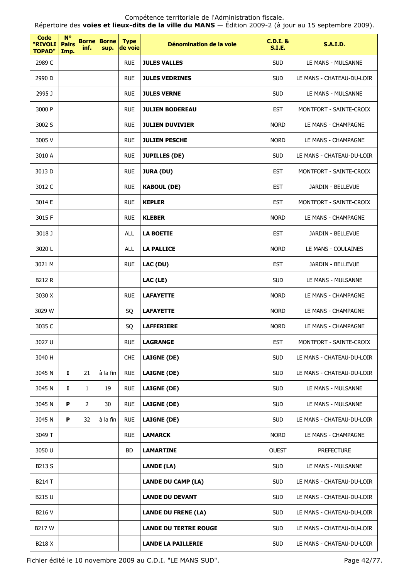Répertoire des **voies et lieux-dits de la ville du MANS** — Édition 2009-2 (à jour au 15 septembre 2009).

| Code<br>"RIVOLI<br><b>TOPAD"</b> | $N^{\circ}$<br><b>Pairs</b><br>Imp. | <b>Borne</b><br>inf. | <b>Borne</b><br>sup. | <b>Type</b><br>de voie | Dénomination de la voie      | <b>C.D.I. &amp;</b><br><b>S.I.E.</b> | <b>S.A.I.D.</b>           |
|----------------------------------|-------------------------------------|----------------------|----------------------|------------------------|------------------------------|--------------------------------------|---------------------------|
| 2989 C                           |                                     |                      |                      | <b>RUE</b>             | <b>JULES VALLES</b>          | <b>SUD</b>                           | LE MANS - MULSANNE        |
| 2990 D                           |                                     |                      |                      | <b>RUE</b>             | <b>JULES VEDRINES</b>        | <b>SUD</b>                           | LE MANS - CHATEAU-DU-LOIR |
| 2995 J                           |                                     |                      |                      | <b>RUE</b>             | <b>JULES VERNE</b>           | <b>SUD</b>                           | LE MANS - MULSANNE        |
| 3000 P                           |                                     |                      |                      | <b>RUE</b>             | <b>JULIEN BODEREAU</b>       | <b>EST</b>                           | MONTFORT - SAINTE-CROIX   |
| 3002 S                           |                                     |                      |                      | <b>RUE</b>             | <b>JULIEN DUVIVIER</b>       | <b>NORD</b>                          | LE MANS - CHAMPAGNE       |
| 3005 V                           |                                     |                      |                      | <b>RUE</b>             | <b>JULIEN PESCHE</b>         | <b>NORD</b>                          | LE MANS - CHAMPAGNE       |
| 3010 A                           |                                     |                      |                      | <b>RUE</b>             | <b>JUPILLES (DE)</b>         | <b>SUD</b>                           | LE MANS - CHATEAU-DU-LOIR |
| 3013 D                           |                                     |                      |                      | <b>RUE</b>             | <b>JURA (DU)</b>             | <b>EST</b>                           | MONTFORT - SAINTE-CROIX   |
| 3012 C                           |                                     |                      |                      | <b>RUE</b>             | <b>KABOUL (DE)</b>           | <b>EST</b>                           | JARDIN - BELLEVUE         |
| 3014 E                           |                                     |                      |                      | <b>RUE</b>             | <b>KEPLER</b>                | <b>EST</b>                           | MONTFORT - SAINTE-CROIX   |
| 3015 F                           |                                     |                      |                      | <b>RUE</b>             | <b>KLEBER</b>                | <b>NORD</b>                          | LE MANS - CHAMPAGNE       |
| 3018 J                           |                                     |                      |                      | <b>ALL</b>             | <b>LA BOETIE</b>             | <b>EST</b>                           | JARDIN - BELLEVUE         |
| 3020L                            |                                     |                      |                      | <b>ALL</b>             | <b>LA PALLICE</b>            | <b>NORD</b>                          | LE MANS - COULAINES       |
| 3021 M                           |                                     |                      |                      | <b>RUE</b>             | LAC (DU)                     | <b>EST</b>                           | JARDIN - BELLEVUE         |
| <b>B212 R</b>                    |                                     |                      |                      |                        | LAC (LE)                     | <b>SUD</b>                           | LE MANS - MULSANNE        |
| 3030 X                           |                                     |                      |                      | <b>RUE</b>             | <b>LAFAYETTE</b>             | <b>NORD</b>                          | LE MANS - CHAMPAGNE       |
| 3029 W                           |                                     |                      |                      | SQ                     | <b>LAFAYETTE</b>             | <b>NORD</b>                          | LE MANS - CHAMPAGNE       |
| 3035 C                           |                                     |                      |                      | SQ                     | <b>LAFFERIERE</b>            | <b>NORD</b>                          | LE MANS - CHAMPAGNE       |
| 3027 U                           |                                     |                      |                      | <b>RUE</b>             | LAGRANGE                     | <b>EST</b>                           | MONTFORT - SAINTE-CROIX   |
| 3040 H                           |                                     |                      |                      | <b>CHE</b>             | <b>LAIGNE (DE)</b>           | <b>SUD</b>                           | LE MANS - CHATEAU-DU-LOIR |
| 3045 N                           | I.                                  | 21                   | à la fin             | <b>RUE</b>             | <b>LAIGNE (DE)</b>           | <b>SUD</b>                           | LE MANS - CHATEAU-DU-LOIR |
| 3045 N                           | 1                                   | 1                    | 19                   | <b>RUE</b>             | <b>LAIGNE (DE)</b>           | <b>SUD</b>                           | LE MANS - MULSANNE        |
| 3045 N                           | P                                   | 2                    | 30                   | <b>RUE</b>             | <b>LAIGNE (DE)</b>           | <b>SUD</b>                           | LE MANS - MULSANNE        |
| 3045 N                           | P                                   | 32                   | à la fin             | <b>RUE</b>             | <b>LAIGNE (DE)</b>           | <b>SUD</b>                           | LE MANS - CHATEAU-DU-LOIR |
| 3049 T                           |                                     |                      |                      | <b>RUE</b>             | <b>LAMARCK</b>               | <b>NORD</b>                          | LE MANS - CHAMPAGNE       |
| 3050 U                           |                                     |                      |                      | BD                     | <b>LAMARTINE</b>             | <b>OUEST</b>                         | <b>PREFECTURE</b>         |
| B213 S                           |                                     |                      |                      |                        | LANDE (LA)                   | <b>SUD</b>                           | LE MANS - MULSANNE        |
| B214 T                           |                                     |                      |                      |                        | <b>LANDE DU CAMP (LA)</b>    | <b>SUD</b>                           | LE MANS - CHATEAU-DU-LOIR |
| B215 U                           |                                     |                      |                      |                        | <b>LANDE DU DEVANT</b>       | <b>SUD</b>                           | LE MANS - CHATEAU-DU-LOIR |
| B216 V                           |                                     |                      |                      |                        | <b>LANDE DU FRENE (LA)</b>   | <b>SUD</b>                           | LE MANS - CHATEAU-DU-LOIR |
| <b>B217W</b>                     |                                     |                      |                      |                        | <b>LANDE DU TERTRE ROUGE</b> | <b>SUD</b>                           | LE MANS - CHATEAU-DU-LOIR |
| B218 X                           |                                     |                      |                      |                        | <b>LANDE LA PAILLERIE</b>    | <b>SUD</b>                           | LE MANS - CHATEAU-DU-LOIR |

Fichier édité le 10 novembre 2009 au C.D.I. "LE MANS SUD". Page 42/77.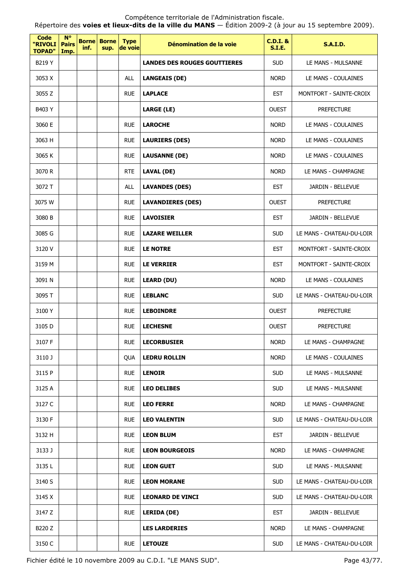Répertoire des **voies et lieux-dits de la ville du MANS** — Édition 2009-2 (à jour au 15 septembre 2009).

| Code<br>"RIVOLI<br><b>TOPAD"</b> | $N^{\circ}$<br><b>Pairs</b><br>Imp. | <b>Borne</b><br>inf. | <b>Borne</b><br>sup. | <b>Type</b><br>de voie | Dénomination de la voie             | <b>C.D.I. &amp;</b><br>S.I.E. | <b>S.A.I.D.</b>           |
|----------------------------------|-------------------------------------|----------------------|----------------------|------------------------|-------------------------------------|-------------------------------|---------------------------|
| B219 Y                           |                                     |                      |                      |                        | <b>LANDES DES ROUGES GOUTTIERES</b> | <b>SUD</b>                    | LE MANS - MULSANNE        |
| 3053 X                           |                                     |                      |                      | <b>ALL</b>             | <b>LANGEAIS (DE)</b>                | <b>NORD</b>                   | LE MANS - COULAINES       |
| 3055 Z                           |                                     |                      |                      | <b>RUE</b>             | <b>LAPLACE</b>                      | <b>EST</b>                    | MONTFORT - SAINTE-CROIX   |
| B403 Y                           |                                     |                      |                      |                        | <b>LARGE (LE)</b>                   | <b>OUEST</b>                  | <b>PREFECTURE</b>         |
| 3060 E                           |                                     |                      |                      | <b>RUE</b>             | <b>LAROCHE</b>                      | <b>NORD</b>                   | LE MANS - COULAINES       |
| 3063 H                           |                                     |                      |                      | <b>RUE</b>             | <b>LAURIERS (DES)</b>               | <b>NORD</b>                   | LE MANS - COULAINES       |
| 3065 K                           |                                     |                      |                      | <b>RUE</b>             | <b>LAUSANNE (DE)</b>                | <b>NORD</b>                   | LE MANS - COULAINES       |
| 3070 R                           |                                     |                      |                      | <b>RTE</b>             | <b>LAVAL (DE)</b>                   | <b>NORD</b>                   | LE MANS - CHAMPAGNE       |
| 3072 T                           |                                     |                      |                      | ALL                    | <b>LAVANDES (DES)</b>               | <b>EST</b>                    | JARDIN - BELLEVUE         |
| 3075 W                           |                                     |                      |                      | <b>RUE</b>             | <b>LAVANDIERES (DES)</b>            | <b>OUEST</b>                  | <b>PREFECTURE</b>         |
| 3080 B                           |                                     |                      |                      | <b>RUE</b>             | <b>LAVOISIER</b>                    | <b>EST</b>                    | JARDIN - BELLEVUE         |
| 3085 G                           |                                     |                      |                      | <b>RUE</b>             | <b>LAZARE WEILLER</b>               | <b>SUD</b>                    | LE MANS - CHATEAU-DU-LOIR |
| 3120 V                           |                                     |                      |                      | <b>RUE</b>             | <b>LE NOTRE</b>                     | <b>EST</b>                    | MONTFORT - SAINTE-CROIX   |
| 3159 M                           |                                     |                      |                      | <b>RUE</b>             | <b>LE VERRIER</b>                   | <b>EST</b>                    | MONTFORT - SAINTE-CROIX   |
| 3091 N                           |                                     |                      |                      | <b>RUE</b>             | <b>LEARD (DU)</b>                   | <b>NORD</b>                   | LE MANS - COULAINES       |
| 3095 T                           |                                     |                      |                      | <b>RUE</b>             | <b>LEBLANC</b>                      | <b>SUD</b>                    | LE MANS - CHATEAU-DU-LOIR |
| 3100 Y                           |                                     |                      |                      | <b>RUE</b>             | <b>LEBOINDRE</b>                    | <b>OUEST</b>                  | <b>PREFECTURE</b>         |
| 3105 D                           |                                     |                      |                      | <b>RUE</b>             | <b>LECHESNE</b>                     | <b>OUEST</b>                  | <b>PREFECTURE</b>         |
| 3107 F                           |                                     |                      |                      | <b>RUE</b>             | <b>LECORBUSIER</b>                  | <b>NORD</b>                   | LE MANS - CHAMPAGNE       |
| 3110 J                           |                                     |                      |                      | QUA                    | <b>LEDRU ROLLIN</b>                 | <b>NORD</b>                   | LE MANS - COULAINES       |
| 3115 P                           |                                     |                      |                      | <b>RUE</b>             | <b>LENOIR</b>                       | <b>SUD</b>                    | LE MANS - MULSANNE        |
| 3125 A                           |                                     |                      |                      | <b>RUE</b>             | <b>LEO DELIBES</b>                  | <b>SUD</b>                    | LE MANS - MULSANNE        |
| 3127 C                           |                                     |                      |                      | <b>RUE</b>             | <b>LEO FERRE</b>                    | <b>NORD</b>                   | LE MANS - CHAMPAGNE       |
| 3130 F                           |                                     |                      |                      | <b>RUE</b>             | <b>LEO VALENTIN</b>                 | <b>SUD</b>                    | LE MANS - CHATEAU-DU-LOIR |
| 3132 H                           |                                     |                      |                      | <b>RUE</b>             | <b>LEON BLUM</b>                    | <b>EST</b>                    | JARDIN - BELLEVUE         |
| 3133 J                           |                                     |                      |                      | <b>RUE</b>             | <b>LEON BOURGEOIS</b>               | <b>NORD</b>                   | LE MANS - CHAMPAGNE       |
| 3135L                            |                                     |                      |                      | <b>RUE</b>             | <b>LEON GUET</b>                    | <b>SUD</b>                    | LE MANS - MULSANNE        |
| 3140 S                           |                                     |                      |                      | <b>RUE</b>             | <b>LEON MORANE</b>                  | <b>SUD</b>                    | LE MANS - CHATEAU-DU-LOIR |
| 3145 X                           |                                     |                      |                      | <b>RUE</b>             | <b>LEONARD DE VINCI</b>             | <b>SUD</b>                    | LE MANS - CHATEAU-DU-LOIR |
| 3147 Z                           |                                     |                      |                      | <b>RUE</b>             | LERIDA (DE)                         | <b>EST</b>                    | JARDIN - BELLEVUE         |
| B220 Z                           |                                     |                      |                      |                        | <b>LES LARDERIES</b>                | <b>NORD</b>                   | LE MANS - CHAMPAGNE       |
| 3150 C                           |                                     |                      |                      | <b>RUE</b>             | <b>LETOUZE</b>                      | <b>SUD</b>                    | LE MANS - CHATEAU-DU-LOIR |

Fichier édité le 10 novembre 2009 au C.D.I. "LE MANS SUD". Page 43/77.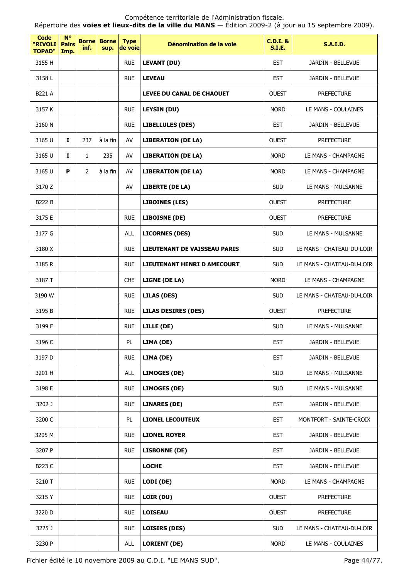Fichier édité le 10 novembre 2009 au C.D.I. "LE MANS SUD". Page 44/77.

| <b>Code</b><br>"RIVOLI<br><b>TOPAD"</b> | $N^{\circ}$<br><b>Pairs</b><br>Imp. | <b>Borne</b><br>inf. | <b>Borne</b><br>sup. | <b>Type</b><br>de voie | Dénomination de la voie             | <b>C.D.I. &amp;</b><br><b>S.I.E.</b> | <b>S.A.I.D.</b>           |
|-----------------------------------------|-------------------------------------|----------------------|----------------------|------------------------|-------------------------------------|--------------------------------------|---------------------------|
| 3155 H                                  |                                     |                      |                      | <b>RUE</b>             | <b>LEVANT (DU)</b>                  | <b>EST</b>                           | JARDIN - BELLEVUE         |
| 3158L                                   |                                     |                      |                      | <b>RUE</b>             | <b>LEVEAU</b>                       | <b>EST</b>                           | JARDIN - BELLEVUE         |
| B221 A                                  |                                     |                      |                      |                        | <b>LEVEE DU CANAL DE CHAOUET</b>    | <b>OUEST</b>                         | <b>PREFECTURE</b>         |
| 3157 K                                  |                                     |                      |                      | <b>RUE</b>             | <b>LEYSIN (DU)</b>                  | <b>NORD</b>                          | LE MANS - COULAINES       |
| 3160 N                                  |                                     |                      |                      | <b>RUE</b>             | <b>LIBELLULES (DES)</b>             | <b>EST</b>                           | JARDIN - BELLEVUE         |
| 3165 U                                  | I.                                  | 237                  | à la fin             | AV                     | <b>LIBERATION (DE LA)</b>           | <b>OUEST</b>                         | <b>PREFECTURE</b>         |
| 3165 U                                  | Ι.                                  | $\mathbf{1}$         | 235                  | AV                     | <b>LIBERATION (DE LA)</b>           | <b>NORD</b>                          | LE MANS - CHAMPAGNE       |
| 3165 U                                  | P                                   | $\overline{2}$       | à la fin             | AV                     | <b>LIBERATION (DE LA)</b>           | <b>NORD</b>                          | LE MANS - CHAMPAGNE       |
| 3170 Z                                  |                                     |                      |                      | AV                     | <b>LIBERTE (DE LA)</b>              | <b>SUD</b>                           | LE MANS - MULSANNE        |
| <b>B222 B</b>                           |                                     |                      |                      |                        | <b>LIBOINES (LES)</b>               | <b>OUEST</b>                         | <b>PREFECTURE</b>         |
| 3175 E                                  |                                     |                      |                      | <b>RUE</b>             | <b>LIBOISNE (DE)</b>                | <b>OUEST</b>                         | <b>PREFECTURE</b>         |
| 3177 G                                  |                                     |                      |                      | <b>ALL</b>             | <b>LICORNES (DES)</b>               | <b>SUD</b>                           | LE MANS - MULSANNE        |
| 3180 X                                  |                                     |                      |                      | <b>RUE</b>             | <b>LIEUTENANT DE VAISSEAU PARIS</b> | <b>SUD</b>                           | LE MANS - CHATEAU-DU-LOIR |
| 3185 R                                  |                                     |                      |                      | <b>RUE</b>             | LIEUTENANT HENRI D AMECOURT         | <b>SUD</b>                           | LE MANS - CHATEAU-DU-LOIR |
| 3187 T                                  |                                     |                      |                      | <b>CHE</b>             | LIGNE (DE LA)                       | <b>NORD</b>                          | LE MANS - CHAMPAGNE       |
| 3190 W                                  |                                     |                      |                      | <b>RUE</b>             | <b>LILAS (DES)</b>                  | <b>SUD</b>                           | LE MANS - CHATEAU-DU-LOIR |
| 3195 B                                  |                                     |                      |                      | <b>RUE</b>             | <b>LILAS DESIRES (DES)</b>          | <b>OUEST</b>                         | <b>PREFECTURE</b>         |
| 3199 F                                  |                                     |                      |                      | <b>RUE</b>             | LILLE (DE)                          | <b>SUD</b>                           | LE MANS - MULSANNE        |
| 3196 C                                  |                                     |                      |                      | PL                     | LIMA (DE)                           | <b>EST</b>                           | JARDIN - BELLEVUE         |
| 3197 D                                  |                                     |                      |                      | <b>RUE</b>             | LIMA (DE)                           | <b>EST</b>                           | JARDIN - BELLEVUE         |
| 3201 H                                  |                                     |                      |                      | <b>ALL</b>             | <b>LIMOGES (DE)</b>                 | <b>SUD</b>                           | LE MANS - MULSANNE        |
| 3198 E                                  |                                     |                      |                      | <b>RUE</b>             | <b>LIMOGES (DE)</b>                 | <b>SUD</b>                           | LE MANS - MULSANNE        |
| 3202 J                                  |                                     |                      |                      | <b>RUE</b>             | <b>LINARES (DE)</b>                 | <b>EST</b>                           | JARDIN - BELLEVUE         |
| 3200 C                                  |                                     |                      |                      | PL                     | <b>LIONEL LECOUTEUX</b>             | <b>EST</b>                           | MONTFORT - SAINTE-CROIX   |
| 3205 M                                  |                                     |                      |                      | <b>RUE</b>             | <b>LIONEL ROYER</b>                 | <b>EST</b>                           | JARDIN - BELLEVUE         |
| 3207 P                                  |                                     |                      |                      | <b>RUE</b>             | <b>LISBONNE (DE)</b>                | <b>EST</b>                           | JARDIN - BELLEVUE         |
| B223 C                                  |                                     |                      |                      |                        | <b>LOCHE</b>                        | <b>EST</b>                           | JARDIN - BELLEVUE         |
| 3210 T                                  |                                     |                      |                      | <b>RUE</b>             | LODI (DE)                           | <b>NORD</b>                          | LE MANS - CHAMPAGNE       |
| 3215 Y                                  |                                     |                      |                      | <b>RUE</b>             | LOIR (DU)                           | <b>OUEST</b>                         | <b>PREFECTURE</b>         |
| 3220 D                                  |                                     |                      |                      | <b>RUE</b>             | <b>LOISEAU</b>                      | <b>OUEST</b>                         | <b>PREFECTURE</b>         |
| 3225 J                                  |                                     |                      |                      | <b>RUE</b>             | <b>LOISIRS (DES)</b>                | <b>SUD</b>                           | LE MANS - CHATEAU-DU-LOIR |
| 3230 P                                  |                                     |                      |                      | ALL                    | <b>LORIENT (DE)</b>                 | <b>NORD</b>                          | LE MANS - COULAINES       |

Compétence territoriale de l'Administration fiscale. Répertoire des **voies et lieux-dits de la ville du MANS** — Édition 2009-2 (à jour au 15 septembre 2009).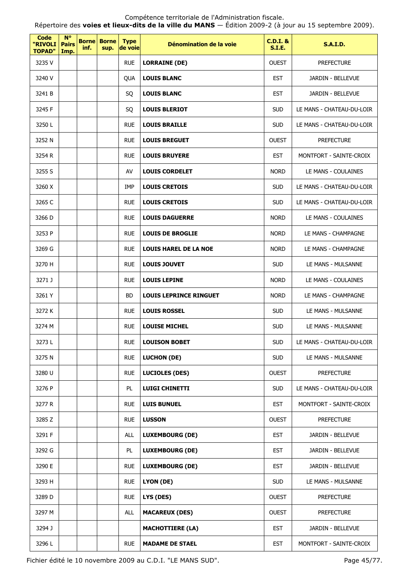Répertoire des **voies et lieux-dits de la ville du MANS** — Édition 2009-2 (à jour au 15 septembre 2009).

| Code<br>"RIVOLI<br><b>TOPAD"</b> | $N^{\circ}$<br><b>Pairs</b><br>Imp. | inf. | <b>Borne Borne</b><br>sup. | <b>Type</b><br>de voie | Dénomination de la voie       | <b>C.D.I. &amp;</b><br><b>S.I.E.</b> | <b>S.A.I.D.</b>           |
|----------------------------------|-------------------------------------|------|----------------------------|------------------------|-------------------------------|--------------------------------------|---------------------------|
| 3235 V                           |                                     |      |                            | <b>RUE</b>             | <b>LORRAINE (DE)</b>          | <b>OUEST</b>                         | <b>PREFECTURE</b>         |
| 3240 V                           |                                     |      |                            | QUA                    | <b>LOUIS BLANC</b>            | <b>EST</b>                           | JARDIN - BELLEVUE         |
| 3241 B                           |                                     |      |                            | SQ                     | <b>LOUIS BLANC</b>            | <b>EST</b>                           | JARDIN - BELLEVUE         |
| 3245 F                           |                                     |      |                            | SQ                     | <b>LOUIS BLERIOT</b>          | <b>SUD</b>                           | LE MANS - CHATEAU-DU-LOIR |
| 3250L                            |                                     |      |                            | <b>RUE</b>             | <b>LOUIS BRAILLE</b>          | <b>SUD</b>                           | LE MANS - CHATEAU-DU-LOIR |
| 3252 N                           |                                     |      |                            | <b>RUE</b>             | <b>LOUIS BREGUET</b>          | <b>OUEST</b>                         | <b>PREFECTURE</b>         |
| 3254 R                           |                                     |      |                            | <b>RUE</b>             | <b>LOUIS BRUYERE</b>          | <b>EST</b>                           | MONTFORT - SAINTE-CROIX   |
| 3255 S                           |                                     |      |                            | AV                     | <b>LOUIS CORDELET</b>         | <b>NORD</b>                          | LE MANS - COULAINES       |
| 3260 X                           |                                     |      |                            | <b>IMP</b>             | <b>LOUIS CRETOIS</b>          | <b>SUD</b>                           | LE MANS - CHATEAU-DU-LOIR |
| 3265 C                           |                                     |      |                            | <b>RUE</b>             | <b>LOUIS CRETOIS</b>          | <b>SUD</b>                           | LE MANS - CHATEAU-DU-LOIR |
| 3266 D                           |                                     |      |                            | <b>RUE</b>             | <b>LOUIS DAGUERRE</b>         | <b>NORD</b>                          | LE MANS - COULAINES       |
| 3253 P                           |                                     |      |                            | <b>RUE</b>             | <b>LOUIS DE BROGLIE</b>       | <b>NORD</b>                          | LE MANS - CHAMPAGNE       |
| 3269 G                           |                                     |      |                            | <b>RUE</b>             | <b>LOUIS HAREL DE LA NOE</b>  | <b>NORD</b>                          | LE MANS - CHAMPAGNE       |
| 3270 H                           |                                     |      |                            | <b>RUE</b>             | <b>LOUIS JOUVET</b>           | <b>SUD</b>                           | LE MANS - MULSANNE        |
| 3271 J                           |                                     |      |                            | <b>RUE</b>             | <b>LOUIS LEPINE</b>           | <b>NORD</b>                          | LE MANS - COULAINES       |
| 3261 Y                           |                                     |      |                            | <b>BD</b>              | <b>LOUIS LEPRINCE RINGUET</b> | <b>NORD</b>                          | LE MANS - CHAMPAGNE       |
| 3272K                            |                                     |      |                            | <b>RUE</b>             | <b>LOUIS ROSSEL</b>           | <b>SUD</b>                           | LE MANS - MULSANNE        |
| 3274 M                           |                                     |      |                            | <b>RUE</b>             | <b>LOUISE MICHEL</b>          | <b>SUD</b>                           | LE MANS - MULSANNE        |
| 3273L                            |                                     |      |                            | <b>RUE</b>             | <b>LOUISON BOBET</b>          | <b>SUD</b>                           | LE MANS - CHATEAU-DU-LOIR |
| 3275N                            |                                     |      |                            | <b>RUE</b>             | <b>LUCHON (DE)</b>            | <b>SUD</b>                           | LE MANS - MULSANNE        |
| 3280 U                           |                                     |      |                            | <b>RUE</b>             | <b>LUCIOLES (DES)</b>         | <b>OUEST</b>                         | <b>PREFECTURE</b>         |
| 3276 P                           |                                     |      |                            | PL                     | <b>LUIGI CHINETTI</b>         | <b>SUD</b>                           | LE MANS - CHATEAU-DU-LOIR |
| 3277 R                           |                                     |      |                            | <b>RUE</b>             | <b>LUIS BUNUEL</b>            | <b>EST</b>                           | MONTFORT - SAINTE-CROIX   |
| 3285 Z                           |                                     |      |                            | <b>RUE</b>             | <b>LUSSON</b>                 | <b>OUEST</b>                         | <b>PREFECTURE</b>         |
| 3291 F                           |                                     |      |                            | ALL                    | <b>LUXEMBOURG (DE)</b>        | <b>EST</b>                           | JARDIN - BELLEVUE         |
| 3292 G                           |                                     |      |                            | PL                     | <b>LUXEMBOURG (DE)</b>        | <b>EST</b>                           | JARDIN - BELLEVUE         |
| 3290 E                           |                                     |      |                            | <b>RUE</b>             | <b>LUXEMBOURG (DE)</b>        | <b>EST</b>                           | JARDIN - BELLEVUE         |
| 3293 H                           |                                     |      |                            | <b>RUE</b>             | LYON (DE)                     | <b>SUD</b>                           | LE MANS - MULSANNE        |
| 3289 D                           |                                     |      |                            | <b>RUE</b>             | LYS (DES)                     | <b>OUEST</b>                         | <b>PREFECTURE</b>         |
| 3297 M                           |                                     |      |                            | ALL                    | <b>MACAREUX (DES)</b>         | <b>OUEST</b>                         | <b>PREFECTURE</b>         |
| 3294 J                           |                                     |      |                            |                        | <b>MACHOTTIERE (LA)</b>       | <b>EST</b>                           | JARDIN - BELLEVUE         |
| 3296L                            |                                     |      |                            | <b>RUE</b>             | <b>MADAME DE STAEL</b>        | <b>EST</b>                           | MONTFORT - SAINTE-CROIX   |

Fichier édité le 10 novembre 2009 au C.D.I. "LE MANS SUD". Page 45/77.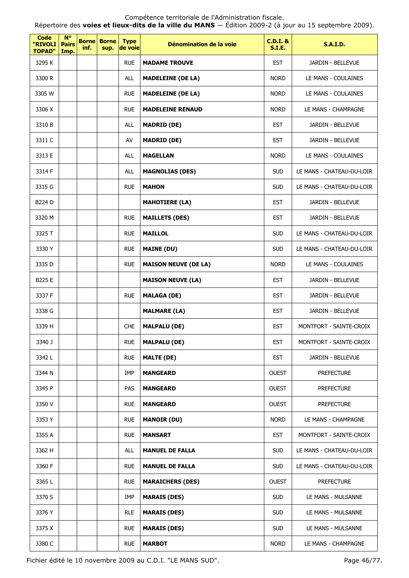Répertoire des **voies et lieux-dits de la ville du MANS** — Édition 2009-2 (à jour au 15 septembre 2009).

| Code<br>"RIVOLI<br><b>TOPAD"</b> | <b>N°</b><br><b>Pairs</b><br>Imp. | <b>Borne</b><br>inf. | <b>Borne</b><br>sup. | <b>Type</b><br>de voie | Dénomination de la voie     | <b>C.D.I. &amp;</b><br><b>S.I.E.</b> | <b>S.A.I.D.</b>           |
|----------------------------------|-----------------------------------|----------------------|----------------------|------------------------|-----------------------------|--------------------------------------|---------------------------|
| 3295K                            |                                   |                      |                      | <b>RUE</b>             | <b>MADAME TROUVE</b>        | <b>EST</b>                           | JARDIN - BELLEVUE         |
| 3300 R                           |                                   |                      |                      | <b>ALL</b>             | <b>MADELEINE (DE LA)</b>    | <b>NORD</b>                          | LE MANS - COULAINES       |
| 3305 W                           |                                   |                      |                      | <b>RUE</b>             | <b>MADELEINE (DE LA)</b>    | <b>NORD</b>                          | LE MANS - COULAINES       |
| 3306 X                           |                                   |                      |                      | <b>RUE</b>             | <b>MADELEINE RENAUD</b>     | <b>NORD</b>                          | LE MANS - CHAMPAGNE       |
| 3310 B                           |                                   |                      |                      | <b>ALL</b>             | <b>MADRID (DE)</b>          | <b>EST</b>                           | JARDIN - BELLEVUE         |
| 3311 C                           |                                   |                      |                      | AV                     | <b>MADRID (DE)</b>          | <b>EST</b>                           | JARDIN - BELLEVUE         |
| 3313 E                           |                                   |                      |                      | <b>ALL</b>             | <b>MAGELLAN</b>             | <b>NORD</b>                          | LE MANS - COULAINES       |
| 3314 F                           |                                   |                      |                      | <b>ALL</b>             | <b>MAGNOLIAS (DES)</b>      | <b>SUD</b>                           | LE MANS - CHATEAU-DU-LOIR |
| 3315 G                           |                                   |                      |                      | <b>RUE</b>             | <b>MAHON</b>                | <b>SUD</b>                           | LE MANS - CHATEAU-DU-LOIR |
| <b>B224 D</b>                    |                                   |                      |                      |                        | <b>MAHOTIERE (LA)</b>       | <b>EST</b>                           | JARDIN - BELLEVUE         |
| 3320 M                           |                                   |                      |                      | <b>RUE</b>             | <b>MAILLETS (DES)</b>       | <b>EST</b>                           | JARDIN - BELLEVUE         |
| 3325 T                           |                                   |                      |                      | <b>RUE</b>             | <b>MAILLOL</b>              | <b>SUD</b>                           | LE MANS - CHATEAU-DU-LOIR |
| 3330 Y                           |                                   |                      |                      | <b>RUE</b>             | <b>MAINE (DU)</b>           | <b>SUD</b>                           | LE MANS - CHATEAU-DU-LOIR |
| 3335 D                           |                                   |                      |                      | <b>RUE</b>             | <b>MAISON NEUVE (DE LA)</b> | <b>NORD</b>                          | LE MANS - COULAINES       |
| B225 E                           |                                   |                      |                      |                        | <b>MAISON NEUVE (LA)</b>    | <b>EST</b>                           | JARDIN - BELLEVUE         |
| 3337 F                           |                                   |                      |                      | <b>RUE</b>             | <b>MALAGA (DE)</b>          | <b>EST</b>                           | JARDIN - BELLEVUE         |
| 3338 G                           |                                   |                      |                      |                        | <b>MALMARE (LA)</b>         | <b>EST</b>                           | JARDIN - BELLEVUE         |
| 3339 H                           |                                   |                      |                      | <b>CHE</b>             | <b>MALPALU (DE)</b>         | <b>EST</b>                           | MONTFORT - SAINTE-CROIX   |
| 3340 J                           |                                   |                      |                      | <b>RUE</b>             | MALPALU (DE)                | <b>EST</b>                           | MONTFORT - SAINTE-CROIX   |
| 3342L                            |                                   |                      |                      | <b>RUE</b>             | <b>MALTE (DE)</b>           | <b>EST</b>                           | JARDIN - BELLEVUE         |
| 3344 N                           |                                   |                      |                      | IMP                    | <b>MANGEARD</b>             | <b>OUEST</b>                         | <b>PREFECTURE</b>         |
| 3345 P                           |                                   |                      |                      | <b>PAS</b>             | <b>MANGEARD</b>             | <b>OUEST</b>                         | <b>PREFECTURE</b>         |
| 3350 V                           |                                   |                      |                      | <b>RUE</b>             | <b>MANGEARD</b>             | <b>OUEST</b>                         | <b>PREFECTURE</b>         |
| 3353 Y                           |                                   |                      |                      | <b>RUE</b>             | <b>MANOIR (DU)</b>          | <b>NORD</b>                          | LE MANS - CHAMPAGNE       |
| 3355 A                           |                                   |                      |                      | <b>RUE</b>             | <b>MANSART</b>              | <b>EST</b>                           | MONTFORT - SAINTE-CROIX   |
| 3362 H                           |                                   |                      |                      | ALL                    | <b>MANUEL DE FALLA</b>      | <b>SUD</b>                           | LE MANS - CHATEAU-DU-LOIR |
| 3360 F                           |                                   |                      |                      | <b>RUE</b>             | <b>MANUEL DE FALLA</b>      | <b>SUD</b>                           | LE MANS - CHATEAU-DU-LOIR |
| 3365L                            |                                   |                      |                      | <b>RUE</b>             | <b>MARAICHERS (DES)</b>     | <b>OUEST</b>                         | <b>PREFECTURE</b>         |
| 3370 S                           |                                   |                      |                      | IMP                    | <b>MARAIS (DES)</b>         | <b>SUD</b>                           | LE MANS - MULSANNE        |
| 3376 Y                           |                                   |                      |                      | <b>RLE</b>             | <b>MARAIS (DES)</b>         | <b>SUD</b>                           | LE MANS - MULSANNE        |
| 3375 X                           |                                   |                      |                      | <b>RUE</b>             | <b>MARAIS (DES)</b>         | <b>SUD</b>                           | LE MANS - MULSANNE        |
| 3380 C                           |                                   |                      |                      | <b>RUE</b>             | <b>MARBOT</b>               | <b>NORD</b>                          | LE MANS - CHAMPAGNE       |

Fichier édité le 10 novembre 2009 au C.D.I. "LE MANS SUD". Page 46/77.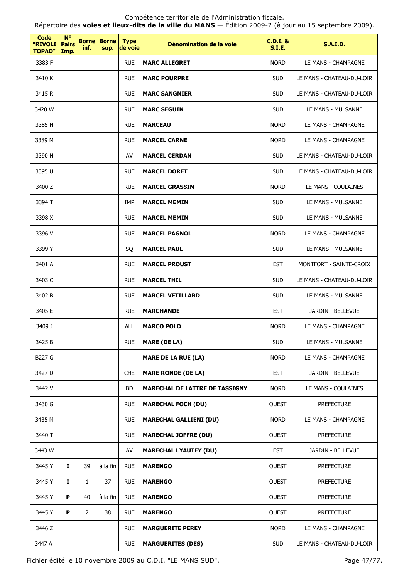Répertoire des **voies et lieux-dits de la ville du MANS** — Édition 2009-2 (à jour au 15 septembre 2009).

| <b>Code</b><br>"RIVOLI<br><b>TOPAD"</b> | $N^{\circ}$<br><b>Pairs</b><br>Imp. | <b>Borne</b><br>inf. | <b>Borne</b><br>sup. | <b>Type</b><br>de voie | Dénomination de la voie               | <b>C.D.I. &amp;</b><br><b>S.I.E.</b> | <b>S.A.I.D.</b>           |
|-----------------------------------------|-------------------------------------|----------------------|----------------------|------------------------|---------------------------------------|--------------------------------------|---------------------------|
| 3383 F                                  |                                     |                      |                      | <b>RUE</b>             | <b>MARC ALLEGRET</b>                  | <b>NORD</b>                          | LE MANS - CHAMPAGNE       |
| 3410 K                                  |                                     |                      |                      | <b>RUE</b>             | <b>MARC POURPRE</b>                   | <b>SUD</b>                           | LE MANS - CHATEAU-DU-LOIR |
| 3415 R                                  |                                     |                      |                      | <b>RUE</b>             | <b>MARC SANGNIER</b>                  | <b>SUD</b>                           | LE MANS - CHATEAU-DU-LOIR |
| 3420 W                                  |                                     |                      |                      | <b>RUE</b>             | <b>MARC SEGUIN</b>                    | <b>SUD</b>                           | LE MANS - MULSANNE        |
| 3385 H                                  |                                     |                      |                      | <b>RUE</b>             | <b>MARCEAU</b>                        | <b>NORD</b>                          | LE MANS - CHAMPAGNE       |
| 3389 M                                  |                                     |                      |                      | <b>RUE</b>             | <b>MARCEL CARNE</b>                   | <b>NORD</b>                          | LE MANS - CHAMPAGNE       |
| 3390 N                                  |                                     |                      |                      | AV                     | <b>MARCEL CERDAN</b>                  | <b>SUD</b>                           | LE MANS - CHATEAU-DU-LOIR |
| 3395 U                                  |                                     |                      |                      | <b>RUE</b>             | <b>MARCEL DORET</b>                   | <b>SUD</b>                           | LE MANS - CHATEAU-DU-LOIR |
| 3400 Z                                  |                                     |                      |                      | <b>RUE</b>             | <b>MARCEL GRASSIN</b>                 | <b>NORD</b>                          | LE MANS - COULAINES       |
| 3394 T                                  |                                     |                      |                      | <b>IMP</b>             | <b>MARCEL MEMIN</b>                   | <b>SUD</b>                           | LE MANS - MULSANNE        |
| 3398 X                                  |                                     |                      |                      | <b>RUE</b>             | <b>MARCEL MEMIN</b>                   | <b>SUD</b>                           | LE MANS - MULSANNE        |
| 3396 V                                  |                                     |                      |                      | <b>RUE</b>             | <b>MARCEL PAGNOL</b>                  | <b>NORD</b>                          | LE MANS - CHAMPAGNE       |
| 3399 Y                                  |                                     |                      |                      | SQ                     | <b>MARCEL PAUL</b>                    | <b>SUD</b>                           | LE MANS - MULSANNE        |
| 3401 A                                  |                                     |                      |                      | <b>RUE</b>             | <b>MARCEL PROUST</b>                  | <b>EST</b>                           | MONTFORT - SAINTE-CROIX   |
| 3403 C                                  |                                     |                      |                      | <b>RUE</b>             | <b>MARCEL THIL</b>                    | <b>SUD</b>                           | LE MANS - CHATEAU-DU-LOIR |
| 3402 B                                  |                                     |                      |                      | <b>RUE</b>             | <b>MARCEL VETILLARD</b>               | <b>SUD</b>                           | LE MANS - MULSANNE        |
| 3405 E                                  |                                     |                      |                      | <b>RUE</b>             | <b>MARCHANDE</b>                      | <b>EST</b>                           | JARDIN - BELLEVUE         |
| 3409 J                                  |                                     |                      |                      | ALL                    | <b>MARCO POLO</b>                     | <b>NORD</b>                          | LE MANS - CHAMPAGNE       |
| 3425 B                                  |                                     |                      |                      | <b>RUE</b>             | <b>MARE (DE LA)</b>                   | <b>SUD</b>                           | LE MANS - MULSANNE        |
| B227 G                                  |                                     |                      |                      |                        | <b>MARE DE LA RUE (LA)</b>            | <b>NORD</b>                          | LE MANS - CHAMPAGNE       |
| 3427 D                                  |                                     |                      |                      | <b>CHE</b>             | <b>MARE RONDE (DE LA)</b>             | <b>EST</b>                           | JARDIN - BELLEVUE         |
| 3442 V                                  |                                     |                      |                      | <b>BD</b>              | <b>MARECHAL DE LATTRE DE TASSIGNY</b> | <b>NORD</b>                          | LE MANS - COULAINES       |
| 3430 G                                  |                                     |                      |                      | <b>RUE</b>             | <b>MARECHAL FOCH (DU)</b>             | <b>OUEST</b>                         | <b>PREFECTURE</b>         |
| 3435 M                                  |                                     |                      |                      | <b>RUE</b>             | <b>MARECHAL GALLIENI (DU)</b>         | <b>NORD</b>                          | LE MANS - CHAMPAGNE       |
| 3440 T                                  |                                     |                      |                      | <b>RUE</b>             | <b>MARECHAL JOFFRE (DU)</b>           | <b>OUEST</b>                         | <b>PREFECTURE</b>         |
| 3443 W                                  |                                     |                      |                      | AV                     | <b>MARECHAL LYAUTEY (DU)</b>          | <b>EST</b>                           | JARDIN - BELLEVUE         |
| 3445 Y                                  | 1                                   | 39                   | à la fin             | <b>RUE</b>             | <b>MARENGO</b>                        | <b>OUEST</b>                         | <b>PREFECTURE</b>         |
| 3445 Y                                  | $\mathbf{I}$                        | $\mathbf{1}$         | 37                   | <b>RUE</b>             | <b>MARENGO</b>                        | <b>OUEST</b>                         | <b>PREFECTURE</b>         |
| 3445 Y                                  | P                                   | 40                   | à la fin             | <b>RUE</b>             | <b>MARENGO</b>                        | <b>OUEST</b>                         | <b>PREFECTURE</b>         |
| 3445 Y                                  | P                                   | $\overline{2}$       | 38                   | <b>RUE</b>             | <b>MARENGO</b>                        | <b>OUEST</b>                         | <b>PREFECTURE</b>         |
| 3446 Z                                  |                                     |                      |                      | <b>RUE</b>             | <b>MARGUERITE PEREY</b>               | <b>NORD</b>                          | LE MANS - CHAMPAGNE       |
| 3447 A                                  |                                     |                      |                      | <b>RUE</b>             | <b>MARGUERITES (DES)</b>              | <b>SUD</b>                           | LE MANS - CHATEAU-DU-LOIR |

Fichier édité le 10 novembre 2009 au C.D.I. "LE MANS SUD". Page 47/77.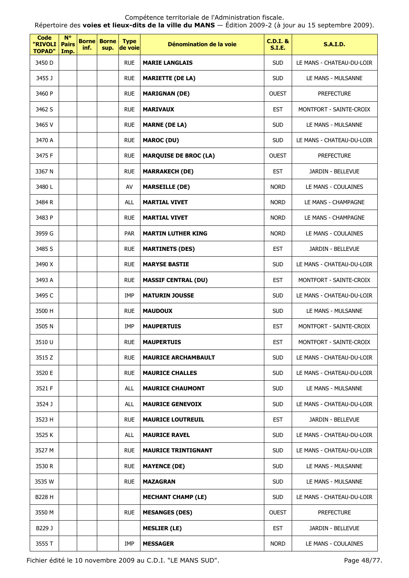Répertoire des **voies et lieux-dits de la ville du MANS** — Édition 2009-2 (à jour au 15 septembre 2009).

| Code<br>"RIVOLI<br><b>TOPAD"</b> | <b>N°</b><br><b>Pairs</b><br>Imp. | <b>Borne</b><br>inf. | <b>Borne</b><br>sup. | <b>Type</b><br>de voie | Dénomination de la voie      | $C.D.I.$ &<br><b>S.I.E.</b> | <b>S.A.I.D.</b>           |
|----------------------------------|-----------------------------------|----------------------|----------------------|------------------------|------------------------------|-----------------------------|---------------------------|
| 3450 D                           |                                   |                      |                      | <b>RUE</b>             | <b>MARIE LANGLAIS</b>        | <b>SUD</b>                  | LE MANS - CHATEAU-DU-LOIR |
| 3455 J                           |                                   |                      |                      | <b>RUE</b>             | <b>MARIETTE (DE LA)</b>      | <b>SUD</b>                  | LE MANS - MULSANNE        |
| 3460 P                           |                                   |                      |                      | <b>RUE</b>             | <b>MARIGNAN (DE)</b>         | <b>OUEST</b>                | <b>PREFECTURE</b>         |
| 3462 S                           |                                   |                      |                      | <b>RUE</b>             | <b>MARIVAUX</b>              | <b>EST</b>                  | MONTFORT - SAINTE-CROIX   |
| 3465 V                           |                                   |                      |                      | <b>RUE</b>             | <b>MARNE (DE LA)</b>         | <b>SUD</b>                  | LE MANS - MULSANNE        |
| 3470 A                           |                                   |                      |                      | <b>RUE</b>             | <b>MAROC (DU)</b>            | <b>SUD</b>                  | LE MANS - CHATEAU-DU-LOIR |
| 3475 F                           |                                   |                      |                      | <b>RUE</b>             | <b>MARQUISE DE BROC (LA)</b> | <b>OUEST</b>                | <b>PREFECTURE</b>         |
| 3367 N                           |                                   |                      |                      | <b>RUE</b>             | <b>MARRAKECH (DE)</b>        | <b>EST</b>                  | JARDIN - BELLEVUE         |
| 3480L                            |                                   |                      |                      | AV                     | <b>MARSEILLE (DE)</b>        | <b>NORD</b>                 | LE MANS - COULAINES       |
| 3484 R                           |                                   |                      |                      | <b>ALL</b>             | <b>MARTIAL VIVET</b>         | <b>NORD</b>                 | LE MANS - CHAMPAGNE       |
| 3483 P                           |                                   |                      |                      | <b>RUE</b>             | <b>MARTIAL VIVET</b>         | <b>NORD</b>                 | LE MANS - CHAMPAGNE       |
| 3959 G                           |                                   |                      |                      | <b>PAR</b>             | <b>MARTIN LUTHER KING</b>    | <b>NORD</b>                 | LE MANS - COULAINES       |
| 3485 S                           |                                   |                      |                      | <b>RUE</b>             | <b>MARTINETS (DES)</b>       | <b>EST</b>                  | JARDIN - BELLEVUE         |
| 3490 X                           |                                   |                      |                      | <b>RUE</b>             | <b>MARYSE BASTIE</b>         | <b>SUD</b>                  | LE MANS - CHATEAU-DU-LOIR |
| 3493 A                           |                                   |                      |                      | <b>RUE</b>             | <b>MASSIF CENTRAL (DU)</b>   | <b>EST</b>                  | MONTFORT - SAINTE-CROIX   |
| 3495 C                           |                                   |                      |                      | IMP                    | <b>MATURIN JOUSSE</b>        | <b>SUD</b>                  | LE MANS - CHATEAU-DU-LOIR |
| 3500 H                           |                                   |                      |                      | <b>RUE</b>             | <b>MAUDOUX</b>               | <b>SUD</b>                  | LE MANS - MULSANNE        |
| 3505 N                           |                                   |                      |                      | <b>IMP</b>             | <b>MAUPERTUIS</b>            | <b>EST</b>                  | MONTFORT - SAINTE-CROIX   |
| 3510 U                           |                                   |                      |                      | <b>RUE</b>             | <b>MAUPERTUIS</b>            | <b>EST</b>                  | MONTFORT - SAINTE-CROIX   |
| 3515 Z                           |                                   |                      |                      | <b>RUE</b>             | <b>MAURICE ARCHAMBAULT</b>   | <b>SUD</b>                  | LE MANS - CHATEAU-DU-LOIR |
| 3520 E                           |                                   |                      |                      | <b>RUE</b>             | <b>MAURICE CHALLES</b>       | <b>SUD</b>                  | LE MANS - CHATEAU-DU-LOIR |
| 3521 F                           |                                   |                      |                      | <b>ALL</b>             | <b>MAURICE CHAUMONT</b>      | <b>SUD</b>                  | LE MANS - MULSANNE        |
| 3524 J                           |                                   |                      |                      | <b>ALL</b>             | <b>MAURICE GENEVOIX</b>      | <b>SUD</b>                  | LE MANS - CHATEAU-DU-LOIR |
| 3523 H                           |                                   |                      |                      | <b>RUE</b>             | <b>MAURICE LOUTREUIL</b>     | <b>EST</b>                  | JARDIN - BELLEVUE         |
| 3525 K                           |                                   |                      |                      | <b>ALL</b>             | <b>MAURICE RAVEL</b>         | <b>SUD</b>                  | LE MANS - CHATEAU-DU-LOIR |
| 3527 M                           |                                   |                      |                      | <b>RUE</b>             | <b>MAURICE TRINTIGNANT</b>   | <b>SUD</b>                  | LE MANS - CHATEAU-DU-LOIR |
| 3530 R                           |                                   |                      |                      | <b>RUE</b>             | <b>MAYENCE (DE)</b>          | <b>SUD</b>                  | LE MANS - MULSANNE        |
| 3535 W                           |                                   |                      |                      | <b>RUE</b>             | <b>MAZAGRAN</b>              | <b>SUD</b>                  | LE MANS - MULSANNE        |
| B228 H                           |                                   |                      |                      |                        | <b>MECHANT CHAMP (LE)</b>    | <b>SUD</b>                  | LE MANS - CHATEAU-DU-LOIR |
| 3550 M                           |                                   |                      |                      | <b>RUE</b>             | <b>MESANGES (DES)</b>        | <b>OUEST</b>                | <b>PREFECTURE</b>         |
| B229 J                           |                                   |                      |                      |                        | <b>MESLIER (LE)</b>          | <b>EST</b>                  | JARDIN - BELLEVUE         |
| 3555 T                           |                                   |                      |                      | IMP                    | <b>MESSAGER</b>              | <b>NORD</b>                 | LE MANS - COULAINES       |

Fichier édité le 10 novembre 2009 au C.D.I. "LE MANS SUD". Page 48/77.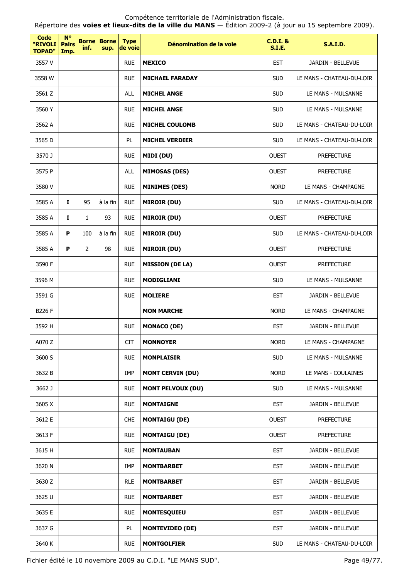Répertoire des **voies et lieux-dits de la ville du MANS** — Édition 2009-2 (à jour au 15 septembre 2009).

| <b>Code</b><br>"RIVOLI<br><b>TOPAD"</b> | $N^{\circ}$<br><b>Pairs</b><br>Imp. | inf.         | <b>Borne Borne</b><br>sup. | <b>Type</b><br>de voie | Dénomination de la voie  | <b>C.D.I. &amp;</b><br><b>S.I.E.</b> | <b>S.A.I.D.</b>           |
|-----------------------------------------|-------------------------------------|--------------|----------------------------|------------------------|--------------------------|--------------------------------------|---------------------------|
| 3557 V                                  |                                     |              |                            | <b>RUE</b>             | <b>MEXICO</b>            | <b>EST</b>                           | JARDIN - BELLEVUE         |
| 3558 W                                  |                                     |              |                            | <b>RUE</b>             | <b>MICHAEL FARADAY</b>   | <b>SUD</b>                           | LE MANS - CHATEAU-DU-LOIR |
| 3561 Z                                  |                                     |              |                            | <b>ALL</b>             | <b>MICHEL ANGE</b>       | <b>SUD</b>                           | LE MANS - MULSANNE        |
| 3560 Y                                  |                                     |              |                            | <b>RUE</b>             | <b>MICHEL ANGE</b>       | <b>SUD</b>                           | LE MANS - MULSANNE        |
| 3562 A                                  |                                     |              |                            | <b>RUE</b>             | <b>MICHEL COULOMB</b>    | <b>SUD</b>                           | LE MANS - CHATEAU-DU-LOIR |
| 3565 D                                  |                                     |              |                            | <b>PL</b>              | <b>MICHEL VERDIER</b>    | <b>SUD</b>                           | LE MANS - CHATEAU-DU-LOIR |
| 3570 J                                  |                                     |              |                            | <b>RUE</b>             | MIDI (DU)                | <b>OUEST</b>                         | <b>PREFECTURE</b>         |
| 3575 P                                  |                                     |              |                            | <b>ALL</b>             | <b>MIMOSAS (DES)</b>     | <b>OUEST</b>                         | <b>PREFECTURE</b>         |
| 3580 V                                  |                                     |              |                            | <b>RUE</b>             | <b>MINIMES (DES)</b>     | <b>NORD</b>                          | LE MANS - CHAMPAGNE       |
| 3585 A                                  | $\mathbf{I}$                        | 95           | à la fin                   | <b>RUE</b>             | <b>MIROIR (DU)</b>       | <b>SUD</b>                           | LE MANS - CHATEAU-DU-LOIR |
| 3585 A                                  | I                                   | $\mathbf{1}$ | 93                         | <b>RUE</b>             | <b>MIROIR (DU)</b>       | <b>OUEST</b>                         | <b>PREFECTURE</b>         |
| 3585 A                                  | P                                   | 100          | à la fin                   | <b>RUE</b>             | <b>MIROIR (DU)</b>       | <b>SUD</b>                           | LE MANS - CHATEAU-DU-LOIR |
| 3585 A                                  | P                                   | 2            | 98                         | <b>RUE</b>             | <b>MIROIR (DU)</b>       | <b>OUEST</b>                         | <b>PREFECTURE</b>         |
| 3590 F                                  |                                     |              |                            | <b>RUE</b>             | <b>MISSION (DE LA)</b>   | <b>OUEST</b>                         | <b>PREFECTURE</b>         |
| 3596 M                                  |                                     |              |                            | <b>RUE</b>             | <b>MODIGLIANI</b>        | <b>SUD</b>                           | LE MANS - MULSANNE        |
| 3591 G                                  |                                     |              |                            | <b>RUE</b>             | <b>MOLIERE</b>           | <b>EST</b>                           | JARDIN - BELLEVUE         |
| B226 F                                  |                                     |              |                            |                        | <b>MON MARCHE</b>        | <b>NORD</b>                          | LE MANS - CHAMPAGNE       |
| 3592 H                                  |                                     |              |                            | <b>RUE</b>             | <b>MONACO (DE)</b>       | <b>EST</b>                           | JARDIN - BELLEVUE         |
| A070 Z                                  |                                     |              |                            | CIT                    | <b>MONNOYER</b>          | <b>NORD</b>                          | LE MANS - CHAMPAGNE       |
| 3600 S                                  |                                     |              |                            | <b>RUE</b>             | <b>MONPLAISIR</b>        | <b>SUD</b>                           | LE MANS - MULSANNE        |
| 3632 B                                  |                                     |              |                            | IMP                    | <b>MONT CERVIN (DU)</b>  | <b>NORD</b>                          | LE MANS - COULAINES       |
| 3662 J                                  |                                     |              |                            | <b>RUE</b>             | <b>MONT PELVOUX (DU)</b> | <b>SUD</b>                           | LE MANS - MULSANNE        |
| 3605 X                                  |                                     |              |                            | <b>RUE</b>             | <b>MONTAIGNE</b>         | <b>EST</b>                           | JARDIN - BELLEVUE         |
| 3612 E                                  |                                     |              |                            | <b>CHE</b>             | <b>MONTAIGU (DE)</b>     | <b>OUEST</b>                         | <b>PREFECTURE</b>         |
| 3613 F                                  |                                     |              |                            | <b>RUE</b>             | <b>MONTAIGU (DE)</b>     | <b>OUEST</b>                         | <b>PREFECTURE</b>         |
| 3615 H                                  |                                     |              |                            | <b>RUE</b>             | <b>MONTAUBAN</b>         | <b>EST</b>                           | JARDIN - BELLEVUE         |
| 3620 N                                  |                                     |              |                            | IMP                    | <b>MONTBARBET</b>        | <b>EST</b>                           | JARDIN - BELLEVUE         |
| 3630 Z                                  |                                     |              |                            | <b>RLE</b>             | <b>MONTBARBET</b>        | <b>EST</b>                           | JARDIN - BELLEVUE         |
| 3625 U                                  |                                     |              |                            | <b>RUE</b>             | <b>MONTBARBET</b>        | <b>EST</b>                           | JARDIN - BELLEVUE         |
| 3635 E                                  |                                     |              |                            | <b>RUE</b>             | <b>MONTESQUIEU</b>       | <b>EST</b>                           | JARDIN - BELLEVUE         |
| 3637 G                                  |                                     |              |                            | PL                     | <b>MONTEVIDEO (DE)</b>   | <b>EST</b>                           | JARDIN - BELLEVUE         |
| 3640 K                                  |                                     |              |                            | <b>RUE</b>             | <b>MONTGOLFIER</b>       | <b>SUD</b>                           | LE MANS - CHATEAU-DU-LOIR |

Fichier édité le 10 novembre 2009 au C.D.I. "LE MANS SUD". Page 49/77.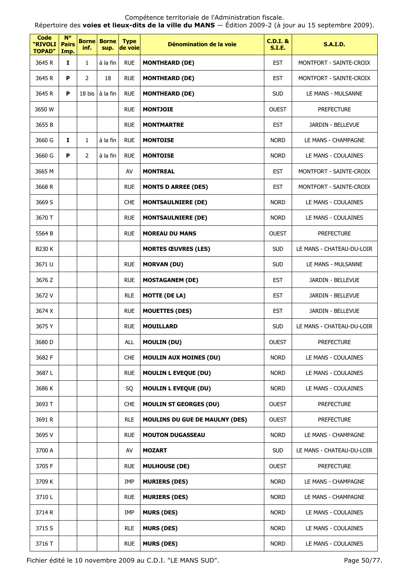Répertoire des **voies et lieux-dits de la ville du MANS** — Édition 2009-2 (à jour au 15 septembre 2009).

| Code<br>"RIVOLI<br><b>TOPAD"</b> | $N^{\circ}$<br><b>Pairs</b><br>Imp. | <b>Borne</b><br>inf. | <b>Borne</b><br>sup. | <b>Type</b><br>de voie | Dénomination de la voie               | <b>C.D.I. &amp;</b><br><b>S.I.E.</b> | <b>S.A.I.D.</b>           |
|----------------------------------|-------------------------------------|----------------------|----------------------|------------------------|---------------------------------------|--------------------------------------|---------------------------|
| 3645 R                           | I.                                  | 1                    | à la fin             | <b>RUE</b>             | <b>MONTHEARD (DE)</b>                 | <b>EST</b>                           | MONTFORT - SAINTE-CROIX   |
| 3645 R                           | P                                   | $\overline{2}$       | 18                   | <b>RUE</b>             | <b>MONTHEARD (DE)</b>                 | <b>EST</b>                           | MONTFORT - SAINTE-CROIX   |
| 3645 R                           | P                                   | 18 bis               | à la fin             | <b>RUE</b>             | <b>MONTHEARD (DE)</b>                 | <b>SUD</b>                           | LE MANS - MULSANNE        |
| 3650 W                           |                                     |                      |                      | <b>RUE</b>             | <b>MONTJOIE</b>                       | <b>OUEST</b>                         | <b>PREFECTURE</b>         |
| 3655 B                           |                                     |                      |                      | <b>RUE</b>             | <b>MONTMARTRE</b>                     | <b>EST</b>                           | JARDIN - BELLEVUE         |
| 3660 G                           | 1                                   | $\mathbf{1}$         | à la fin             | <b>RUE</b>             | <b>MONTOISE</b>                       | <b>NORD</b>                          | LE MANS - CHAMPAGNE       |
| 3660 G                           | P                                   | $\overline{2}$       | à la fin             | <b>RUE</b>             | <b>MONTOISE</b>                       | <b>NORD</b>                          | LE MANS - COULAINES       |
| 3665 M                           |                                     |                      |                      | AV                     | <b>MONTREAL</b>                       | <b>EST</b>                           | MONTFORT - SAINTE-CROIX   |
| 3668 R                           |                                     |                      |                      | <b>RUE</b>             | <b>MONTS D ARREE (DES)</b>            | <b>EST</b>                           | MONTFORT - SAINTE-CROIX   |
| 3669 S                           |                                     |                      |                      | <b>CHE</b>             | <b>MONTSAULNIERE (DE)</b>             | <b>NORD</b>                          | LE MANS - COULAINES       |
| 3670 T                           |                                     |                      |                      | <b>RUE</b>             | <b>MONTSAULNIERE (DE)</b>             | <b>NORD</b>                          | LE MANS - COULAINES       |
| 5564 B                           |                                     |                      |                      | <b>RUE</b>             | <b>MOREAU DU MANS</b>                 | <b>OUEST</b>                         | <b>PREFECTURE</b>         |
| <b>B230K</b>                     |                                     |                      |                      |                        | <b>MORTES ŒUVRES (LES)</b>            | <b>SUD</b>                           | LE MANS - CHATEAU-DU-LOIR |
| 3671 U                           |                                     |                      |                      | <b>RUE</b>             | <b>MORVAN (DU)</b>                    | <b>SUD</b>                           | LE MANS - MULSANNE        |
| 3676 Z                           |                                     |                      |                      | <b>RUE</b>             | <b>MOSTAGANEM (DE)</b>                | <b>EST</b>                           | JARDIN - BELLEVUE         |
| 3672 V                           |                                     |                      |                      | <b>RLE</b>             | <b>MOTTE (DE LA)</b>                  | <b>EST</b>                           | JARDIN - BELLEVUE         |
| 3674 X                           |                                     |                      |                      | <b>RUE</b>             | <b>MOUETTES (DES)</b>                 | <b>EST</b>                           | JARDIN - BELLEVUE         |
| 3675 Y                           |                                     |                      |                      | <b>RUE</b>             | <b>MOUILLARD</b>                      | <b>SUD</b>                           | LE MANS - CHATEAU-DU-LOIR |
| 3680 D                           |                                     |                      |                      | ALL                    | <b>MOULIN (DU)</b>                    | <b>OUEST</b>                         | <b>PREFECTURE</b>         |
| 3682 F                           |                                     |                      |                      | <b>CHE</b>             | <b>MOULIN AUX MOINES (DU)</b>         | <b>NORD</b>                          | LE MANS - COULAINES       |
| 3687L                            |                                     |                      |                      | <b>RUE</b>             | <b>MOULIN L EVEQUE (DU)</b>           | <b>NORD</b>                          | LE MANS - COULAINES       |
| 3686 K                           |                                     |                      |                      | SQ                     | <b>MOULIN L EVEQUE (DU)</b>           | <b>NORD</b>                          | LE MANS - COULAINES       |
| 3693 T                           |                                     |                      |                      | <b>CHE</b>             | <b>MOULIN ST GEORGES (DU)</b>         | <b>OUEST</b>                         | <b>PREFECTURE</b>         |
| 3691 R                           |                                     |                      |                      | <b>RLE</b>             | <b>MOULINS DU GUE DE MAULNY (DES)</b> | <b>OUEST</b>                         | <b>PREFECTURE</b>         |
| 3695 V                           |                                     |                      |                      | <b>RUE</b>             | <b>MOUTON DUGASSEAU</b>               | <b>NORD</b>                          | LE MANS - CHAMPAGNE       |
| 3700 A                           |                                     |                      |                      | AV                     | <b>MOZART</b>                         | <b>SUD</b>                           | LE MANS - CHATEAU-DU-LOIR |
| 3705 F                           |                                     |                      |                      | <b>RUE</b>             | <b>MULHOUSE (DE)</b>                  | <b>OUEST</b>                         | <b>PREFECTURE</b>         |
| 3709 K                           |                                     |                      |                      | IMP                    | <b>MURIERS (DES)</b>                  | <b>NORD</b>                          | LE MANS - CHAMPAGNE       |
| 3710L                            |                                     |                      |                      | <b>RUE</b>             | <b>MURIERS (DES)</b>                  | <b>NORD</b>                          | LE MANS - CHAMPAGNE       |
| 3714 R                           |                                     |                      |                      | IMP                    | <b>MURS (DES)</b>                     | <b>NORD</b>                          | LE MANS - COULAINES       |
| 3715 S                           |                                     |                      |                      | <b>RLE</b>             | <b>MURS (DES)</b>                     | <b>NORD</b>                          | LE MANS - COULAINES       |
| 3716 T                           |                                     |                      |                      | <b>RUE</b>             | <b>MURS (DES)</b>                     | <b>NORD</b>                          | LE MANS - COULAINES       |

Fichier édité le 10 novembre 2009 au C.D.I. "LE MANS SUD". Page 50/77.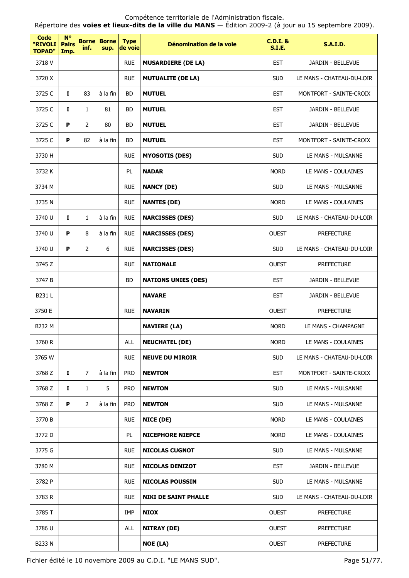Répertoire des **voies et lieux-dits de la ville du MANS** — Édition 2009-2 (à jour au 15 septembre 2009).

| Code<br>"RIVOLI<br><b>TOPAD"</b> | $N^{\circ}$<br><b>Pairs</b><br>Imp. | inf.           | <b>Borne Borne</b><br>sup. | <b>Type</b><br>de voie | Dénomination de la voie     | <b>C.D.I. &amp;</b><br><b>S.I.E.</b> | <b>S.A.I.D.</b>           |
|----------------------------------|-------------------------------------|----------------|----------------------------|------------------------|-----------------------------|--------------------------------------|---------------------------|
| 3718 V                           |                                     |                |                            | <b>RUE</b>             | <b>MUSARDIERE (DE LA)</b>   | <b>EST</b>                           | JARDIN - BELLEVUE         |
| 3720 X                           |                                     |                |                            | <b>RUE</b>             | <b>MUTUALITE (DE LA)</b>    | <b>SUD</b>                           | LE MANS - CHATEAU-DU-LOIR |
| 3725 C                           | Ι.                                  | 83             | à la fin                   | <b>BD</b>              | <b>MUTUEL</b>               | <b>EST</b>                           | MONTFORT - SAINTE-CROIX   |
| 3725 C                           | I.                                  | $\mathbf{1}$   | 81                         | <b>BD</b>              | <b>MUTUEL</b>               | <b>EST</b>                           | JARDIN - BELLEVUE         |
| 3725 C                           | P                                   | $\overline{2}$ | 80                         | <b>BD</b>              | <b>MUTUEL</b>               | <b>EST</b>                           | JARDIN - BELLEVUE         |
| 3725 C                           | P                                   | 82             | à la fin                   | <b>BD</b>              | <b>MUTUEL</b>               | <b>EST</b>                           | MONTFORT - SAINTE-CROIX   |
| 3730 H                           |                                     |                |                            | <b>RUE</b>             | <b>MYOSOTIS (DES)</b>       | <b>SUD</b>                           | LE MANS - MULSANNE        |
| 3732 K                           |                                     |                |                            | PL.                    | <b>NADAR</b>                | <b>NORD</b>                          | LE MANS - COULAINES       |
| 3734 M                           |                                     |                |                            | <b>RUE</b>             | <b>NANCY (DE)</b>           | <b>SUD</b>                           | LE MANS - MULSANNE        |
| 3735 N                           |                                     |                |                            | <b>RUE</b>             | <b>NANTES (DE)</b>          | <b>NORD</b>                          | LE MANS - COULAINES       |
| 3740 U                           | $\mathbf{I}$                        | $\mathbf{1}$   | à la fin                   | <b>RUE</b>             | <b>NARCISSES (DES)</b>      | <b>SUD</b>                           | LE MANS - CHATEAU-DU-LOIR |
| 3740 U                           | P                                   | 8              | à la fin                   | <b>RUE</b>             | <b>NARCISSES (DES)</b>      | <b>OUEST</b>                         | <b>PREFECTURE</b>         |
| 3740 U                           | P                                   | $\overline{2}$ | 6                          | <b>RUE</b>             | <b>NARCISSES (DES)</b>      | <b>SUD</b>                           | LE MANS - CHATEAU-DU-LOIR |
| 3745 Z                           |                                     |                |                            | <b>RUE</b>             | <b>NATIONALE</b>            | <b>OUEST</b>                         | <b>PREFECTURE</b>         |
| 3747 B                           |                                     |                |                            | <b>BD</b>              | <b>NATIONS UNIES (DES)</b>  | <b>EST</b>                           | JARDIN - BELLEVUE         |
| B231 L                           |                                     |                |                            |                        | <b>NAVARE</b>               | <b>EST</b>                           | JARDIN - BELLEVUE         |
| 3750 E                           |                                     |                |                            | <b>RUE</b>             | <b>NAVARIN</b>              | <b>OUEST</b>                         | <b>PREFECTURE</b>         |
| B232 M                           |                                     |                |                            |                        | <b>NAVIERE (LA)</b>         | <b>NORD</b>                          | LE MANS - CHAMPAGNE       |
| 3760 R                           |                                     |                |                            | <b>ALL</b>             | <b>NEUCHATEL (DE)</b>       | <b>NORD</b>                          | LE MANS - COULAINES       |
| 3765 W                           |                                     |                |                            | <b>RUE</b>             | <b>NEUVE DU MIROIR</b>      | <b>SUD</b>                           | LE MANS - CHATEAU-DU-LOIR |
| 3768 Z                           | Ι.                                  | $\overline{7}$ | à la fin                   | <b>PRO</b>             | <b>NEWTON</b>               | <b>EST</b>                           | MONTFORT - SAINTE-CROIX   |
| 3768 Z                           | $\mathbf I$                         | $\mathbf{1}$   | 5                          | <b>PRO</b>             | <b>NEWTON</b>               | <b>SUD</b>                           | LE MANS - MULSANNE        |
| 3768 Z                           | P                                   | $\overline{2}$ | à la fin                   | <b>PRO</b>             | <b>NEWTON</b>               | <b>SUD</b>                           | LE MANS - MULSANNE        |
| 3770 B                           |                                     |                |                            | <b>RUE</b>             | NICE (DE)                   | <b>NORD</b>                          | LE MANS - COULAINES       |
| 3772 D                           |                                     |                |                            | PL                     | <b>NICEPHORE NIEPCE</b>     | <b>NORD</b>                          | LE MANS - COULAINES       |
| 3775 G                           |                                     |                |                            | <b>RUE</b>             | <b>NICOLAS CUGNOT</b>       | <b>SUD</b>                           | LE MANS - MULSANNE        |
| 3780 M                           |                                     |                |                            | <b>RUE</b>             | <b>NICOLAS DENIZOT</b>      | <b>EST</b>                           | JARDIN - BELLEVUE         |
| 3782 P                           |                                     |                |                            | <b>RUE</b>             | <b>NICOLAS POUSSIN</b>      | <b>SUD</b>                           | LE MANS - MULSANNE        |
| 3783 R                           |                                     |                |                            | <b>RUE</b>             | <b>NIKI DE SAINT PHALLE</b> | <b>SUD</b>                           | LE MANS - CHATEAU-DU-LOIR |
| 3785 T                           |                                     |                |                            | IMP                    | <b>NIOX</b>                 | <b>OUEST</b>                         | <b>PREFECTURE</b>         |
| 3786 U                           |                                     |                |                            | ALL                    | <b>NITRAY (DE)</b>          | <b>OUEST</b>                         | <b>PREFECTURE</b>         |
| B233 N                           |                                     |                |                            |                        | NOE (LA)                    | <b>OUEST</b>                         | <b>PREFECTURE</b>         |

Fichier édité le 10 novembre 2009 au C.D.I. "LE MANS SUD". Page 51/77.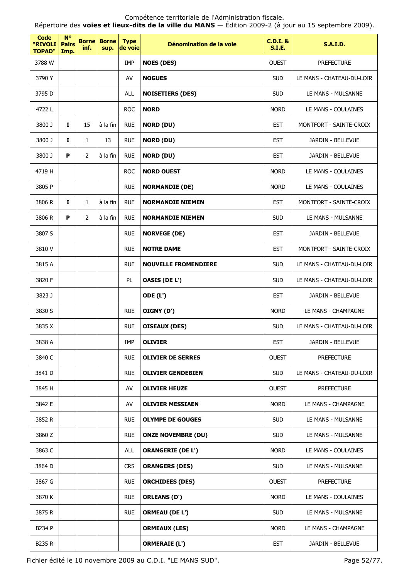Répertoire des **voies et lieux-dits de la ville du MANS** — Édition 2009-2 (à jour au 15 septembre 2009).

| <b>Code</b><br>"RIVOLI<br><b>TOPAD"</b> | $N^{\circ}$<br><b>Pairs</b><br>Imp. | inf.           | <b>Borne Borne</b><br>sup. | <b>Type</b><br>de voie | Dénomination de la voie     | <b>C.D.I. &amp;</b><br><b>S.I.E.</b> | <b>S.A.I.D.</b>           |
|-----------------------------------------|-------------------------------------|----------------|----------------------------|------------------------|-----------------------------|--------------------------------------|---------------------------|
| 3788 W                                  |                                     |                |                            | <b>IMP</b>             | <b>NOES (DES)</b>           | <b>OUEST</b>                         | <b>PREFECTURE</b>         |
| 3790 Y                                  |                                     |                |                            | AV                     | <b>NOGUES</b>               | <b>SUD</b>                           | LE MANS - CHATEAU-DU-LOIR |
| 3795 D                                  |                                     |                |                            | <b>ALL</b>             | <b>NOISETIERS (DES)</b>     | <b>SUD</b>                           | LE MANS - MULSANNE        |
| 4722L                                   |                                     |                |                            | <b>ROC</b>             | <b>NORD</b>                 | <b>NORD</b>                          | LE MANS - COULAINES       |
| 3800 J                                  | 1                                   | 15             | à la fin                   | <b>RUE</b>             | <b>NORD (DU)</b>            | <b>EST</b>                           | MONTFORT - SAINTE-CROIX   |
| 3800 J                                  | I                                   | $\mathbf{1}$   | 13                         | <b>RUE</b>             | <b>NORD (DU)</b>            | <b>EST</b>                           | JARDIN - BELLEVUE         |
| 3800 J                                  | P                                   | $\overline{2}$ | à la fin                   | <b>RUE</b>             | <b>NORD (DU)</b>            | <b>EST</b>                           | JARDIN - BELLEVUE         |
| 4719 H                                  |                                     |                |                            | <b>ROC</b>             | <b>NORD OUEST</b>           | <b>NORD</b>                          | LE MANS - COULAINES       |
| 3805 P                                  |                                     |                |                            | <b>RUE</b>             | <b>NORMANDIE (DE)</b>       | <b>NORD</b>                          | LE MANS - COULAINES       |
| 3806 R                                  | Ι.                                  | $\mathbf{1}$   | à la fin                   | <b>RUE</b>             | <b>NORMANDIE NIEMEN</b>     | <b>EST</b>                           | MONTFORT - SAINTE-CROIX   |
| 3806 R                                  | P                                   | $\overline{2}$ | à la fin                   | <b>RUE</b>             | <b>NORMANDIE NIEMEN</b>     | <b>SUD</b>                           | LE MANS - MULSANNE        |
| 3807 S                                  |                                     |                |                            | <b>RUE</b>             | <b>NORVEGE (DE)</b>         | <b>EST</b>                           | JARDIN - BELLEVUE         |
| 3810V                                   |                                     |                |                            | <b>RUE</b>             | <b>NOTRE DAME</b>           | <b>EST</b>                           | MONTFORT - SAINTE-CROIX   |
| 3815 A                                  |                                     |                |                            | <b>RUE</b>             | <b>NOUVELLE FROMENDIERE</b> | <b>SUD</b>                           | LE MANS - CHATEAU-DU-LOIR |
| 3820 F                                  |                                     |                |                            | PL.                    | <b>OASIS (DE L')</b>        | <b>SUD</b>                           | LE MANS - CHATEAU-DU-LOIR |
| 3823 J                                  |                                     |                |                            |                        | <b>ODE (L')</b>             | <b>EST</b>                           | JARDIN - BELLEVUE         |
| 3830 S                                  |                                     |                |                            | <b>RUE</b>             | OIGNY (D')                  | <b>NORD</b>                          | LE MANS - CHAMPAGNE       |
| 3835 X                                  |                                     |                |                            | <b>RUE</b>             | <b>OISEAUX (DES)</b>        | <b>SUD</b>                           | LE MANS - CHATEAU-DU-LOIR |
| 3838 A                                  |                                     |                |                            | IMP                    | <b>OLIVIER</b>              | <b>EST</b>                           | JARDIN - BELLEVUE         |
| 3840 C                                  |                                     |                |                            | <b>RUE</b>             | <b>OLIVIER DE SERRES</b>    | <b>OUEST</b>                         | <b>PREFECTURE</b>         |
| 3841 D                                  |                                     |                |                            | <b>RUE</b>             | <b>OLIVIER GENDEBIEN</b>    | <b>SUD</b>                           | LE MANS - CHATEAU-DU-LOIR |
| 3845 H                                  |                                     |                |                            | AV                     | <b>OLIVIER HEUZE</b>        | <b>OUEST</b>                         | <b>PREFECTURE</b>         |
| 3842 E                                  |                                     |                |                            | AV                     | <b>OLIVIER MESSIAEN</b>     | <b>NORD</b>                          | LE MANS - CHAMPAGNE       |
| 3852 R                                  |                                     |                |                            | <b>RUE</b>             | <b>OLYMPE DE GOUGES</b>     | <b>SUD</b>                           | LE MANS - MULSANNE        |
| 3860 Z                                  |                                     |                |                            | <b>RUE</b>             | <b>ONZE NOVEMBRE (DU)</b>   | <b>SUD</b>                           | LE MANS - MULSANNE        |
| 3863 C                                  |                                     |                |                            | ALL                    | <b>ORANGERIE (DE L')</b>    | <b>NORD</b>                          | LE MANS - COULAINES       |
| 3864 D                                  |                                     |                |                            | <b>CRS</b>             | <b>ORANGERS (DES)</b>       | <b>SUD</b>                           | LE MANS - MULSANNE        |
| 3867 G                                  |                                     |                |                            | <b>RUE</b>             | <b>ORCHIDEES (DES)</b>      | <b>OUEST</b>                         | <b>PREFECTURE</b>         |
| 3870 K                                  |                                     |                |                            | <b>RUE</b>             | <b>ORLEANS (D')</b>         | <b>NORD</b>                          | LE MANS - COULAINES       |
| 3875 R                                  |                                     |                |                            | <b>RUE</b>             | <b>ORMEAU (DE L')</b>       | <b>SUD</b>                           | LE MANS - MULSANNE        |
| B234 P                                  |                                     |                |                            |                        | <b>ORMEAUX (LES)</b>        | <b>NORD</b>                          | LE MANS - CHAMPAGNE       |
| <b>B235 R</b>                           |                                     |                |                            |                        | <b>ORMERAIE (L')</b>        | <b>EST</b>                           | JARDIN - BELLEVUE         |

Fichier édité le 10 novembre 2009 au C.D.I. "LE MANS SUD". Page 52/77.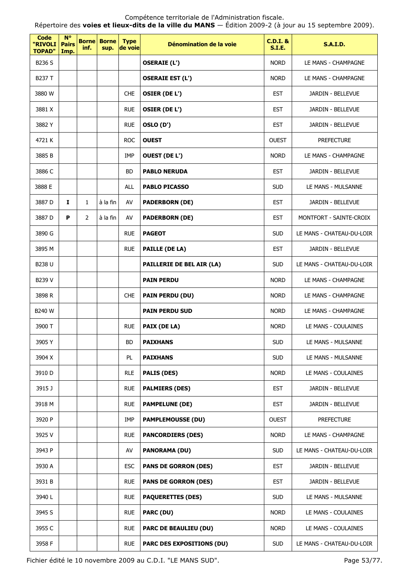| <b>Code</b><br>"RIVOLI<br><b>TOPAD"</b> | $N^{\circ}$<br><b>Pairs</b><br>Imp. | <b>Borne</b><br>inf. | <b>Borne</b><br>sup. | <b>Type</b><br>de voie | Dénomination de la voie          | $C.D.I.$ &<br><b>S.I.E.</b> | <b>S.A.I.D.</b>           |
|-----------------------------------------|-------------------------------------|----------------------|----------------------|------------------------|----------------------------------|-----------------------------|---------------------------|
| B236 S                                  |                                     |                      |                      |                        | <b>OSERAIE (L')</b>              | <b>NORD</b>                 | LE MANS - CHAMPAGNE       |
| B237 T                                  |                                     |                      |                      |                        | <b>OSERAIE EST (L')</b>          | <b>NORD</b>                 | LE MANS - CHAMPAGNE       |
| 3880 W                                  |                                     |                      |                      | <b>CHE</b>             | <b>OSIER (DE L')</b>             | <b>EST</b>                  | JARDIN - BELLEVUE         |
| 3881 X                                  |                                     |                      |                      | <b>RUE</b>             | <b>OSIER (DE L')</b>             | <b>EST</b>                  | <b>JARDIN - BELLEVUE</b>  |
| 3882 Y                                  |                                     |                      |                      | <b>RUE</b>             | OSLO (D')                        | <b>EST</b>                  | <b>JARDIN - BELLEVUE</b>  |
| 4721 K                                  |                                     |                      |                      | <b>ROC</b>             | <b>OUEST</b>                     | <b>OUEST</b>                | <b>PREFECTURE</b>         |
| 3885 B                                  |                                     |                      |                      | IMP                    | <b>OUEST (DE L')</b>             | <b>NORD</b>                 | LE MANS - CHAMPAGNE       |
| 3886 C                                  |                                     |                      |                      | <b>BD</b>              | <b>PABLO NERUDA</b>              | <b>EST</b>                  | JARDIN - BELLEVUE         |
| 3888 E                                  |                                     |                      |                      | ALL                    | <b>PABLO PICASSO</b>             | <b>SUD</b>                  | LE MANS - MULSANNE        |
| 3887 D                                  | I                                   | 1                    | à la fin             | AV                     | <b>PADERBORN (DE)</b>            | <b>EST</b>                  | JARDIN - BELLEVUE         |
| 3887 D                                  | P                                   | $\overline{2}$       | à la fin             | AV                     | <b>PADERBORN (DE)</b>            | <b>EST</b>                  | MONTFORT - SAINTE-CROIX   |
| 3890 G                                  |                                     |                      |                      | <b>RUE</b>             | <b>PAGEOT</b>                    | <b>SUD</b>                  | LE MANS - CHATEAU-DU-LOIR |
| 3895 M                                  |                                     |                      |                      | <b>RUE</b>             | <b>PAILLE (DE LA)</b>            | <b>EST</b>                  | JARDIN - BELLEVUE         |
| <b>B238 U</b>                           |                                     |                      |                      |                        | PAILLERIE DE BEL AIR (LA)        | <b>SUD</b>                  | LE MANS - CHATEAU-DU-LOIR |
| B239 V                                  |                                     |                      |                      |                        | <b>PAIN PERDU</b>                | <b>NORD</b>                 | LE MANS - CHAMPAGNE       |
| 3898 R                                  |                                     |                      |                      | <b>CHE</b>             | <b>PAIN PERDU (DU)</b>           | <b>NORD</b>                 | LE MANS - CHAMPAGNE       |
| <b>B240 W</b>                           |                                     |                      |                      |                        | <b>PAIN PERDU SUD</b>            | <b>NORD</b>                 | LE MANS - CHAMPAGNE       |
| 3900 T                                  |                                     |                      |                      | <b>RUE</b>             | PAIX (DE LA)                     | <b>NORD</b>                 | LE MANS - COULAINES       |
| 3905 Y                                  |                                     |                      |                      | <b>BD</b>              | <b>PAIXHANS</b>                  | <b>SUD</b>                  | LE MANS - MULSANNE        |
| 3904 X                                  |                                     |                      |                      | PL                     | <b>PAIXHANS</b>                  | <b>SUD</b>                  | LE MANS - MULSANNE        |
| 3910 D                                  |                                     |                      |                      | <b>RLE</b>             | <b>PALIS (DES)</b>               | <b>NORD</b>                 | LE MANS - COULAINES       |
| 3915 J                                  |                                     |                      |                      | <b>RUE</b>             | <b>PALMIERS (DES)</b>            | <b>EST</b>                  | JARDIN - BELLEVUE         |
| 3918 M                                  |                                     |                      |                      | <b>RUE</b>             | <b>PAMPELUNE (DE)</b>            | <b>EST</b>                  | JARDIN - BELLEVUE         |
| 3920 P                                  |                                     |                      |                      | IMP                    | <b>PAMPLEMOUSSE (DU)</b>         | <b>OUEST</b>                | <b>PREFECTURE</b>         |
| 3925 V                                  |                                     |                      |                      | <b>RUE</b>             | <b>PANCORDIERS (DES)</b>         | <b>NORD</b>                 | LE MANS - CHAMPAGNE       |
| 3943 P                                  |                                     |                      |                      | AV                     | <b>PANORAMA (DU)</b>             | <b>SUD</b>                  | LE MANS - CHATEAU-DU-LOIR |
| 3930 A                                  |                                     |                      |                      | <b>ESC</b>             | <b>PANS DE GORRON (DES)</b>      | <b>EST</b>                  | JARDIN - BELLEVUE         |
| 3931 B                                  |                                     |                      |                      | <b>RUE</b>             | <b>PANS DE GORRON (DES)</b>      | <b>EST</b>                  | JARDIN - BELLEVUE         |
| 3940L                                   |                                     |                      |                      | <b>RUE</b>             | <b>PAQUERETTES (DES)</b>         | <b>SUD</b>                  | LE MANS - MULSANNE        |
| 3945 S                                  |                                     |                      |                      | <b>RUE</b>             | PARC (DU)                        | <b>NORD</b>                 | LE MANS - COULAINES       |
| 3955 C                                  |                                     |                      |                      | <b>RUE</b>             | <b>PARC DE BEAULIEU (DU)</b>     | <b>NORD</b>                 | LE MANS - COULAINES       |
| 3958 F                                  |                                     |                      |                      | <b>RUE</b>             | <b>PARC DES EXPOSITIONS (DU)</b> | <b>SUD</b>                  | LE MANS - CHATEAU-DU-LOIR |

Fichier édité le 10 novembre 2009 au C.D.I. "LE MANS SUD". Page 53/77.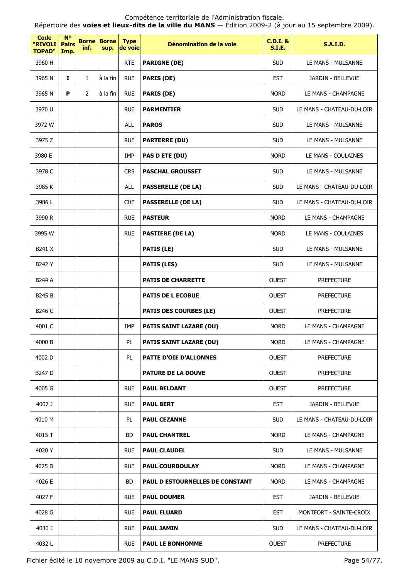| <b>Code</b><br>"RIVOLI<br><b>TOPAD"</b> | $N^{\circ}$<br><b>Pairs</b><br>Imp. | inf.           | <b>Borne Borne</b><br>sup. | <b>Type</b><br>de voie | Dénomination de la voie                | <b>C.D.I. &amp;</b><br><b>S.I.E.</b> | <b>S.A.I.D.</b>           |
|-----------------------------------------|-------------------------------------|----------------|----------------------------|------------------------|----------------------------------------|--------------------------------------|---------------------------|
| 3960 H                                  |                                     |                |                            | <b>RTE</b>             | <b>PARIGNE (DE)</b>                    | <b>SUD</b>                           | LE MANS - MULSANNE        |
| 3965 N                                  | $\mathbf{I}$                        | $\mathbf{1}$   | à la fin                   | <b>RUE</b>             | <b>PARIS (DE)</b>                      | <b>EST</b>                           | JARDIN - BELLEVUE         |
| 3965 N                                  | P                                   | $\overline{2}$ | à la fin                   | <b>RUE</b>             | <b>PARIS (DE)</b>                      | <b>NORD</b>                          | LE MANS - CHAMPAGNE       |
| 3970 U                                  |                                     |                |                            | <b>RUE</b>             | <b>PARMENTIER</b>                      | <b>SUD</b>                           | LE MANS - CHATEAU-DU-LOIR |
| 3972 W                                  |                                     |                |                            | ALL                    | <b>PAROS</b>                           | <b>SUD</b>                           | LE MANS - MULSANNE        |
| 3975 Z                                  |                                     |                |                            | <b>RUE</b>             | <b>PARTERRE (DU)</b>                   | <b>SUD</b>                           | LE MANS - MULSANNE        |
| 3980 E                                  |                                     |                |                            | <b>IMP</b>             | PAS D ETE (DU)                         | <b>NORD</b>                          | LE MANS - COULAINES       |
| 3978 C                                  |                                     |                |                            | <b>CRS</b>             | <b>PASCHAL GROUSSET</b>                | <b>SUD</b>                           | LE MANS - MULSANNE        |
| 3985K                                   |                                     |                |                            | ALL                    | <b>PASSERELLE (DE LA)</b>              | <b>SUD</b>                           | LE MANS - CHATEAU-DU-LOIR |
| 3986L                                   |                                     |                |                            | <b>CHE</b>             | <b>PASSERELLE (DE LA)</b>              | <b>SUD</b>                           | LE MANS - CHATEAU-DU-LOIR |
| 3990 R                                  |                                     |                |                            | <b>RUE</b>             | <b>PASTEUR</b>                         | <b>NORD</b>                          | LE MANS - CHAMPAGNE       |
| 3995 W                                  |                                     |                |                            | <b>RUE</b>             | <b>PASTIERE (DE LA)</b>                | <b>NORD</b>                          | LE MANS - COULAINES       |
| B241 X                                  |                                     |                |                            |                        | <b>PATIS (LE)</b>                      | <b>SUD</b>                           | LE MANS - MULSANNE        |
| B242 Y                                  |                                     |                |                            |                        | <b>PATIS (LES)</b>                     | <b>SUD</b>                           | LE MANS - MULSANNE        |
| <b>B244 A</b>                           |                                     |                |                            |                        | <b>PATIS DE CHARRETTE</b>              | <b>OUEST</b>                         | <b>PREFECTURE</b>         |
| B245 B                                  |                                     |                |                            |                        | <b>PATIS DE L ECOBUE</b>               | <b>OUEST</b>                         | <b>PREFECTURE</b>         |
| B246 C                                  |                                     |                |                            |                        | <b>PATIS DES COURBES (LE)</b>          | <b>OUEST</b>                         | <b>PREFECTURE</b>         |
| 4001 C                                  |                                     |                |                            | IMP                    | <b>PATIS SAINT LAZARE (DU)</b>         | <b>NORD</b>                          | LE MANS - CHAMPAGNE       |
| 4000 B                                  |                                     |                |                            | $\mathsf{PL}$          | <b>PATIS SAINT LAZARE (DU)</b>         | <b>NORD</b>                          | LE MANS - CHAMPAGNE       |
| 4002 D                                  |                                     |                |                            | PL                     | <b>PATTE D'OIE D'ALLONNES</b>          | <b>OUEST</b>                         | <b>PREFECTURE</b>         |
| B247 D                                  |                                     |                |                            |                        | <b>PATURE DE LA DOUVE</b>              | <b>OUEST</b>                         | <b>PREFECTURE</b>         |
| 4005 G                                  |                                     |                |                            | <b>RUE</b>             | <b>PAUL BELDANT</b>                    | <b>OUEST</b>                         | <b>PREFECTURE</b>         |
| 4007 J                                  |                                     |                |                            | <b>RUE</b>             | <b>PAUL BERT</b>                       | <b>EST</b>                           | JARDIN - BELLEVUE         |
| 4010 M                                  |                                     |                |                            | PL                     | <b>PAUL CEZANNE</b>                    | <b>SUD</b>                           | LE MANS - CHATEAU-DU-LOIR |
| 4015 T                                  |                                     |                |                            | <b>BD</b>              | <b>PAUL CHANTREL</b>                   | <b>NORD</b>                          | LE MANS - CHAMPAGNE       |
| 4020 Y                                  |                                     |                |                            | <b>RUE</b>             | <b>PAUL CLAUDEL</b>                    | <b>SUD</b>                           | LE MANS - MULSANNE        |
| 4025 D                                  |                                     |                |                            | <b>RUE</b>             | <b>PAUL COURBOULAY</b>                 | <b>NORD</b>                          | LE MANS - CHAMPAGNE       |
| 4026 E                                  |                                     |                |                            | <b>BD</b>              | <b>PAUL D ESTOURNELLES DE CONSTANT</b> | <b>NORD</b>                          | LE MANS - CHAMPAGNE       |
| 4027 F                                  |                                     |                |                            | <b>RUE</b>             | <b>PAUL DOUMER</b>                     | <b>EST</b>                           | JARDIN - BELLEVUE         |
| 4028 G                                  |                                     |                |                            | <b>RUE</b>             | <b>PAUL ELUARD</b>                     | <b>EST</b>                           | MONTFORT - SAINTE-CROIX   |
| 4030 J                                  |                                     |                |                            | <b>RUE</b>             | <b>PAUL JAMIN</b>                      | <b>SUD</b>                           | LE MANS - CHATEAU-DU-LOIR |
| 4032L                                   |                                     |                |                            | <b>RUE</b>             | <b>PAUL LE BONHOMME</b>                | <b>OUEST</b>                         | <b>PREFECTURE</b>         |

Fichier édité le 10 novembre 2009 au C.D.I. "LE MANS SUD". Page 54/77.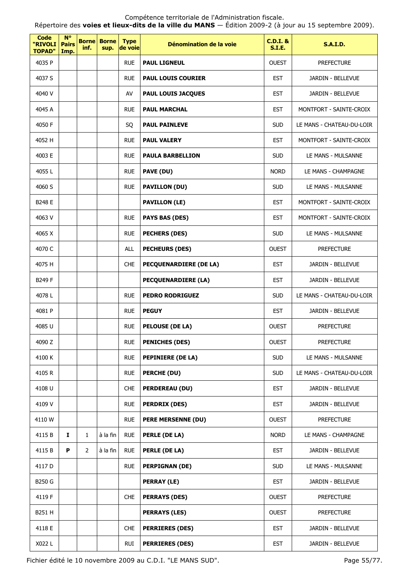Répertoire des **voies et lieux-dits de la ville du MANS** — Édition 2009-2 (à jour au 15 septembre 2009).

| <b>Code</b><br>"RIVOLI<br><b>TOPAD"</b> | $N^{\circ}$<br><b>Pairs</b><br>Imp. | inf.           | <b>Borne Borne</b><br>sup. | <b>Type</b><br>de voie | Dénomination de la voie       | <b>C.D.I. &amp;</b><br><b>S.I.E.</b> | <b>S.A.I.D.</b>           |
|-----------------------------------------|-------------------------------------|----------------|----------------------------|------------------------|-------------------------------|--------------------------------------|---------------------------|
| 4035 P                                  |                                     |                |                            | <b>RUE</b>             | <b>PAUL LIGNEUL</b>           | <b>OUEST</b>                         | <b>PREFECTURE</b>         |
| 4037 S                                  |                                     |                |                            | <b>RUE</b>             | <b>PAUL LOUIS COURIER</b>     | <b>EST</b>                           | JARDIN - BELLEVUE         |
| 4040 V                                  |                                     |                |                            | AV                     | PAUL LOUIS JACQUES            | <b>EST</b>                           | JARDIN - BELLEVUE         |
| 4045 A                                  |                                     |                |                            | <b>RUE</b>             | <b>PAUL MARCHAL</b>           | <b>EST</b>                           | MONTFORT - SAINTE-CROIX   |
| 4050 F                                  |                                     |                |                            | SQ                     | <b>PAUL PAINLEVE</b>          | <b>SUD</b>                           | LE MANS - CHATEAU-DU-LOIR |
| 4052 H                                  |                                     |                |                            | <b>RUE</b>             | <b>PAUL VALERY</b>            | <b>EST</b>                           | MONTFORT - SAINTE-CROIX   |
| 4003 E                                  |                                     |                |                            | <b>RUE</b>             | <b>PAULA BARBELLION</b>       | <b>SUD</b>                           | LE MANS - MULSANNE        |
| 4055L                                   |                                     |                |                            | <b>RUE</b>             | PAVE (DU)                     | <b>NORD</b>                          | LE MANS - CHAMPAGNE       |
| 4060 S                                  |                                     |                |                            | <b>RUE</b>             | <b>PAVILLON (DU)</b>          | <b>SUD</b>                           | LE MANS - MULSANNE        |
| B248 E                                  |                                     |                |                            |                        | <b>PAVILLON (LE)</b>          | <b>EST</b>                           | MONTFORT - SAINTE-CROIX   |
| 4063 V                                  |                                     |                |                            | <b>RUE</b>             | <b>PAYS BAS (DES)</b>         | <b>EST</b>                           | MONTFORT - SAINTE-CROIX   |
| 4065 X                                  |                                     |                |                            | <b>RUE</b>             | <b>PECHERS (DES)</b>          | <b>SUD</b>                           | LE MANS - MULSANNE        |
| 4070 C                                  |                                     |                |                            | <b>ALL</b>             | <b>PECHEURS (DES)</b>         | <b>OUEST</b>                         | <b>PREFECTURE</b>         |
| 4075 H                                  |                                     |                |                            | <b>CHE</b>             | <b>PECQUENARDIERE (DE LA)</b> | <b>EST</b>                           | JARDIN - BELLEVUE         |
| B249 F                                  |                                     |                |                            |                        | <b>PECQUENARDIERE (LA)</b>    | <b>EST</b>                           | JARDIN - BELLEVUE         |
| 4078L                                   |                                     |                |                            | <b>RUE</b>             | <b>PEDRO RODRIGUEZ</b>        | <b>SUD</b>                           | LE MANS - CHATEAU-DU-LOIR |
| 4081 P                                  |                                     |                |                            | <b>RUE</b>             | <b>PEGUY</b>                  | <b>EST</b>                           | JARDIN - BELLEVUE         |
| 4085 U                                  |                                     |                |                            | <b>RUE</b>             | <b>PELOUSE (DE LA)</b>        | <b>OUEST</b>                         | <b>PREFECTURE</b>         |
| 4090 Z                                  |                                     |                |                            | <b>RUE</b>             | <b>PENICHES (DES)</b>         | <b>OUEST</b>                         | <b>PREFECTURE</b>         |
| 4100 K                                  |                                     |                |                            | <b>RUE</b>             | <b>PEPINIERE (DE LA)</b>      | <b>SUD</b>                           | LE MANS - MULSANNE        |
| 4105R                                   |                                     |                |                            | <b>RUE</b>             | PERCHE (DU)                   | <b>SUD</b>                           | LE MANS - CHATEAU-DU-LOIR |
| 4108 U                                  |                                     |                |                            | <b>CHE</b>             | <b>PERDEREAU (DU)</b>         | <b>EST</b>                           | JARDIN - BELLEVUE         |
| 4109 V                                  |                                     |                |                            | <b>RUE</b>             | <b>PERDRIX (DES)</b>          | <b>EST</b>                           | JARDIN - BELLEVUE         |
| 4110W                                   |                                     |                |                            | <b>RUE</b>             | <b>PERE MERSENNE (DU)</b>     | <b>OUEST</b>                         | <b>PREFECTURE</b>         |
| 4115B                                   | Ι.                                  | $\mathbf{1}$   | à la fin                   | <b>RUE</b>             | PERLE (DE LA)                 | <b>NORD</b>                          | LE MANS - CHAMPAGNE       |
| 4115B                                   | P                                   | $\overline{2}$ | à la fin                   | <b>RUE</b>             | PERLE (DE LA)                 | <b>EST</b>                           | JARDIN - BELLEVUE         |
| 4117 D                                  |                                     |                |                            | <b>RUE</b>             | <b>PERPIGNAN (DE)</b>         | <b>SUD</b>                           | LE MANS - MULSANNE        |
| B250 G                                  |                                     |                |                            |                        | <b>PERRAY (LE)</b>            | <b>EST</b>                           | JARDIN - BELLEVUE         |
| 4119 F                                  |                                     |                |                            | <b>CHE</b>             | <b>PERRAYS (DES)</b>          | <b>OUEST</b>                         | <b>PREFECTURE</b>         |
| B251 H                                  |                                     |                |                            |                        | <b>PERRAYS (LES)</b>          | <b>OUEST</b>                         | <b>PREFECTURE</b>         |
| 4118 E                                  |                                     |                |                            | <b>CHE</b>             | <b>PERRIERES (DES)</b>        | <b>EST</b>                           | JARDIN - BELLEVUE         |
| X022L                                   |                                     |                |                            | <b>RUI</b>             | <b>PERRIERES (DES)</b>        | <b>EST</b>                           | JARDIN - BELLEVUE         |

Fichier édité le 10 novembre 2009 au C.D.I. "LE MANS SUD". Page 55/77.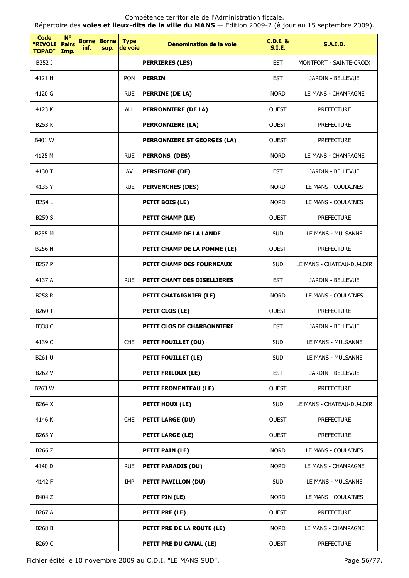| <b>Code</b><br>"RIVOLI<br><b>TOPAD"</b> | $N^{\circ}$<br><b>Pairs</b><br>Imp. | inf. | <b>Borne Borne</b><br>sup. | <b>Type</b><br>de voie | Dénomination de la voie       | <b>C.D.I. &amp;</b><br><b>S.I.E.</b> | <b>S.A.I.D.</b>           |
|-----------------------------------------|-------------------------------------|------|----------------------------|------------------------|-------------------------------|--------------------------------------|---------------------------|
| B252 J                                  |                                     |      |                            |                        | <b>PERRIERES (LES)</b>        | <b>EST</b>                           | MONTFORT - SAINTE-CROIX   |
| 4121 H                                  |                                     |      |                            | <b>PON</b>             | <b>PERRIN</b>                 | <b>EST</b>                           | JARDIN - BELLEVUE         |
| 4120 G                                  |                                     |      |                            | <b>RUE</b>             | PERRINE (DE LA)               | <b>NORD</b>                          | LE MANS - CHAMPAGNE       |
| 4123 K                                  |                                     |      |                            | <b>ALL</b>             | <b>PERRONNIERE (DE LA)</b>    | <b>OUEST</b>                         | <b>PREFECTURE</b>         |
| B253 K                                  |                                     |      |                            |                        | <b>PERRONNIERE (LA)</b>       | <b>OUEST</b>                         | <b>PREFECTURE</b>         |
| B401 W                                  |                                     |      |                            |                        | PERRONNIERE ST GEORGES (LA)   | <b>OUEST</b>                         | <b>PREFECTURE</b>         |
| 4125 M                                  |                                     |      |                            | <b>RUE</b>             | <b>PERRONS (DES)</b>          | <b>NORD</b>                          | LE MANS - CHAMPAGNE       |
| 4130 T                                  |                                     |      |                            | AV                     | <b>PERSEIGNE (DE)</b>         | <b>EST</b>                           | JARDIN - BELLEVUE         |
| 4135 Y                                  |                                     |      |                            | <b>RUE</b>             | <b>PERVENCHES (DES)</b>       | <b>NORD</b>                          | LE MANS - COULAINES       |
| B254 L                                  |                                     |      |                            |                        | PETIT BOIS (LE)               | <b>NORD</b>                          | LE MANS - COULAINES       |
| B259 S                                  |                                     |      |                            |                        | <b>PETIT CHAMP (LE)</b>       | <b>OUEST</b>                         | <b>PREFECTURE</b>         |
| B255 M                                  |                                     |      |                            |                        | PETIT CHAMP DE LA LANDE       | <b>SUD</b>                           | LE MANS - MULSANNE        |
| <b>B256 N</b>                           |                                     |      |                            |                        | PETIT CHAMP DE LA POMME (LE)  | <b>OUEST</b>                         | <b>PREFECTURE</b>         |
| <b>B257 P</b>                           |                                     |      |                            |                        | PETIT CHAMP DES FOURNEAUX     | <b>SUD</b>                           | LE MANS - CHATEAU-DU-LOIR |
| 4137 A                                  |                                     |      |                            | <b>RUE</b>             | PETIT CHANT DES OISELLIERES   | <b>EST</b>                           | JARDIN - BELLEVUE         |
| <b>B258 R</b>                           |                                     |      |                            |                        | <b>PETIT CHATAIGNIER (LE)</b> | <b>NORD</b>                          | LE MANS - COULAINES       |
| B260 T                                  |                                     |      |                            |                        | PETIT CLOS (LE)               | <b>OUEST</b>                         | <b>PREFECTURE</b>         |
| <b>B338 C</b>                           |                                     |      |                            |                        | PETIT CLOS DE CHARBONNIERE    | <b>EST</b>                           | JARDIN - BELLEVUE         |
| 4139 C                                  |                                     |      |                            | CHE                    | PETIT FOUILLET (DU)           | <b>SUD</b>                           | LE MANS - MULSANNE        |
| B261 U                                  |                                     |      |                            |                        | PETIT FOUILLET (LE)           | <b>SUD</b>                           | LE MANS - MULSANNE        |
| B262 V                                  |                                     |      |                            |                        | <b>PETIT FRILOUX (LE)</b>     | <b>EST</b>                           | JARDIN - BELLEVUE         |
| B263 W                                  |                                     |      |                            |                        | <b>PETIT FROMENTEAU (LE)</b>  | <b>OUEST</b>                         | <b>PREFECTURE</b>         |
| B264 X                                  |                                     |      |                            |                        | PETIT HOUX (LE)               | <b>SUD</b>                           | LE MANS - CHATEAU-DU-LOIR |
| 4146 K                                  |                                     |      |                            | <b>CHE</b>             | <b>PETIT LARGE (DU)</b>       | <b>OUEST</b>                         | <b>PREFECTURE</b>         |
| B265 Y                                  |                                     |      |                            |                        | <b>PETIT LARGE (LE)</b>       | <b>OUEST</b>                         | <b>PREFECTURE</b>         |
| B266 Z                                  |                                     |      |                            |                        | <b>PETIT PAIN (LE)</b>        | <b>NORD</b>                          | LE MANS - COULAINES       |
| 4140 D                                  |                                     |      |                            | <b>RUE</b>             | <b>PETIT PARADIS (DU)</b>     | <b>NORD</b>                          | LE MANS - CHAMPAGNE       |
| 4142 F                                  |                                     |      |                            | IMP                    | <b>PETIT PAVILLON (DU)</b>    | <b>SUD</b>                           | LE MANS - MULSANNE        |
| B404 Z                                  |                                     |      |                            |                        | PETIT PIN (LE)                | <b>NORD</b>                          | LE MANS - COULAINES       |
| B267 A                                  |                                     |      |                            |                        | PETIT PRE (LE)                | <b>OUEST</b>                         | <b>PREFECTURE</b>         |
| <b>B268 B</b>                           |                                     |      |                            |                        | PETIT PRE DE LA ROUTE (LE)    | <b>NORD</b>                          | LE MANS - CHAMPAGNE       |
| B269 C                                  |                                     |      |                            |                        | PETIT PRE DU CANAL (LE)       | <b>OUEST</b>                         | <b>PREFECTURE</b>         |

Fichier édité le 10 novembre 2009 au C.D.I. "LE MANS SUD". Page 56/77.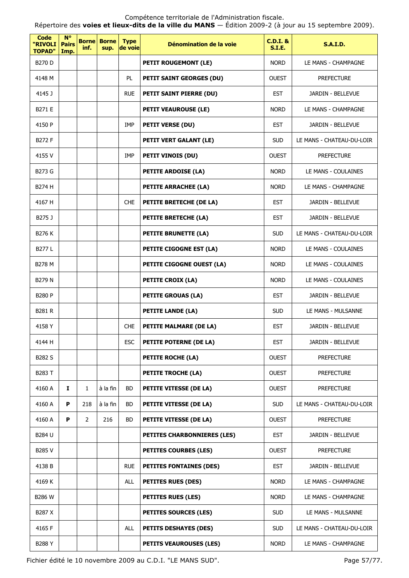Répertoire des **voies et lieux-dits de la ville du MANS** — Édition 2009-2 (à jour au 15 septembre 2009).

| Code<br>"RIVOLI<br><b>TOPAD"</b> | <b>N°</b><br><b>Pairs</b><br>Imp. | inf.           | <b>Borne Borne</b><br>sup. | <b>Type</b><br>de voie | Dénomination de la voie            | <b>C.D.I. &amp;</b><br><b>S.I.E.</b> | <b>S.A.I.D.</b>           |
|----------------------------------|-----------------------------------|----------------|----------------------------|------------------------|------------------------------------|--------------------------------------|---------------------------|
| <b>B270 D</b>                    |                                   |                |                            |                        | PETIT ROUGEMONT (LE)               | <b>NORD</b>                          | LE MANS - CHAMPAGNE       |
| 4148 M                           |                                   |                |                            | PL.                    | PETIT SAINT GEORGES (DU)           | <b>OUEST</b>                         | <b>PREFECTURE</b>         |
| 4145 J                           |                                   |                |                            | <b>RUE</b>             | PETIT SAINT PIERRE (DU)            | <b>EST</b>                           | JARDIN - BELLEVUE         |
| B271 E                           |                                   |                |                            |                        | <b>PETIT VEAUROUSE (LE)</b>        | <b>NORD</b>                          | LE MANS - CHAMPAGNE       |
| 4150 P                           |                                   |                |                            | <b>IMP</b>             | <b>PETIT VERSE (DU)</b>            | <b>EST</b>                           | JARDIN - BELLEVUE         |
| B272 F                           |                                   |                |                            |                        | <b>PETIT VERT GALANT (LE)</b>      | <b>SUD</b>                           | LE MANS - CHATEAU-DU-LOIR |
| 4155 V                           |                                   |                |                            | IMP                    | PETIT VINOIS (DU)                  | <b>OUEST</b>                         | <b>PREFECTURE</b>         |
| B273 G                           |                                   |                |                            |                        | <b>PETITE ARDOISE (LA)</b>         | <b>NORD</b>                          | LE MANS - COULAINES       |
| B274 H                           |                                   |                |                            |                        | <b>PETITE ARRACHEE (LA)</b>        | <b>NORD</b>                          | LE MANS - CHAMPAGNE       |
| 4167 H                           |                                   |                |                            | <b>CHE</b>             | PETITE BRETECHE (DE LA)            | <b>EST</b>                           | JARDIN - BELLEVUE         |
| B275 J                           |                                   |                |                            |                        | PETITE BRETECHE (LA)               | <b>EST</b>                           | JARDIN - BELLEVUE         |
| B276 K                           |                                   |                |                            |                        | PETITE BRUNETTE (LA)               | <b>SUD</b>                           | LE MANS - CHATEAU-DU-LOIR |
| <b>B277L</b>                     |                                   |                |                            |                        | PETITE CIGOGNE EST (LA)            | <b>NORD</b>                          | LE MANS - COULAINES       |
| <b>B278 M</b>                    |                                   |                |                            |                        | PETITE CIGOGNE OUEST (LA)          | <b>NORD</b>                          | LE MANS - COULAINES       |
| B279 N                           |                                   |                |                            |                        | <b>PETITE CROIX (LA)</b>           | <b>NORD</b>                          | LE MANS - COULAINES       |
| <b>B280 P</b>                    |                                   |                |                            |                        | <b>PETITE GROUAS (LA)</b>          | <b>EST</b>                           | JARDIN - BELLEVUE         |
| <b>B281 R</b>                    |                                   |                |                            |                        | <b>PETITE LANDE (LA)</b>           | <b>SUD</b>                           | LE MANS - MULSANNE        |
| 4158 Y                           |                                   |                |                            | <b>CHE</b>             | PETITE MALMARE (DE LA)             | <b>EST</b>                           | JARDIN - BELLEVUE         |
| 4144 H                           |                                   |                |                            | <b>ESC</b>             | <b>PETITE POTERNE (DE LA)</b>      | <b>EST</b>                           | JARDIN - BELLEVUE         |
| B282 S                           |                                   |                |                            |                        | PETITE ROCHE (LA)                  | <b>OUEST</b>                         | <b>PREFECTURE</b>         |
| B283 T                           |                                   |                |                            |                        | PETITE TROCHE (LA)                 | <b>OUEST</b>                         | <b>PREFECTURE</b>         |
| 4160 A                           | Ι.                                | $\mathbf{1}$   | à la fin                   | BD.                    | <b>PETITE VITESSE (DE LA)</b>      | <b>OUEST</b>                         | <b>PREFECTURE</b>         |
| 4160 A                           | P                                 | 218            | à la fin                   | <b>BD</b>              | PETITE VITESSE (DE LA)             | <b>SUD</b>                           | LE MANS - CHATEAU-DU-LOIR |
| 4160 A                           | P                                 | $\overline{2}$ | 216                        | BD                     | <b>PETITE VITESSE (DE LA)</b>      | <b>OUEST</b>                         | <b>PREFECTURE</b>         |
| B284 U                           |                                   |                |                            |                        | <b>PETITES CHARBONNIERES (LES)</b> | <b>EST</b>                           | JARDIN - BELLEVUE         |
| B285 V                           |                                   |                |                            |                        | <b>PETITES COURBES (LES)</b>       | <b>OUEST</b>                         | <b>PREFECTURE</b>         |
| 4138 B                           |                                   |                |                            | <b>RUE</b>             | <b>PETITES FONTAINES (DES)</b>     | <b>EST</b>                           | JARDIN - BELLEVUE         |
| 4169 K                           |                                   |                |                            | <b>ALL</b>             | <b>PETITES RUES (DES)</b>          | <b>NORD</b>                          | LE MANS - CHAMPAGNE       |
| <b>B286 W</b>                    |                                   |                |                            |                        | <b>PETITES RUES (LES)</b>          | <b>NORD</b>                          | LE MANS - CHAMPAGNE       |
| B287 X                           |                                   |                |                            |                        | <b>PETITES SOURCES (LES)</b>       | <b>SUD</b>                           | LE MANS - MULSANNE        |
| 4165 F                           |                                   |                |                            | <b>ALL</b>             | <b>PETITS DESHAYES (DES)</b>       | <b>SUD</b>                           | LE MANS - CHATEAU-DU-LOIR |
| B288 Y                           |                                   |                |                            |                        | <b>PETITS VEAUROUSES (LES)</b>     | <b>NORD</b>                          | LE MANS - CHAMPAGNE       |

Fichier édité le 10 novembre 2009 au C.D.I. "LE MANS SUD". Page 57/77.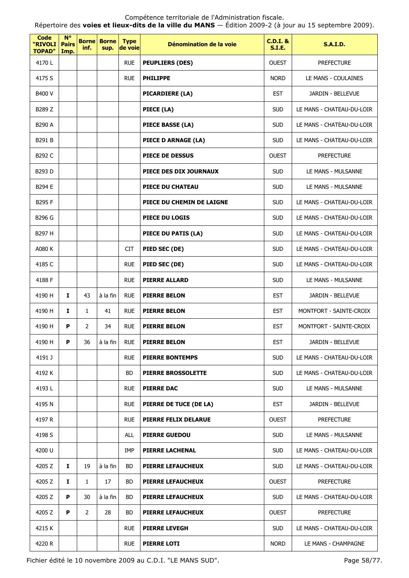| Code<br>"RIVOLI<br><b>TOPAD"</b> | <b>N°</b><br><b>Pairs</b><br>Imp. | <b>Borne</b><br>inf.  | <b>Borne</b><br>sup. | <b>Type</b><br>de voie | Dénomination de la voie   | <b>C.D.I. &amp;</b><br><b>S.I.E.</b> | <b>S.A.I.D.</b>           |
|----------------------------------|-----------------------------------|-----------------------|----------------------|------------------------|---------------------------|--------------------------------------|---------------------------|
| 4170L                            |                                   |                       |                      | <b>RUE</b>             | <b>PEUPLIERS (DES)</b>    | <b>OUEST</b>                         | <b>PREFECTURE</b>         |
| 4175 S                           |                                   |                       |                      | <b>RUE</b>             | <b>PHILIPPE</b>           | <b>NORD</b>                          | LE MANS - COULAINES       |
| B400 V                           |                                   |                       |                      |                        | PICARDIERE (LA)           | <b>EST</b>                           | JARDIN - BELLEVUE         |
| B289 Z                           |                                   |                       |                      |                        | PIECE (LA)                | <b>SUD</b>                           | LE MANS - CHATEAU-DU-LOIR |
| B290 A                           |                                   |                       |                      |                        | PIECE BASSE (LA)          | <b>SUD</b>                           | LE MANS - CHATEAU-DU-LOIR |
| B291 B                           |                                   |                       |                      |                        | PIECE D ARNAGE (LA)       | <b>SUD</b>                           | LE MANS - CHATEAU-DU-LOIR |
| B292 C                           |                                   |                       |                      |                        | <b>PIECE DE DESSUS</b>    | <b>OUEST</b>                         | <b>PREFECTURE</b>         |
| B293 D                           |                                   |                       |                      |                        | PIECE DES DIX JOURNAUX    | <b>SUD</b>                           | LE MANS - MULSANNE        |
| B294 E                           |                                   |                       |                      |                        | PIECE DU CHATEAU          | <b>SUD</b>                           | LE MANS - MULSANNE        |
| B295 F                           |                                   |                       |                      |                        | PIECE DU CHEMIN DE LAIGNE | <b>SUD</b>                           | LE MANS - CHATEAU-DU-LOIR |
| B296 G                           |                                   |                       |                      |                        | PIECE DU LOGIS            | <b>SUD</b>                           | LE MANS - CHATEAU-DU-LOIR |
| B297 H                           |                                   |                       |                      |                        | PIECE DU PATIS (LA)       | <b>SUD</b>                           | LE MANS - CHATEAU-DU-LOIR |
| A080 K                           |                                   |                       |                      | <b>CIT</b>             | PIED SEC (DE)             | <b>SUD</b>                           | LE MANS - CHATEAU-DU-LOIR |
| 4185 C                           |                                   |                       |                      | <b>RUE</b>             | PIED SEC (DE)             | <b>SUD</b>                           | LE MANS - CHATEAU-DU-LOIR |
| 4188 F                           |                                   |                       |                      | <b>RUE</b>             | <b>PIERRE ALLARD</b>      | <b>SUD</b>                           | LE MANS - MULSANNE        |
| 4190 H                           | I                                 | 43                    | à la fin             | <b>RUE</b>             | <b>PIERRE BELON</b>       | <b>EST</b>                           | JARDIN - BELLEVUE         |
| 4190 H                           | 1                                 | $\mathbf{1}$          | 41                   | <b>RUE</b>             | <b>PIERRE BELON</b>       | <b>EST</b>                           | MONTFORT - SAINTE-CROIX   |
| 4190 H                           | P                                 | 2                     | 34                   | <b>RUE</b>             | <b>PIERRE BELON</b>       | <b>EST</b>                           | MONTFORT - SAINTE-CROIX   |
| 4190 H                           | P.                                | 36                    | à la fin             | <b>RUE</b>             | <b>PIERRE BELON</b>       | <b>EST</b>                           | JARDIN - BELLEVUE         |
| 4191 J                           |                                   |                       |                      | <b>RUE</b>             | <b>PIERRE BONTEMPS</b>    | <b>SUD</b>                           | LE MANS - CHATEAU-DU-LOIR |
| 4192 K                           |                                   |                       |                      | BD.                    | <b>PIERRE BROSSOLETTE</b> | <b>SUD</b>                           | LE MANS - CHATEAU-DU-LOIR |
| 4193L                            |                                   |                       |                      | <b>RUE</b>             | <b>PIERRE DAC</b>         | <b>SUD</b>                           | LE MANS - MULSANNE        |
| 4195 N                           |                                   |                       |                      | <b>RUE</b>             | PIERRE DE TUCE (DE LA)    | <b>EST</b>                           | JARDIN - BELLEVUE         |
| 4197 R                           |                                   |                       |                      | <b>RUE</b>             | PIERRE FELIX DELARUE      | <b>OUEST</b>                         | <b>PREFECTURE</b>         |
| 4198 S                           |                                   |                       |                      | <b>ALL</b>             | <b>PIERRE GUEDOU</b>      | <b>SUD</b>                           | LE MANS - MULSANNE        |
| 4200 U                           |                                   |                       |                      | IMP                    | <b>PIERRE LACHENAL</b>    | <b>SUD</b>                           | LE MANS - CHATEAU-DU-LOIR |
| 4205 Z                           | Ι.                                | 19                    | à la fin             | BD.                    | <b>PIERRE LEFAUCHEUX</b>  | <b>SUD</b>                           | LE MANS - CHATEAU-DU-LOIR |
| 4205 Z                           | I.                                | $\mathbf{1}$          | 17                   | BD.                    | <b>PIERRE LEFAUCHEUX</b>  | <b>OUEST</b>                         | <b>PREFECTURE</b>         |
| 4205 Z                           | P                                 | 30                    | à la fin             | BD.                    | <b>PIERRE LEFAUCHEUX</b>  | <b>SUD</b>                           | LE MANS - CHATEAU-DU-LOIR |
| 4205 Z                           | P                                 | $\mathbf{2}^{\prime}$ | 28                   | BD.                    | <b>PIERRE LEFAUCHEUX</b>  | <b>OUEST</b>                         | <b>PREFECTURE</b>         |
| 4215 K                           |                                   |                       |                      | <b>RUE</b>             | <b>PIERRE LEVEGH</b>      | <b>SUD</b>                           | LE MANS - CHATEAU-DU-LOIR |
| 4220 R                           |                                   |                       |                      | <b>RUE</b>             | <b>PIERRE LOTI</b>        | <b>NORD</b>                          | LE MANS - CHAMPAGNE       |

Fichier édité le 10 novembre 2009 au C.D.I. "LE MANS SUD". Page 58/77.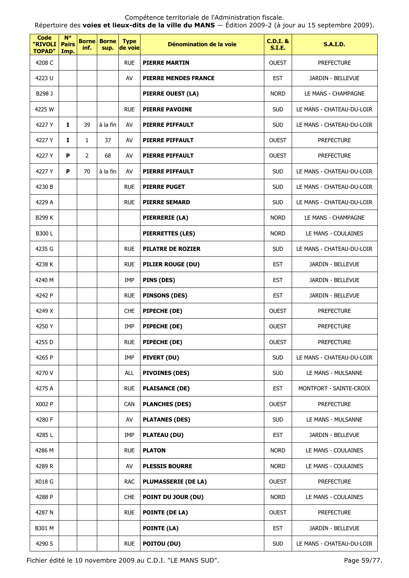Répertoire des **voies et lieux-dits de la ville du MANS** — Édition 2009-2 (à jour au 15 septembre 2009).

| <b>Code</b><br>"RIVOLI<br><b>TOPAD"</b> | $N^{\circ}$<br><b>Pairs</b><br>Imp. | <b>Borne</b><br>inf. | <b>Borne</b><br>sup. | <b>Type</b><br>de voie | Dénomination de la voie     | <b>C.D.I. &amp;</b><br><b>S.I.E.</b> | <b>S.A.I.D.</b>           |
|-----------------------------------------|-------------------------------------|----------------------|----------------------|------------------------|-----------------------------|--------------------------------------|---------------------------|
| 4208 C                                  |                                     |                      |                      | <b>RUE</b>             | <b>PIERRE MARTIN</b>        | <b>OUEST</b>                         | <b>PREFECTURE</b>         |
| 4223 U                                  |                                     |                      |                      | AV                     | <b>PIERRE MENDES FRANCE</b> | <b>EST</b>                           | JARDIN - BELLEVUE         |
| B298 J                                  |                                     |                      |                      |                        | PIERRE OUEST (LA)           | <b>NORD</b>                          | LE MANS - CHAMPAGNE       |
| 4225 W                                  |                                     |                      |                      | <b>RUE</b>             | <b>PIERRE PAVOINE</b>       | <b>SUD</b>                           | LE MANS - CHATEAU-DU-LOIR |
| 4227 Y                                  | 1                                   | 39                   | à la fin             | AV                     | <b>PIERRE PIFFAULT</b>      | <b>SUD</b>                           | LE MANS - CHATEAU-DU-LOIR |
| 4227 Y                                  | I                                   | $\mathbf{1}$         | 37                   | AV                     | PIERRE PIFFAULT             | <b>OUEST</b>                         | <b>PREFECTURE</b>         |
| 4227 Y                                  | P                                   | 2                    | 68                   | AV                     | <b>PIERRE PIFFAULT</b>      | <b>OUEST</b>                         | <b>PREFECTURE</b>         |
| 4227 Y                                  | P                                   | 70                   | à la fin             | AV                     | <b>PIERRE PIFFAULT</b>      | <b>SUD</b>                           | LE MANS - CHATEAU-DU-LOIR |
| 4230 B                                  |                                     |                      |                      | <b>RUE</b>             | <b>PIERRE PUGET</b>         | <b>SUD</b>                           | LE MANS - CHATEAU-DU-LOIR |
| 4229 A                                  |                                     |                      |                      | <b>RUE</b>             | <b>PIERRE SEMARD</b>        | <b>SUD</b>                           | LE MANS - CHATEAU-DU-LOIR |
| B299 K                                  |                                     |                      |                      |                        | PIERRERIE (LA)              | <b>NORD</b>                          | LE MANS - CHAMPAGNE       |
| B300L                                   |                                     |                      |                      |                        | <b>PIERRETTES (LES)</b>     | <b>NORD</b>                          | LE MANS - COULAINES       |
| 4235 G                                  |                                     |                      |                      | <b>RUE</b>             | <b>PILATRE DE ROZIER</b>    | <b>SUD</b>                           | LE MANS - CHATEAU-DU-LOIR |
| 4238 K                                  |                                     |                      |                      | <b>RUE</b>             | PILIER ROUGE (DU)           | <b>EST</b>                           | JARDIN - BELLEVUE         |
| 4240 M                                  |                                     |                      |                      | IMP                    | PINS (DES)                  | <b>EST</b>                           | JARDIN - BELLEVUE         |
| 4242 P                                  |                                     |                      |                      | <b>RUE</b>             | <b>PINSONS (DES)</b>        | <b>EST</b>                           | JARDIN - BELLEVUE         |
| 4249 X                                  |                                     |                      |                      | <b>CHE</b>             | PIPECHE (DE)                | <b>OUEST</b>                         | <b>PREFECTURE</b>         |
| 4250 Y                                  |                                     |                      |                      | IMP                    | PIPECHE (DE)                | <b>OUEST</b>                         | <b>PREFECTURE</b>         |
| 4255 D                                  |                                     |                      |                      | <b>RUE</b>             | PIPECHE (DE)                | <b>OUEST</b>                         | <b>PREFECTURE</b>         |
| 4265 P                                  |                                     |                      |                      | IMP                    | PIVERT (DU)                 | <b>SUD</b>                           | LE MANS - CHATEAU-DU-LOIR |
| 4270 V                                  |                                     |                      |                      | <b>ALL</b>             | <b>PIVOINES (DES)</b>       | <b>SUD</b>                           | LE MANS - MULSANNE        |
| 4275 A                                  |                                     |                      |                      | <b>RUE</b>             | <b>PLAISANCE (DE)</b>       | <b>EST</b>                           | MONTFORT - SAINTE-CROIX   |
| X002 P                                  |                                     |                      |                      | CAN                    | <b>PLANCHES (DES)</b>       | <b>OUEST</b>                         | <b>PREFECTURE</b>         |
| 4280 F                                  |                                     |                      |                      | AV                     | <b>PLATANES (DES)</b>       | <b>SUD</b>                           | LE MANS - MULSANNE        |
| 4285L                                   |                                     |                      |                      | IMP                    | <b>PLATEAU (DU)</b>         | <b>EST</b>                           | JARDIN - BELLEVUE         |
| 4286 M                                  |                                     |                      |                      | <b>RUE</b>             | <b>PLATON</b>               | <b>NORD</b>                          | LE MANS - COULAINES       |
| 4289 R                                  |                                     |                      |                      | AV                     | <b>PLESSIS BOURRE</b>       | <b>NORD</b>                          | LE MANS - COULAINES       |
| X018 G                                  |                                     |                      |                      | <b>RAC</b>             | <b>PLUMASSERIE (DE LA)</b>  | <b>OUEST</b>                         | <b>PREFECTURE</b>         |
| 4288 P                                  |                                     |                      |                      | <b>CHE</b>             | <b>POINT DU JOUR (DU)</b>   | <b>NORD</b>                          | LE MANS - COULAINES       |
| 4287 N                                  |                                     |                      |                      | <b>RUE</b>             | <b>POINTE (DE LA)</b>       | <b>OUEST</b>                         | <b>PREFECTURE</b>         |
| B301 M                                  |                                     |                      |                      |                        | <b>POINTE (LA)</b>          | <b>EST</b>                           | JARDIN - BELLEVUE         |
| 4290 S                                  |                                     |                      |                      | <b>RUE</b>             | POITOU (DU)                 | <b>SUD</b>                           | LE MANS - CHATEAU-DU-LOIR |

Fichier édité le 10 novembre 2009 au C.D.I. "LE MANS SUD". Page 59/77.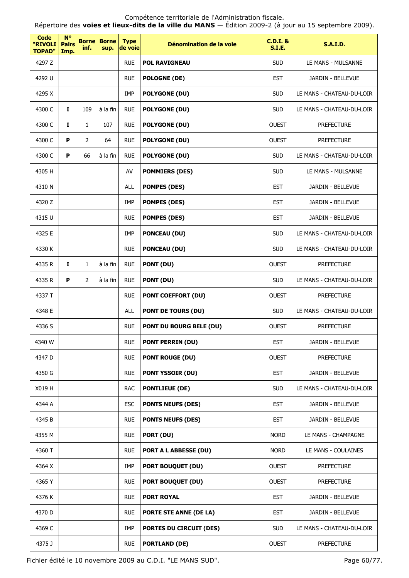| Code<br>"RIVOLI<br><b>TOPAD"</b> | $N^{\circ}$<br><b>Pairs</b><br>Imp. | <b>Borne</b><br>inf. | <b>Borne</b><br>sup. | <b>Type</b><br>de voie | Dénomination de la voie        | $C.D.I.$ &<br><b>S.I.E.</b> | <b>S.A.I.D.</b>           |
|----------------------------------|-------------------------------------|----------------------|----------------------|------------------------|--------------------------------|-----------------------------|---------------------------|
| 4297 Z                           |                                     |                      |                      | <b>RUE</b>             | <b>POL RAVIGNEAU</b>           | <b>SUD</b>                  | LE MANS - MULSANNE        |
| 4292 U                           |                                     |                      |                      | <b>RUE</b>             | <b>POLOGNE (DE)</b>            | <b>EST</b>                  | JARDIN - BELLEVUE         |
| 4295 X                           |                                     |                      |                      | IMP                    | <b>POLYGONE (DU)</b>           | <b>SUD</b>                  | LE MANS - CHATEAU-DU-LOIR |
| 4300 C                           | $\mathbf{I}$                        | 109                  | à la fin             | <b>RUE</b>             | <b>POLYGONE (DU)</b>           | <b>SUD</b>                  | LE MANS - CHATEAU-DU-LOIR |
| 4300 C                           | 1                                   | $\mathbf{1}$         | 107                  | <b>RUE</b>             | <b>POLYGONE (DU)</b>           | <b>OUEST</b>                | <b>PREFECTURE</b>         |
| 4300 C                           | P                                   | $\overline{2}$       | 64                   | <b>RUE</b>             | <b>POLYGONE (DU)</b>           | <b>OUEST</b>                | <b>PREFECTURE</b>         |
| 4300 C                           | P                                   | 66                   | à la fin             | <b>RUE</b>             | <b>POLYGONE (DU)</b>           | <b>SUD</b>                  | LE MANS - CHATEAU-DU-LOIR |
| 4305 H                           |                                     |                      |                      | AV                     | <b>POMMIERS (DES)</b>          | <b>SUD</b>                  | LE MANS - MULSANNE        |
| 4310N                            |                                     |                      |                      | <b>ALL</b>             | <b>POMPES (DES)</b>            | <b>EST</b>                  | JARDIN - BELLEVUE         |
| 4320 Z                           |                                     |                      |                      | <b>IMP</b>             | <b>POMPES (DES)</b>            | <b>EST</b>                  | JARDIN - BELLEVUE         |
| 4315 U                           |                                     |                      |                      | <b>RUE</b>             | <b>POMPES (DES)</b>            | <b>EST</b>                  | JARDIN - BELLEVUE         |
| 4325 E                           |                                     |                      |                      | IMP                    | <b>PONCEAU (DU)</b>            | <b>SUD</b>                  | LE MANS - CHATEAU-DU-LOIR |
| 4330 K                           |                                     |                      |                      | <b>RUE</b>             | <b>PONCEAU (DU)</b>            | <b>SUD</b>                  | LE MANS - CHATEAU-DU-LOIR |
| 4335 R                           | Ι.                                  | $\mathbf{1}$         | à la fin             | <b>RUE</b>             | PONT (DU)                      | <b>OUEST</b>                | <b>PREFECTURE</b>         |
| 4335 R                           | P                                   | 2                    | à la fin             | <b>RUE</b>             | PONT (DU)                      | <b>SUD</b>                  | LE MANS - CHATEAU-DU-LOIR |
| 4337 T                           |                                     |                      |                      | <b>RUE</b>             | <b>PONT COEFFORT (DU)</b>      | <b>OUEST</b>                | <b>PREFECTURE</b>         |
| 4348 E                           |                                     |                      |                      | <b>ALL</b>             | <b>PONT DE TOURS (DU)</b>      | <b>SUD</b>                  | LE MANS - CHATEAU-DU-LOIR |
| 4336 S                           |                                     |                      |                      | <b>RUE</b>             | <b>PONT DU BOURG BELE (DU)</b> | <b>OUEST</b>                | <b>PREFECTURE</b>         |
| 4340 W                           |                                     |                      |                      | <b>RUE</b>             | <b>PONT PERRIN (DU)</b>        | <b>EST</b>                  | JARDIN - BELLEVUE         |
| 4347 D                           |                                     |                      |                      | <b>RUE</b>             | <b>PONT ROUGE (DU)</b>         | <b>OUEST</b>                | <b>PREFECTURE</b>         |
| 4350 G                           |                                     |                      |                      | <b>RUE</b>             | PONT YSSOIR (DU)               | <b>EST</b>                  | JARDIN - BELLEVUE         |
| X019 H                           |                                     |                      |                      | <b>RAC</b>             | <b>PONTLIEUE (DE)</b>          | <b>SUD</b>                  | LE MANS - CHATEAU-DU-LOIR |
| 4344 A                           |                                     |                      |                      | <b>ESC</b>             | <b>PONTS NEUFS (DES)</b>       | <b>EST</b>                  | JARDIN - BELLEVUE         |
| 4345 B                           |                                     |                      |                      | <b>RUE</b>             | <b>PONTS NEUFS (DES)</b>       | <b>EST</b>                  | JARDIN - BELLEVUE         |
| 4355 M                           |                                     |                      |                      | <b>RUE</b>             | PORT (DU)                      | <b>NORD</b>                 | LE MANS - CHAMPAGNE       |
| 4360 T                           |                                     |                      |                      | <b>RUE</b>             | <b>PORT A L ABBESSE (DU)</b>   | <b>NORD</b>                 | LE MANS - COULAINES       |
| 4364 X                           |                                     |                      |                      | <b>IMP</b>             | <b>PORT BOUQUET (DU)</b>       | <b>OUEST</b>                | <b>PREFECTURE</b>         |
| 4365 Y                           |                                     |                      |                      | <b>RUE</b>             | <b>PORT BOUQUET (DU)</b>       | <b>OUEST</b>                | <b>PREFECTURE</b>         |
| 4376 K                           |                                     |                      |                      | <b>RUE</b>             | <b>PORT ROYAL</b>              | <b>EST</b>                  | JARDIN - BELLEVUE         |
| 4370 D                           |                                     |                      |                      | <b>RUE</b>             | PORTE STE ANNE (DE LA)         | <b>EST</b>                  | JARDIN - BELLEVUE         |
| 4369 C                           |                                     |                      |                      | IMP                    | <b>PORTES DU CIRCUIT (DES)</b> | <b>SUD</b>                  | LE MANS - CHATEAU-DU-LOIR |
| 4375 J                           |                                     |                      |                      | <b>RUE</b>             | <b>PORTLAND (DE)</b>           | <b>OUEST</b>                | <b>PREFECTURE</b>         |

Fichier édité le 10 novembre 2009 au C.D.I. "LE MANS SUD". Page 60/77.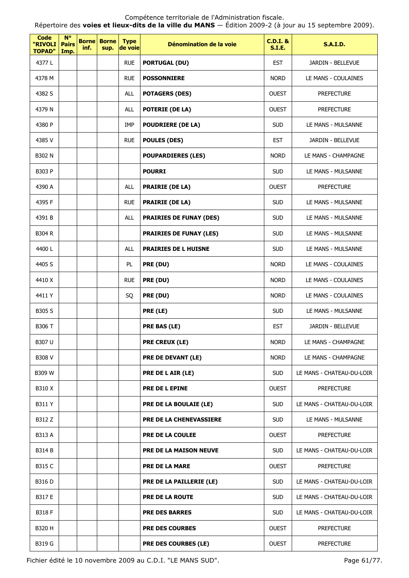Répertoire des **voies et lieux-dits de la ville du MANS** — Édition 2009-2 (à jour au 15 septembre 2009).

| <b>Code</b><br>"RIVOLI<br><b>TOPAD"</b> | $N^{\circ}$<br><b>Pairs</b><br>Imp. | <b>Borne</b><br>inf. | <b>Borne</b><br>sup. | <b>Type</b><br>de voie | Dénomination de la voie        | <b>C.D.I. &amp;</b><br><b>S.I.E.</b> | <b>S.A.I.D.</b>           |
|-----------------------------------------|-------------------------------------|----------------------|----------------------|------------------------|--------------------------------|--------------------------------------|---------------------------|
| 4377L                                   |                                     |                      |                      | <b>RUE</b>             | <b>PORTUGAL (DU)</b>           | <b>EST</b>                           | JARDIN - BELLEVUE         |
| 4378 M                                  |                                     |                      |                      | <b>RUE</b>             | <b>POSSONNIERE</b>             | <b>NORD</b>                          | LE MANS - COULAINES       |
| 4382 S                                  |                                     |                      |                      | <b>ALL</b>             | <b>POTAGERS (DES)</b>          | <b>OUEST</b>                         | <b>PREFECTURE</b>         |
| 4379 N                                  |                                     |                      |                      | <b>ALL</b>             | <b>POTERIE (DE LA)</b>         | <b>OUEST</b>                         | <b>PREFECTURE</b>         |
| 4380 P                                  |                                     |                      |                      | IMP                    | <b>POUDRIERE (DE LA)</b>       | <b>SUD</b>                           | LE MANS - MULSANNE        |
| 4385V                                   |                                     |                      |                      | <b>RUE</b>             | <b>POULES (DES)</b>            | <b>EST</b>                           | JARDIN - BELLEVUE         |
| <b>B302 N</b>                           |                                     |                      |                      |                        | <b>POUPARDIERES (LES)</b>      | <b>NORD</b>                          | LE MANS - CHAMPAGNE       |
| B303 P                                  |                                     |                      |                      |                        | <b>POURRI</b>                  | <b>SUD</b>                           | LE MANS - MULSANNE        |
| 4390 A                                  |                                     |                      |                      | <b>ALL</b>             | <b>PRAIRIE (DE LA)</b>         | <b>OUEST</b>                         | <b>PREFECTURE</b>         |
| 4395 F                                  |                                     |                      |                      | <b>RUE</b>             | <b>PRAIRIE (DE LA)</b>         | <b>SUD</b>                           | LE MANS - MULSANNE        |
| 4391 B                                  |                                     |                      |                      | <b>ALL</b>             | <b>PRAIRIES DE FUNAY (DES)</b> | <b>SUD</b>                           | LE MANS - MULSANNE        |
| <b>B304 R</b>                           |                                     |                      |                      |                        | <b>PRAIRIES DE FUNAY (LES)</b> | <b>SUD</b>                           | LE MANS - MULSANNE        |
| 4400L                                   |                                     |                      |                      | <b>ALL</b>             | <b>PRAIRIES DE L HUISNE</b>    | <b>SUD</b>                           | LE MANS - MULSANNE        |
| 4405 S                                  |                                     |                      |                      | PL                     | PRE (DU)                       | <b>NORD</b>                          | LE MANS - COULAINES       |
| 4410 X                                  |                                     |                      |                      | <b>RUE</b>             | PRE (DU)                       | <b>NORD</b>                          | LE MANS - COULAINES       |
| 4411Y                                   |                                     |                      |                      | SQ                     | PRE (DU)                       | <b>NORD</b>                          | LE MANS - COULAINES       |
| <b>B305 S</b>                           |                                     |                      |                      |                        | PRE (LE)                       | <b>SUD</b>                           | LE MANS - MULSANNE        |
| B306 T                                  |                                     |                      |                      |                        | PRE BAS (LE)                   | <b>EST</b>                           | JARDIN - BELLEVUE         |
| B307 U                                  |                                     |                      |                      |                        | <b>PRE CREUX (LE)</b>          | <b>NORD</b>                          | LE MANS - CHAMPAGNE       |
| <b>B308 V</b>                           |                                     |                      |                      |                        | PRE DE DEVANT (LE)             | <b>NORD</b>                          | LE MANS - CHAMPAGNE       |
| <b>B309 W</b>                           |                                     |                      |                      |                        | PRE DE L AIR (LE)              | <b>SUD</b>                           | LE MANS - CHATEAU-DU-LOIR |
| B310 X                                  |                                     |                      |                      |                        | PRE DE L EPINE                 | <b>OUEST</b>                         | <b>PREFECTURE</b>         |
| <b>B311 Y</b>                           |                                     |                      |                      |                        | PRE DE LA BOULAIE (LE)         | <b>SUD</b>                           | LE MANS - CHATEAU-DU-LOIR |
| B312 Z                                  |                                     |                      |                      |                        | <b>PRE DE LA CHENEVASSIERE</b> | <b>SUD</b>                           | LE MANS - MULSANNE        |
| B313 A                                  |                                     |                      |                      |                        | PRE DE LA COULEE               | <b>OUEST</b>                         | <b>PREFECTURE</b>         |
| <b>B314 B</b>                           |                                     |                      |                      |                        | <b>PRE DE LA MAISON NEUVE</b>  | <b>SUD</b>                           | LE MANS - CHATEAU-DU-LOIR |
| B315 C                                  |                                     |                      |                      |                        | <b>PRE DE LA MARE</b>          | <b>OUEST</b>                         | <b>PREFECTURE</b>         |
| B316 D                                  |                                     |                      |                      |                        | PRE DE LA PAILLERIE (LE)       | <b>SUD</b>                           | LE MANS - CHATEAU-DU-LOIR |
| B317 E                                  |                                     |                      |                      |                        | PRE DE LA ROUTE                | <b>SUD</b>                           | LE MANS - CHATEAU-DU-LOIR |
| <b>B318 F</b>                           |                                     |                      |                      |                        | <b>PRE DES BARRES</b>          | <b>SUD</b>                           | LE MANS - CHATEAU-DU-LOIR |
| B320 H                                  |                                     |                      |                      |                        | <b>PRE DES COURBES</b>         | <b>OUEST</b>                         | <b>PREFECTURE</b>         |
| B319 G                                  |                                     |                      |                      |                        | PRE DES COURBES (LE)           | <b>OUEST</b>                         | <b>PREFECTURE</b>         |

Fichier édité le 10 novembre 2009 au C.D.I. "LE MANS SUD". Page 61/77.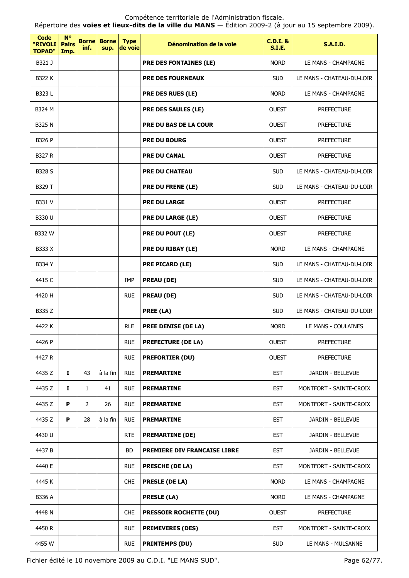Répertoire des **voies et lieux-dits de la ville du MANS** — Édition 2009-2 (à jour au 15 septembre 2009).

| <b>Code</b><br>"RIVOLI<br><b>TOPAD"</b> | $N^{\circ}$<br><b>Pairs</b><br>Imp. | inf.           | <b>Borne Borne</b><br>sup. | <b>Type</b><br>de voie | Dénomination de la voie       | <b>C.D.I. &amp;</b><br><b>S.I.E.</b> | <b>S.A.I.D.</b>           |
|-----------------------------------------|-------------------------------------|----------------|----------------------------|------------------------|-------------------------------|--------------------------------------|---------------------------|
| B321 J                                  |                                     |                |                            |                        | <b>PRE DES FONTAINES (LE)</b> | <b>NORD</b>                          | LE MANS - CHAMPAGNE       |
| <b>B322 K</b>                           |                                     |                |                            |                        | <b>PRE DES FOURNEAUX</b>      | <b>SUD</b>                           | LE MANS - CHATEAU-DU-LOIR |
| B323L                                   |                                     |                |                            |                        | PRE DES RUES (LE)             | <b>NORD</b>                          | LE MANS - CHAMPAGNE       |
| B324 M                                  |                                     |                |                            |                        | PRE DES SAULES (LE)           | <b>OUEST</b>                         | <b>PREFECTURE</b>         |
| <b>B325 N</b>                           |                                     |                |                            |                        | <b>PRE DU BAS DE LA COUR</b>  | <b>OUEST</b>                         | <b>PREFECTURE</b>         |
| B326 P                                  |                                     |                |                            |                        | <b>PRE DU BOURG</b>           | <b>OUEST</b>                         | <b>PREFECTURE</b>         |
| <b>B327 R</b>                           |                                     |                |                            |                        | <b>PRE DU CANAL</b>           | <b>OUEST</b>                         | <b>PREFECTURE</b>         |
| <b>B328 S</b>                           |                                     |                |                            |                        | <b>PRE DU CHATEAU</b>         | <b>SUD</b>                           | LE MANS - CHATEAU-DU-LOIR |
| B329 T                                  |                                     |                |                            |                        | <b>PRE DU FRENE (LE)</b>      | <b>SUD</b>                           | LE MANS - CHATEAU-DU-LOIR |
| B331 V                                  |                                     |                |                            |                        | <b>PRE DU LARGE</b>           | <b>OUEST</b>                         | <b>PREFECTURE</b>         |
| B330 U                                  |                                     |                |                            |                        | PRE DU LARGE (LE)             | <b>OUEST</b>                         | <b>PREFECTURE</b>         |
| B332 W                                  |                                     |                |                            |                        | PRE DU POUT (LE)              | <b>OUEST</b>                         | <b>PREFECTURE</b>         |
| B333 X                                  |                                     |                |                            |                        | PRE DU RIBAY (LE)             | <b>NORD</b>                          | LE MANS - CHAMPAGNE       |
| <b>B334 Y</b>                           |                                     |                |                            |                        | <b>PRE PICARD (LE)</b>        | <b>SUD</b>                           | LE MANS - CHATEAU-DU-LOIR |
| 4415 C                                  |                                     |                |                            | <b>IMP</b>             | <b>PREAU (DE)</b>             | <b>SUD</b>                           | LE MANS - CHATEAU-DU-LOIR |
| 4420 H                                  |                                     |                |                            | <b>RUE</b>             | <b>PREAU (DE)</b>             | <b>SUD</b>                           | LE MANS - CHATEAU-DU-LOIR |
| B335 Z                                  |                                     |                |                            |                        | PREE (LA)                     | <b>SUD</b>                           | LE MANS - CHATEAU-DU-LOIR |
| 4422 K                                  |                                     |                |                            | <b>RLE</b>             | PREE DENISE (DE LA)           | <b>NORD</b>                          | LE MANS - COULAINES       |
| 4426 P                                  |                                     |                |                            | <b>RUE</b>             | <b>PREFECTURE (DE LA)</b>     | <b>OUEST</b>                         | <b>PREFECTURE</b>         |
| 4427 R                                  |                                     |                |                            | <b>RUE</b>             | <b>PREFORTIER (DU)</b>        | <b>OUEST</b>                         | <b>PREFECTURE</b>         |
| 4435 Z                                  | Ι.                                  | 43             | à la fin                   | <b>RUE</b>             | <b>PREMARTINE</b>             | <b>EST</b>                           | JARDIN - BELLEVUE         |
| 4435 Z                                  | 1                                   | $\mathbf{1}$   | 41                         | <b>RUE</b>             | <b>PREMARTINE</b>             | <b>EST</b>                           | MONTFORT - SAINTE-CROIX   |
| 4435 Z                                  | P                                   | $\overline{2}$ | 26                         | <b>RUE</b>             | <b>PREMARTINE</b>             | <b>EST</b>                           | MONTFORT - SAINTE-CROIX   |
| 4435 Z                                  | P                                   | 28             | à la fin                   | <b>RUE</b>             | <b>PREMARTINE</b>             | <b>EST</b>                           | JARDIN - BELLEVUE         |
| 4430 U                                  |                                     |                |                            | <b>RTE</b>             | <b>PREMARTINE (DE)</b>        | <b>EST</b>                           | JARDIN - BELLEVUE         |
| 4437 B                                  |                                     |                |                            | BD                     | PREMIERE DIV FRANCAISE LIBRE  | <b>EST</b>                           | JARDIN - BELLEVUE         |
| 4440 E                                  |                                     |                |                            | <b>RUE</b>             | <b>PRESCHE (DE LA)</b>        | <b>EST</b>                           | MONTFORT - SAINTE-CROIX   |
| 4445 K                                  |                                     |                |                            | <b>CHE</b>             | <b>PRESLE (DE LA)</b>         | <b>NORD</b>                          | LE MANS - CHAMPAGNE       |
| B336 A                                  |                                     |                |                            |                        | <b>PRESLE (LA)</b>            | <b>NORD</b>                          | LE MANS - CHAMPAGNE       |
| 4448 N                                  |                                     |                |                            | <b>CHE</b>             | <b>PRESSOIR ROCHETTE (DU)</b> | <b>OUEST</b>                         | <b>PREFECTURE</b>         |
| 4450 R                                  |                                     |                |                            | <b>RUE</b>             | <b>PRIMEVERES (DES)</b>       | <b>EST</b>                           | MONTFORT - SAINTE-CROIX   |
| 4455 W                                  |                                     |                |                            | <b>RUE</b>             | <b>PRINTEMPS (DU)</b>         | <b>SUD</b>                           | LE MANS - MULSANNE        |

Fichier édité le 10 novembre 2009 au C.D.I. "LE MANS SUD". Page 62/77.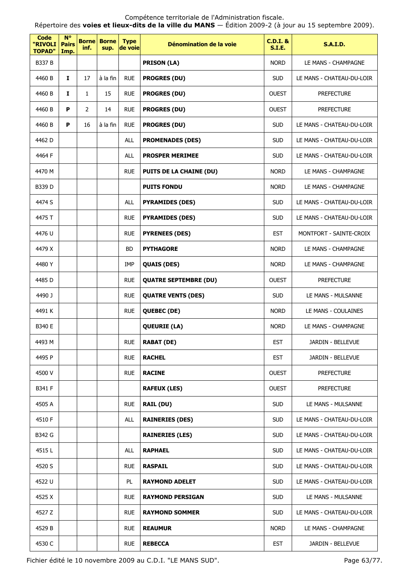| <b>Code</b><br>"RIVOLI<br><b>TOPAD"</b> | $N^{\circ}$<br><b>Pairs</b><br>Imp. | inf.           | <b>Borne Borne</b><br>sup. | <b>Type</b><br>de voie | Dénomination de la voie        | <b>C.D.I. &amp;</b><br><b>S.I.E.</b> | <b>S.A.I.D.</b>           |
|-----------------------------------------|-------------------------------------|----------------|----------------------------|------------------------|--------------------------------|--------------------------------------|---------------------------|
| <b>B337 B</b>                           |                                     |                |                            |                        | <b>PRISON (LA)</b>             | <b>NORD</b>                          | LE MANS - CHAMPAGNE       |
| 4460 B                                  | $\mathbf{I}$                        | 17             | à la fin                   | <b>RUE</b>             | <b>PROGRES (DU)</b>            | <b>SUD</b>                           | LE MANS - CHATEAU-DU-LOIR |
| 4460 B                                  | I.                                  | $\mathbf{1}$   | 15                         | <b>RUE</b>             | <b>PROGRES (DU)</b>            | <b>OUEST</b>                         | <b>PREFECTURE</b>         |
| 4460 B                                  | P                                   | $\overline{2}$ | 14                         | <b>RUE</b>             | <b>PROGRES (DU)</b>            | <b>OUEST</b>                         | <b>PREFECTURE</b>         |
| 4460 B                                  | P                                   | 16             | à la fin                   | <b>RUE</b>             | <b>PROGRES (DU)</b>            | <b>SUD</b>                           | LE MANS - CHATEAU-DU-LOIR |
| 4462D                                   |                                     |                |                            | ALL                    | <b>PROMENADES (DES)</b>        | <b>SUD</b>                           | LE MANS - CHATEAU-DU-LOIR |
| 4464 F                                  |                                     |                |                            | <b>ALL</b>             | <b>PROSPER MERIMEE</b>         | <b>SUD</b>                           | LE MANS - CHATEAU-DU-LOIR |
| 4470 M                                  |                                     |                |                            | <b>RUE</b>             | <b>PUITS DE LA CHAINE (DU)</b> | <b>NORD</b>                          | LE MANS - CHAMPAGNE       |
| B339 D                                  |                                     |                |                            |                        | <b>PUITS FONDU</b>             | <b>NORD</b>                          | LE MANS - CHAMPAGNE       |
| 4474 S                                  |                                     |                |                            | <b>ALL</b>             | <b>PYRAMIDES (DES)</b>         | <b>SUD</b>                           | LE MANS - CHATEAU-DU-LOIR |
| 4475 T                                  |                                     |                |                            | <b>RUE</b>             | <b>PYRAMIDES (DES)</b>         | <b>SUD</b>                           | LE MANS - CHATEAU-DU-LOIR |
| 4476 U                                  |                                     |                |                            | <b>RUE</b>             | <b>PYRENEES (DES)</b>          | <b>EST</b>                           | MONTFORT - SAINTE-CROIX   |
| 4479 X                                  |                                     |                |                            | <b>BD</b>              | <b>PYTHAGORE</b>               | <b>NORD</b>                          | LE MANS - CHAMPAGNE       |
| 4480Y                                   |                                     |                |                            | IMP                    | <b>QUAIS (DES)</b>             | <b>NORD</b>                          | LE MANS - CHAMPAGNE       |
| 4485 D                                  |                                     |                |                            | <b>RUE</b>             | <b>QUATRE SEPTEMBRE (DU)</b>   | <b>OUEST</b>                         | <b>PREFECTURE</b>         |
| 4490 J                                  |                                     |                |                            | <b>RUE</b>             | <b>QUATRE VENTS (DES)</b>      | <b>SUD</b>                           | LE MANS - MULSANNE        |
| 4491 K                                  |                                     |                |                            | <b>RUE</b>             | <b>QUEBEC (DE)</b>             | <b>NORD</b>                          | LE MANS - COULAINES       |
| B340 E                                  |                                     |                |                            |                        | <b>QUEURIE (LA)</b>            | <b>NORD</b>                          | LE MANS - CHAMPAGNE       |
| 4493 M                                  |                                     |                |                            | <b>RUE</b>             | <b>RABAT (DE)</b>              | <b>EST</b>                           | JARDIN - BELLEVUE         |
| 4495 P                                  |                                     |                |                            | <b>RUE</b>             | <b>RACHEL</b>                  | <b>EST</b>                           | JARDIN - BELLEVUE         |
| 4500 V                                  |                                     |                |                            | <b>RUE</b>             | <b>RACINE</b>                  | <b>OUEST</b>                         | <b>PREFECTURE</b>         |
| B341 F                                  |                                     |                |                            |                        | <b>RAFEUX (LES)</b>            | <b>OUEST</b>                         | <b>PREFECTURE</b>         |
| 4505 A                                  |                                     |                |                            | <b>RUE</b>             | <b>RAIL (DU)</b>               | <b>SUD</b>                           | LE MANS - MULSANNE        |
| 4510 F                                  |                                     |                |                            | ALL                    | <b>RAINERIES (DES)</b>         | <b>SUD</b>                           | LE MANS - CHATEAU-DU-LOIR |
| B342 G                                  |                                     |                |                            |                        | <b>RAINERIES (LES)</b>         | <b>SUD</b>                           | LE MANS - CHATEAU-DU-LOIR |
| 4515L                                   |                                     |                |                            | ALL                    | <b>RAPHAEL</b>                 | <b>SUD</b>                           | LE MANS - CHATEAU-DU-LOIR |
| 4520 S                                  |                                     |                |                            | <b>RUE</b>             | <b>RASPAIL</b>                 | <b>SUD</b>                           | LE MANS - CHATEAU-DU-LOIR |
| 4522 U                                  |                                     |                |                            | PL                     | <b>RAYMOND ADELET</b>          | <b>SUD</b>                           | LE MANS - CHATEAU-DU-LOIR |
| 4525 X                                  |                                     |                |                            | <b>RUE</b>             | <b>RAYMOND PERSIGAN</b>        | <b>SUD</b>                           | LE MANS - MULSANNE        |
| 4527 Z                                  |                                     |                |                            | <b>RUE</b>             | <b>RAYMOND SOMMER</b>          | <b>SUD</b>                           | LE MANS - CHATEAU-DU-LOIR |
| 4529 B                                  |                                     |                |                            | <b>RUE</b>             | <b>REAUMUR</b>                 | <b>NORD</b>                          | LE MANS - CHAMPAGNE       |
| 4530 C                                  |                                     |                |                            | <b>RUE</b>             | <b>REBECCA</b>                 | <b>EST</b>                           | JARDIN - BELLEVUE         |

Fichier édité le 10 novembre 2009 au C.D.I. "LE MANS SUD". Page 63/77.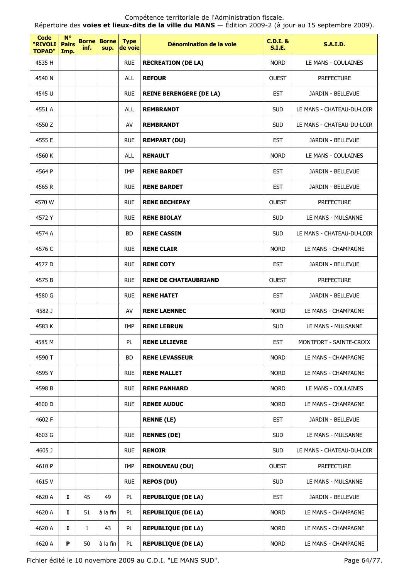Répertoire des **voies et lieux-dits de la ville du MANS** — Édition 2009-2 (à jour au 15 septembre 2009).

| <b>Code</b><br>"RIVOLI<br><b>TOPAD"</b> | <b>N°</b><br><b>Pairs</b><br>Imp. | inf.         | <b>Borne Borne</b><br>sup. | <b>Type</b><br>de voie | Dénomination de la voie        | <b>C.D.I. &amp;</b><br><b>S.I.E.</b> | <b>S.A.I.D.</b>           |
|-----------------------------------------|-----------------------------------|--------------|----------------------------|------------------------|--------------------------------|--------------------------------------|---------------------------|
| 4535 H                                  |                                   |              |                            | <b>RUE</b>             | <b>RECREATION (DE LA)</b>      | <b>NORD</b>                          | LE MANS - COULAINES       |
| 4540 N                                  |                                   |              |                            | <b>ALL</b>             | <b>REFOUR</b>                  | <b>OUEST</b>                         | <b>PREFECTURE</b>         |
| 4545 U                                  |                                   |              |                            | <b>RUE</b>             | <b>REINE BERENGERE (DE LA)</b> | <b>EST</b>                           | JARDIN - BELLEVUE         |
| 4551 A                                  |                                   |              |                            | ALL                    | <b>REMBRANDT</b>               | <b>SUD</b>                           | LE MANS - CHATEAU-DU-LOIR |
| 4550 Z                                  |                                   |              |                            | AV                     | <b>REMBRANDT</b>               | <b>SUD</b>                           | LE MANS - CHATEAU-DU-LOIR |
| 4555 E                                  |                                   |              |                            | <b>RUE</b>             | <b>REMPART (DU)</b>            | <b>EST</b>                           | JARDIN - BELLEVUE         |
| 4560 K                                  |                                   |              |                            | <b>ALL</b>             | <b>RENAULT</b>                 | <b>NORD</b>                          | LE MANS - COULAINES       |
| 4564 P                                  |                                   |              |                            | IMP                    | <b>RENE BARDET</b>             | <b>EST</b>                           | JARDIN - BELLEVUE         |
| 4565 R                                  |                                   |              |                            | <b>RUE</b>             | <b>RENE BARDET</b>             | <b>EST</b>                           | JARDIN - BELLEVUE         |
| 4570 W                                  |                                   |              |                            | <b>RUE</b>             | <b>RENE BECHEPAY</b>           | <b>OUEST</b>                         | <b>PREFECTURE</b>         |
| 4572 Y                                  |                                   |              |                            | <b>RUE</b>             | <b>RENE BIOLAY</b>             | <b>SUD</b>                           | LE MANS - MULSANNE        |
| 4574 A                                  |                                   |              |                            | <b>BD</b>              | <b>RENE CASSIN</b>             | <b>SUD</b>                           | LE MANS - CHATEAU-DU-LOIR |
| 4576 C                                  |                                   |              |                            | <b>RUE</b>             | <b>RENE CLAIR</b>              | <b>NORD</b>                          | LE MANS - CHAMPAGNE       |
| 4577 D                                  |                                   |              |                            | <b>RUE</b>             | <b>RENE COTY</b>               | <b>EST</b>                           | JARDIN - BELLEVUE         |
| 4575B                                   |                                   |              |                            | <b>RUE</b>             | <b>RENE DE CHATEAUBRIAND</b>   | <b>OUEST</b>                         | <b>PREFECTURE</b>         |
| 4580 G                                  |                                   |              |                            | <b>RUE</b>             | <b>RENE HATET</b>              | <b>EST</b>                           | JARDIN - BELLEVUE         |
| 4582 J                                  |                                   |              |                            | AV                     | <b>RENE LAENNEC</b>            | <b>NORD</b>                          | LE MANS - CHAMPAGNE       |
| 4583 K                                  |                                   |              |                            | IMP                    | <b>RENE LEBRUN</b>             | <b>SUD</b>                           | LE MANS - MULSANNE        |
| 4585 M                                  |                                   |              |                            | PL                     | <b>RENE LELIEVRE</b>           | <b>EST</b>                           | MONTFORT - SAINTE-CROIX   |
| 4590 T                                  |                                   |              |                            | <b>BD</b>              | <b>RENE LEVASSEUR</b>          | <b>NORD</b>                          | LE MANS - CHAMPAGNE       |
| 4595 Y                                  |                                   |              |                            | <b>RUE</b>             | <b>RENE MALLET</b>             | <b>NORD</b>                          | LE MANS - CHAMPAGNE       |
| 4598 B                                  |                                   |              |                            | <b>RUE</b>             | <b>RENE PANHARD</b>            | <b>NORD</b>                          | LE MANS - COULAINES       |
| 4600 D                                  |                                   |              |                            | <b>RUE</b>             | <b>RENEE AUDUC</b>             | <b>NORD</b>                          | LE MANS - CHAMPAGNE       |
| 4602 F                                  |                                   |              |                            |                        | <b>RENNE (LE)</b>              | <b>EST</b>                           | JARDIN - BELLEVUE         |
| 4603 G                                  |                                   |              |                            | <b>RUE</b>             | <b>RENNES (DE)</b>             | <b>SUD</b>                           | LE MANS - MULSANNE        |
| 4605 J                                  |                                   |              |                            | <b>RUE</b>             | <b>RENOIR</b>                  | <b>SUD</b>                           | LE MANS - CHATEAU-DU-LOIR |
| 4610 P                                  |                                   |              |                            | <b>IMP</b>             | <b>RENOUVEAU (DU)</b>          | <b>OUEST</b>                         | <b>PREFECTURE</b>         |
| 4615V                                   |                                   |              |                            | <b>RUE</b>             | <b>REPOS (DU)</b>              | <b>SUD</b>                           | LE MANS - MULSANNE        |
| 4620 A                                  | Ι.                                | 45           | 49                         | PL                     | <b>REPUBLIQUE (DE LA)</b>      | <b>EST</b>                           | JARDIN - BELLEVUE         |
| 4620 A                                  | 1                                 | 51           | à la fin                   | PL                     | <b>REPUBLIQUE (DE LA)</b>      | <b>NORD</b>                          | LE MANS - CHAMPAGNE       |
| 4620 A                                  | 1                                 | $\mathbf{1}$ | 43                         | PL                     | <b>REPUBLIQUE (DE LA)</b>      | <b>NORD</b>                          | LE MANS - CHAMPAGNE       |
| 4620 A                                  | P                                 | 50           | à la fin                   | PL                     | <b>REPUBLIQUE (DE LA)</b>      | <b>NORD</b>                          | LE MANS - CHAMPAGNE       |

Fichier édité le 10 novembre 2009 au C.D.I. "LE MANS SUD". Page 64/77.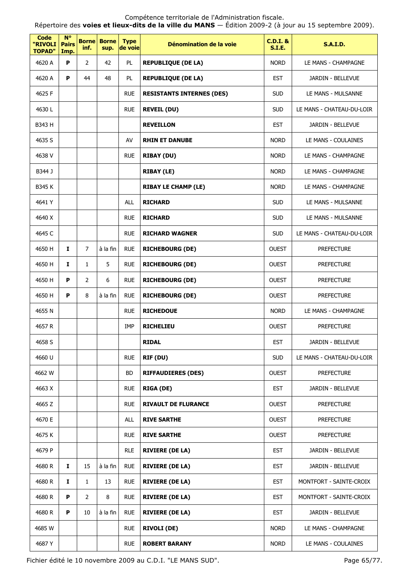Répertoire des **voies et lieux-dits de la ville du MANS** — Édition 2009-2 (à jour au 15 septembre 2009).

| <b>Code</b><br>"RIVOLI<br><b>TOPAD"</b> | <b>N°</b><br><b>Pairs</b><br>Imp. | <b>Borne</b><br>inf. | <b>Borne</b><br>sup. | <b>Type</b><br>de voie | Dénomination de la voie          | $C.D.I.$ &<br><b>S.I.E.</b> | <b>S.A.I.D.</b>           |
|-----------------------------------------|-----------------------------------|----------------------|----------------------|------------------------|----------------------------------|-----------------------------|---------------------------|
| 4620 A                                  | P                                 | 2                    | 42                   | PL                     | <b>REPUBLIQUE (DE LA)</b>        | <b>NORD</b>                 | LE MANS - CHAMPAGNE       |
| 4620 A                                  | P                                 | 44                   | 48                   | PL                     | <b>REPUBLIQUE (DE LA)</b>        | <b>EST</b>                  | JARDIN - BELLEVUE         |
| 4625 F                                  |                                   |                      |                      | <b>RUE</b>             | <b>RESISTANTS INTERNES (DES)</b> | <b>SUD</b>                  | LE MANS - MULSANNE        |
| 4630 L                                  |                                   |                      |                      | <b>RUE</b>             | <b>REVEIL (DU)</b>               | <b>SUD</b>                  | LE MANS - CHATEAU-DU-LOIR |
| B343 H                                  |                                   |                      |                      |                        | <b>REVEILLON</b>                 | <b>EST</b>                  | JARDIN - BELLEVUE         |
| 4635 S                                  |                                   |                      |                      | AV                     | <b>RHIN ET DANUBE</b>            | <b>NORD</b>                 | LE MANS - COULAINES       |
| 4638 V                                  |                                   |                      |                      | <b>RUE</b>             | <b>RIBAY (DU)</b>                | <b>NORD</b>                 | LE MANS - CHAMPAGNE       |
| B344 J                                  |                                   |                      |                      |                        | <b>RIBAY (LE)</b>                | <b>NORD</b>                 | LE MANS - CHAMPAGNE       |
| <b>B345 K</b>                           |                                   |                      |                      |                        | <b>RIBAY LE CHAMP (LE)</b>       | <b>NORD</b>                 | LE MANS - CHAMPAGNE       |
| 4641 Y                                  |                                   |                      |                      | <b>ALL</b>             | <b>RICHARD</b>                   | <b>SUD</b>                  | LE MANS - MULSANNE        |
| 4640 X                                  |                                   |                      |                      | <b>RUE</b>             | <b>RICHARD</b>                   | <b>SUD</b>                  | LE MANS - MULSANNE        |
| 4645 C                                  |                                   |                      |                      | <b>RUE</b>             | <b>RICHARD WAGNER</b>            | <b>SUD</b>                  | LE MANS - CHATEAU-DU-LOIR |
| 4650 H                                  | I.                                | $\overline{7}$       | à la fin             | <b>RUE</b>             | <b>RICHEBOURG (DE)</b>           | <b>OUEST</b>                | <b>PREFECTURE</b>         |
| 4650 H                                  | I                                 | $\mathbf{1}$         | 5                    | <b>RUE</b>             | <b>RICHEBOURG (DE)</b>           | <b>OUEST</b>                | <b>PREFECTURE</b>         |
| 4650 H                                  | P                                 | $\overline{2}$       | 6                    | <b>RUE</b>             | <b>RICHEBOURG (DE)</b>           | <b>OUEST</b>                | <b>PREFECTURE</b>         |
| 4650 H                                  | P                                 | 8                    | à la fin             | <b>RUE</b>             | <b>RICHEBOURG (DE)</b>           | <b>OUEST</b>                | <b>PREFECTURE</b>         |
| 4655N                                   |                                   |                      |                      | <b>RUE</b>             | <b>RICHEDOUE</b>                 | <b>NORD</b>                 | LE MANS - CHAMPAGNE       |
| 4657 R                                  |                                   |                      |                      | IMP                    | <b>RICHELIEU</b>                 | <b>OUEST</b>                | <b>PREFECTURE</b>         |
| 4658 S                                  |                                   |                      |                      |                        | <b>RIDAL</b>                     | EST                         | JARDIN - BELLEVUE         |
| 4660 U                                  |                                   |                      |                      | <b>RUE</b>             | RIF (DU)                         | <b>SUD</b>                  | LE MANS - CHATEAU-DU-LOIR |
| 4662 W                                  |                                   |                      |                      | <b>BD</b>              | <b>RIFFAUDIERES (DES)</b>        | <b>OUEST</b>                | <b>PREFECTURE</b>         |
| 4663 X                                  |                                   |                      |                      | <b>RUE</b>             | <b>RIGA (DE)</b>                 | <b>EST</b>                  | JARDIN - BELLEVUE         |
| 4665 Z                                  |                                   |                      |                      | <b>RUE</b>             | <b>RIVAULT DE FLURANCE</b>       | <b>OUEST</b>                | <b>PREFECTURE</b>         |
| 4670 E                                  |                                   |                      |                      | <b>ALL</b>             | <b>RIVE SARTHE</b>               | <b>OUEST</b>                | <b>PREFECTURE</b>         |
| 4675 K                                  |                                   |                      |                      | <b>RUE</b>             | <b>RIVE SARTHE</b>               | <b>OUEST</b>                | <b>PREFECTURE</b>         |
| 4679 P                                  |                                   |                      |                      | <b>RLE</b>             | <b>RIVIERE (DE LA)</b>           | <b>EST</b>                  | JARDIN - BELLEVUE         |
| 4680 R                                  | 1                                 | 15                   | à la fin             | <b>RUE</b>             | <b>RIVIERE (DE LA)</b>           | <b>EST</b>                  | JARDIN - BELLEVUE         |
| 4680 R                                  | 1                                 | $\mathbf{1}$         | 13                   | <b>RUE</b>             | <b>RIVIERE (DE LA)</b>           | <b>EST</b>                  | MONTFORT - SAINTE-CROIX   |
| 4680 R                                  | P                                 | $\overline{2}$       | 8                    | <b>RUE</b>             | <b>RIVIERE (DE LA)</b>           | <b>EST</b>                  | MONTFORT - SAINTE-CROIX   |
| 4680 R                                  | P                                 | 10                   | à la fin             | <b>RUE</b>             | <b>RIVIERE (DE LA)</b>           | <b>EST</b>                  | JARDIN - BELLEVUE         |
| 4685 W                                  |                                   |                      |                      | <b>RUE</b>             | <b>RIVOLI (DE)</b>               | <b>NORD</b>                 | LE MANS - CHAMPAGNE       |
| 4687Y                                   |                                   |                      |                      | <b>RUE</b>             | <b>ROBERT BARANY</b>             | <b>NORD</b>                 | LE MANS - COULAINES       |

Fichier édité le 10 novembre 2009 au C.D.I. "LE MANS SUD". Page 65/77.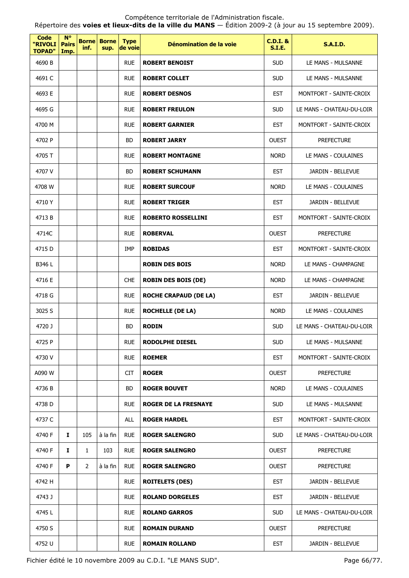Répertoire des **voies et lieux-dits de la ville du MANS** — Édition 2009-2 (à jour au 15 septembre 2009).

| <b>Code</b><br>"RIVOLI<br><b>TOPAD"</b> | $N^{\circ}$<br><b>Pairs</b><br>Imp. | <b>Borne</b><br>inf. | <b>Borne</b><br>sup. | <b>Type</b><br>de voie | Dénomination de la voie      | <b>C.D.I. &amp;</b><br><b>S.I.E.</b> | <b>S.A.I.D.</b>           |
|-----------------------------------------|-------------------------------------|----------------------|----------------------|------------------------|------------------------------|--------------------------------------|---------------------------|
| 4690 B                                  |                                     |                      |                      | <b>RUE</b>             | <b>ROBERT BENOIST</b>        | <b>SUD</b>                           | LE MANS - MULSANNE        |
| 4691 C                                  |                                     |                      |                      | <b>RUE</b>             | <b>ROBERT COLLET</b>         | <b>SUD</b>                           | LE MANS - MULSANNE        |
| 4693 E                                  |                                     |                      |                      | <b>RUE</b>             | <b>ROBERT DESNOS</b>         | <b>EST</b>                           | MONTFORT - SAINTE-CROIX   |
| 4695 G                                  |                                     |                      |                      | <b>RUE</b>             | <b>ROBERT FREULON</b>        | <b>SUD</b>                           | LE MANS - CHATEAU-DU-LOIR |
| 4700 M                                  |                                     |                      |                      | <b>RUE</b>             | <b>ROBERT GARNIER</b>        | <b>EST</b>                           | MONTFORT - SAINTE-CROIX   |
| 4702 P                                  |                                     |                      |                      | <b>BD</b>              | <b>ROBERT JARRY</b>          | <b>OUEST</b>                         | <b>PREFECTURE</b>         |
| 4705 T                                  |                                     |                      |                      | <b>RUE</b>             | <b>ROBERT MONTAGNE</b>       | <b>NORD</b>                          | LE MANS - COULAINES       |
| 4707 V                                  |                                     |                      |                      | <b>BD</b>              | <b>ROBERT SCHUMANN</b>       | <b>EST</b>                           | JARDIN - BELLEVUE         |
| 4708 W                                  |                                     |                      |                      | <b>RUE</b>             | <b>ROBERT SURCOUF</b>        | <b>NORD</b>                          | LE MANS - COULAINES       |
| 4710Y                                   |                                     |                      |                      | <b>RUE</b>             | <b>ROBERT TRIGER</b>         | <b>EST</b>                           | JARDIN - BELLEVUE         |
| 4713B                                   |                                     |                      |                      | <b>RUE</b>             | <b>ROBERTO ROSSELLINI</b>    | <b>EST</b>                           | MONTFORT - SAINTE-CROIX   |
| 4714C                                   |                                     |                      |                      | <b>RUE</b>             | <b>ROBERVAL</b>              | <b>OUEST</b>                         | <b>PREFECTURE</b>         |
| 4715 D                                  |                                     |                      |                      | IMP                    | <b>ROBIDAS</b>               | <b>EST</b>                           | MONTFORT - SAINTE-CROIX   |
| B346 L                                  |                                     |                      |                      |                        | <b>ROBIN DES BOIS</b>        | <b>NORD</b>                          | LE MANS - CHAMPAGNE       |
| 4716 E                                  |                                     |                      |                      | <b>CHE</b>             | <b>ROBIN DES BOIS (DE)</b>   | <b>NORD</b>                          | LE MANS - CHAMPAGNE       |
| 4718 G                                  |                                     |                      |                      | <b>RUE</b>             | <b>ROCHE CRAPAUD (DE LA)</b> | <b>EST</b>                           | JARDIN - BELLEVUE         |
| 3025 S                                  |                                     |                      |                      | <b>RUE</b>             | <b>ROCHELLE (DE LA)</b>      | <b>NORD</b>                          | LE MANS - COULAINES       |
| 4720 J                                  |                                     |                      |                      | <b>BD</b>              | <b>RODIN</b>                 | <b>SUD</b>                           | LE MANS - CHATEAU-DU-LOIR |
| 4725 P                                  |                                     |                      |                      | <b>RUE</b>             | <b>RODOLPHE DIESEL</b>       | SUD                                  | LE MANS - MULSANNE        |
| 4730 V                                  |                                     |                      |                      | <b>RUE</b>             | <b>ROEMER</b>                | <b>EST</b>                           | MONTFORT - SAINTE-CROIX   |
| A090 W                                  |                                     |                      |                      | <b>CIT</b>             | <b>ROGER</b>                 | <b>OUEST</b>                         | <b>PREFECTURE</b>         |
| 4736 B                                  |                                     |                      |                      | BD                     | <b>ROGER BOUVET</b>          | <b>NORD</b>                          | LE MANS - COULAINES       |
| 4738 D                                  |                                     |                      |                      | <b>RUE</b>             | <b>ROGER DE LA FRESNAYE</b>  | <b>SUD</b>                           | LE MANS - MULSANNE        |
| 4737 C                                  |                                     |                      |                      | <b>ALL</b>             | <b>ROGER HARDEL</b>          | <b>EST</b>                           | MONTFORT - SAINTE-CROIX   |
| 4740 F                                  | $\mathbf{I}$                        | 105                  | à la fin             | <b>RUE</b>             | <b>ROGER SALENGRO</b>        | <b>SUD</b>                           | LE MANS - CHATEAU-DU-LOIR |
| 4740 F                                  | 1                                   | $\mathbf{1}$         | 103                  | <b>RUE</b>             | <b>ROGER SALENGRO</b>        | <b>OUEST</b>                         | <b>PREFECTURE</b>         |
| 4740 F                                  | P                                   | 2                    | à la fin             | <b>RUE</b>             | <b>ROGER SALENGRO</b>        | <b>OUEST</b>                         | <b>PREFECTURE</b>         |
| 4742 H                                  |                                     |                      |                      | <b>RUE</b>             | <b>ROITELETS (DES)</b>       | <b>EST</b>                           | JARDIN - BELLEVUE         |
| 4743 J                                  |                                     |                      |                      | <b>RUE</b>             | <b>ROLAND DORGELES</b>       | <b>EST</b>                           | JARDIN - BELLEVUE         |
| 4745L                                   |                                     |                      |                      | <b>RUE</b>             | <b>ROLAND GARROS</b>         | <b>SUD</b>                           | LE MANS - CHATEAU-DU-LOIR |
| 4750 S                                  |                                     |                      |                      | <b>RUE</b>             | <b>ROMAIN DURAND</b>         | <b>OUEST</b>                         | <b>PREFECTURE</b>         |
| 4752 U                                  |                                     |                      |                      | <b>RUE</b>             | <b>ROMAIN ROLLAND</b>        | <b>EST</b>                           | JARDIN - BELLEVUE         |

Fichier édité le 10 novembre 2009 au C.D.I. "LE MANS SUD". Page 66/77.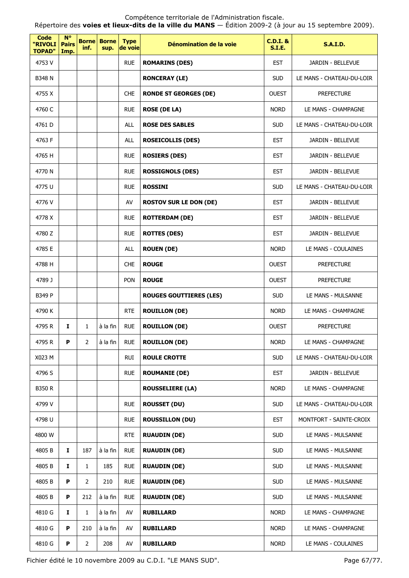Répertoire des **voies et lieux-dits de la ville du MANS** — Édition 2009-2 (à jour au 15 septembre 2009).

| Code<br>"RIVOLI<br><b>TOPAD"</b> | <b>N°</b><br><b>Pairs</b><br>Imp. | <b>Borne</b><br>inf. | <b>Borne</b><br>sup. | <b>Type</b><br>de voie | Dénomination de la voie        | $C.D.I.$ &<br><b>S.I.E.</b> | <b>S.A.I.D.</b>           |
|----------------------------------|-----------------------------------|----------------------|----------------------|------------------------|--------------------------------|-----------------------------|---------------------------|
| 4753 V                           |                                   |                      |                      | <b>RUE</b>             | <b>ROMARINS (DES)</b>          | <b>EST</b>                  | JARDIN - BELLEVUE         |
| <b>B348 N</b>                    |                                   |                      |                      |                        | <b>RONCERAY (LE)</b>           | <b>SUD</b>                  | LE MANS - CHATEAU-DU-LOIR |
| 4755 X                           |                                   |                      |                      | <b>CHE</b>             | <b>RONDE ST GEORGES (DE)</b>   | <b>OUEST</b>                | <b>PREFECTURE</b>         |
| 4760 C                           |                                   |                      |                      | <b>RUE</b>             | <b>ROSE (DE LA)</b>            | <b>NORD</b>                 | LE MANS - CHAMPAGNE       |
| 4761 D                           |                                   |                      |                      | <b>ALL</b>             | <b>ROSE DES SABLES</b>         | <b>SUD</b>                  | LE MANS - CHATEAU-DU-LOIR |
| 4763 F                           |                                   |                      |                      | ALL                    | <b>ROSEICOLLIS (DES)</b>       | <b>EST</b>                  | JARDIN - BELLEVUE         |
| 4765 H                           |                                   |                      |                      | <b>RUE</b>             | <b>ROSIERS (DES)</b>           | <b>EST</b>                  | JARDIN - BELLEVUE         |
| 4770 N                           |                                   |                      |                      | <b>RUE</b>             | <b>ROSSIGNOLS (DES)</b>        | <b>EST</b>                  | JARDIN - BELLEVUE         |
| 4775 U                           |                                   |                      |                      | <b>RUE</b>             | <b>ROSSINI</b>                 | <b>SUD</b>                  | LE MANS - CHATEAU-DU-LOIR |
| 4776 V                           |                                   |                      |                      | AV                     | <b>ROSTOV SUR LE DON (DE)</b>  | <b>EST</b>                  | JARDIN - BELLEVUE         |
| 4778 X                           |                                   |                      |                      | <b>RUE</b>             | <b>ROTTERDAM (DE)</b>          | <b>EST</b>                  | <b>JARDIN - BELLEVUE</b>  |
| 4780 Z                           |                                   |                      |                      | <b>RUE</b>             | <b>ROTTES (DES)</b>            | <b>EST</b>                  | JARDIN - BELLEVUE         |
| 4785 E                           |                                   |                      |                      | ALL                    | <b>ROUEN (DE)</b>              | <b>NORD</b>                 | LE MANS - COULAINES       |
| 4788 H                           |                                   |                      |                      | <b>CHE</b>             | <b>ROUGE</b>                   | <b>OUEST</b>                | <b>PREFECTURE</b>         |
| 4789 J                           |                                   |                      |                      | PON                    | <b>ROUGE</b>                   | <b>OUEST</b>                | <b>PREFECTURE</b>         |
| B349 P                           |                                   |                      |                      |                        | <b>ROUGES GOUTTIERES (LES)</b> | <b>SUD</b>                  | LE MANS - MULSANNE        |
| 4790 K                           |                                   |                      |                      | <b>RTE</b>             | <b>ROUILLON (DE)</b>           | <b>NORD</b>                 | LE MANS - CHAMPAGNE       |
| 4795 R                           | I                                 | $\mathbf{1}$         | à la fin             | <b>RUE</b>             | <b>ROUILLON (DE)</b>           | <b>OUEST</b>                | <b>PREFECTURE</b>         |
| 4795 R                           | P.                                | 2                    | à la fin             | <b>RUE</b>             | <b>ROUILLON (DE)</b>           | <b>NORD</b>                 | LE MANS - CHAMPAGNE       |
| X023 M                           |                                   |                      |                      | <b>RUI</b>             | <b>ROULE CROTTE</b>            | <b>SUD</b>                  | LE MANS - CHATEAU-DU-LOIR |
| 4796 S                           |                                   |                      |                      | <b>RUE</b>             | <b>ROUMANIE (DE)</b>           | <b>EST</b>                  | JARDIN - BELLEVUE         |
| <b>B350 R</b>                    |                                   |                      |                      |                        | <b>ROUSSELIERE (LA)</b>        | <b>NORD</b>                 | LE MANS - CHAMPAGNE       |
| 4799 V                           |                                   |                      |                      | <b>RUE</b>             | <b>ROUSSET (DU)</b>            | <b>SUD</b>                  | LE MANS - CHATEAU-DU-LOIR |
| 4798 U                           |                                   |                      |                      | <b>RUE</b>             | <b>ROUSSILLON (DU)</b>         | <b>EST</b>                  | MONTFORT - SAINTE-CROIX   |
| 4800 W                           |                                   |                      |                      | <b>RTE</b>             | <b>RUAUDIN (DE)</b>            | <b>SUD</b>                  | LE MANS - MULSANNE        |
| 4805B                            | $\mathbf{I}$                      | 187                  | à la fin             | <b>RUE</b>             | <b>RUAUDIN (DE)</b>            | <b>SUD</b>                  | LE MANS - MULSANNE        |
| 4805B                            | I                                 | 1                    | 185                  | <b>RUE</b>             | <b>RUAUDIN (DE)</b>            | <b>SUD</b>                  | LE MANS - MULSANNE        |
| 4805B                            | P                                 | $\overline{2}$       | 210                  | <b>RUE</b>             | <b>RUAUDIN (DE)</b>            | <b>SUD</b>                  | LE MANS - MULSANNE        |
| 4805B                            | P                                 | 212                  | à la fin             | <b>RUE</b>             | <b>RUAUDIN (DE)</b>            | <b>SUD</b>                  | LE MANS - MULSANNE        |
| 4810 G                           | Ι.                                | $\mathbf{1}$         | à la fin             | AV                     | <b>RUBILLARD</b>               | <b>NORD</b>                 | LE MANS - CHAMPAGNE       |
| 4810 G                           | P                                 | 210                  | à la fin             | AV                     | <b>RUBILLARD</b>               | <b>NORD</b>                 | LE MANS - CHAMPAGNE       |
| 4810 G                           | P                                 | $\overline{2}$       | 208                  | AV                     | <b>RUBILLARD</b>               | <b>NORD</b>                 | LE MANS - COULAINES       |

Fichier édité le 10 novembre 2009 au C.D.I. "LE MANS SUD". Page 67/77.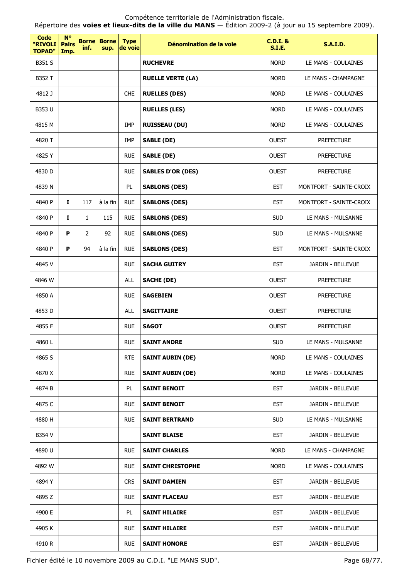| Code<br>"RIVOLI<br><b>TOPAD"</b> | $N^{\circ}$<br><b>Pairs</b><br>Imp. | <b>Borne</b><br>inf. | <b>Borne</b><br>sup. | <b>Type</b><br>de voie | Dénomination de la voie  | <b>C.D.I. &amp;</b><br>S.I.E. | <b>S.A.I.D.</b>         |
|----------------------------------|-------------------------------------|----------------------|----------------------|------------------------|--------------------------|-------------------------------|-------------------------|
| B351 S                           |                                     |                      |                      |                        | <b>RUCHEVRE</b>          | <b>NORD</b>                   | LE MANS - COULAINES     |
| B352 T                           |                                     |                      |                      |                        | <b>RUELLE VERTE (LA)</b> | <b>NORD</b>                   | LE MANS - CHAMPAGNE     |
| 4812 J                           |                                     |                      |                      | <b>CHE</b>             | <b>RUELLES (DES)</b>     | <b>NORD</b>                   | LE MANS - COULAINES     |
| B353 U                           |                                     |                      |                      |                        | <b>RUELLES (LES)</b>     | <b>NORD</b>                   | LE MANS - COULAINES     |
| 4815 M                           |                                     |                      |                      | IMP                    | <b>RUISSEAU (DU)</b>     | <b>NORD</b>                   | LE MANS - COULAINES     |
| 4820 T                           |                                     |                      |                      | IMP                    | <b>SABLE (DE)</b>        | <b>OUEST</b>                  | <b>PREFECTURE</b>       |
| 4825Y                            |                                     |                      |                      | <b>RUE</b>             | <b>SABLE (DE)</b>        | <b>OUEST</b>                  | <b>PREFECTURE</b>       |
| 4830 D                           |                                     |                      |                      | <b>RUE</b>             | <b>SABLES D'OR (DES)</b> | <b>OUEST</b>                  | <b>PREFECTURE</b>       |
| 4839 N                           |                                     |                      |                      | PL                     | <b>SABLONS (DES)</b>     | <b>EST</b>                    | MONTFORT - SAINTE-CROIX |
| 4840 P                           | 1                                   | 117                  | à la fin             | <b>RUE</b>             | <b>SABLONS (DES)</b>     | <b>EST</b>                    | MONTFORT - SAINTE-CROIX |
| 4840 P                           | $\mathbf{I}$                        | $\mathbf{1}$         | 115                  | <b>RUE</b>             | <b>SABLONS (DES)</b>     | <b>SUD</b>                    | LE MANS - MULSANNE      |
| 4840 P                           | P                                   | $\overline{2}$       | 92                   | <b>RUE</b>             | <b>SABLONS (DES)</b>     | <b>SUD</b>                    | LE MANS - MULSANNE      |
| 4840 P                           | P                                   | 94                   | à la fin             | <b>RUE</b>             | <b>SABLONS (DES)</b>     | <b>EST</b>                    | MONTFORT - SAINTE-CROIX |
| 4845 V                           |                                     |                      |                      | <b>RUE</b>             | <b>SACHA GUITRY</b>      | <b>EST</b>                    | JARDIN - BELLEVUE       |
| 4846 W                           |                                     |                      |                      | ALL                    | <b>SACHE (DE)</b>        | <b>OUEST</b>                  | <b>PREFECTURE</b>       |
| 4850 A                           |                                     |                      |                      | <b>RUE</b>             | <b>SAGEBIEN</b>          | <b>OUEST</b>                  | <b>PREFECTURE</b>       |
| 4853D                            |                                     |                      |                      | ALL                    | <b>SAGITTAIRE</b>        | <b>OUEST</b>                  | <b>PREFECTURE</b>       |
| 4855 F                           |                                     |                      |                      | <b>RUE</b>             | <b>SAGOT</b>             | <b>OUEST</b>                  | <b>PREFECTURE</b>       |
| 4860L                            |                                     |                      |                      | <b>RUE</b>             | <b>SAINT ANDRE</b>       | <b>SUD</b>                    | LE MANS - MULSANNE      |
| 4865 S                           |                                     |                      |                      | <b>RTE</b>             | <b>SAINT AUBIN (DE)</b>  | <b>NORD</b>                   | LE MANS - COULAINES     |
| 4870 X                           |                                     |                      |                      | <b>RUE</b>             | <b>SAINT AUBIN (DE)</b>  | <b>NORD</b>                   | LE MANS - COULAINES     |
| 4874 B                           |                                     |                      |                      | PL                     | <b>SAINT BENOIT</b>      | <b>EST</b>                    | JARDIN - BELLEVUE       |
| 4875 C                           |                                     |                      |                      | <b>RUE</b>             | <b>SAINT BENOIT</b>      | <b>EST</b>                    | JARDIN - BELLEVUE       |
| 4880 H                           |                                     |                      |                      | <b>RUE</b>             | <b>SAINT BERTRAND</b>    | <b>SUD</b>                    | LE MANS - MULSANNE      |
| B354 V                           |                                     |                      |                      |                        | <b>SAINT BLAISE</b>      | <b>EST</b>                    | JARDIN - BELLEVUE       |
| 4890 U                           |                                     |                      |                      | <b>RUE</b>             | <b>SAINT CHARLES</b>     | <b>NORD</b>                   | LE MANS - CHAMPAGNE     |
| 4892 W                           |                                     |                      |                      | <b>RUE</b>             | <b>SAINT CHRISTOPHE</b>  | <b>NORD</b>                   | LE MANS - COULAINES     |
| 4894 Y                           |                                     |                      |                      | <b>CRS</b>             | <b>SAINT DAMIEN</b>      | <b>EST</b>                    | JARDIN - BELLEVUE       |
| 4895 Z                           |                                     |                      |                      | <b>RUE</b>             | <b>SAINT FLACEAU</b>     | <b>EST</b>                    | JARDIN - BELLEVUE       |
| 4900 E                           |                                     |                      |                      | PL                     | <b>SAINT HILAIRE</b>     | <b>EST</b>                    | JARDIN - BELLEVUE       |
| 4905 K                           |                                     |                      |                      | <b>RUE</b>             | <b>SAINT HILAIRE</b>     | <b>EST</b>                    | JARDIN - BELLEVUE       |
| 4910 R                           |                                     |                      |                      | <b>RUE</b>             | <b>SAINT HONORE</b>      | <b>EST</b>                    | JARDIN - BELLEVUE       |

Fichier édité le 10 novembre 2009 au C.D.I. "LE MANS SUD". Page 68/77.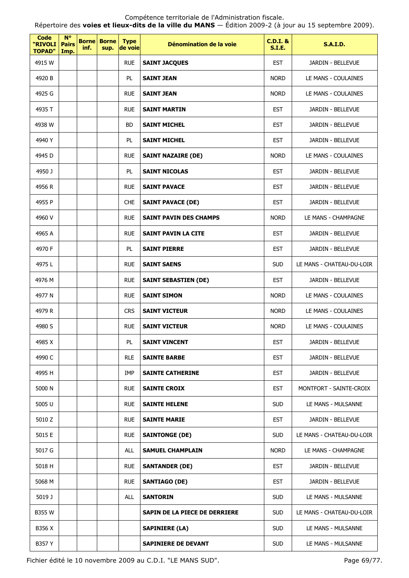Répertoire des **voies et lieux-dits de la ville du MANS** — Édition 2009-2 (à jour au 15 septembre 2009).

| <b>Code</b><br>"RIVOLI<br><b>TOPAD"</b> | $N^{\circ}$<br><b>Pairs</b><br>Imp. | <b>Borne</b><br>inf. | <b>Borne</b><br>sup. | <b>Type</b><br>de voie | Dénomination de la voie       | <b>C.D.I. &amp;</b><br><b>S.I.E.</b> | <b>S.A.I.D.</b>           |
|-----------------------------------------|-------------------------------------|----------------------|----------------------|------------------------|-------------------------------|--------------------------------------|---------------------------|
| 4915 W                                  |                                     |                      |                      | <b>RUE</b>             | <b>SAINT JACQUES</b>          | <b>EST</b>                           | JARDIN - BELLEVUE         |
| 4920 B                                  |                                     |                      |                      | PL                     | <b>SAINT JEAN</b>             | <b>NORD</b>                          | LE MANS - COULAINES       |
| 4925 G                                  |                                     |                      |                      | <b>RUE</b>             | <b>SAINT JEAN</b>             | <b>NORD</b>                          | LE MANS - COULAINES       |
| 4935 T                                  |                                     |                      |                      | <b>RUE</b>             | <b>SAINT MARTIN</b>           | <b>EST</b>                           | JARDIN - BELLEVUE         |
| 4938 W                                  |                                     |                      |                      | <b>BD</b>              | <b>SAINT MICHEL</b>           | <b>EST</b>                           | JARDIN - BELLEVUE         |
| 4940 Y                                  |                                     |                      |                      | PL                     | <b>SAINT MICHEL</b>           | <b>EST</b>                           | JARDIN - BELLEVUE         |
| 4945 D                                  |                                     |                      |                      | <b>RUE</b>             | <b>SAINT NAZAIRE (DE)</b>     | <b>NORD</b>                          | LE MANS - COULAINES       |
| 4950 J                                  |                                     |                      |                      | PL                     | <b>SAINT NICOLAS</b>          | <b>EST</b>                           | JARDIN - BELLEVUE         |
| 4956 R                                  |                                     |                      |                      | <b>RUE</b>             | <b>SAINT PAVACE</b>           | <b>EST</b>                           | JARDIN - BELLEVUE         |
| 4955 P                                  |                                     |                      |                      | <b>CHE</b>             | <b>SAINT PAVACE (DE)</b>      | <b>EST</b>                           | JARDIN - BELLEVUE         |
| 4960 V                                  |                                     |                      |                      | <b>RUE</b>             | <b>SAINT PAVIN DES CHAMPS</b> | <b>NORD</b>                          | LE MANS - CHAMPAGNE       |
| 4965 A                                  |                                     |                      |                      | <b>RUE</b>             | <b>SAINT PAVIN LA CITE</b>    | <b>EST</b>                           | JARDIN - BELLEVUE         |
| 4970 F                                  |                                     |                      |                      | PL                     | <b>SAINT PIERRE</b>           | <b>EST</b>                           | JARDIN - BELLEVUE         |
| 4975L                                   |                                     |                      |                      | <b>RUE</b>             | <b>SAINT SAENS</b>            | <b>SUD</b>                           | LE MANS - CHATEAU-DU-LOIR |
| 4976 M                                  |                                     |                      |                      | <b>RUE</b>             | <b>SAINT SEBASTIEN (DE)</b>   | <b>EST</b>                           | JARDIN - BELLEVUE         |
| 4977 N                                  |                                     |                      |                      | <b>RUE</b>             | <b>SAINT SIMON</b>            | <b>NORD</b>                          | LE MANS - COULAINES       |
| 4979 R                                  |                                     |                      |                      | <b>CRS</b>             | <b>SAINT VICTEUR</b>          | <b>NORD</b>                          | LE MANS - COULAINES       |
| 4980 S                                  |                                     |                      |                      | <b>RUE</b>             | <b>SAINT VICTEUR</b>          | <b>NORD</b>                          | LE MANS - COULAINES       |
| 4985 X                                  |                                     |                      |                      | PL                     | <b>SAINT VINCENT</b>          | <b>EST</b>                           | JARDIN - BELLEVUE         |
| 4990 C                                  |                                     |                      |                      | <b>RLE</b>             | <b>SAINTE BARBE</b>           | <b>EST</b>                           | JARDIN - BELLEVUE         |
| 4995 H                                  |                                     |                      |                      | <b>IMP</b>             | <b>SAINTE CATHERINE</b>       | <b>EST</b>                           | JARDIN - BELLEVUE         |
| 5000 N                                  |                                     |                      |                      | <b>RUE</b>             | <b>SAINTE CROIX</b>           | <b>EST</b>                           | MONTFORT - SAINTE-CROIX   |
| 5005 U                                  |                                     |                      |                      | <b>RUE</b>             | <b>SAINTE HELENE</b>          | <b>SUD</b>                           | LE MANS - MULSANNE        |
| 5010 Z                                  |                                     |                      |                      | <b>RUE</b>             | <b>SAINTE MARIE</b>           | <b>EST</b>                           | JARDIN - BELLEVUE         |
| 5015 E                                  |                                     |                      |                      | <b>RUE</b>             | <b>SAINTONGE (DE)</b>         | <b>SUD</b>                           | LE MANS - CHATEAU-DU-LOIR |
| 5017 G                                  |                                     |                      |                      | <b>ALL</b>             | <b>SAMUEL CHAMPLAIN</b>       | <b>NORD</b>                          | LE MANS - CHAMPAGNE       |
| 5018 H                                  |                                     |                      |                      | <b>RUE</b>             | <b>SANTANDER (DE)</b>         | <b>EST</b>                           | JARDIN - BELLEVUE         |
| 5068 M                                  |                                     |                      |                      | <b>RUE</b>             | <b>SANTIAGO (DE)</b>          | <b>EST</b>                           | JARDIN - BELLEVUE         |
| 5019 J                                  |                                     |                      |                      | ALL                    | <b>SANTORIN</b>               | <b>SUD</b>                           | LE MANS - MULSANNE        |
| <b>B355 W</b>                           |                                     |                      |                      |                        | SAPIN DE LA PIECE DE DERRIERE | <b>SUD</b>                           | LE MANS - CHATEAU-DU-LOIR |
| B356 X                                  |                                     |                      |                      |                        | <b>SAPINIERE (LA)</b>         | <b>SUD</b>                           | LE MANS - MULSANNE        |
| B357 Y                                  |                                     |                      |                      |                        | SAPINIERE DE DEVANT           | <b>SUD</b>                           | LE MANS - MULSANNE        |

Fichier édité le 10 novembre 2009 au C.D.I. "LE MANS SUD". Page 69/77.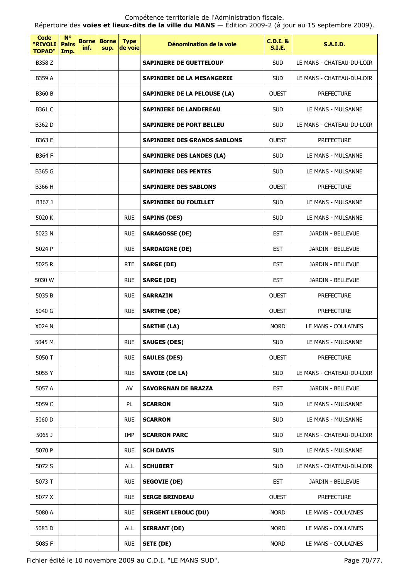Répertoire des **voies et lieux-dits de la ville du MANS** — Édition 2009-2 (à jour au 15 septembre 2009).

| Code<br>"RIVOLI<br><b>TOPAD"</b> | <b>N°</b><br><b>Pairs</b><br>Imp. | <b>Borne</b><br>inf. | <b>Borne</b><br>sup. | <b>Type</b><br>de voie | Dénomination de la voie             | $C.D.I.$ &<br>S.I.E. | <b>S.A.I.D.</b>           |
|----------------------------------|-----------------------------------|----------------------|----------------------|------------------------|-------------------------------------|----------------------|---------------------------|
| B358 Z                           |                                   |                      |                      |                        | <b>SAPINIERE DE GUETTELOUP</b>      | <b>SUD</b>           | LE MANS - CHATEAU-DU-LOIR |
| B359 A                           |                                   |                      |                      |                        | SAPINIERE DE LA MESANGERIE          | <b>SUD</b>           | LE MANS - CHATEAU-DU-LOIR |
| <b>B360 B</b>                    |                                   |                      |                      |                        | <b>SAPINIERE DE LA PELOUSE (LA)</b> | <b>OUEST</b>         | <b>PREFECTURE</b>         |
| B361 C                           |                                   |                      |                      |                        | <b>SAPINIERE DE LANDEREAU</b>       | <b>SUD</b>           | LE MANS - MULSANNE        |
| <b>B362 D</b>                    |                                   |                      |                      |                        | <b>SAPINIERE DE PORT BELLEU</b>     | <b>SUD</b>           | LE MANS - CHATEAU-DU-LOIR |
| <b>B363 E</b>                    |                                   |                      |                      |                        | <b>SAPINIERE DES GRANDS SABLONS</b> | <b>OUEST</b>         | <b>PREFECTURE</b>         |
| B364 F                           |                                   |                      |                      |                        | <b>SAPINIERE DES LANDES (LA)</b>    | <b>SUD</b>           | LE MANS - MULSANNE        |
| B365 G                           |                                   |                      |                      |                        | <b>SAPINIERE DES PENTES</b>         | <b>SUD</b>           | LE MANS - MULSANNE        |
| B366 H                           |                                   |                      |                      |                        | <b>SAPINIERE DES SABLONS</b>        | <b>OUEST</b>         | <b>PREFECTURE</b>         |
| B367 J                           |                                   |                      |                      |                        | <b>SAPINIERE DU FOUILLET</b>        | <b>SUD</b>           | LE MANS - MULSANNE        |
| 5020 K                           |                                   |                      |                      | <b>RUE</b>             | <b>SAPINS (DES)</b>                 | <b>SUD</b>           | LE MANS - MULSANNE        |
| 5023 N                           |                                   |                      |                      | <b>RUE</b>             | <b>SARAGOSSE (DE)</b>               | <b>EST</b>           | JARDIN - BELLEVUE         |
| 5024 P                           |                                   |                      |                      | <b>RUE</b>             | <b>SARDAIGNE (DE)</b>               | <b>EST</b>           | JARDIN - BELLEVUE         |
| 5025 R                           |                                   |                      |                      | <b>RTE</b>             | <b>SARGE (DE)</b>                   | <b>EST</b>           | JARDIN - BELLEVUE         |
| 5030 W                           |                                   |                      |                      | <b>RUE</b>             | <b>SARGE (DE)</b>                   | <b>EST</b>           | JARDIN - BELLEVUE         |
| 5035 B                           |                                   |                      |                      | <b>RUE</b>             | <b>SARRAZIN</b>                     | <b>OUEST</b>         | <b>PREFECTURE</b>         |
| 5040 G                           |                                   |                      |                      | <b>RUE</b>             | <b>SARTHE (DE)</b>                  | <b>OUEST</b>         | <b>PREFECTURE</b>         |
| X024 N                           |                                   |                      |                      |                        | <b>SARTHE (LA)</b>                  | <b>NORD</b>          | LE MANS - COULAINES       |
| 5045 M                           |                                   |                      |                      | <b>RUE</b>             | <b>SAUGES (DES)</b>                 | <b>SUD</b>           | LE MANS - MULSANNE        |
| 5050 T                           |                                   |                      |                      | <b>RUE</b>             | <b>SAULES (DES)</b>                 | <b>OUEST</b>         | <b>PREFECTURE</b>         |
| 5055 Y                           |                                   |                      |                      | <b>RUE</b>             | <b>SAVOIE (DE LA)</b>               | <b>SUD</b>           | LE MANS - CHATEAU-DU-LOIR |
| 5057 A                           |                                   |                      |                      | AV                     | <b>SAVORGNAN DE BRAZZA</b>          | <b>EST</b>           | JARDIN - BELLEVUE         |
| 5059 C                           |                                   |                      |                      | PL                     | <b>SCARRON</b>                      | <b>SUD</b>           | LE MANS - MULSANNE        |
| 5060 D                           |                                   |                      |                      | <b>RUE</b>             | <b>SCARRON</b>                      | <b>SUD</b>           | LE MANS - MULSANNE        |
| 5065 J                           |                                   |                      |                      | IMP                    | <b>SCARRON PARC</b>                 | <b>SUD</b>           | LE MANS - CHATEAU-DU-LOIR |
| 5070 P                           |                                   |                      |                      | <b>RUE</b>             | <b>SCH DAVIS</b>                    | <b>SUD</b>           | LE MANS - MULSANNE        |
| 5072 S                           |                                   |                      |                      | <b>ALL</b>             | <b>SCHUBERT</b>                     | <b>SUD</b>           | LE MANS - CHATEAU-DU-LOIR |
| 5073 T                           |                                   |                      |                      | <b>RUE</b>             | <b>SEGOVIE (DE)</b>                 | <b>EST</b>           | JARDIN - BELLEVUE         |
| 5077 X                           |                                   |                      |                      | <b>RUE</b>             | <b>SERGE BRINDEAU</b>               | <b>OUEST</b>         | <b>PREFECTURE</b>         |
| 5080 A                           |                                   |                      |                      | <b>RUE</b>             | <b>SERGENT LEBOUC (DU)</b>          | <b>NORD</b>          | LE MANS - COULAINES       |
| 5083 D                           |                                   |                      |                      | ALL                    | <b>SERRANT (DE)</b>                 | <b>NORD</b>          | LE MANS - COULAINES       |
| 5085F                            |                                   |                      |                      | <b>RUE</b>             | <b>SETE (DE)</b>                    | <b>NORD</b>          | LE MANS - COULAINES       |

Fichier édité le 10 novembre 2009 au C.D.I. "LE MANS SUD". Page 70/77.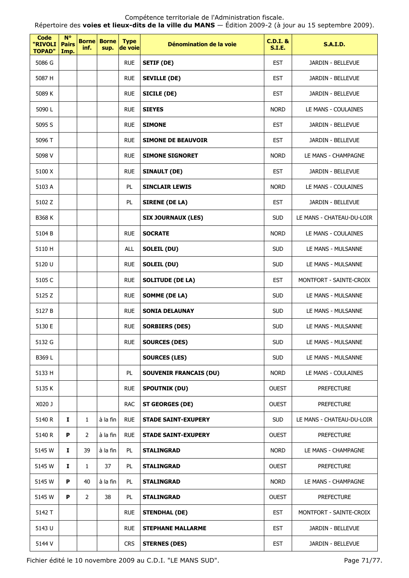| <b>Code</b><br>"RIVOLI<br><b>TOPAD"</b> | $N^{\circ}$<br><b>Pairs</b><br>Imp. | inf.           | <b>Borne Borne</b><br>sup. | <b>Type</b><br>de voie | Dénomination de la voie       | <b>C.D.I. &amp;</b><br><b>S.I.E.</b> | <b>S.A.I.D.</b>           |
|-----------------------------------------|-------------------------------------|----------------|----------------------------|------------------------|-------------------------------|--------------------------------------|---------------------------|
| 5086 G                                  |                                     |                |                            | <b>RUE</b>             | <b>SETIF (DE)</b>             | <b>EST</b>                           | JARDIN - BELLEVUE         |
| 5087 H                                  |                                     |                |                            | <b>RUE</b>             | <b>SEVILLE (DE)</b>           | <b>EST</b>                           | JARDIN - BELLEVUE         |
| 5089 K                                  |                                     |                |                            | <b>RUE</b>             | <b>SICILE (DE)</b>            | <b>EST</b>                           | <b>JARDIN - BELLEVUE</b>  |
| 5090L                                   |                                     |                |                            | <b>RUE</b>             | <b>SIEYES</b>                 | <b>NORD</b>                          | LE MANS - COULAINES       |
| 5095 S                                  |                                     |                |                            | <b>RUE</b>             | <b>SIMONE</b>                 | <b>EST</b>                           | JARDIN - BELLEVUE         |
| 5096 T                                  |                                     |                |                            | <b>RUE</b>             | <b>SIMONE DE BEAUVOIR</b>     | <b>EST</b>                           | JARDIN - BELLEVUE         |
| 5098 V                                  |                                     |                |                            | <b>RUE</b>             | <b>SIMONE SIGNORET</b>        | <b>NORD</b>                          | LE MANS - CHAMPAGNE       |
| 5100 X                                  |                                     |                |                            | <b>RUE</b>             | <b>SINAULT (DE)</b>           | <b>EST</b>                           | JARDIN - BELLEVUE         |
| 5103 A                                  |                                     |                |                            | PL                     | <b>SINCLAIR LEWIS</b>         | <b>NORD</b>                          | LE MANS - COULAINES       |
| 5102 Z                                  |                                     |                |                            | PL                     | <b>SIRENE (DE LA)</b>         | <b>EST</b>                           | JARDIN - BELLEVUE         |
| <b>B368 K</b>                           |                                     |                |                            |                        | <b>SIX JOURNAUX (LES)</b>     | <b>SUD</b>                           | LE MANS - CHATEAU-DU-LOIR |
| 5104 B                                  |                                     |                |                            | <b>RUE</b>             | <b>SOCRATE</b>                | <b>NORD</b>                          | LE MANS - COULAINES       |
| 5110 H                                  |                                     |                |                            | ALL                    | <b>SOLEIL (DU)</b>            | <b>SUD</b>                           | LE MANS - MULSANNE        |
| 5120 U                                  |                                     |                |                            | <b>RUE</b>             | <b>SOLEIL (DU)</b>            | <b>SUD</b>                           | LE MANS - MULSANNE        |
| 5105 C                                  |                                     |                |                            | <b>RUE</b>             | <b>SOLITUDE (DE LA)</b>       | <b>EST</b>                           | MONTFORT - SAINTE-CROIX   |
| 5125 Z                                  |                                     |                |                            | <b>RUE</b>             | <b>SOMME (DE LA)</b>          | <b>SUD</b>                           | LE MANS - MULSANNE        |
| 5127 B                                  |                                     |                |                            | <b>RUE</b>             | <b>SONIA DELAUNAY</b>         | <b>SUD</b>                           | LE MANS - MULSANNE        |
| 5130 E                                  |                                     |                |                            | <b>RUE</b>             | <b>SORBIERS (DES)</b>         | <b>SUD</b>                           | LE MANS - MULSANNE        |
| 5132 G                                  |                                     |                |                            | <b>RUE</b>             | <b>SOURCES (DES)</b>          | <b>SUD</b>                           | LE MANS - MULSANNE        |
| B369L                                   |                                     |                |                            |                        | <b>SOURCES (LES)</b>          | <b>SUD</b>                           | LE MANS - MULSANNE        |
| 5133 H                                  |                                     |                |                            | PL                     | <b>SOUVENIR FRANCAIS (DU)</b> | <b>NORD</b>                          | LE MANS - COULAINES       |
| 5135 K                                  |                                     |                |                            | <b>RUE</b>             | <b>SPOUTNIK (DU)</b>          | <b>OUEST</b>                         | <b>PREFECTURE</b>         |
| X020 J                                  |                                     |                |                            | <b>RAC</b>             | <b>ST GEORGES (DE)</b>        | <b>OUEST</b>                         | <b>PREFECTURE</b>         |
| 5140 R                                  | Ι.                                  | $\mathbf{1}$   | à la fin                   | <b>RUE</b>             | <b>STADE SAINT-EXUPERY</b>    | <b>SUD</b>                           | LE MANS - CHATEAU-DU-LOIR |
| 5140 R                                  | P                                   | $\overline{2}$ | à la fin                   | <b>RUE</b>             | <b>STADE SAINT-EXUPERY</b>    | <b>OUEST</b>                         | <b>PREFECTURE</b>         |
| 5145 W                                  | $\mathbf{I}$                        | 39             | à la fin                   | PL                     | <b>STALINGRAD</b>             | <b>NORD</b>                          | LE MANS - CHAMPAGNE       |
| 5145 W                                  | 1                                   | $\mathbf{1}$   | 37                         | PL                     | <b>STALINGRAD</b>             | <b>OUEST</b>                         | <b>PREFECTURE</b>         |
| 5145 W                                  | P                                   | 40             | à la fin                   | PL                     | <b>STALINGRAD</b>             | <b>NORD</b>                          | LE MANS - CHAMPAGNE       |
| 5145 W                                  | P                                   | $\overline{2}$ | 38                         | PL                     | STALINGRAD                    | <b>OUEST</b>                         | <b>PREFECTURE</b>         |
| 5142 T                                  |                                     |                |                            | <b>RUE</b>             | <b>STENDHAL (DE)</b>          | <b>EST</b>                           | MONTFORT - SAINTE-CROIX   |
| 5143 U                                  |                                     |                |                            | <b>RUE</b>             | <b>STEPHANE MALLARME</b>      | <b>EST</b>                           | JARDIN - BELLEVUE         |
| 5144 V                                  |                                     |                |                            | <b>CRS</b>             | <b>STERNES (DES)</b>          | <b>EST</b>                           | JARDIN - BELLEVUE         |

Fichier édité le 10 novembre 2009 au C.D.I. "LE MANS SUD". Page 71/77.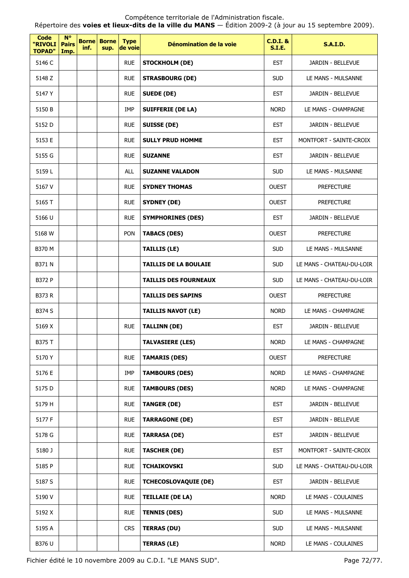| <b>Code</b><br>"RIVOLI<br><b>TOPAD"</b> | $N^{\circ}$<br><b>Pairs</b><br>Imp. | <b>Borne</b><br>inf. | <b>Borne</b><br>sup. | <b>Type</b><br>de voie | Dénomination de la voie      | $C.D.I.$ &<br><b>S.I.E.</b> | <b>S.A.I.D.</b>           |
|-----------------------------------------|-------------------------------------|----------------------|----------------------|------------------------|------------------------------|-----------------------------|---------------------------|
| 5146 C                                  |                                     |                      |                      | <b>RUE</b>             | <b>STOCKHOLM (DE)</b>        | <b>EST</b>                  | JARDIN - BELLEVUE         |
| 5148 Z                                  |                                     |                      |                      | <b>RUE</b>             | <b>STRASBOURG (DE)</b>       | <b>SUD</b>                  | LE MANS - MULSANNE        |
| 5147 Y                                  |                                     |                      |                      | <b>RUE</b>             | <b>SUEDE (DE)</b>            | <b>EST</b>                  | JARDIN - BELLEVUE         |
| 5150 B                                  |                                     |                      |                      | IMP                    | <b>SUIFFERIE (DE LA)</b>     | <b>NORD</b>                 | LE MANS - CHAMPAGNE       |
| 5152 D                                  |                                     |                      |                      | <b>RUE</b>             | <b>SUISSE (DE)</b>           | <b>EST</b>                  | JARDIN - BELLEVUE         |
| 5153 E                                  |                                     |                      |                      | <b>RUE</b>             | <b>SULLY PRUD HOMME</b>      | <b>EST</b>                  | MONTFORT - SAINTE-CROIX   |
| 5155 G                                  |                                     |                      |                      | <b>RUE</b>             | <b>SUZANNE</b>               | <b>EST</b>                  | JARDIN - BELLEVUE         |
| 5159L                                   |                                     |                      |                      | <b>ALL</b>             | <b>SUZANNE VALADON</b>       | <b>SUD</b>                  | LE MANS - MULSANNE        |
| 5167 V                                  |                                     |                      |                      | <b>RUE</b>             | <b>SYDNEY THOMAS</b>         | <b>OUEST</b>                | <b>PREFECTURE</b>         |
| 5165 T                                  |                                     |                      |                      | <b>RUE</b>             | <b>SYDNEY (DE)</b>           | <b>OUEST</b>                | <b>PREFECTURE</b>         |
| 5166 U                                  |                                     |                      |                      | <b>RUE</b>             | <b>SYMPHORINES (DES)</b>     | <b>EST</b>                  | JARDIN - BELLEVUE         |
| 5168 W                                  |                                     |                      |                      | PON                    | <b>TABACS (DES)</b>          | <b>OUEST</b>                | <b>PREFECTURE</b>         |
| B370 M                                  |                                     |                      |                      |                        | <b>TAILLIS (LE)</b>          | <b>SUD</b>                  | LE MANS - MULSANNE        |
| <b>B371 N</b>                           |                                     |                      |                      |                        | <b>TAILLIS DE LA BOULAIE</b> | <b>SUD</b>                  | LE MANS - CHATEAU-DU-LOIR |
| <b>B372 P</b>                           |                                     |                      |                      |                        | <b>TAILLIS DES FOURNEAUX</b> | <b>SUD</b>                  | LE MANS - CHATEAU-DU-LOIR |
| <b>B373 R</b>                           |                                     |                      |                      |                        | <b>TAILLIS DES SAPINS</b>    | <b>OUEST</b>                | <b>PREFECTURE</b>         |
| B374 S                                  |                                     |                      |                      |                        | <b>TAILLIS NAVOT (LE)</b>    | <b>NORD</b>                 | LE MANS - CHAMPAGNE       |
| 5169 X                                  |                                     |                      |                      | <b>RUE</b>             | <b>TALLINN (DE)</b>          | <b>EST</b>                  | JARDIN - BELLEVUE         |
| B375 T                                  |                                     |                      |                      |                        | <b>TALVASIERE (LES)</b>      | <b>NORD</b>                 | LE MANS - CHAMPAGNE       |
| 5170 Y                                  |                                     |                      |                      | <b>RUE</b>             | <b>TAMARIS (DES)</b>         | <b>OUEST</b>                | <b>PREFECTURE</b>         |
| 5176 E                                  |                                     |                      |                      | IMP                    | <b>TAMBOURS (DES)</b>        | <b>NORD</b>                 | LE MANS - CHAMPAGNE       |
| 5175 D                                  |                                     |                      |                      | <b>RUE</b>             | <b>TAMBOURS (DES)</b>        | <b>NORD</b>                 | LE MANS - CHAMPAGNE       |
| 5179 H                                  |                                     |                      |                      | <b>RUE</b>             | <b>TANGER (DE)</b>           | <b>EST</b>                  | JARDIN - BELLEVUE         |
| 5177 F                                  |                                     |                      |                      | <b>RUE</b>             | <b>TARRAGONE (DE)</b>        | <b>EST</b>                  | JARDIN - BELLEVUE         |
| 5178 G                                  |                                     |                      |                      | <b>RUE</b>             | <b>TARRASA (DE)</b>          | <b>EST</b>                  | JARDIN - BELLEVUE         |
| 5180 J                                  |                                     |                      |                      | <b>RUE</b>             | <b>TASCHER (DE)</b>          | <b>EST</b>                  | MONTFORT - SAINTE-CROIX   |
| 5185 P                                  |                                     |                      |                      | <b>RUE</b>             | <b>TCHAIKOVSKI</b>           | <b>SUD</b>                  | LE MANS - CHATEAU-DU-LOIR |
| 5187 S                                  |                                     |                      |                      | <b>RUE</b>             | <b>TCHECOSLOVAQUIE (DE)</b>  | <b>EST</b>                  | JARDIN - BELLEVUE         |
| 5190 V                                  |                                     |                      |                      | <b>RUE</b>             | <b>TEILLAIE (DE LA)</b>      | <b>NORD</b>                 | LE MANS - COULAINES       |
| 5192 X                                  |                                     |                      |                      | <b>RUE</b>             | <b>TENNIS (DES)</b>          | <b>SUD</b>                  | LE MANS - MULSANNE        |
| 5195 A                                  |                                     |                      |                      | <b>CRS</b>             | <b>TERRAS (DU)</b>           | <b>SUD</b>                  | LE MANS - MULSANNE        |
| B376 U                                  |                                     |                      |                      |                        | <b>TERRAS (LE)</b>           | <b>NORD</b>                 | LE MANS - COULAINES       |

Fichier édité le 10 novembre 2009 au C.D.I. "LE MANS SUD". Page 72/77.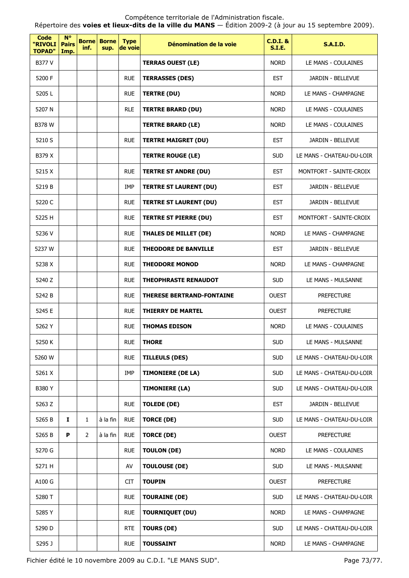Répertoire des **voies et lieux-dits de la ville du MANS** — Édition 2009-2 (à jour au 15 septembre 2009).

| Code<br>"RIVOLI<br><b>TOPAD"</b> | <b>N°</b><br><b>Pairs</b><br>Imp. | <b>Borne</b><br>inf. | <b>Borne</b><br>sup. | <b>Type</b><br>de voie | Dénomination de la voie          | <b>C.D.I. &amp;</b><br>S.I.E. | <b>S.A.I.D.</b>           |
|----------------------------------|-----------------------------------|----------------------|----------------------|------------------------|----------------------------------|-------------------------------|---------------------------|
| B377 V                           |                                   |                      |                      |                        | <b>TERRAS OUEST (LE)</b>         | <b>NORD</b>                   | LE MANS - COULAINES       |
| 5200 F                           |                                   |                      |                      | <b>RUE</b>             | <b>TERRASSES (DES)</b>           | <b>EST</b>                    | JARDIN - BELLEVUE         |
| 5205L                            |                                   |                      |                      | <b>RUE</b>             | <b>TERTRE (DU)</b>               | <b>NORD</b>                   | LE MANS - CHAMPAGNE       |
| 5207 N                           |                                   |                      |                      | <b>RLE</b>             | <b>TERTRE BRARD (DU)</b>         | <b>NORD</b>                   | LE MANS - COULAINES       |
| <b>B378 W</b>                    |                                   |                      |                      |                        | <b>TERTRE BRARD (LE)</b>         | <b>NORD</b>                   | LE MANS - COULAINES       |
| 5210 S                           |                                   |                      |                      | <b>RUE</b>             | <b>TERTRE MAIGRET (DU)</b>       | <b>EST</b>                    | JARDIN - BELLEVUE         |
| B379 X                           |                                   |                      |                      |                        | <b>TERTRE ROUGE (LE)</b>         | <b>SUD</b>                    | LE MANS - CHATEAU-DU-LOIR |
| 5215 X                           |                                   |                      |                      | <b>RUE</b>             | <b>TERTRE ST ANDRE (DU)</b>      | <b>EST</b>                    | MONTFORT - SAINTE-CROIX   |
| 5219 B                           |                                   |                      |                      | <b>IMP</b>             | <b>TERTRE ST LAURENT (DU)</b>    | <b>EST</b>                    | JARDIN - BELLEVUE         |
| 5220 C                           |                                   |                      |                      | <b>RUE</b>             | <b>TERTRE ST LAURENT (DU)</b>    | <b>EST</b>                    | JARDIN - BELLEVUE         |
| 5225 H                           |                                   |                      |                      | <b>RUE</b>             | <b>TERTRE ST PIERRE (DU)</b>     | <b>EST</b>                    | MONTFORT - SAINTE-CROIX   |
| 5236 V                           |                                   |                      |                      | <b>RUE</b>             | <b>THALES DE MILLET (DE)</b>     | <b>NORD</b>                   | LE MANS - CHAMPAGNE       |
| 5237 W                           |                                   |                      |                      | <b>RUE</b>             | <b>THEODORE DE BANVILLE</b>      | <b>EST</b>                    | JARDIN - BELLEVUE         |
| 5238 X                           |                                   |                      |                      | <b>RUE</b>             | <b>THEODORE MONOD</b>            | <b>NORD</b>                   | LE MANS - CHAMPAGNE       |
| 5240 Z                           |                                   |                      |                      | <b>RUE</b>             | <b>THEOPHRASTE RENAUDOT</b>      | <b>SUD</b>                    | LE MANS - MULSANNE        |
| 5242 B                           |                                   |                      |                      | <b>RUE</b>             | <b>THERESE BERTRAND-FONTAINE</b> | <b>OUEST</b>                  | <b>PREFECTURE</b>         |
| 5245 E                           |                                   |                      |                      | <b>RUE</b>             | <b>THIERRY DE MARTEL</b>         | <b>OUEST</b>                  | <b>PREFECTURE</b>         |
| 5262 Y                           |                                   |                      |                      | <b>RUE</b>             | <b>THOMAS EDISON</b>             | <b>NORD</b>                   | LE MANS - COULAINES       |
| 5250 K                           |                                   |                      |                      | <b>RUE</b>             | THORE                            | SUD                           | LE MANS - MULSANNE        |
| 5260 W                           |                                   |                      |                      | <b>RUE</b>             | <b>TILLEULS (DES)</b>            | <b>SUD</b>                    | LE MANS - CHATEAU-DU-LOIR |
| 5261 X                           |                                   |                      |                      | <b>IMP</b>             | <b>TIMONIERE (DE LA)</b>         | <b>SUD</b>                    | LE MANS - CHATEAU-DU-LOIR |
| <b>B380Y</b>                     |                                   |                      |                      |                        | <b>TIMONIERE (LA)</b>            | <b>SUD</b>                    | LE MANS - CHATEAU-DU-LOIR |
| 5263 Z                           |                                   |                      |                      | <b>RUE</b>             | <b>TOLEDE (DE)</b>               | <b>EST</b>                    | JARDIN - BELLEVUE         |
| 5265 B                           | I.                                | $\mathbf{1}$         | à la fin             | <b>RUE</b>             | <b>TORCE (DE)</b>                | <b>SUD</b>                    | LE MANS - CHATEAU-DU-LOIR |
| 5265 B                           | P                                 | $\overline{2}$       | à la fin             | <b>RUE</b>             | <b>TORCE (DE)</b>                | <b>OUEST</b>                  | <b>PREFECTURE</b>         |
| 5270 G                           |                                   |                      |                      | <b>RUE</b>             | <b>TOULON (DE)</b>               | <b>NORD</b>                   | LE MANS - COULAINES       |
| 5271 H                           |                                   |                      |                      | AV                     | <b>TOULOUSE (DE)</b>             | <b>SUD</b>                    | LE MANS - MULSANNE        |
| A100 G                           |                                   |                      |                      | <b>CIT</b>             | <b>TOUPIN</b>                    | <b>OUEST</b>                  | <b>PREFECTURE</b>         |
| 5280 T                           |                                   |                      |                      | <b>RUE</b>             | <b>TOURAINE (DE)</b>             | <b>SUD</b>                    | LE MANS - CHATEAU-DU-LOIR |
| 5285 Y                           |                                   |                      |                      | <b>RUE</b>             | <b>TOURNIQUET (DU)</b>           | <b>NORD</b>                   | LE MANS - CHAMPAGNE       |
| 5290 D                           |                                   |                      |                      | <b>RTE</b>             | <b>TOURS (DE)</b>                | <b>SUD</b>                    | LE MANS - CHATEAU-DU-LOIR |
| 5295 J                           |                                   |                      |                      | <b>RUE</b>             | <b>TOUSSAINT</b>                 | <b>NORD</b>                   | LE MANS - CHAMPAGNE       |

Fichier édité le 10 novembre 2009 au C.D.I. "LE MANS SUD". Page 73/77.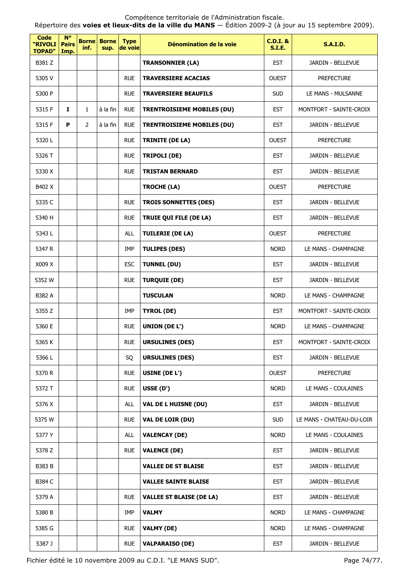Répertoire des **voies et lieux-dits de la ville du MANS** — Édition 2009-2 (à jour au 15 septembre 2009).

| Code<br>"RIVOLI<br><b>TOPAD"</b> | <b>N°</b><br><b>Pairs</b><br>Imp. | <b>Borne</b><br>inf. | <b>Borne</b><br>sup. | <b>Type</b><br>de voie | Dénomination de la voie           | <b>C.D.I. &amp;</b><br><b>S.I.E.</b> | <b>S.A.I.D.</b>           |
|----------------------------------|-----------------------------------|----------------------|----------------------|------------------------|-----------------------------------|--------------------------------------|---------------------------|
| B381 Z                           |                                   |                      |                      |                        | <b>TRANSONNIER (LA)</b>           | <b>EST</b>                           | JARDIN - BELLEVUE         |
| 5305 V                           |                                   |                      |                      | <b>RUE</b>             | <b>TRAVERSIERE ACACIAS</b>        | <b>OUEST</b>                         | <b>PREFECTURE</b>         |
| 5300 P                           |                                   |                      |                      | <b>RUE</b>             | <b>TRAVERSIERE BEAUFILS</b>       | <b>SUD</b>                           | LE MANS - MULSANNE        |
| 5315 F                           | 1                                 | $\mathbf{1}$         | à la fin             | <b>RUE</b>             | <b>TRENTROISIEME MOBILES (DU)</b> | <b>EST</b>                           | MONTFORT - SAINTE-CROIX   |
| 5315 F                           | P                                 | $\overline{2}$       | à la fin             | <b>RUE</b>             | <b>TRENTROISIEME MOBILES (DU)</b> | <b>EST</b>                           | <b>JARDIN - BELLEVUE</b>  |
| 5320L                            |                                   |                      |                      | <b>RUE</b>             | <b>TRINITE (DE LA)</b>            | <b>OUEST</b>                         | <b>PREFECTURE</b>         |
| 5326 T                           |                                   |                      |                      | <b>RUE</b>             | <b>TRIPOLI (DE)</b>               | <b>EST</b>                           | JARDIN - BELLEVUE         |
| 5330 X                           |                                   |                      |                      | <b>RUE</b>             | <b>TRISTAN BERNARD</b>            | <b>EST</b>                           | JARDIN - BELLEVUE         |
| B402 X                           |                                   |                      |                      |                        | <b>TROCHE (LA)</b>                | <b>OUEST</b>                         | <b>PREFECTURE</b>         |
| 5335 C                           |                                   |                      |                      | <b>RUE</b>             | <b>TROIS SONNETTES (DES)</b>      | <b>EST</b>                           | JARDIN - BELLEVUE         |
| 5340 H                           |                                   |                      |                      | <b>RUE</b>             | TRUIE QUI FILE (DE LA)            | <b>EST</b>                           | JARDIN - BELLEVUE         |
| 5343L                            |                                   |                      |                      | <b>ALL</b>             | <b>TUILERIE (DE LA)</b>           | <b>OUEST</b>                         | <b>PREFECTURE</b>         |
| 5347 R                           |                                   |                      |                      | IMP                    | <b>TULIPES (DES)</b>              | <b>NORD</b>                          | LE MANS - CHAMPAGNE       |
| X009 X                           |                                   |                      |                      | <b>ESC</b>             | <b>TUNNEL (DU)</b>                | <b>EST</b>                           | JARDIN - BELLEVUE         |
| 5352 W                           |                                   |                      |                      | <b>RUE</b>             | <b>TURQUIE (DE)</b>               | <b>EST</b>                           | JARDIN - BELLEVUE         |
| B382 A                           |                                   |                      |                      |                        | <b>TUSCULAN</b>                   | <b>NORD</b>                          | LE MANS - CHAMPAGNE       |
| 5355 Z                           |                                   |                      |                      | IMP                    | <b>TYROL (DE)</b>                 | <b>EST</b>                           | MONTFORT - SAINTE-CROIX   |
| 5360 E                           |                                   |                      |                      | <b>RUE</b>             | <b>UNION (DE L')</b>              | <b>NORD</b>                          | LE MANS - CHAMPAGNE       |
| 5365 K                           |                                   |                      |                      | <b>RUE</b>             | <b>URSULINES (DES)</b>            | EST                                  | MONTFORT - SAINTE-CROIX   |
| 5366L                            |                                   |                      |                      | SQ                     | <b>URSULINES (DES)</b>            | <b>EST</b>                           | JARDIN - BELLEVUE         |
| 5370 R                           |                                   |                      |                      | <b>RUE</b>             | USINE (DE L')                     | <b>OUEST</b>                         | <b>PREFECTURE</b>         |
| 5372 T                           |                                   |                      |                      | <b>RUE</b>             | USSE (D')                         | <b>NORD</b>                          | LE MANS - COULAINES       |
| 5376 X                           |                                   |                      |                      | ALL                    | <b>VAL DE L HUISNE (DU)</b>       | <b>EST</b>                           | JARDIN - BELLEVUE         |
| 5375 W                           |                                   |                      |                      | <b>RUE</b>             | VAL DE LOIR (DU)                  | <b>SUD</b>                           | LE MANS - CHATEAU-DU-LOIR |
| 5377 Y                           |                                   |                      |                      | <b>ALL</b>             | <b>VALENCAY (DE)</b>              | <b>NORD</b>                          | LE MANS - COULAINES       |
| 5378 Z                           |                                   |                      |                      | <b>RUE</b>             | <b>VALENCE (DE)</b>               | <b>EST</b>                           | JARDIN - BELLEVUE         |
| <b>B383 B</b>                    |                                   |                      |                      |                        | <b>VALLEE DE ST BLAISE</b>        | <b>EST</b>                           | JARDIN - BELLEVUE         |
| B384 C                           |                                   |                      |                      |                        | <b>VALLEE SAINTE BLAISE</b>       | <b>EST</b>                           | JARDIN - BELLEVUE         |
| 5379 A                           |                                   |                      |                      | <b>RUE</b>             | <b>VALLEE ST BLAISE (DE LA)</b>   | <b>EST</b>                           | JARDIN - BELLEVUE         |
| 5380 B                           |                                   |                      |                      | IMP                    | <b>VALMY</b>                      | <b>NORD</b>                          | LE MANS - CHAMPAGNE       |
| 5385 G                           |                                   |                      |                      | <b>RUE</b>             | <b>VALMY (DE)</b>                 | <b>NORD</b>                          | LE MANS - CHAMPAGNE       |
| 5387 J                           |                                   |                      |                      | <b>RUE</b>             | <b>VALPARAISO (DE)</b>            | <b>EST</b>                           | JARDIN - BELLEVUE         |

Fichier édité le 10 novembre 2009 au C.D.I. "LE MANS SUD". Page 74/77.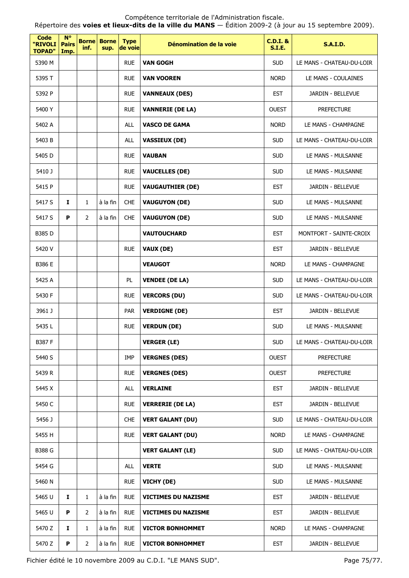Répertoire des **voies et lieux-dits de la ville du MANS** — Édition 2009-2 (à jour au 15 septembre 2009).

| Code<br>"RIVOLI<br><b>TOPAD"</b> | $N^{\circ}$<br><b>Pairs</b><br>Imp. | inf.           | <b>Borne Borne</b><br>sup. | <b>Type</b><br>de voie | Dénomination de la voie    | <b>C.D.I. &amp;</b><br><b>S.I.E.</b> | <b>S.A.I.D.</b>           |
|----------------------------------|-------------------------------------|----------------|----------------------------|------------------------|----------------------------|--------------------------------------|---------------------------|
| 5390 M                           |                                     |                |                            | <b>RUE</b>             | <b>VAN GOGH</b>            | <b>SUD</b>                           | LE MANS - CHATEAU-DU-LOIR |
| 5395 T                           |                                     |                |                            | <b>RUE</b>             | <b>VAN VOOREN</b>          | <b>NORD</b>                          | LE MANS - COULAINES       |
| 5392 P                           |                                     |                |                            | <b>RUE</b>             | <b>VANNEAUX (DES)</b>      | <b>EST</b>                           | JARDIN - BELLEVUE         |
| 5400 Y                           |                                     |                |                            | <b>RUE</b>             | <b>VANNERIE (DE LA)</b>    | <b>OUEST</b>                         | <b>PREFECTURE</b>         |
| 5402 A                           |                                     |                |                            | <b>ALL</b>             | <b>VASCO DE GAMA</b>       | <b>NORD</b>                          | LE MANS - CHAMPAGNE       |
| 5403 B                           |                                     |                |                            | <b>ALL</b>             | <b>VASSIEUX (DE)</b>       | <b>SUD</b>                           | LE MANS - CHATEAU-DU-LOIR |
| 5405 D                           |                                     |                |                            | <b>RUE</b>             | <b>VAUBAN</b>              | <b>SUD</b>                           | LE MANS - MULSANNE        |
| 5410 J                           |                                     |                |                            | <b>RUE</b>             | <b>VAUCELLES (DE)</b>      | <b>SUD</b>                           | LE MANS - MULSANNE        |
| 5415 P                           |                                     |                |                            | <b>RUE</b>             | <b>VAUGAUTHIER (DE)</b>    | <b>EST</b>                           | JARDIN - BELLEVUE         |
| 5417 S                           | 1                                   | $\mathbf{1}$   | à la fin                   | <b>CHE</b>             | <b>VAUGUYON (DE)</b>       | <b>SUD</b>                           | LE MANS - MULSANNE        |
| 5417 S                           | P                                   | $\overline{2}$ | à la fin                   | <b>CHE</b>             | <b>VAUGUYON (DE)</b>       | <b>SUD</b>                           | LE MANS - MULSANNE        |
| B385 D                           |                                     |                |                            |                        | <b>VAUTOUCHARD</b>         | <b>EST</b>                           | MONTFORT - SAINTE-CROIX   |
| 5420 V                           |                                     |                |                            | <b>RUE</b>             | <b>VAUX (DE)</b>           | <b>EST</b>                           | JARDIN - BELLEVUE         |
| B386 E                           |                                     |                |                            |                        | <b>VEAUGOT</b>             | <b>NORD</b>                          | LE MANS - CHAMPAGNE       |
| 5425 A                           |                                     |                |                            | <b>PL</b>              | <b>VENDEE (DE LA)</b>      | <b>SUD</b>                           | LE MANS - CHATEAU-DU-LOIR |
| 5430 F                           |                                     |                |                            | <b>RUE</b>             | <b>VERCORS (DU)</b>        | <b>SUD</b>                           | LE MANS - CHATEAU-DU-LOIR |
| 3961 J                           |                                     |                |                            | <b>PAR</b>             | <b>VERDIGNE (DE)</b>       | <b>EST</b>                           | JARDIN - BELLEVUE         |
| 5435L                            |                                     |                |                            | <b>RUE</b>             | <b>VERDUN (DE)</b>         | <b>SUD</b>                           | LE MANS - MULSANNE        |
| <b>B387 F</b>                    |                                     |                |                            |                        | <b>VERGER (LE)</b>         | <b>SUD</b>                           | LE MANS - CHATEAU-DU-LOIR |
| 5440 S                           |                                     |                |                            | IMP                    | <b>VERGNES (DES)</b>       | <b>OUEST</b>                         | <b>PREFECTURE</b>         |
| 5439 R                           |                                     |                |                            | <b>RUE</b>             | <b>VERGNES (DES)</b>       | <b>OUEST</b>                         | <b>PREFECTURE</b>         |
| 5445 X                           |                                     |                |                            | <b>ALL</b>             | <b>VERLAINE</b>            | <b>EST</b>                           | JARDIN - BELLEVUE         |
| 5450 C                           |                                     |                |                            | <b>RUE</b>             | <b>VERRERIE (DE LA)</b>    | <b>EST</b>                           | JARDIN - BELLEVUE         |
| 5456 J                           |                                     |                |                            | <b>CHE</b>             | <b>VERT GALANT (DU)</b>    | <b>SUD</b>                           | LE MANS - CHATEAU-DU-LOIR |
| 5455 H                           |                                     |                |                            | <b>RUE</b>             | <b>VERT GALANT (DU)</b>    | <b>NORD</b>                          | LE MANS - CHAMPAGNE       |
| <b>B388 G</b>                    |                                     |                |                            |                        | <b>VERT GALANT (LE)</b>    | <b>SUD</b>                           | LE MANS - CHATEAU-DU-LOIR |
| 5454 G                           |                                     |                |                            | ALL                    | <b>VERTE</b>               | <b>SUD</b>                           | LE MANS - MULSANNE        |
| 5460 N                           |                                     |                |                            | <b>RUE</b>             | VICHY (DE)                 | <b>SUD</b>                           | LE MANS - MULSANNE        |
| 5465 U                           | Ι.                                  | $\mathbf{1}$   | à la fin                   | <b>RUE</b>             | <b>VICTIMES DU NAZISME</b> | <b>EST</b>                           | JARDIN - BELLEVUE         |
| 5465 U                           | P                                   | $\overline{2}$ | à la fin                   | <b>RUE</b>             | <b>VICTIMES DU NAZISME</b> | <b>EST</b>                           | JARDIN - BELLEVUE         |
| 5470 Z                           | Ι.                                  | $\mathbf{1}$   | à la fin                   | <b>RUE</b>             | <b>VICTOR BONHOMMET</b>    | <b>NORD</b>                          | LE MANS - CHAMPAGNE       |
| 5470 Z                           | $\boldsymbol{\mathsf{P}}$           | $\overline{2}$ | à la fin                   | <b>RUE</b>             | <b>VICTOR BONHOMMET</b>    | <b>EST</b>                           | JARDIN - BELLEVUE         |

Fichier édité le 10 novembre 2009 au C.D.I. "LE MANS SUD". Page 75/77.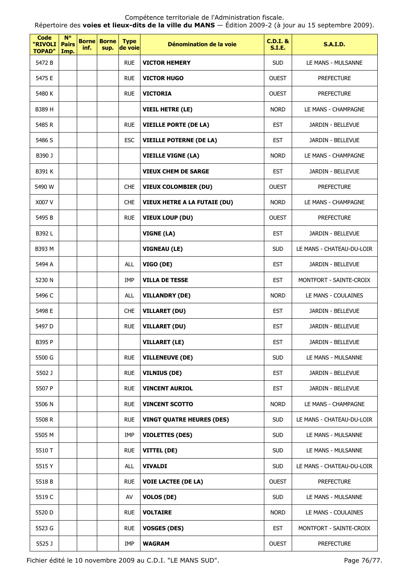Répertoire des **voies et lieux-dits de la ville du MANS** — Édition 2009-2 (à jour au 15 septembre 2009).

| <b>Code</b><br>"RIVOLI<br><b>TOPAD"</b> | $N^{\circ}$<br><b>Pairs</b><br>Imp. | <b>Borne</b><br>inf. | <b>Borne</b><br>sup. | <b>Type</b><br>de voie | Dénomination de la voie             | $C.D.I.$ &<br><b>S.I.E.</b> | <b>S.A.I.D.</b>           |
|-----------------------------------------|-------------------------------------|----------------------|----------------------|------------------------|-------------------------------------|-----------------------------|---------------------------|
| 5472 B                                  |                                     |                      |                      | <b>RUE</b>             | <b>VICTOR HEMERY</b>                | <b>SUD</b>                  | LE MANS - MULSANNE        |
| 5475 E                                  |                                     |                      |                      | <b>RUE</b>             | <b>VICTOR HUGO</b>                  | <b>OUEST</b>                | <b>PREFECTURE</b>         |
| 5480 K                                  |                                     |                      |                      | <b>RUE</b>             | <b>VICTORIA</b>                     | <b>OUEST</b>                | <b>PREFECTURE</b>         |
| B389 H                                  |                                     |                      |                      |                        | <b>VIEIL HETRE (LE)</b>             | <b>NORD</b>                 | LE MANS - CHAMPAGNE       |
| 5485 R                                  |                                     |                      |                      | <b>RUE</b>             | <b>VIEILLE PORTE (DE LA)</b>        | <b>EST</b>                  | JARDIN - BELLEVUE         |
| 5486 S                                  |                                     |                      |                      | <b>ESC</b>             | <b>VIEILLE POTERNE (DE LA)</b>      | <b>EST</b>                  | JARDIN - BELLEVUE         |
| B390 J                                  |                                     |                      |                      |                        | <b>VIEILLE VIGNE (LA)</b>           | <b>NORD</b>                 | LE MANS - CHAMPAGNE       |
| B391 K                                  |                                     |                      |                      |                        | <b>VIEUX CHEM DE SARGE</b>          | <b>EST</b>                  | JARDIN - BELLEVUE         |
| 5490 W                                  |                                     |                      |                      | <b>CHE</b>             | <b>VIEUX COLOMBIER (DU)</b>         | <b>OUEST</b>                | <b>PREFECTURE</b>         |
| X007 V                                  |                                     |                      |                      | <b>CHE</b>             | <b>VIEUX HETRE A LA FUTAIE (DU)</b> | <b>NORD</b>                 | LE MANS - CHAMPAGNE       |
| 5495 B                                  |                                     |                      |                      | <b>RUE</b>             | <b>VIEUX LOUP (DU)</b>              | <b>OUEST</b>                | <b>PREFECTURE</b>         |
| B392L                                   |                                     |                      |                      |                        | VIGNE (LA)                          | <b>EST</b>                  | JARDIN - BELLEVUE         |
| B393 M                                  |                                     |                      |                      |                        | <b>VIGNEAU (LE)</b>                 | <b>SUD</b>                  | LE MANS - CHATEAU-DU-LOIR |
| 5494 A                                  |                                     |                      |                      | <b>ALL</b>             | VIGO (DE)                           | <b>EST</b>                  | JARDIN - BELLEVUE         |
| 5230 N                                  |                                     |                      |                      | <b>IMP</b>             | <b>VILLA DE TESSE</b>               | <b>EST</b>                  | MONTFORT - SAINTE-CROIX   |
| 5496 C                                  |                                     |                      |                      | <b>ALL</b>             | <b>VILLANDRY (DE)</b>               | <b>NORD</b>                 | LE MANS - COULAINES       |
| 5498 E                                  |                                     |                      |                      | <b>CHE</b>             | <b>VILLARET (DU)</b>                | <b>EST</b>                  | JARDIN - BELLEVUE         |
| 5497 <sub>D</sub>                       |                                     |                      |                      | <b>RUE</b>             | <b>VILLARET (DU)</b>                | <b>EST</b>                  | JARDIN - BELLEVUE         |
| B395 P                                  |                                     |                      |                      |                        | <b>VILLARET (LE)</b>                | <b>EST</b>                  | JARDIN - BELLEVUE         |
| 5500 G                                  |                                     |                      |                      | <b>RUE</b>             | <b>VILLENEUVE (DE)</b>              | <b>SUD</b>                  | LE MANS - MULSANNE        |
| 5502 J                                  |                                     |                      |                      | <b>RUE</b>             | <b>VILNIUS (DE)</b>                 | <b>EST</b>                  | JARDIN - BELLEVUE         |
| 5507 P                                  |                                     |                      |                      | <b>RUE</b>             | <b>VINCENT AURIOL</b>               | <b>EST</b>                  | JARDIN - BELLEVUE         |
| 5506 N                                  |                                     |                      |                      | <b>RUE</b>             | <b>VINCENT SCOTTO</b>               | <b>NORD</b>                 | LE MANS - CHAMPAGNE       |
| 5508 R                                  |                                     |                      |                      | <b>RUE</b>             | <b>VINGT QUATRE HEURES (DES)</b>    | <b>SUD</b>                  | LE MANS - CHATEAU-DU-LOIR |
| 5505 M                                  |                                     |                      |                      | IMP                    | <b>VIOLETTES (DES)</b>              | <b>SUD</b>                  | LE MANS - MULSANNE        |
| 5510 T                                  |                                     |                      |                      | <b>RUE</b>             | VITTEL (DE)                         | <b>SUD</b>                  | LE MANS - MULSANNE        |
| 5515 Y                                  |                                     |                      |                      | <b>ALL</b>             | <b>VIVALDI</b>                      | <b>SUD</b>                  | LE MANS - CHATEAU-DU-LOIR |
| 5518B                                   |                                     |                      |                      | <b>RUE</b>             | <b>VOIE LACTEE (DE LA)</b>          | <b>OUEST</b>                | <b>PREFECTURE</b>         |
| 5519 C                                  |                                     |                      |                      | AV                     | <b>VOLOS (DE)</b>                   | <b>SUD</b>                  | LE MANS - MULSANNE        |
| 5520 D                                  |                                     |                      |                      | <b>RUE</b>             | <b>VOLTAIRE</b>                     | <b>NORD</b>                 | LE MANS - COULAINES       |
| 5523 G                                  |                                     |                      |                      | <b>RUE</b>             | <b>VOSGES (DES)</b>                 | <b>EST</b>                  | MONTFORT - SAINTE-CROIX   |
| 5525 J                                  |                                     |                      |                      | IMP                    | <b>WAGRAM</b>                       | <b>OUEST</b>                | <b>PREFECTURE</b>         |

Fichier édité le 10 novembre 2009 au C.D.I. "LE MANS SUD". Page 76/77.